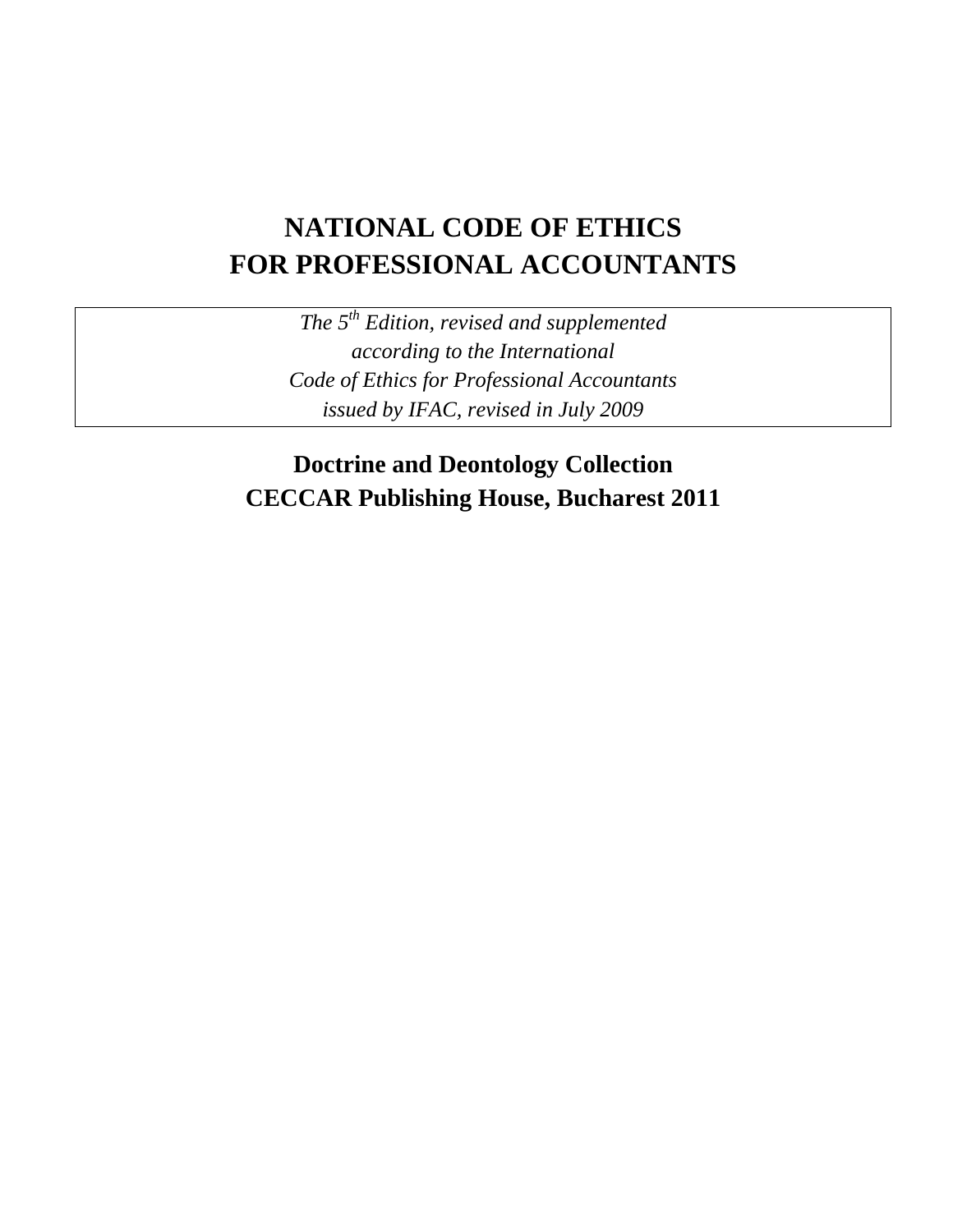# **NATIONAL CODE OF ETHICS FOR PROFESSIONAL ACCOUNTANTS**

*The 5th Edition, revised and supplemented according to the International Code of Ethics for Professional Accountants issued by IFAC, revised in July 2009* 

**Doctrine and Deontology Collection CECCAR Publishing House, Bucharest 2011**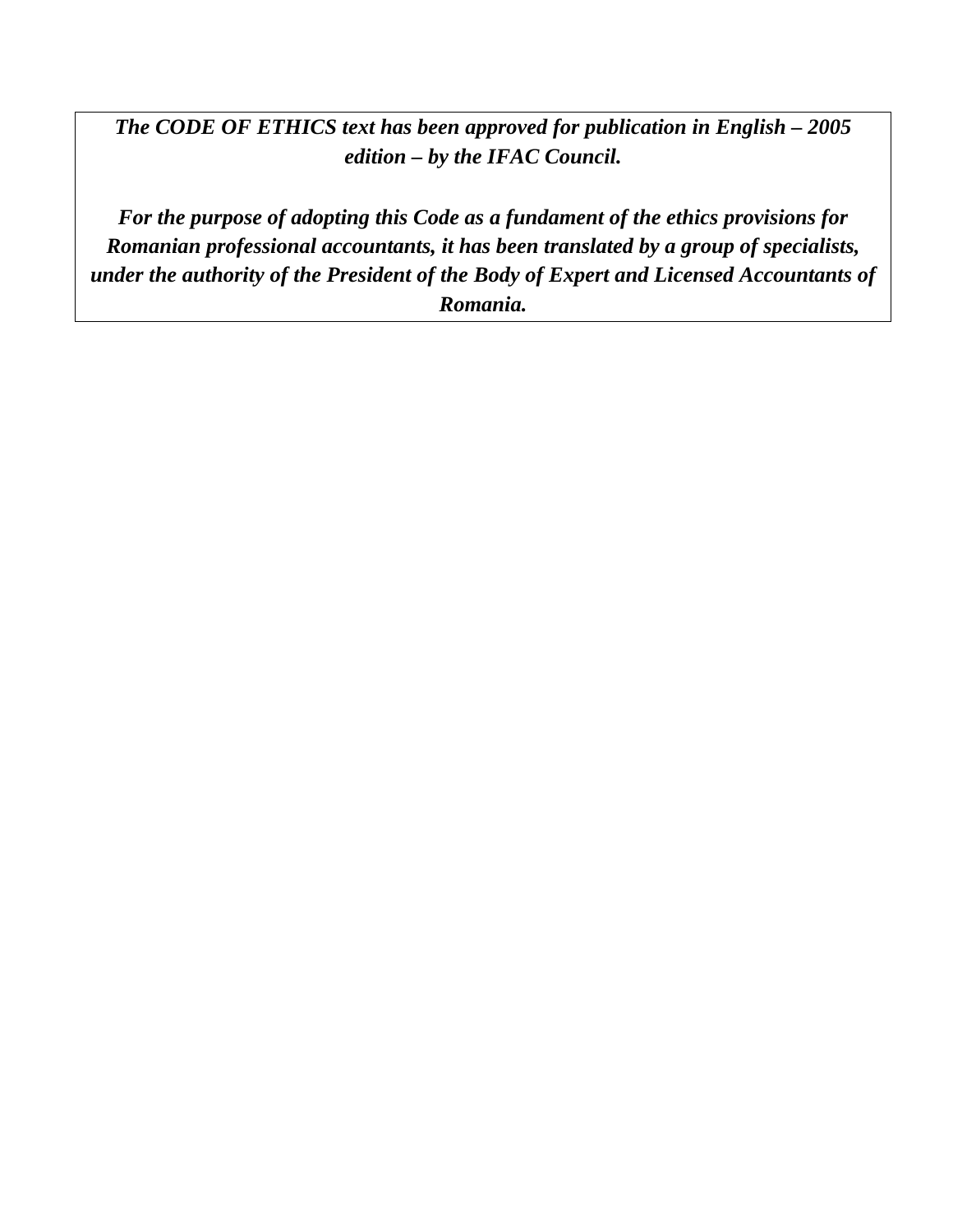*The CODE OF ETHICS text has been approved for publication in English – 2005 edition – by the IFAC Council.* 

*For the purpose of adopting this Code as a fundament of the ethics provisions for Romanian professional accountants, it has been translated by a group of specialists, under the authority of the President of the Body of Expert and Licensed Accountants of Romania.*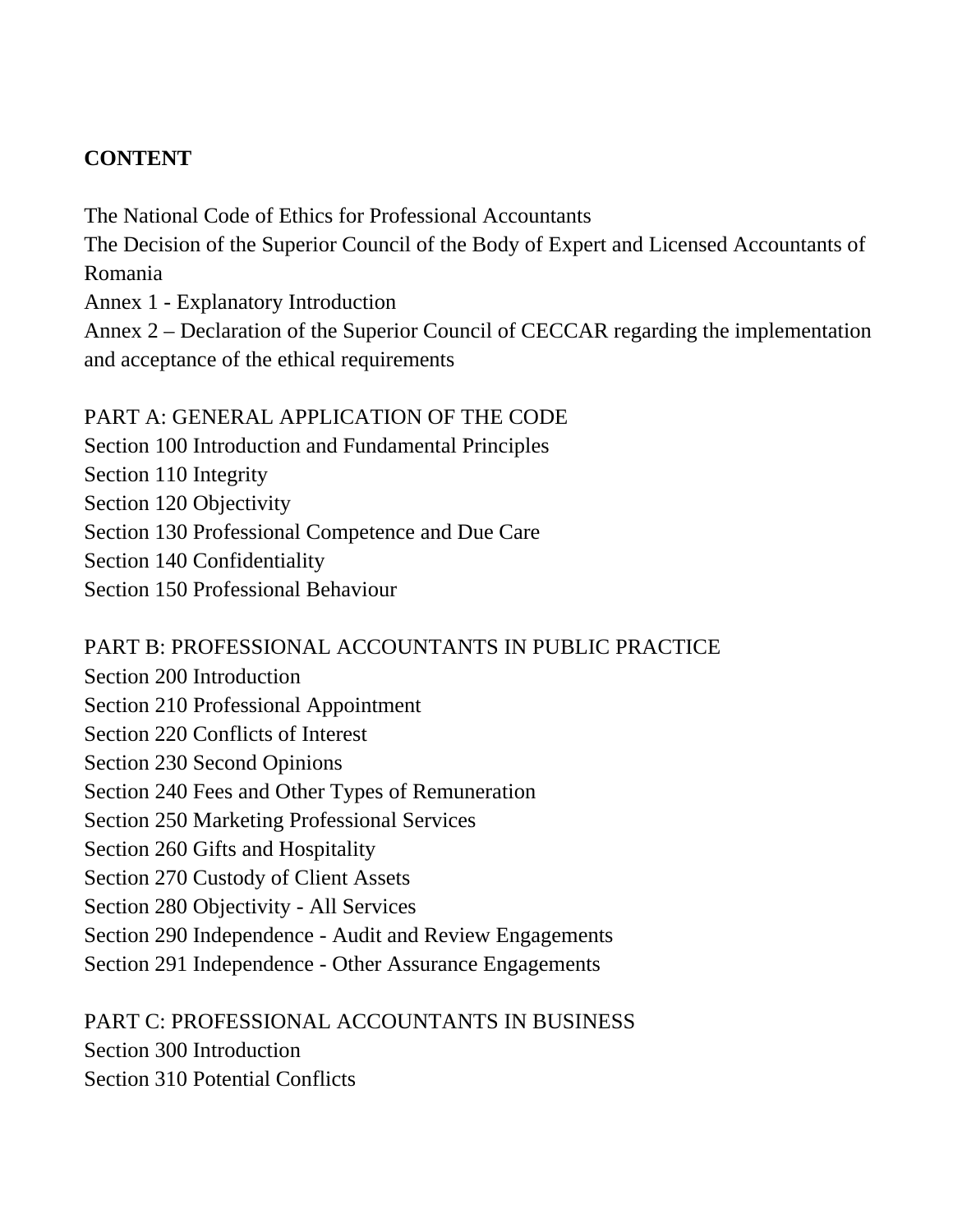#### **CONTENT**

The National Code of Ethics for Professional Accountants The Decision of the Superior Council of the Body of Expert and Licensed Accountants of Romania Annex 1 - Explanatory Introduction Annex 2 – Declaration of the Superior Council of CECCAR regarding the implementation and acceptance of the ethical requirements

PART A: GENERAL APPLICATION OF THE CODE Section 100 Introduction and Fundamental Principles Section 110 Integrity Section 120 Objectivity Section 130 Professional Competence and Due Care Section 140 Confidentiality Section 150 Professional Behaviour

#### PART B: PROFESSIONAL ACCOUNTANTS IN PUBLIC PRACTICE

Section 200 Introduction Section 210 Professional Appointment Section 220 Conflicts of Interest Section 230 Second Opinions Section 240 Fees and Other Types of Remuneration Section 250 Marketing Professional Services Section 260 Gifts and Hospitality Section 270 Custody of Client Assets Section 280 Objectivity - All Services Section 290 Independence - Audit and Review Engagements Section 291 Independence - Other Assurance Engagements

PART C: PROFESSIONAL ACCOUNTANTS IN BUSINESS Section 300 Introduction Section 310 Potential Conflicts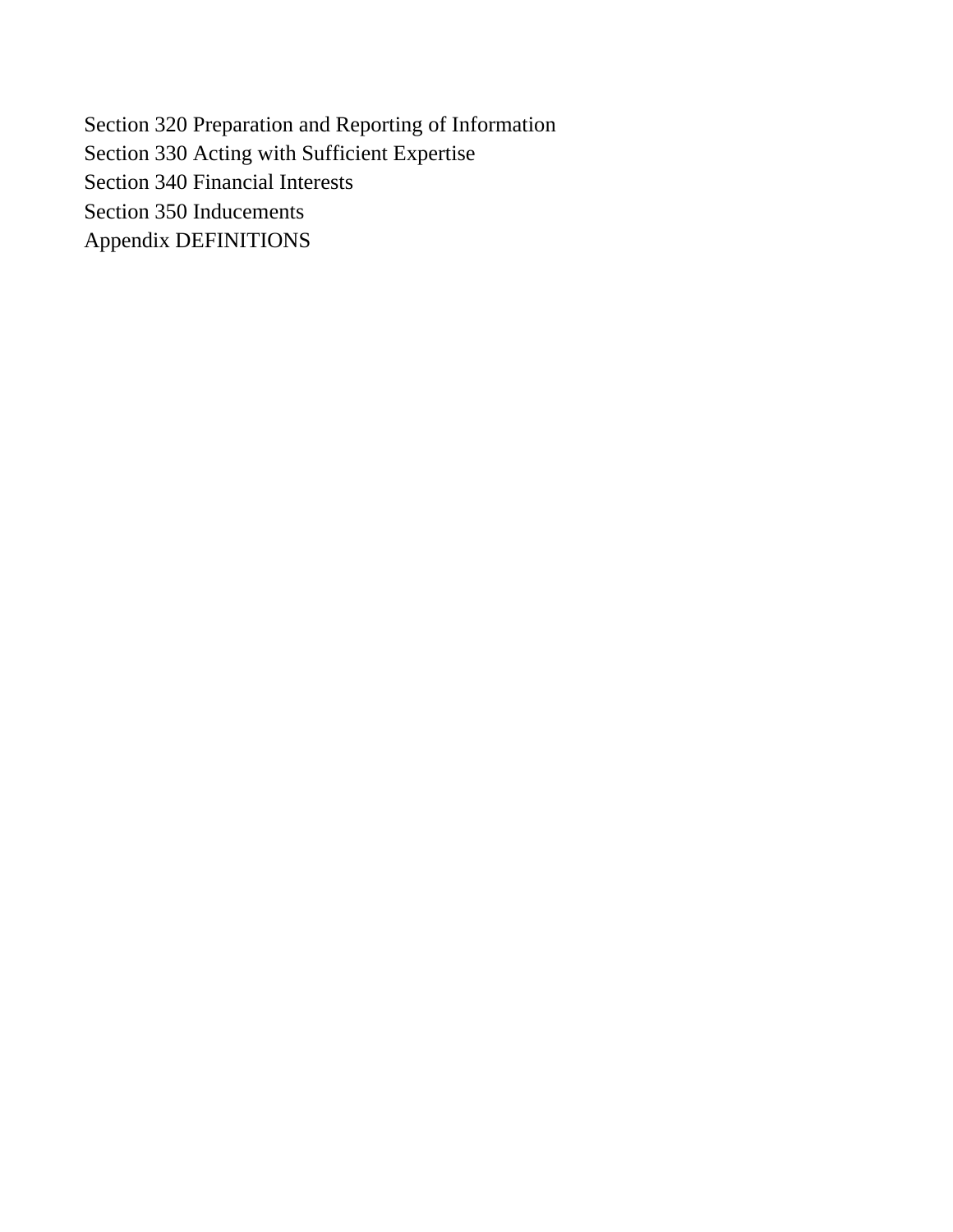Section 320 Preparation and Reporting of Information Section 330 Acting with Sufficient Expertise Section 340 Financial Interests Section 350 Inducements Appendix DEFINITIONS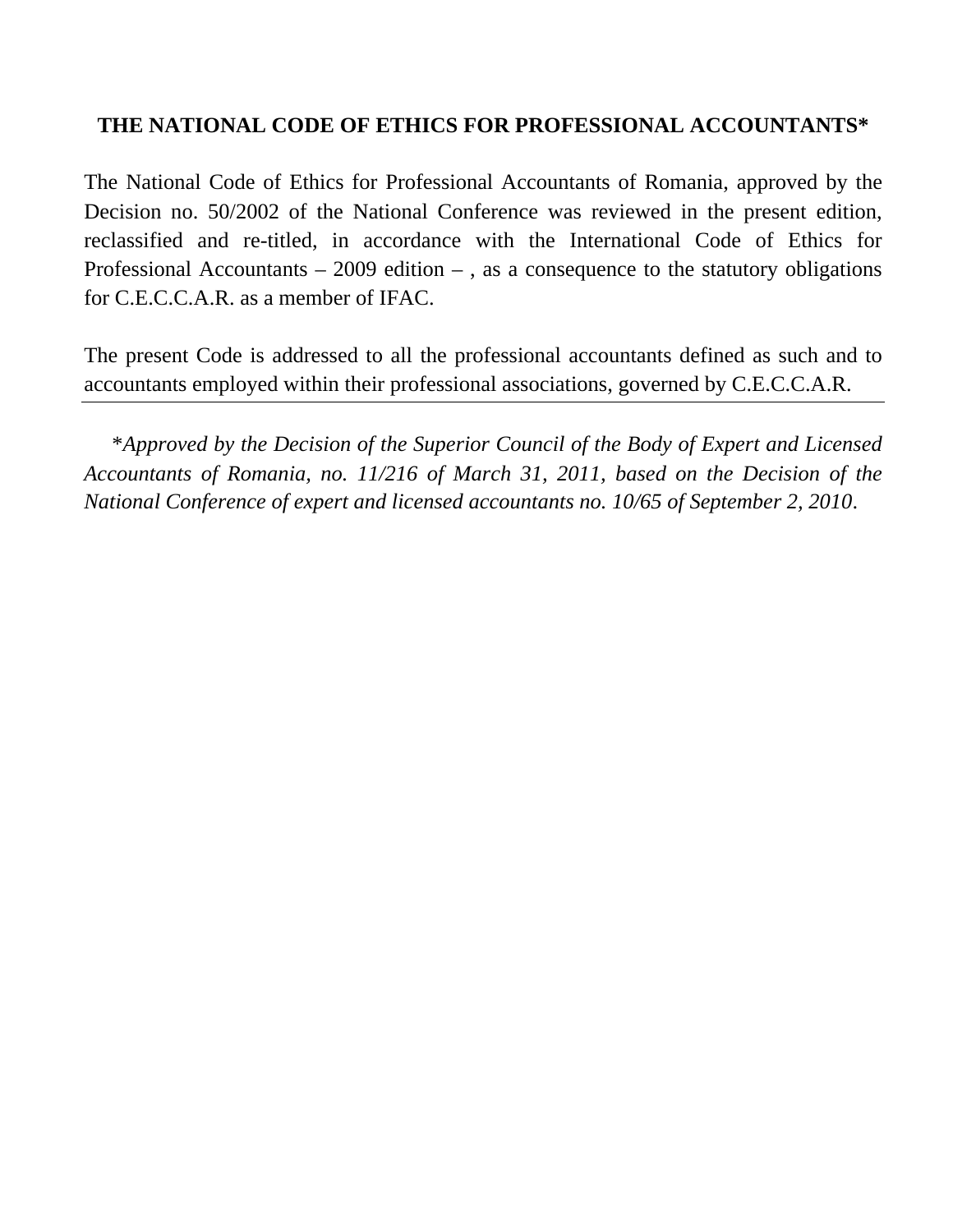#### **THE NATIONAL CODE OF ETHICS FOR PROFESSIONAL ACCOUNTANTS\***

The National Code of Ethics for Professional Accountants of Romania, approved by the Decision no. 50/2002 of the National Conference was reviewed in the present edition, reclassified and re-titled, in accordance with the International Code of Ethics for Professional Accountants – 2009 edition – , as a consequence to the statutory obligations for C.E.C.C.A.R. as a member of IFAC.

The present Code is addressed to all the professional accountants defined as such and to accountants employed within their professional associations, governed by C.E.C.C.A.R.

\**Approved by the Decision of the Superior Council of the Body of Expert and Licensed Accountants of Romania, no. 11/216 of March 31, 2011, based on the Decision of the National Conference of expert and licensed accountants no. 10/65 of September 2, 2010*.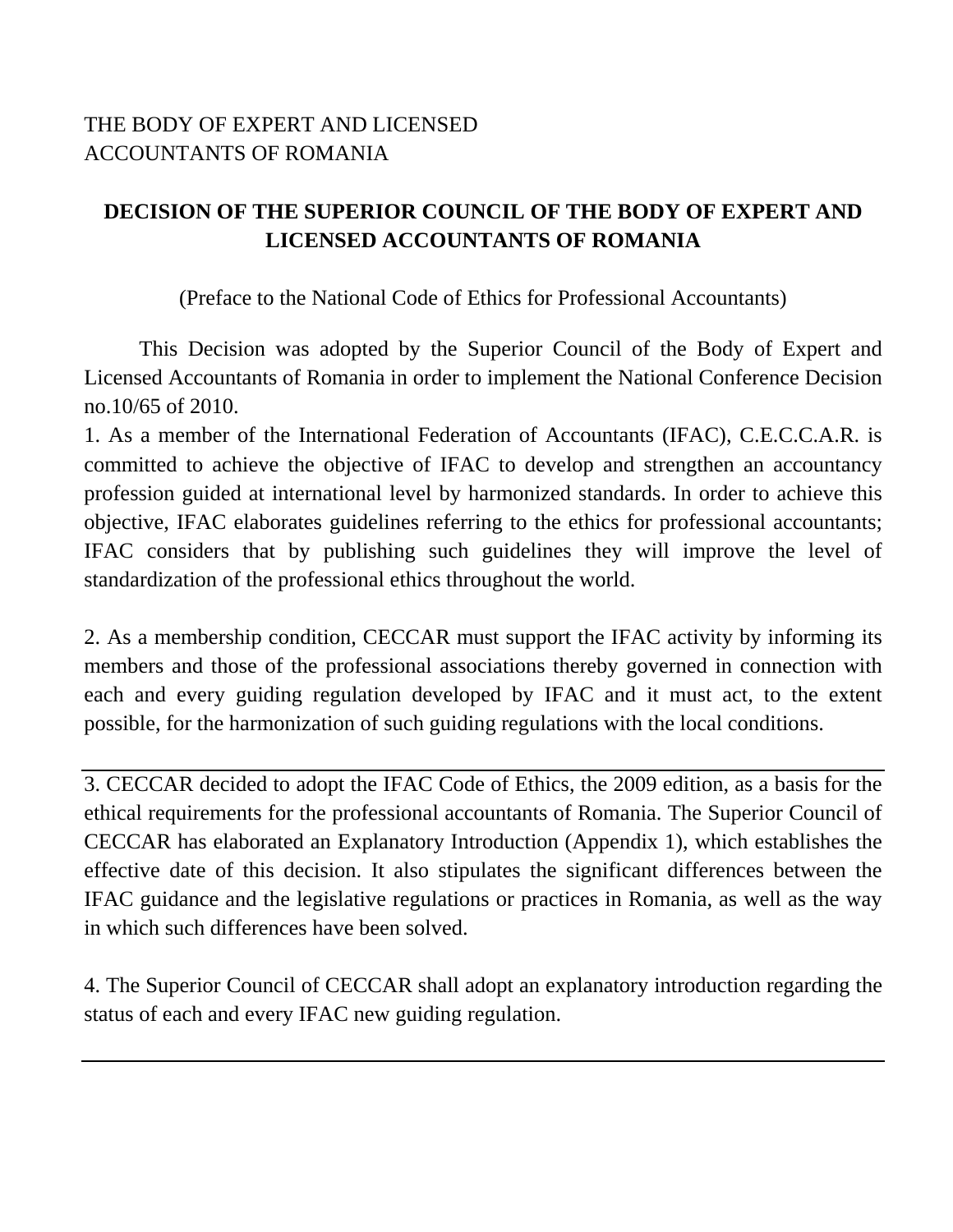### THE BODY OF EXPERT AND LICENSED ACCOUNTANTS OF ROMANIA

### **DECISION OF THE SUPERIOR COUNCIL OF THE BODY OF EXPERT AND LICENSED ACCOUNTANTS OF ROMANIA**

(Preface to the National Code of Ethics for Professional Accountants)

 This Decision was adopted by the Superior Council of the Body of Expert and Licensed Accountants of Romania in order to implement the National Conference Decision no.10/65 of 2010.

1. As a member of the International Federation of Accountants (IFAC), C.E.C.C.A.R. is committed to achieve the objective of IFAC to develop and strengthen an accountancy profession guided at international level by harmonized standards. In order to achieve this objective, IFAC elaborates guidelines referring to the ethics for professional accountants; IFAC considers that by publishing such guidelines they will improve the level of standardization of the professional ethics throughout the world.

2. As a membership condition, CECCAR must support the IFAC activity by informing its members and those of the professional associations thereby governed in connection with each and every guiding regulation developed by IFAC and it must act, to the extent possible, for the harmonization of such guiding regulations with the local conditions.

3. CECCAR decided to adopt the IFAC Code of Ethics, the 2009 edition, as a basis for the ethical requirements for the professional accountants of Romania. The Superior Council of CECCAR has elaborated an Explanatory Introduction (Appendix 1), which establishes the effective date of this decision. It also stipulates the significant differences between the IFAC guidance and the legislative regulations or practices in Romania, as well as the way in which such differences have been solved.

4. The Superior Council of CECCAR shall adopt an explanatory introduction regarding the status of each and every IFAC new guiding regulation.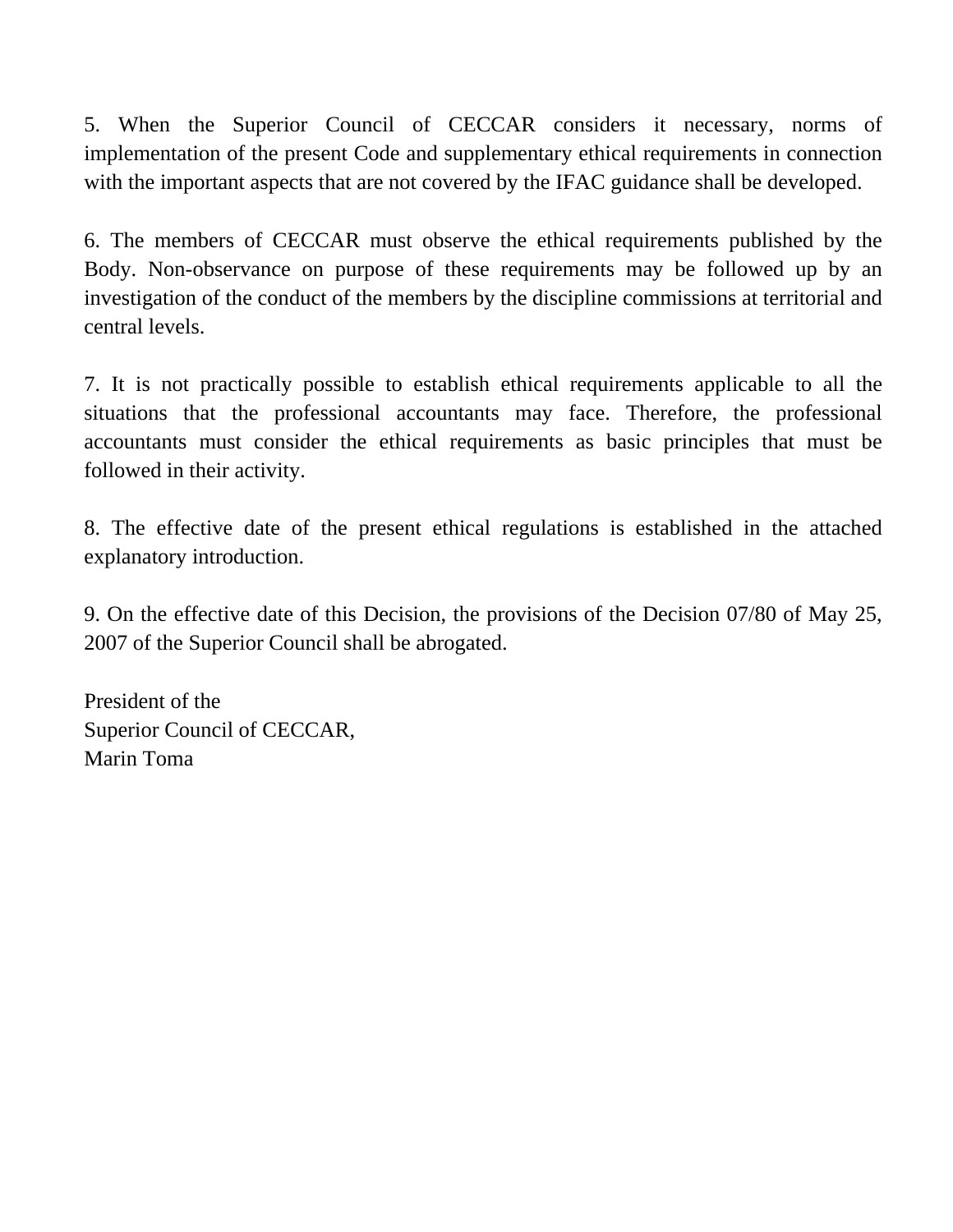5. When the Superior Council of CECCAR considers it necessary, norms of implementation of the present Code and supplementary ethical requirements in connection with the important aspects that are not covered by the IFAC guidance shall be developed.

6. The members of CECCAR must observe the ethical requirements published by the Body. Non-observance on purpose of these requirements may be followed up by an investigation of the conduct of the members by the discipline commissions at territorial and central levels.

7. It is not practically possible to establish ethical requirements applicable to all the situations that the professional accountants may face. Therefore, the professional accountants must consider the ethical requirements as basic principles that must be followed in their activity.

8. The effective date of the present ethical regulations is established in the attached explanatory introduction.

9. On the effective date of this Decision, the provisions of the Decision 07/80 of May 25, 2007 of the Superior Council shall be abrogated.

President of the Superior Council of CECCAR, Marin Toma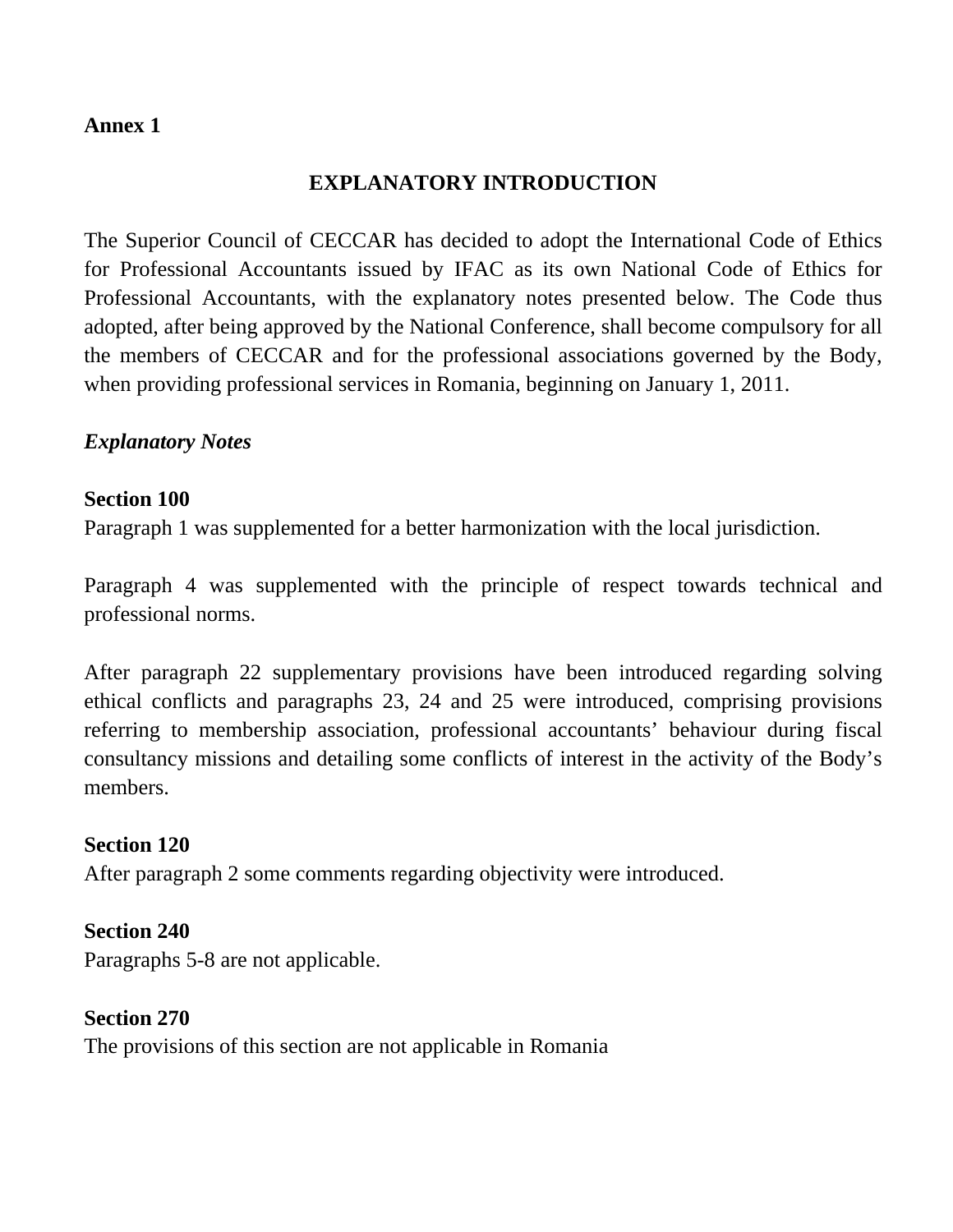#### **Annex 1**

#### **EXPLANATORY INTRODUCTION**

The Superior Council of CECCAR has decided to adopt the International Code of Ethics for Professional Accountants issued by IFAC as its own National Code of Ethics for Professional Accountants, with the explanatory notes presented below. The Code thus adopted, after being approved by the National Conference, shall become compulsory for all the members of CECCAR and for the professional associations governed by the Body, when providing professional services in Romania, beginning on January 1, 2011.

#### *Explanatory Notes*

#### **Section 100**

Paragraph 1 was supplemented for a better harmonization with the local jurisdiction.

Paragraph 4 was supplemented with the principle of respect towards technical and professional norms.

After paragraph 22 supplementary provisions have been introduced regarding solving ethical conflicts and paragraphs 23, 24 and 25 were introduced, comprising provisions referring to membership association, professional accountants' behaviour during fiscal consultancy missions and detailing some conflicts of interest in the activity of the Body's members.

#### **Section 120**

After paragraph 2 some comments regarding objectivity were introduced.

#### **Section 240**

Paragraphs 5-8 are not applicable.

#### **Section 270**

The provisions of this section are not applicable in Romania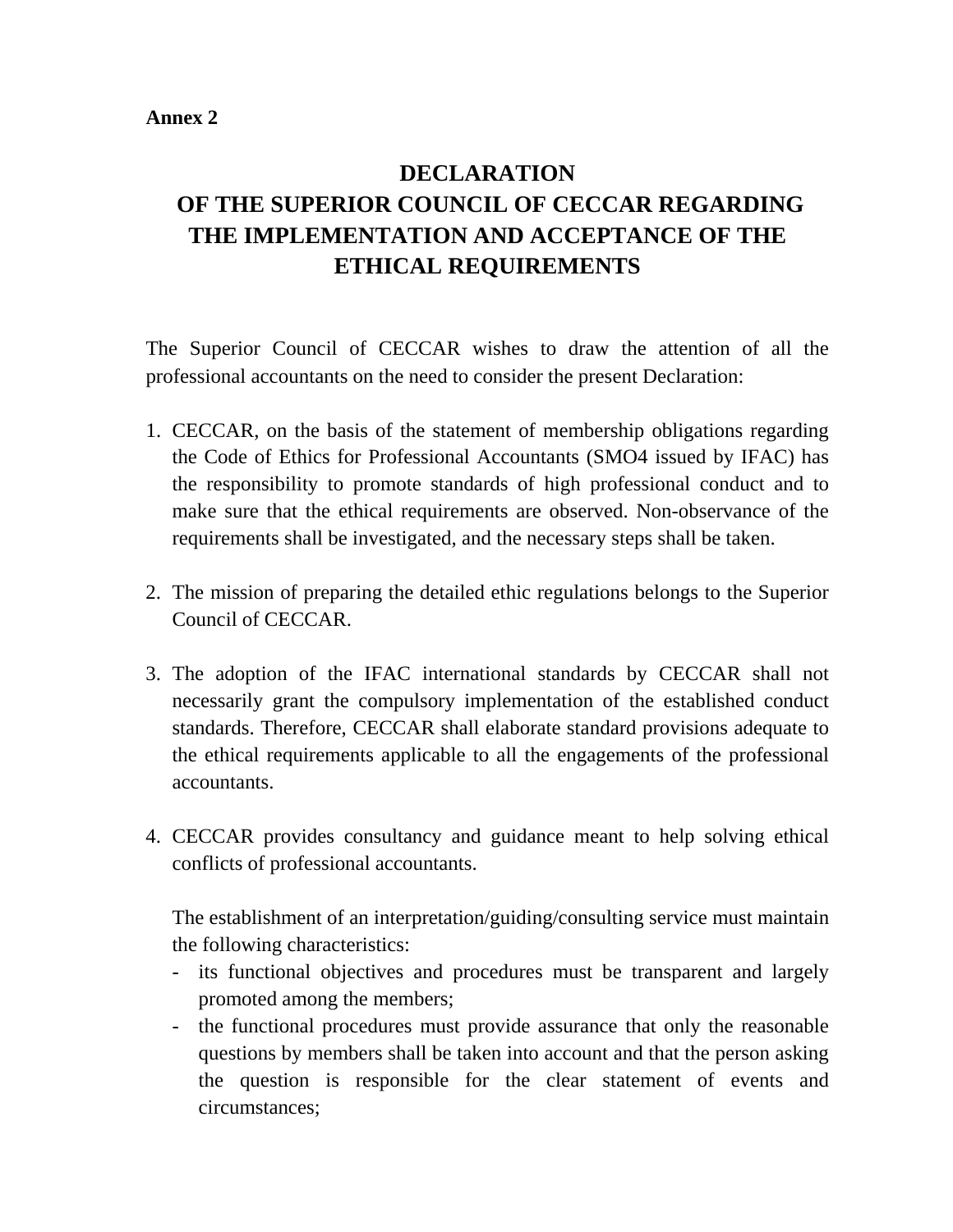#### **Annex 2**

## **DECLARATION OF THE SUPERIOR COUNCIL OF CECCAR REGARDING THE IMPLEMENTATION AND ACCEPTANCE OF THE ETHICAL REQUIREMENTS**

The Superior Council of CECCAR wishes to draw the attention of all the professional accountants on the need to consider the present Declaration:

- 1. CECCAR, on the basis of the statement of membership obligations regarding the Code of Ethics for Professional Accountants (SMO4 issued by IFAC) has the responsibility to promote standards of high professional conduct and to make sure that the ethical requirements are observed. Non-observance of the requirements shall be investigated, and the necessary steps shall be taken.
- 2. The mission of preparing the detailed ethic regulations belongs to the Superior Council of CECCAR.
- 3. The adoption of the IFAC international standards by CECCAR shall not necessarily grant the compulsory implementation of the established conduct standards. Therefore, CECCAR shall elaborate standard provisions adequate to the ethical requirements applicable to all the engagements of the professional accountants.
- 4. CECCAR provides consultancy and guidance meant to help solving ethical conflicts of professional accountants.

The establishment of an interpretation/guiding/consulting service must maintain the following characteristics:

- its functional objectives and procedures must be transparent and largely promoted among the members;
- the functional procedures must provide assurance that only the reasonable questions by members shall be taken into account and that the person asking the question is responsible for the clear statement of events and circumstances;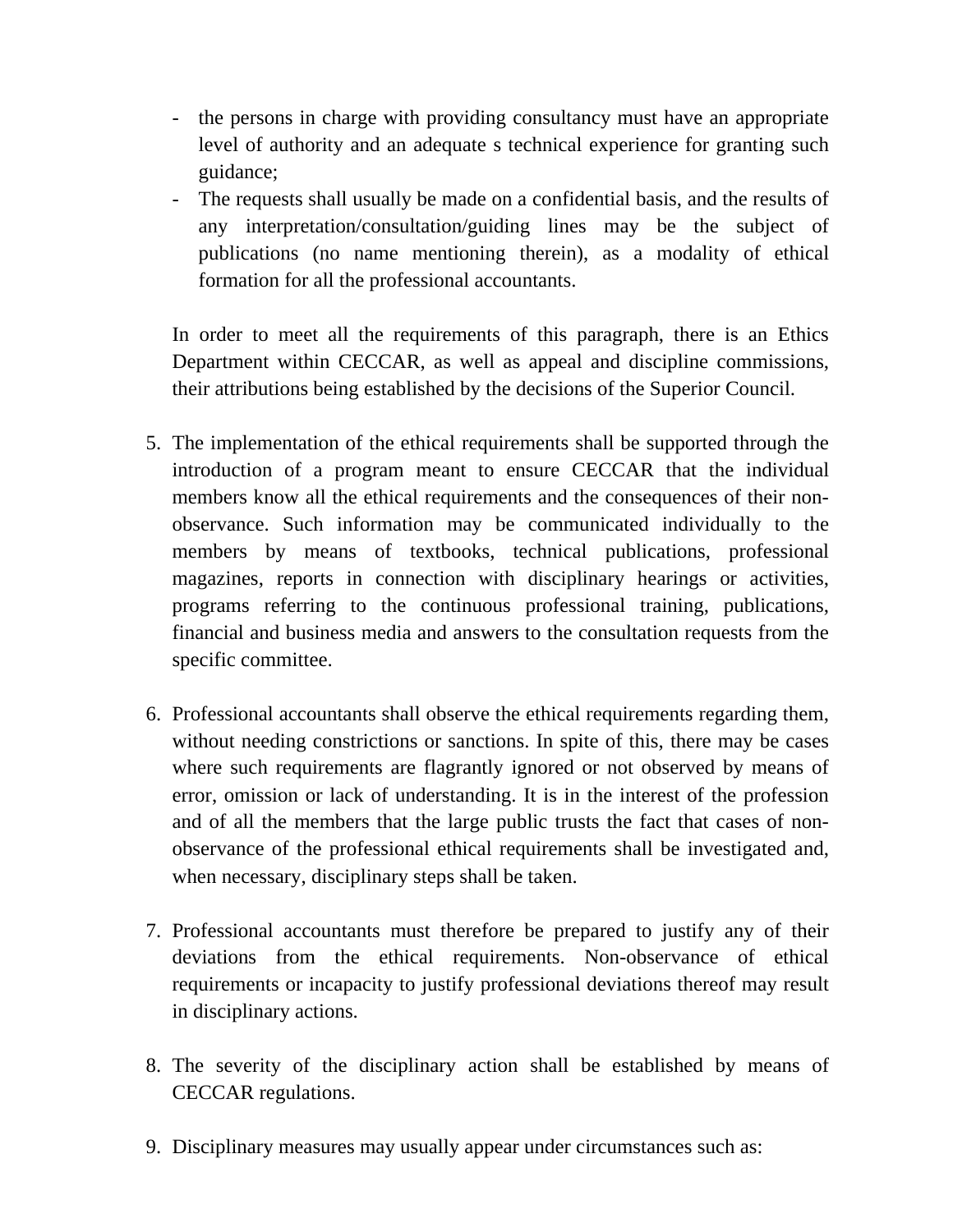- the persons in charge with providing consultancy must have an appropriate level of authority and an adequate s technical experience for granting such guidance;
- The requests shall usually be made on a confidential basis, and the results of any interpretation/consultation/guiding lines may be the subject of publications (no name mentioning therein), as a modality of ethical formation for all the professional accountants.

 In order to meet all the requirements of this paragraph, there is an Ethics Department within CECCAR, as well as appeal and discipline commissions, their attributions being established by the decisions of the Superior Council.

- 5. The implementation of the ethical requirements shall be supported through the introduction of a program meant to ensure CECCAR that the individual members know all the ethical requirements and the consequences of their nonobservance. Such information may be communicated individually to the members by means of textbooks, technical publications, professional magazines, reports in connection with disciplinary hearings or activities, programs referring to the continuous professional training, publications, financial and business media and answers to the consultation requests from the specific committee.
- 6. Professional accountants shall observe the ethical requirements regarding them, without needing constrictions or sanctions. In spite of this, there may be cases where such requirements are flagrantly ignored or not observed by means of error, omission or lack of understanding. It is in the interest of the profession and of all the members that the large public trusts the fact that cases of nonobservance of the professional ethical requirements shall be investigated and, when necessary, disciplinary steps shall be taken.
- 7. Professional accountants must therefore be prepared to justify any of their deviations from the ethical requirements. Non-observance of ethical requirements or incapacity to justify professional deviations thereof may result in disciplinary actions.
- 8. The severity of the disciplinary action shall be established by means of CECCAR regulations.
- 9. Disciplinary measures may usually appear under circumstances such as: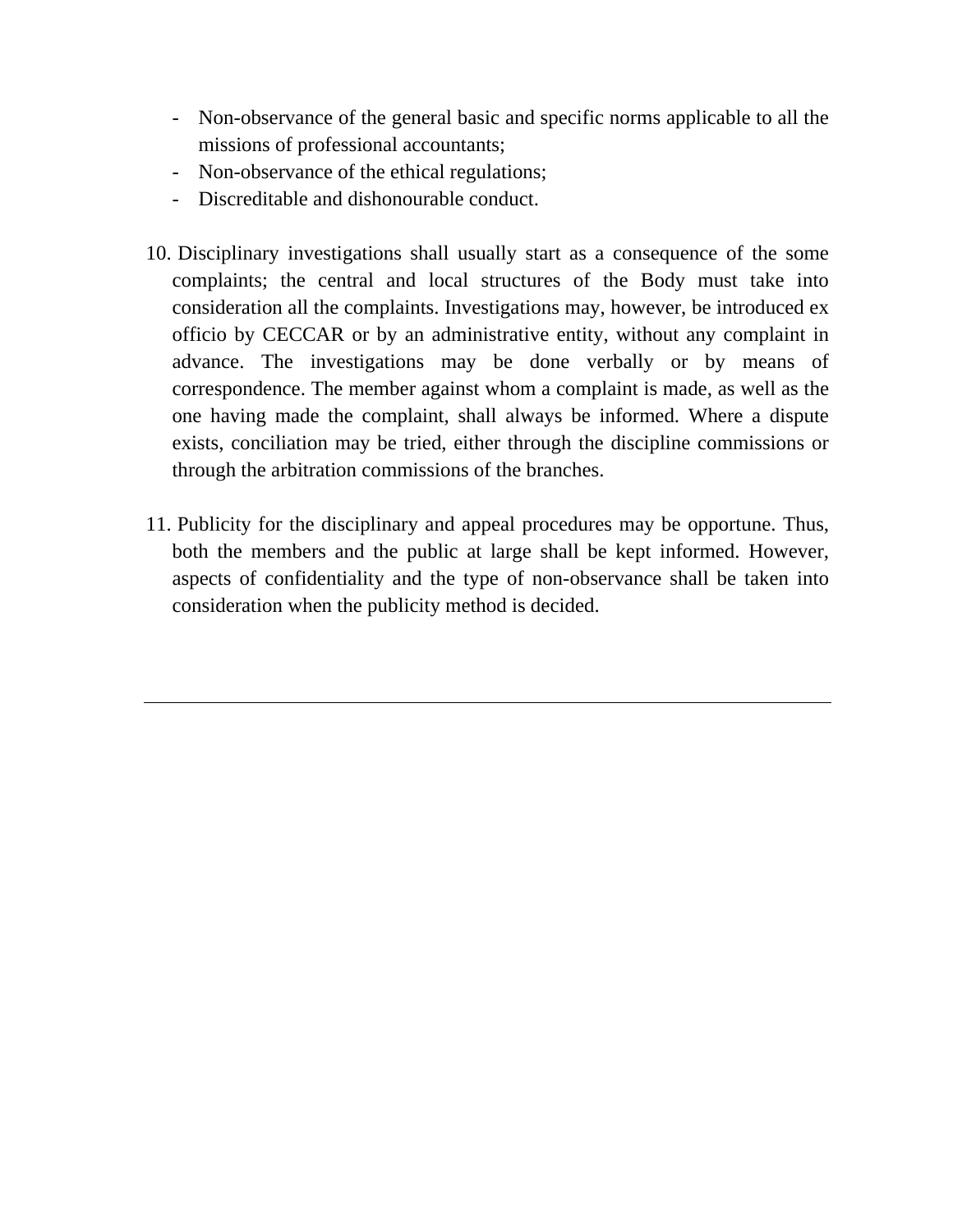- Non-observance of the general basic and specific norms applicable to all the missions of professional accountants;
- Non-observance of the ethical regulations;
- Discreditable and dishonourable conduct.
- 10. Disciplinary investigations shall usually start as a consequence of the some complaints; the central and local structures of the Body must take into consideration all the complaints. Investigations may, however, be introduced ex officio by CECCAR or by an administrative entity, without any complaint in advance. The investigations may be done verbally or by means of correspondence. The member against whom a complaint is made, as well as the one having made the complaint, shall always be informed. Where a dispute exists, conciliation may be tried, either through the discipline commissions or through the arbitration commissions of the branches.
- 11. Publicity for the disciplinary and appeal procedures may be opportune. Thus, both the members and the public at large shall be kept informed. However, aspects of confidentiality and the type of non-observance shall be taken into consideration when the publicity method is decided.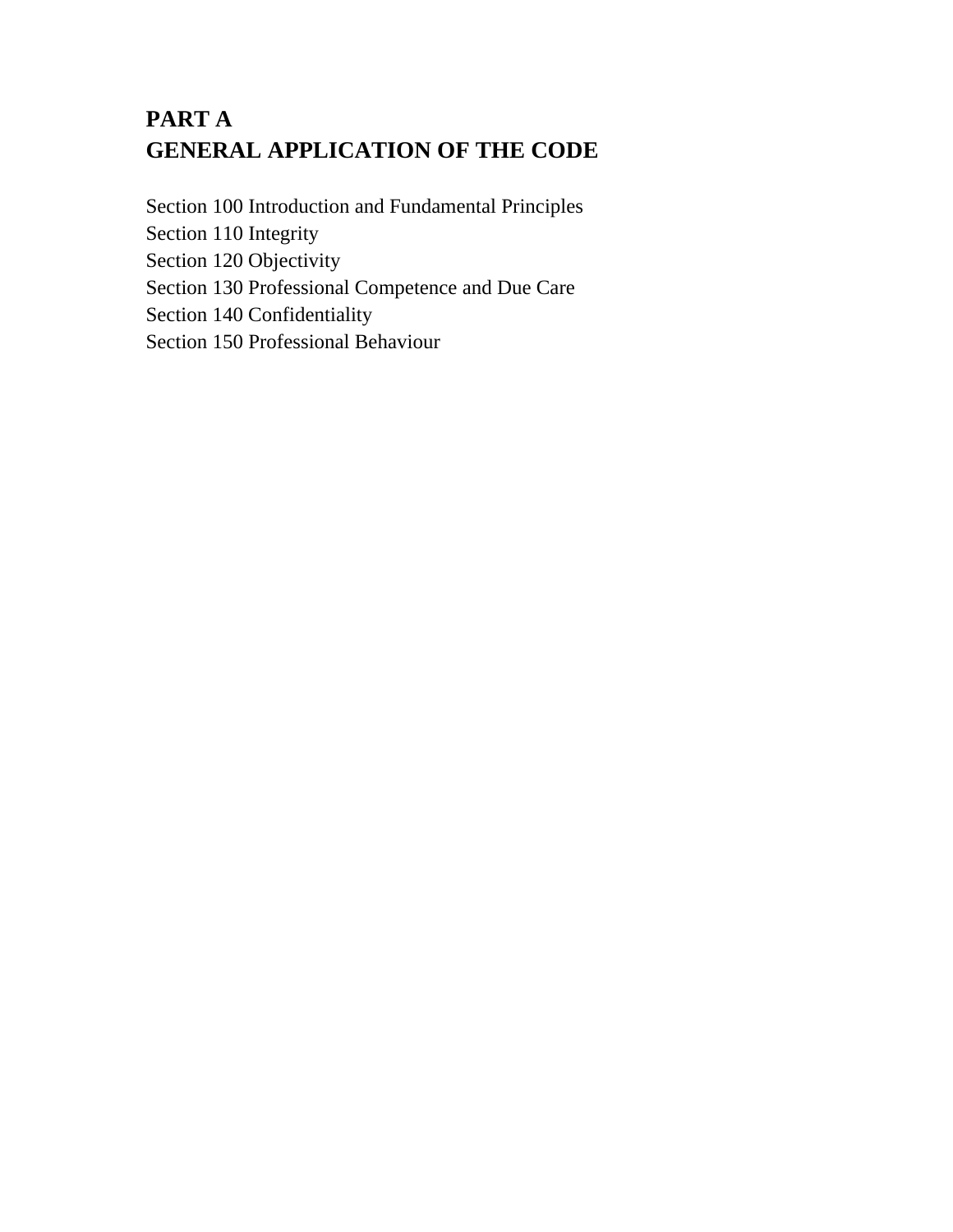## **PART A GENERAL APPLICATION OF THE CODE**

Section 100 Introduction and Fundamental Principles

Section 110 Integrity

Section 120 Objectivity

Section 130 Professional Competence and Due Care

Section 140 Confidentiality

Section 150 Professional Behaviour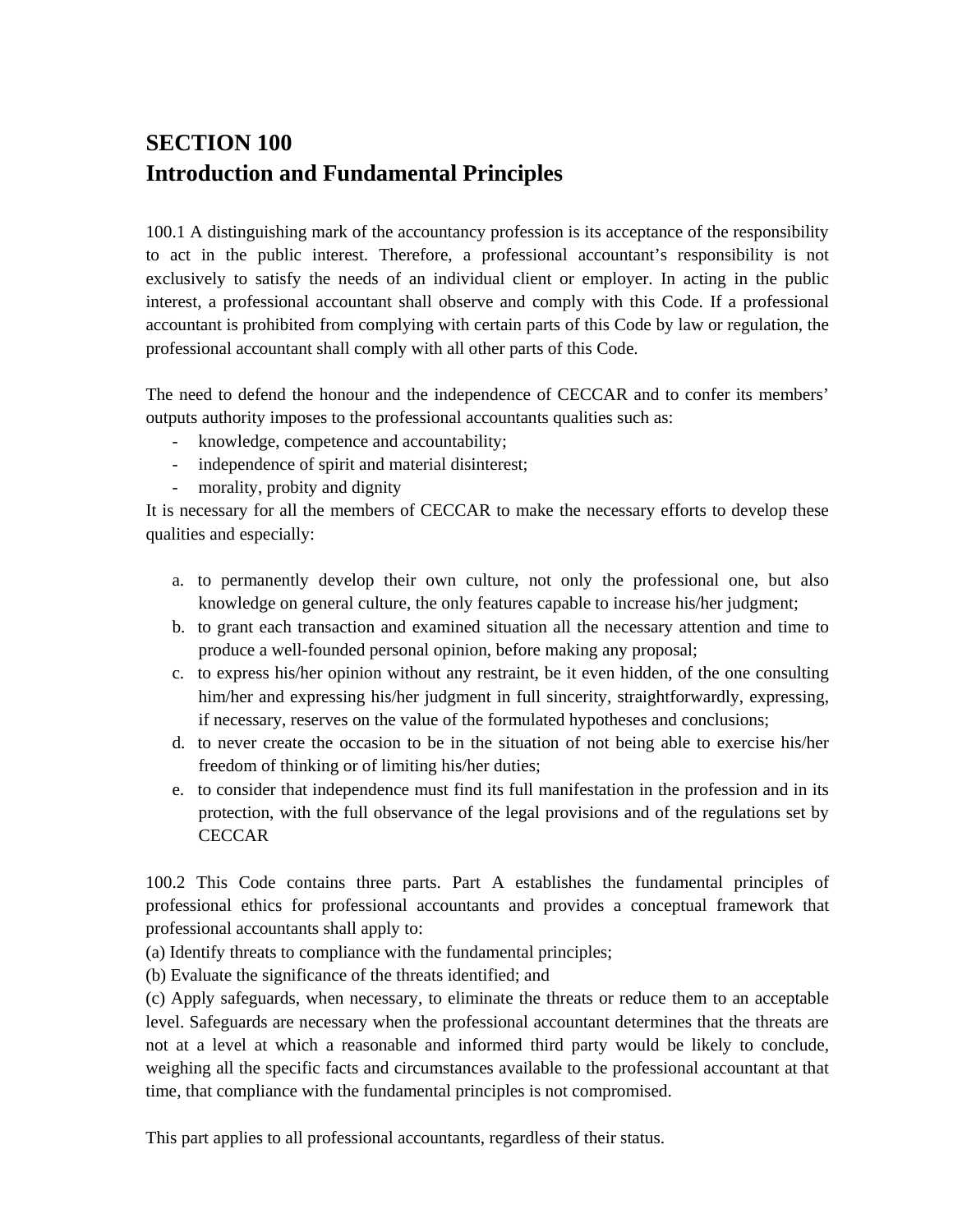## **SECTION 100 Introduction and Fundamental Principles**

100.1 A distinguishing mark of the accountancy profession is its acceptance of the responsibility to act in the public interest. Therefore, a professional accountant's responsibility is not exclusively to satisfy the needs of an individual client or employer. In acting in the public interest, a professional accountant shall observe and comply with this Code. If a professional accountant is prohibited from complying with certain parts of this Code by law or regulation, the professional accountant shall comply with all other parts of this Code.

The need to defend the honour and the independence of CECCAR and to confer its members' outputs authority imposes to the professional accountants qualities such as:

- knowledge, competence and accountability;
- independence of spirit and material disinterest;
- morality, probity and dignity

It is necessary for all the members of CECCAR to make the necessary efforts to develop these qualities and especially:

- a. to permanently develop their own culture, not only the professional one, but also knowledge on general culture, the only features capable to increase his/her judgment;
- b. to grant each transaction and examined situation all the necessary attention and time to produce a well-founded personal opinion, before making any proposal;
- c. to express his/her opinion without any restraint, be it even hidden, of the one consulting him/her and expressing his/her judgment in full sincerity, straightforwardly, expressing, if necessary, reserves on the value of the formulated hypotheses and conclusions;
- d. to never create the occasion to be in the situation of not being able to exercise his/her freedom of thinking or of limiting his/her duties;
- e. to consider that independence must find its full manifestation in the profession and in its protection, with the full observance of the legal provisions and of the regulations set by **CECCAR**

100.2 This Code contains three parts. Part A establishes the fundamental principles of professional ethics for professional accountants and provides a conceptual framework that professional accountants shall apply to:

(a) Identify threats to compliance with the fundamental principles;

(b) Evaluate the significance of the threats identified; and

(c) Apply safeguards, when necessary, to eliminate the threats or reduce them to an acceptable level. Safeguards are necessary when the professional accountant determines that the threats are not at a level at which a reasonable and informed third party would be likely to conclude, weighing all the specific facts and circumstances available to the professional accountant at that time, that compliance with the fundamental principles is not compromised.

This part applies to all professional accountants, regardless of their status.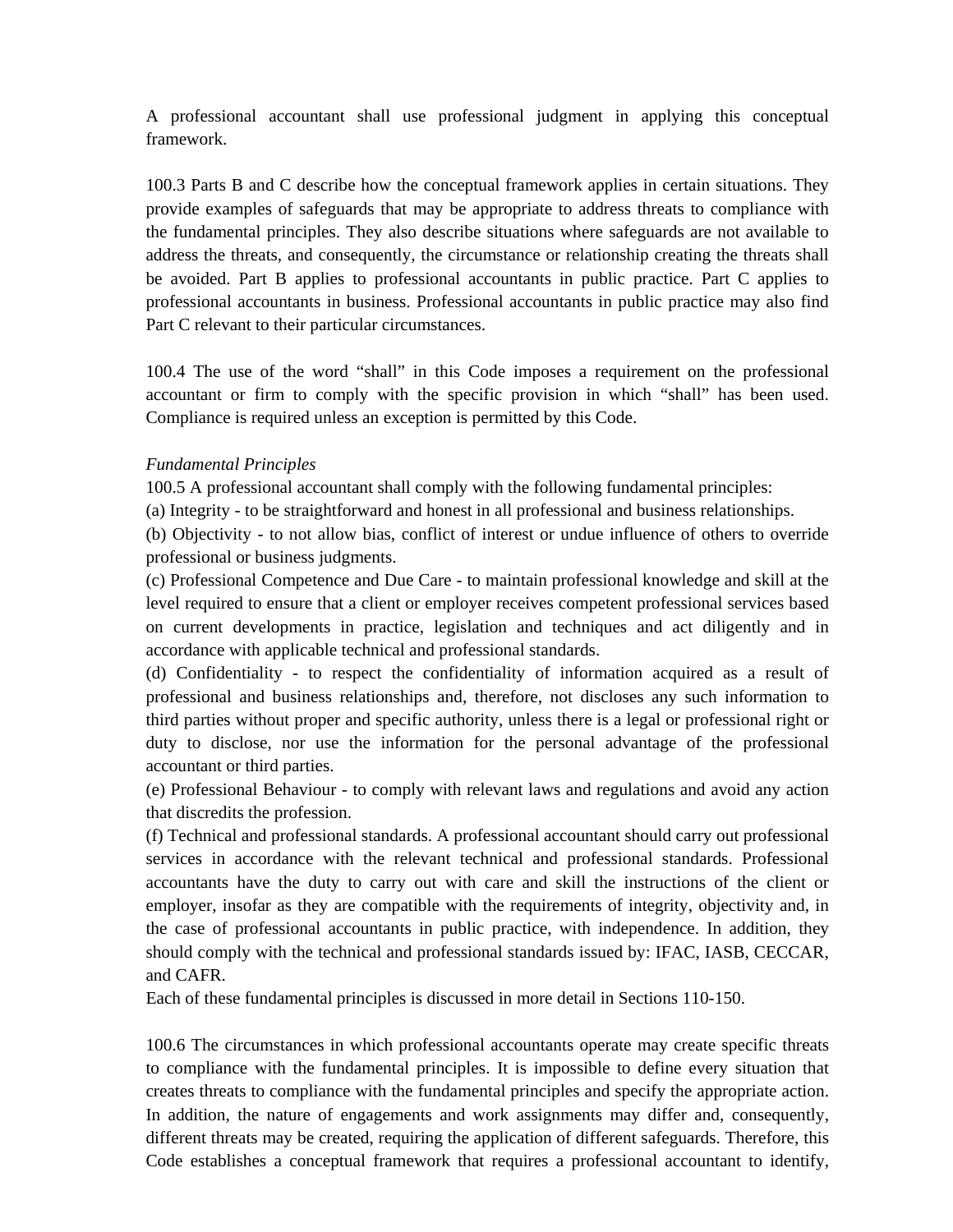A professional accountant shall use professional judgment in applying this conceptual framework.

100.3 Parts B and C describe how the conceptual framework applies in certain situations. They provide examples of safeguards that may be appropriate to address threats to compliance with the fundamental principles. They also describe situations where safeguards are not available to address the threats, and consequently, the circumstance or relationship creating the threats shall be avoided. Part B applies to professional accountants in public practice. Part C applies to professional accountants in business. Professional accountants in public practice may also find Part C relevant to their particular circumstances.

100.4 The use of the word "shall" in this Code imposes a requirement on the professional accountant or firm to comply with the specific provision in which "shall" has been used. Compliance is required unless an exception is permitted by this Code.

#### *Fundamental Principles*

100.5 A professional accountant shall comply with the following fundamental principles:

(a) Integrity - to be straightforward and honest in all professional and business relationships.

(b) Objectivity - to not allow bias, conflict of interest or undue influence of others to override professional or business judgments.

(c) Professional Competence and Due Care - to maintain professional knowledge and skill at the level required to ensure that a client or employer receives competent professional services based on current developments in practice, legislation and techniques and act diligently and in accordance with applicable technical and professional standards.

(d) Confidentiality - to respect the confidentiality of information acquired as a result of professional and business relationships and, therefore, not discloses any such information to third parties without proper and specific authority, unless there is a legal or professional right or duty to disclose, nor use the information for the personal advantage of the professional accountant or third parties.

(e) Professional Behaviour - to comply with relevant laws and regulations and avoid any action that discredits the profession.

(f) Technical and professional standards. A professional accountant should carry out professional services in accordance with the relevant technical and professional standards. Professional accountants have the duty to carry out with care and skill the instructions of the client or employer, insofar as they are compatible with the requirements of integrity, objectivity and, in the case of professional accountants in public practice, with independence. In addition, they should comply with the technical and professional standards issued by: IFAC, IASB, CECCAR, and CAFR.

Each of these fundamental principles is discussed in more detail in Sections 110-150.

100.6 The circumstances in which professional accountants operate may create specific threats to compliance with the fundamental principles. It is impossible to define every situation that creates threats to compliance with the fundamental principles and specify the appropriate action. In addition, the nature of engagements and work assignments may differ and, consequently, different threats may be created, requiring the application of different safeguards. Therefore, this Code establishes a conceptual framework that requires a professional accountant to identify,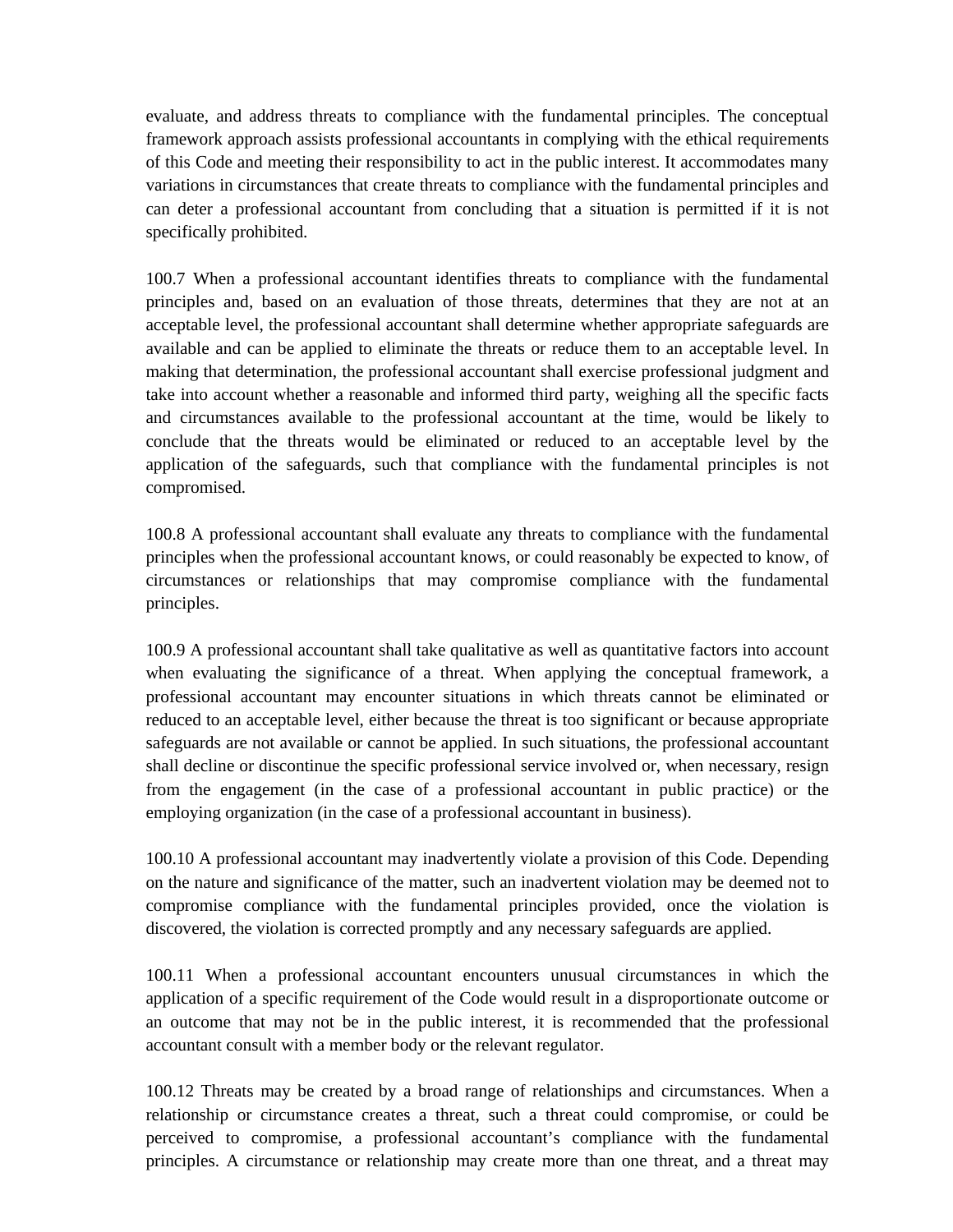evaluate, and address threats to compliance with the fundamental principles. The conceptual framework approach assists professional accountants in complying with the ethical requirements of this Code and meeting their responsibility to act in the public interest. It accommodates many variations in circumstances that create threats to compliance with the fundamental principles and can deter a professional accountant from concluding that a situation is permitted if it is not specifically prohibited.

100.7 When a professional accountant identifies threats to compliance with the fundamental principles and, based on an evaluation of those threats, determines that they are not at an acceptable level, the professional accountant shall determine whether appropriate safeguards are available and can be applied to eliminate the threats or reduce them to an acceptable level. In making that determination, the professional accountant shall exercise professional judgment and take into account whether a reasonable and informed third party, weighing all the specific facts and circumstances available to the professional accountant at the time, would be likely to conclude that the threats would be eliminated or reduced to an acceptable level by the application of the safeguards, such that compliance with the fundamental principles is not compromised.

100.8 A professional accountant shall evaluate any threats to compliance with the fundamental principles when the professional accountant knows, or could reasonably be expected to know, of circumstances or relationships that may compromise compliance with the fundamental principles.

100.9 A professional accountant shall take qualitative as well as quantitative factors into account when evaluating the significance of a threat. When applying the conceptual framework, a professional accountant may encounter situations in which threats cannot be eliminated or reduced to an acceptable level, either because the threat is too significant or because appropriate safeguards are not available or cannot be applied. In such situations, the professional accountant shall decline or discontinue the specific professional service involved or, when necessary, resign from the engagement (in the case of a professional accountant in public practice) or the employing organization (in the case of a professional accountant in business).

100.10 A professional accountant may inadvertently violate a provision of this Code. Depending on the nature and significance of the matter, such an inadvertent violation may be deemed not to compromise compliance with the fundamental principles provided, once the violation is discovered, the violation is corrected promptly and any necessary safeguards are applied.

100.11 When a professional accountant encounters unusual circumstances in which the application of a specific requirement of the Code would result in a disproportionate outcome or an outcome that may not be in the public interest, it is recommended that the professional accountant consult with a member body or the relevant regulator.

100.12 Threats may be created by a broad range of relationships and circumstances. When a relationship or circumstance creates a threat, such a threat could compromise, or could be perceived to compromise, a professional accountant's compliance with the fundamental principles. A circumstance or relationship may create more than one threat, and a threat may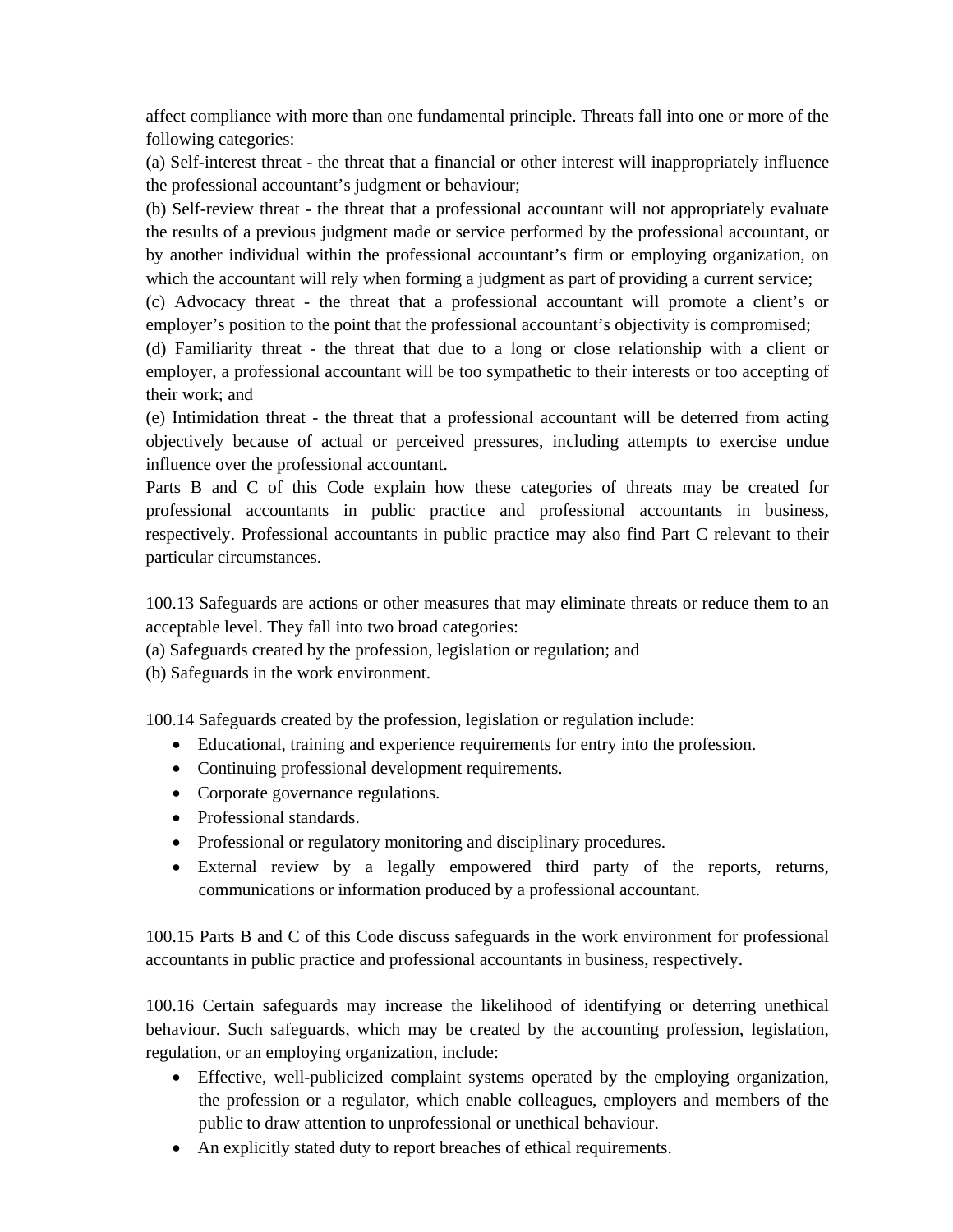affect compliance with more than one fundamental principle. Threats fall into one or more of the following categories:

(a) Self-interest threat - the threat that a financial or other interest will inappropriately influence the professional accountant's judgment or behaviour;

(b) Self-review threat - the threat that a professional accountant will not appropriately evaluate the results of a previous judgment made or service performed by the professional accountant, or by another individual within the professional accountant's firm or employing organization, on which the accountant will rely when forming a judgment as part of providing a current service;

(c) Advocacy threat - the threat that a professional accountant will promote a client's or employer's position to the point that the professional accountant's objectivity is compromised;

(d) Familiarity threat - the threat that due to a long or close relationship with a client or employer, a professional accountant will be too sympathetic to their interests or too accepting of their work; and

(e) Intimidation threat - the threat that a professional accountant will be deterred from acting objectively because of actual or perceived pressures, including attempts to exercise undue influence over the professional accountant.

Parts B and C of this Code explain how these categories of threats may be created for professional accountants in public practice and professional accountants in business, respectively. Professional accountants in public practice may also find Part C relevant to their particular circumstances.

100.13 Safeguards are actions or other measures that may eliminate threats or reduce them to an acceptable level. They fall into two broad categories:

(a) Safeguards created by the profession, legislation or regulation; and

(b) Safeguards in the work environment.

100.14 Safeguards created by the profession, legislation or regulation include:

- Educational, training and experience requirements for entry into the profession.
- Continuing professional development requirements.
- Corporate governance regulations.
- Professional standards.
- Professional or regulatory monitoring and disciplinary procedures.
- External review by a legally empowered third party of the reports, returns, communications or information produced by a professional accountant.

100.15 Parts B and C of this Code discuss safeguards in the work environment for professional accountants in public practice and professional accountants in business, respectively.

100.16 Certain safeguards may increase the likelihood of identifying or deterring unethical behaviour. Such safeguards, which may be created by the accounting profession, legislation, regulation, or an employing organization, include:

- Effective, well-publicized complaint systems operated by the employing organization, the profession or a regulator, which enable colleagues, employers and members of the public to draw attention to unprofessional or unethical behaviour.
- An explicitly stated duty to report breaches of ethical requirements.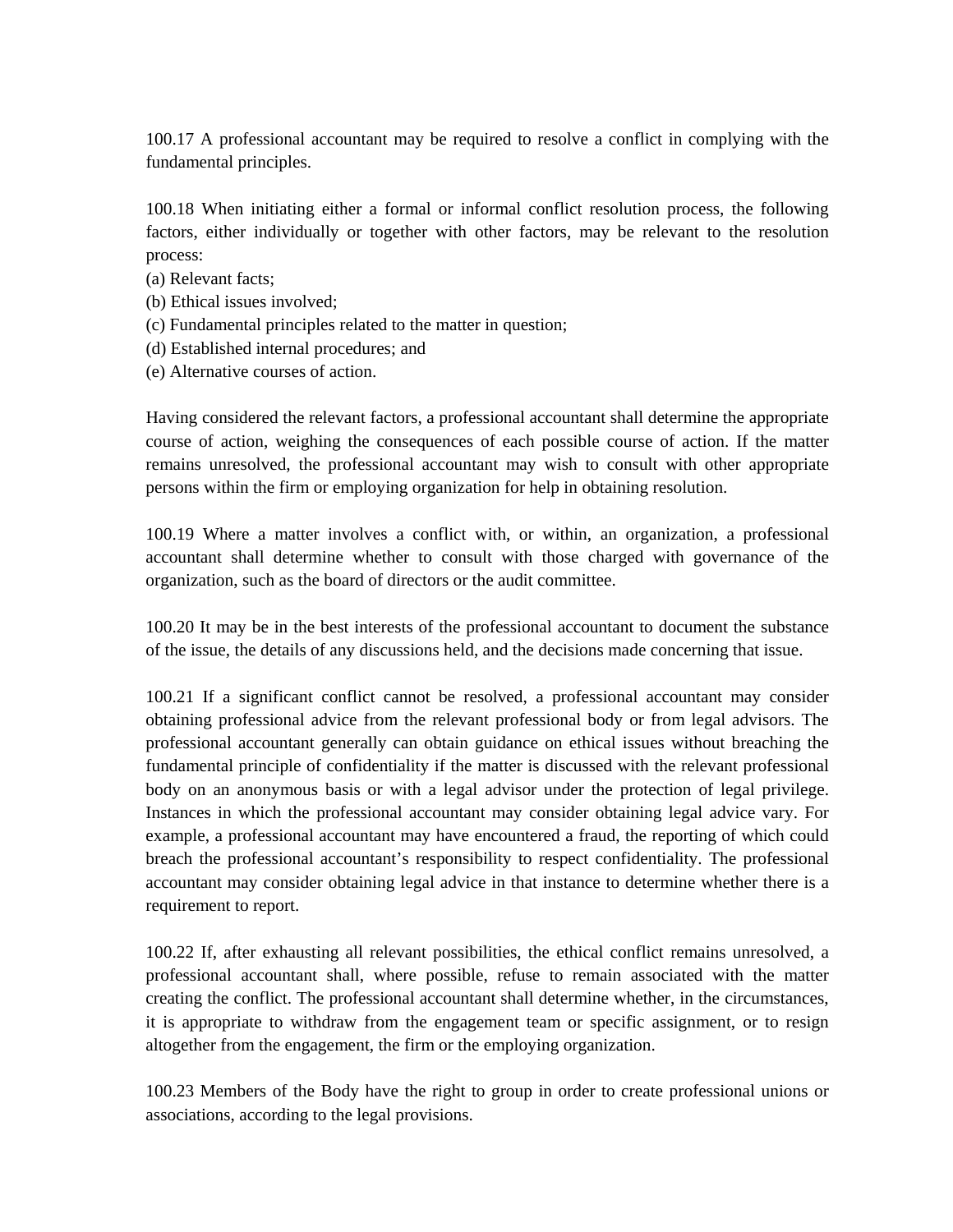100.17 A professional accountant may be required to resolve a conflict in complying with the fundamental principles.

100.18 When initiating either a formal or informal conflict resolution process, the following factors, either individually or together with other factors, may be relevant to the resolution process:

- (a) Relevant facts;
- (b) Ethical issues involved;
- (c) Fundamental principles related to the matter in question;
- (d) Established internal procedures; and
- (e) Alternative courses of action.

Having considered the relevant factors, a professional accountant shall determine the appropriate course of action, weighing the consequences of each possible course of action. If the matter remains unresolved, the professional accountant may wish to consult with other appropriate persons within the firm or employing organization for help in obtaining resolution.

100.19 Where a matter involves a conflict with, or within, an organization, a professional accountant shall determine whether to consult with those charged with governance of the organization, such as the board of directors or the audit committee.

100.20 It may be in the best interests of the professional accountant to document the substance of the issue, the details of any discussions held, and the decisions made concerning that issue.

100.21 If a significant conflict cannot be resolved, a professional accountant may consider obtaining professional advice from the relevant professional body or from legal advisors. The professional accountant generally can obtain guidance on ethical issues without breaching the fundamental principle of confidentiality if the matter is discussed with the relevant professional body on an anonymous basis or with a legal advisor under the protection of legal privilege. Instances in which the professional accountant may consider obtaining legal advice vary. For example, a professional accountant may have encountered a fraud, the reporting of which could breach the professional accountant's responsibility to respect confidentiality. The professional accountant may consider obtaining legal advice in that instance to determine whether there is a requirement to report.

100.22 If, after exhausting all relevant possibilities, the ethical conflict remains unresolved, a professional accountant shall, where possible, refuse to remain associated with the matter creating the conflict. The professional accountant shall determine whether, in the circumstances, it is appropriate to withdraw from the engagement team or specific assignment, or to resign altogether from the engagement, the firm or the employing organization.

100.23 Members of the Body have the right to group in order to create professional unions or associations, according to the legal provisions.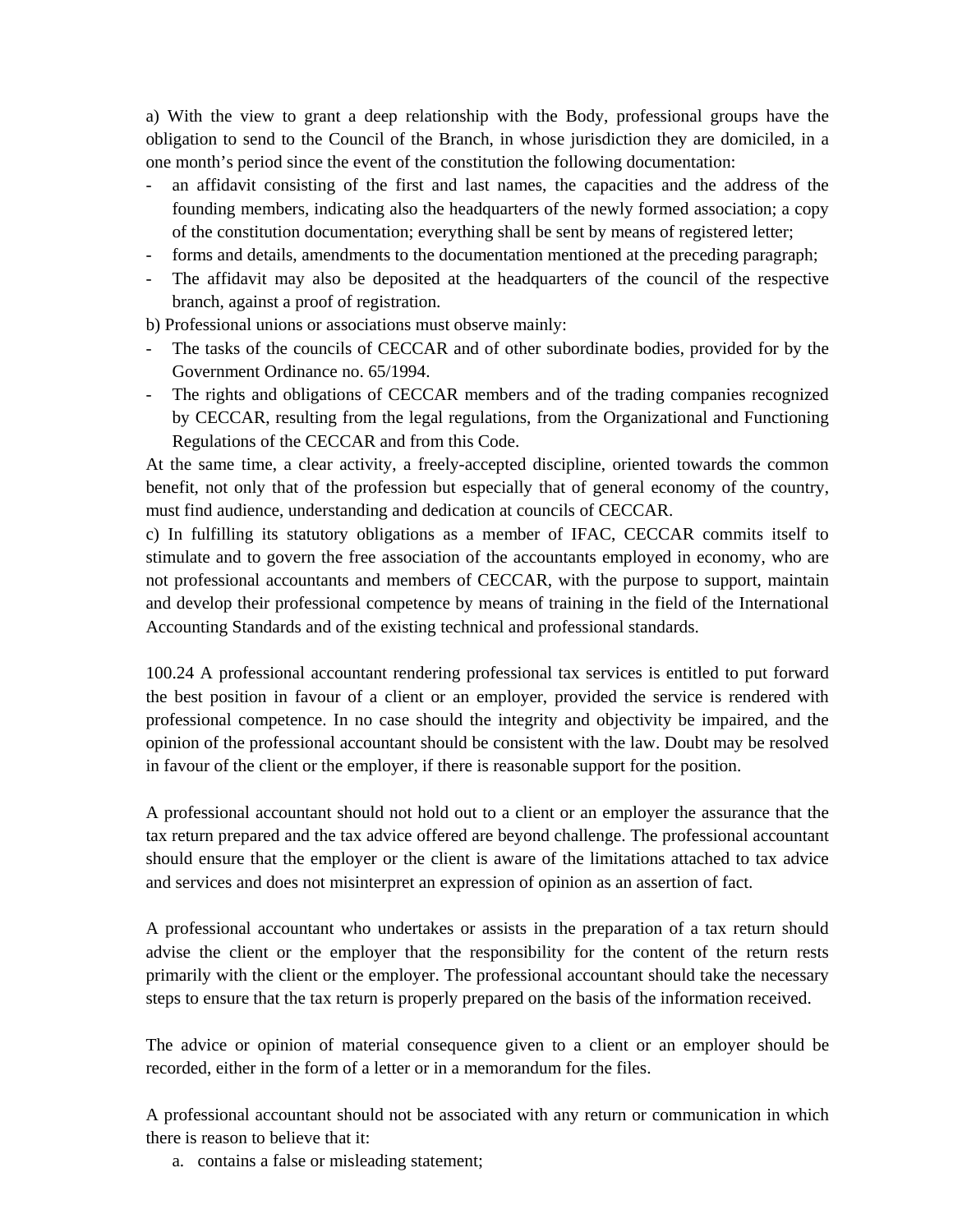a) With the view to grant a deep relationship with the Body, professional groups have the obligation to send to the Council of the Branch, in whose jurisdiction they are domiciled, in a one month's period since the event of the constitution the following documentation:

- an affidavit consisting of the first and last names, the capacities and the address of the founding members, indicating also the headquarters of the newly formed association; a copy of the constitution documentation; everything shall be sent by means of registered letter;
- forms and details, amendments to the documentation mentioned at the preceding paragraph;
- The affidavit may also be deposited at the headquarters of the council of the respective branch, against a proof of registration.

b) Professional unions or associations must observe mainly:

- The tasks of the councils of CECCAR and of other subordinate bodies, provided for by the Government Ordinance no. 65/1994.
- The rights and obligations of CECCAR members and of the trading companies recognized by CECCAR, resulting from the legal regulations, from the Organizational and Functioning Regulations of the CECCAR and from this Code.

At the same time, a clear activity, a freely-accepted discipline, oriented towards the common benefit, not only that of the profession but especially that of general economy of the country, must find audience, understanding and dedication at councils of CECCAR.

c) In fulfilling its statutory obligations as a member of IFAC, CECCAR commits itself to stimulate and to govern the free association of the accountants employed in economy, who are not professional accountants and members of CECCAR, with the purpose to support, maintain and develop their professional competence by means of training in the field of the International Accounting Standards and of the existing technical and professional standards.

100.24 A professional accountant rendering professional tax services is entitled to put forward the best position in favour of a client or an employer, provided the service is rendered with professional competence. In no case should the integrity and objectivity be impaired, and the opinion of the professional accountant should be consistent with the law. Doubt may be resolved in favour of the client or the employer, if there is reasonable support for the position.

A professional accountant should not hold out to a client or an employer the assurance that the tax return prepared and the tax advice offered are beyond challenge. The professional accountant should ensure that the employer or the client is aware of the limitations attached to tax advice and services and does not misinterpret an expression of opinion as an assertion of fact.

A professional accountant who undertakes or assists in the preparation of a tax return should advise the client or the employer that the responsibility for the content of the return rests primarily with the client or the employer. The professional accountant should take the necessary steps to ensure that the tax return is properly prepared on the basis of the information received.

The advice or opinion of material consequence given to a client or an employer should be recorded, either in the form of a letter or in a memorandum for the files.

A professional accountant should not be associated with any return or communication in which there is reason to believe that it:

a. contains a false or misleading statement;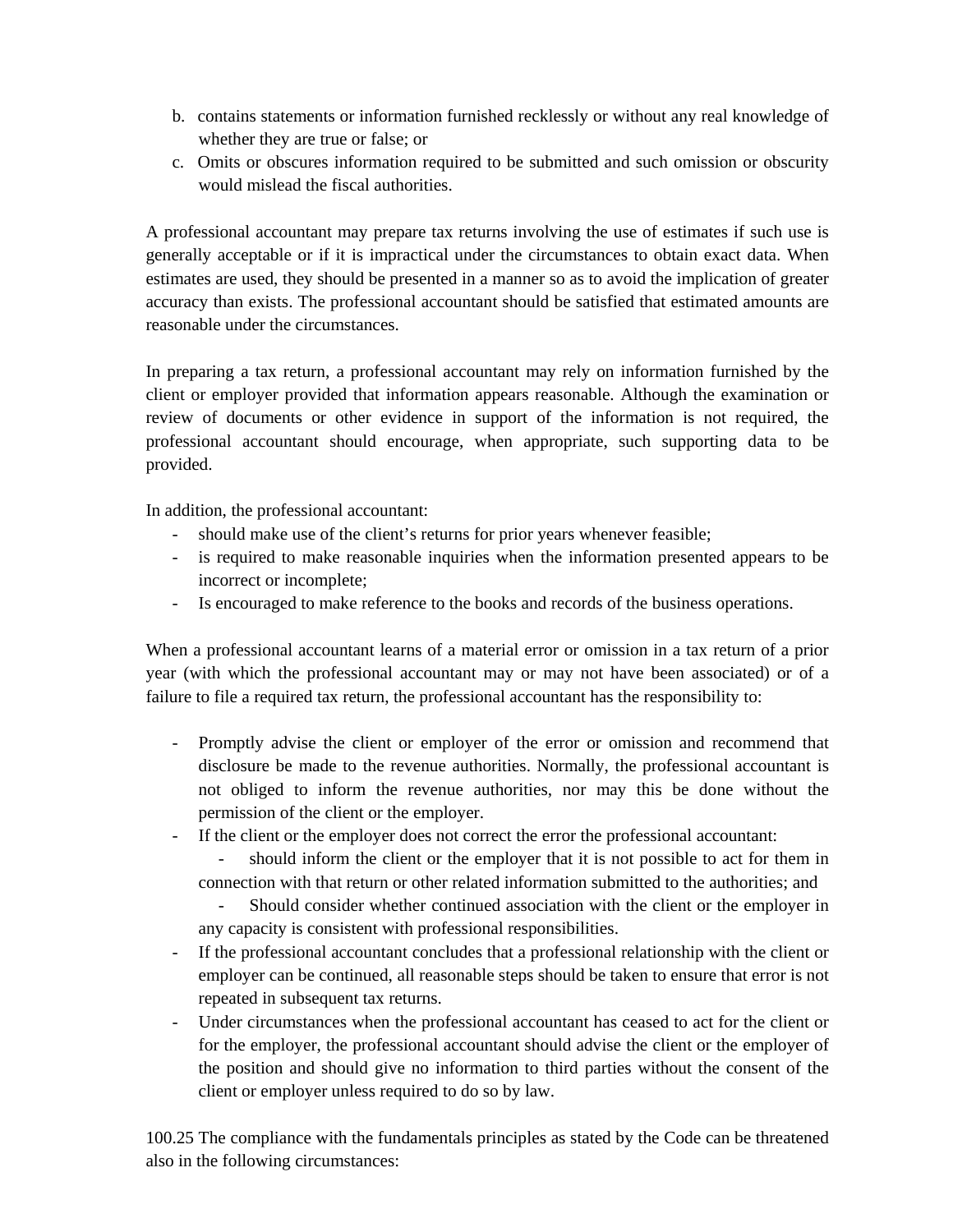- b. contains statements or information furnished recklessly or without any real knowledge of whether they are true or false; or
- c. Omits or obscures information required to be submitted and such omission or obscurity would mislead the fiscal authorities.

A professional accountant may prepare tax returns involving the use of estimates if such use is generally acceptable or if it is impractical under the circumstances to obtain exact data. When estimates are used, they should be presented in a manner so as to avoid the implication of greater accuracy than exists. The professional accountant should be satisfied that estimated amounts are reasonable under the circumstances.

In preparing a tax return, a professional accountant may rely on information furnished by the client or employer provided that information appears reasonable. Although the examination or review of documents or other evidence in support of the information is not required, the professional accountant should encourage, when appropriate, such supporting data to be provided.

In addition, the professional accountant:

- should make use of the client's returns for prior years whenever feasible;
- is required to make reasonable inquiries when the information presented appears to be incorrect or incomplete;
- Is encouraged to make reference to the books and records of the business operations.

When a professional accountant learns of a material error or omission in a tax return of a prior year (with which the professional accountant may or may not have been associated) or of a failure to file a required tax return, the professional accountant has the responsibility to:

- Promptly advise the client or employer of the error or omission and recommend that disclosure be made to the revenue authorities. Normally, the professional accountant is not obliged to inform the revenue authorities, nor may this be done without the permission of the client or the employer.
- If the client or the employer does not correct the error the professional accountant:
	- should inform the client or the employer that it is not possible to act for them in connection with that return or other related information submitted to the authorities; and
	- Should consider whether continued association with the client or the employer in any capacity is consistent with professional responsibilities.
- If the professional accountant concludes that a professional relationship with the client or employer can be continued, all reasonable steps should be taken to ensure that error is not repeated in subsequent tax returns.
- Under circumstances when the professional accountant has ceased to act for the client or for the employer, the professional accountant should advise the client or the employer of the position and should give no information to third parties without the consent of the client or employer unless required to do so by law.

100.25 The compliance with the fundamentals principles as stated by the Code can be threatened also in the following circumstances: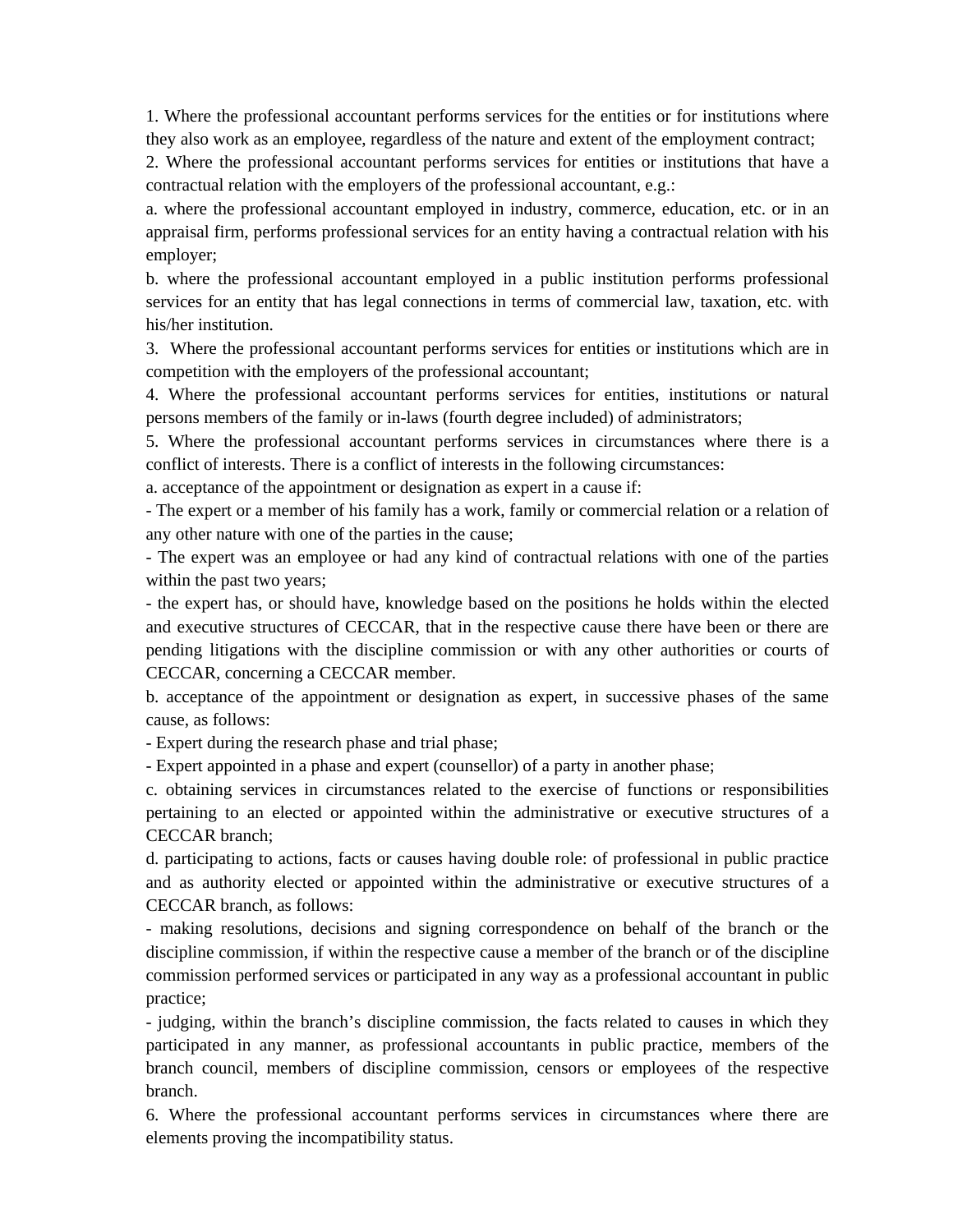1. Where the professional accountant performs services for the entities or for institutions where they also work as an employee, regardless of the nature and extent of the employment contract;

2. Where the professional accountant performs services for entities or institutions that have a contractual relation with the employers of the professional accountant, e.g.:

a. where the professional accountant employed in industry, commerce, education, etc. or in an appraisal firm, performs professional services for an entity having a contractual relation with his employer;

b. where the professional accountant employed in a public institution performs professional services for an entity that has legal connections in terms of commercial law, taxation, etc. with his/her institution.

3. Where the professional accountant performs services for entities or institutions which are in competition with the employers of the professional accountant;

4. Where the professional accountant performs services for entities, institutions or natural persons members of the family or in-laws (fourth degree included) of administrators;

5. Where the professional accountant performs services in circumstances where there is a conflict of interests. There is a conflict of interests in the following circumstances:

a. acceptance of the appointment or designation as expert in a cause if:

- The expert or a member of his family has a work, family or commercial relation or a relation of any other nature with one of the parties in the cause;

- The expert was an employee or had any kind of contractual relations with one of the parties within the past two years;

- the expert has, or should have, knowledge based on the positions he holds within the elected and executive structures of CECCAR, that in the respective cause there have been or there are pending litigations with the discipline commission or with any other authorities or courts of CECCAR, concerning a CECCAR member.

b. acceptance of the appointment or designation as expert, in successive phases of the same cause, as follows:

- Expert during the research phase and trial phase;

- Expert appointed in a phase and expert (counsellor) of a party in another phase;

c. obtaining services in circumstances related to the exercise of functions or responsibilities pertaining to an elected or appointed within the administrative or executive structures of a CECCAR branch;

d. participating to actions, facts or causes having double role: of professional in public practice and as authority elected or appointed within the administrative or executive structures of a CECCAR branch, as follows:

- making resolutions, decisions and signing correspondence on behalf of the branch or the discipline commission, if within the respective cause a member of the branch or of the discipline commission performed services or participated in any way as a professional accountant in public practice;

- judging, within the branch's discipline commission, the facts related to causes in which they participated in any manner, as professional accountants in public practice, members of the branch council, members of discipline commission, censors or employees of the respective branch.

6. Where the professional accountant performs services in circumstances where there are elements proving the incompatibility status.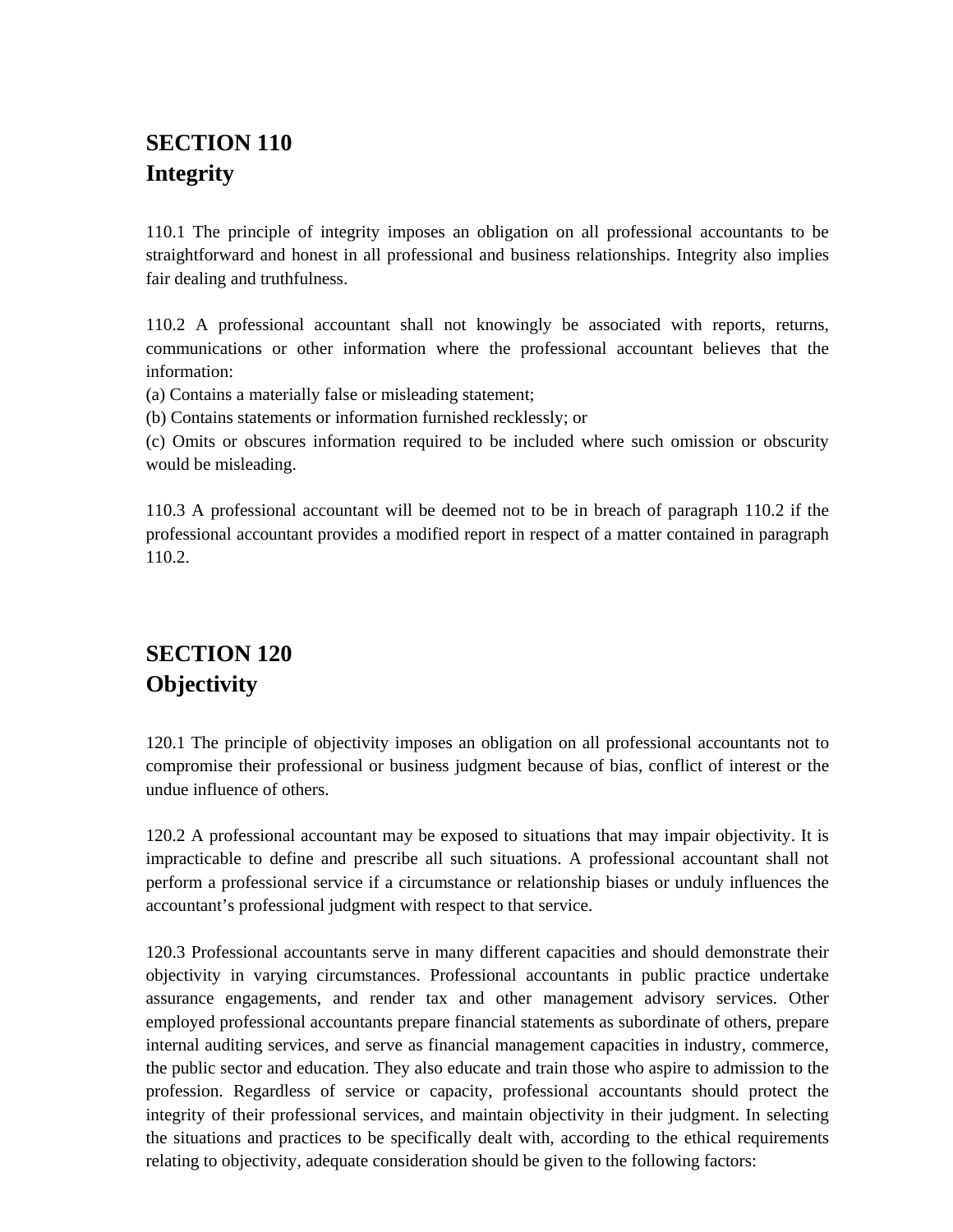### **SECTION 110 Integrity**

110.1 The principle of integrity imposes an obligation on all professional accountants to be straightforward and honest in all professional and business relationships. Integrity also implies fair dealing and truthfulness.

110.2 A professional accountant shall not knowingly be associated with reports, returns, communications or other information where the professional accountant believes that the information:

(a) Contains a materially false or misleading statement;

(b) Contains statements or information furnished recklessly; or

(c) Omits or obscures information required to be included where such omission or obscurity would be misleading.

110.3 A professional accountant will be deemed not to be in breach of paragraph 110.2 if the professional accountant provides a modified report in respect of a matter contained in paragraph 110.2.

## **SECTION 120 Objectivity**

120.1 The principle of objectivity imposes an obligation on all professional accountants not to compromise their professional or business judgment because of bias, conflict of interest or the undue influence of others.

120.2 A professional accountant may be exposed to situations that may impair objectivity. It is impracticable to define and prescribe all such situations. A professional accountant shall not perform a professional service if a circumstance or relationship biases or unduly influences the accountant's professional judgment with respect to that service.

120.3 Professional accountants serve in many different capacities and should demonstrate their objectivity in varying circumstances. Professional accountants in public practice undertake assurance engagements, and render tax and other management advisory services. Other employed professional accountants prepare financial statements as subordinate of others, prepare internal auditing services, and serve as financial management capacities in industry, commerce, the public sector and education. They also educate and train those who aspire to admission to the profession. Regardless of service or capacity, professional accountants should protect the integrity of their professional services, and maintain objectivity in their judgment. In selecting the situations and practices to be specifically dealt with, according to the ethical requirements relating to objectivity, adequate consideration should be given to the following factors: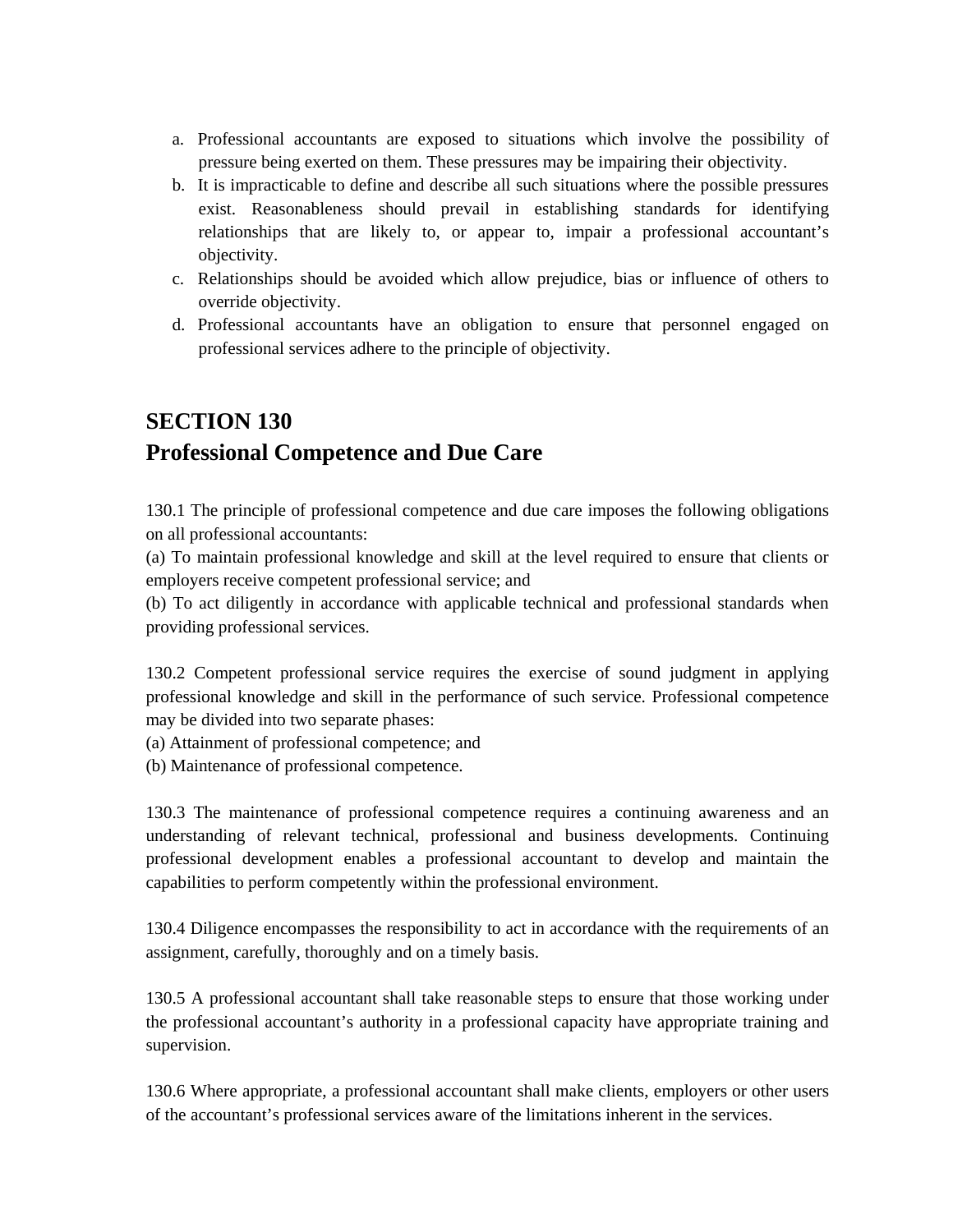- a. Professional accountants are exposed to situations which involve the possibility of pressure being exerted on them. These pressures may be impairing their objectivity.
- b. It is impracticable to define and describe all such situations where the possible pressures exist. Reasonableness should prevail in establishing standards for identifying relationships that are likely to, or appear to, impair a professional accountant's objectivity.
- c. Relationships should be avoided which allow prejudice, bias or influence of others to override objectivity.
- d. Professional accountants have an obligation to ensure that personnel engaged on professional services adhere to the principle of objectivity.

### **SECTION 130 Professional Competence and Due Care**

130.1 The principle of professional competence and due care imposes the following obligations on all professional accountants:

(a) To maintain professional knowledge and skill at the level required to ensure that clients or employers receive competent professional service; and

(b) To act diligently in accordance with applicable technical and professional standards when providing professional services.

130.2 Competent professional service requires the exercise of sound judgment in applying professional knowledge and skill in the performance of such service. Professional competence may be divided into two separate phases:

(a) Attainment of professional competence; and

(b) Maintenance of professional competence.

130.3 The maintenance of professional competence requires a continuing awareness and an understanding of relevant technical, professional and business developments. Continuing professional development enables a professional accountant to develop and maintain the capabilities to perform competently within the professional environment.

130.4 Diligence encompasses the responsibility to act in accordance with the requirements of an assignment, carefully, thoroughly and on a timely basis.

130.5 A professional accountant shall take reasonable steps to ensure that those working under the professional accountant's authority in a professional capacity have appropriate training and supervision.

130.6 Where appropriate, a professional accountant shall make clients, employers or other users of the accountant's professional services aware of the limitations inherent in the services.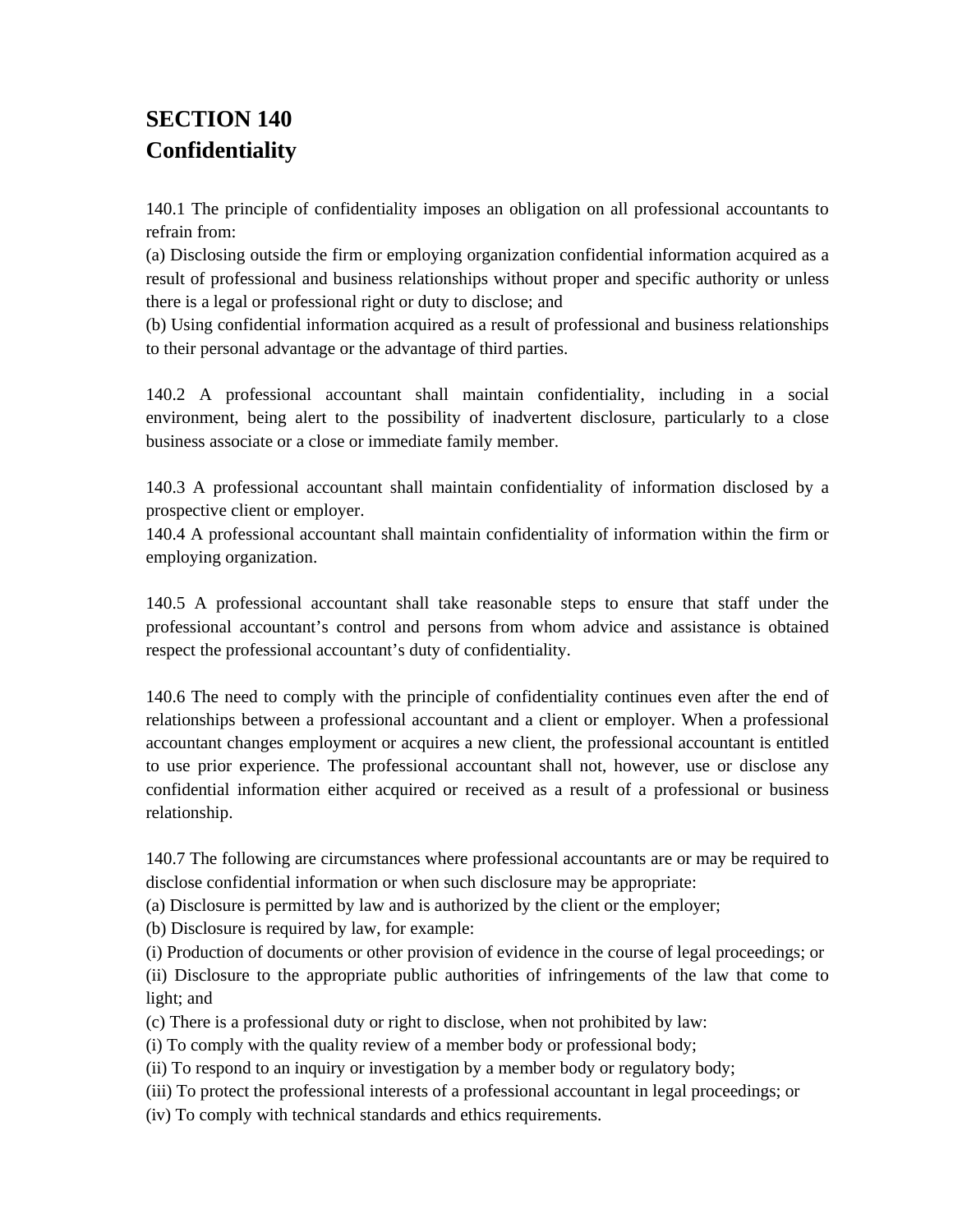## **SECTION 140 Confidentiality**

140.1 The principle of confidentiality imposes an obligation on all professional accountants to refrain from:

(a) Disclosing outside the firm or employing organization confidential information acquired as a result of professional and business relationships without proper and specific authority or unless there is a legal or professional right or duty to disclose; and

(b) Using confidential information acquired as a result of professional and business relationships to their personal advantage or the advantage of third parties.

140.2 A professional accountant shall maintain confidentiality, including in a social environment, being alert to the possibility of inadvertent disclosure, particularly to a close business associate or a close or immediate family member.

140.3 A professional accountant shall maintain confidentiality of information disclosed by a prospective client or employer.

140.4 A professional accountant shall maintain confidentiality of information within the firm or employing organization.

140.5 A professional accountant shall take reasonable steps to ensure that staff under the professional accountant's control and persons from whom advice and assistance is obtained respect the professional accountant's duty of confidentiality.

140.6 The need to comply with the principle of confidentiality continues even after the end of relationships between a professional accountant and a client or employer. When a professional accountant changes employment or acquires a new client, the professional accountant is entitled to use prior experience. The professional accountant shall not, however, use or disclose any confidential information either acquired or received as a result of a professional or business relationship.

140.7 The following are circumstances where professional accountants are or may be required to disclose confidential information or when such disclosure may be appropriate:

(a) Disclosure is permitted by law and is authorized by the client or the employer;

(b) Disclosure is required by law, for example:

(i) Production of documents or other provision of evidence in the course of legal proceedings; or (ii) Disclosure to the appropriate public authorities of infringements of the law that come to

light; and

(c) There is a professional duty or right to disclose, when not prohibited by law:

(i) To comply with the quality review of a member body or professional body;

(ii) To respond to an inquiry or investigation by a member body or regulatory body;

(iii) To protect the professional interests of a professional accountant in legal proceedings; or

(iv) To comply with technical standards and ethics requirements.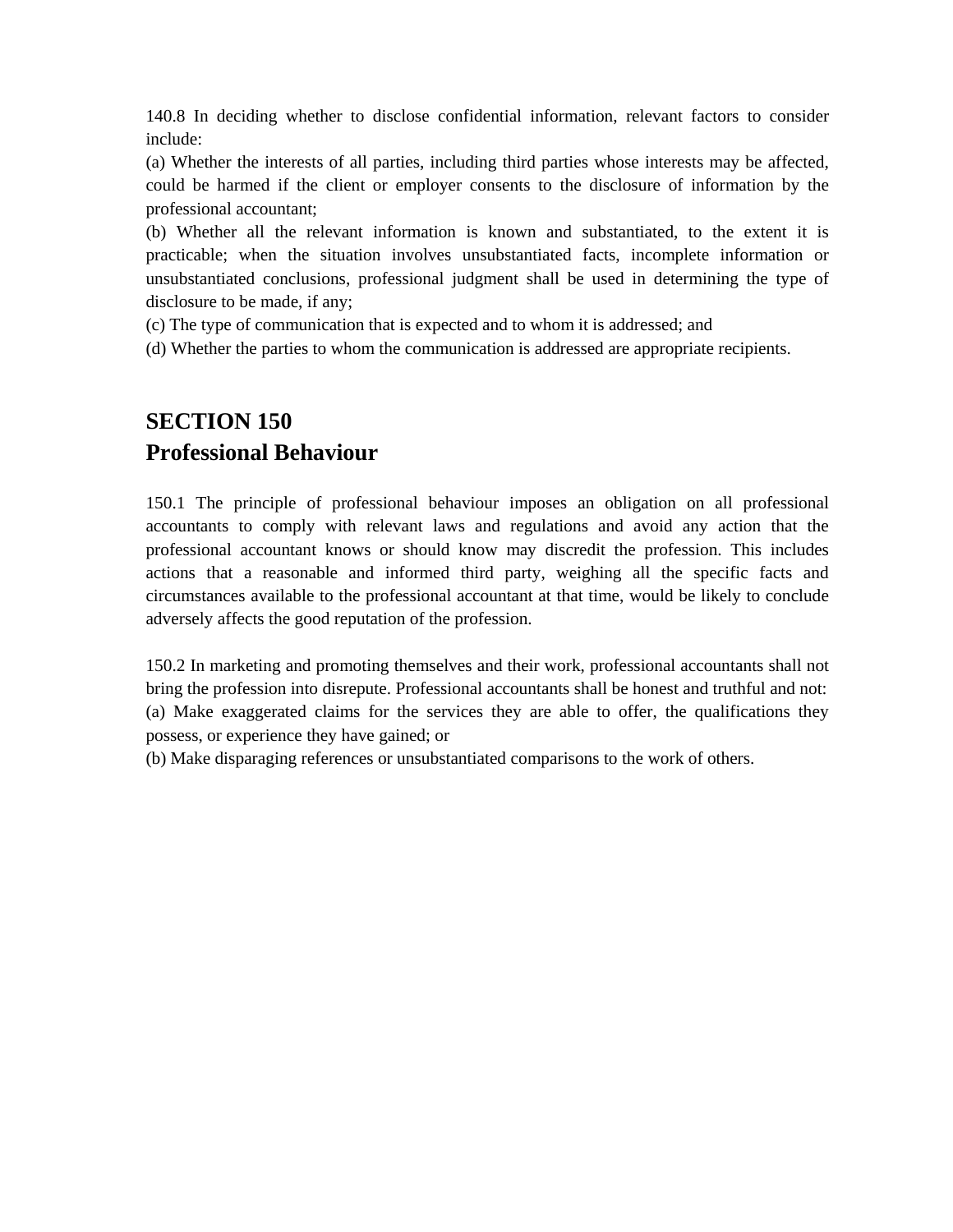140.8 In deciding whether to disclose confidential information, relevant factors to consider include:

(a) Whether the interests of all parties, including third parties whose interests may be affected, could be harmed if the client or employer consents to the disclosure of information by the professional accountant;

(b) Whether all the relevant information is known and substantiated, to the extent it is practicable; when the situation involves unsubstantiated facts, incomplete information or unsubstantiated conclusions, professional judgment shall be used in determining the type of disclosure to be made, if any;

(c) The type of communication that is expected and to whom it is addressed; and

(d) Whether the parties to whom the communication is addressed are appropriate recipients.

## **SECTION 150 Professional Behaviour**

150.1 The principle of professional behaviour imposes an obligation on all professional accountants to comply with relevant laws and regulations and avoid any action that the professional accountant knows or should know may discredit the profession. This includes actions that a reasonable and informed third party, weighing all the specific facts and circumstances available to the professional accountant at that time, would be likely to conclude adversely affects the good reputation of the profession.

150.2 In marketing and promoting themselves and their work, professional accountants shall not bring the profession into disrepute. Professional accountants shall be honest and truthful and not: (a) Make exaggerated claims for the services they are able to offer, the qualifications they possess, or experience they have gained; or

(b) Make disparaging references or unsubstantiated comparisons to the work of others.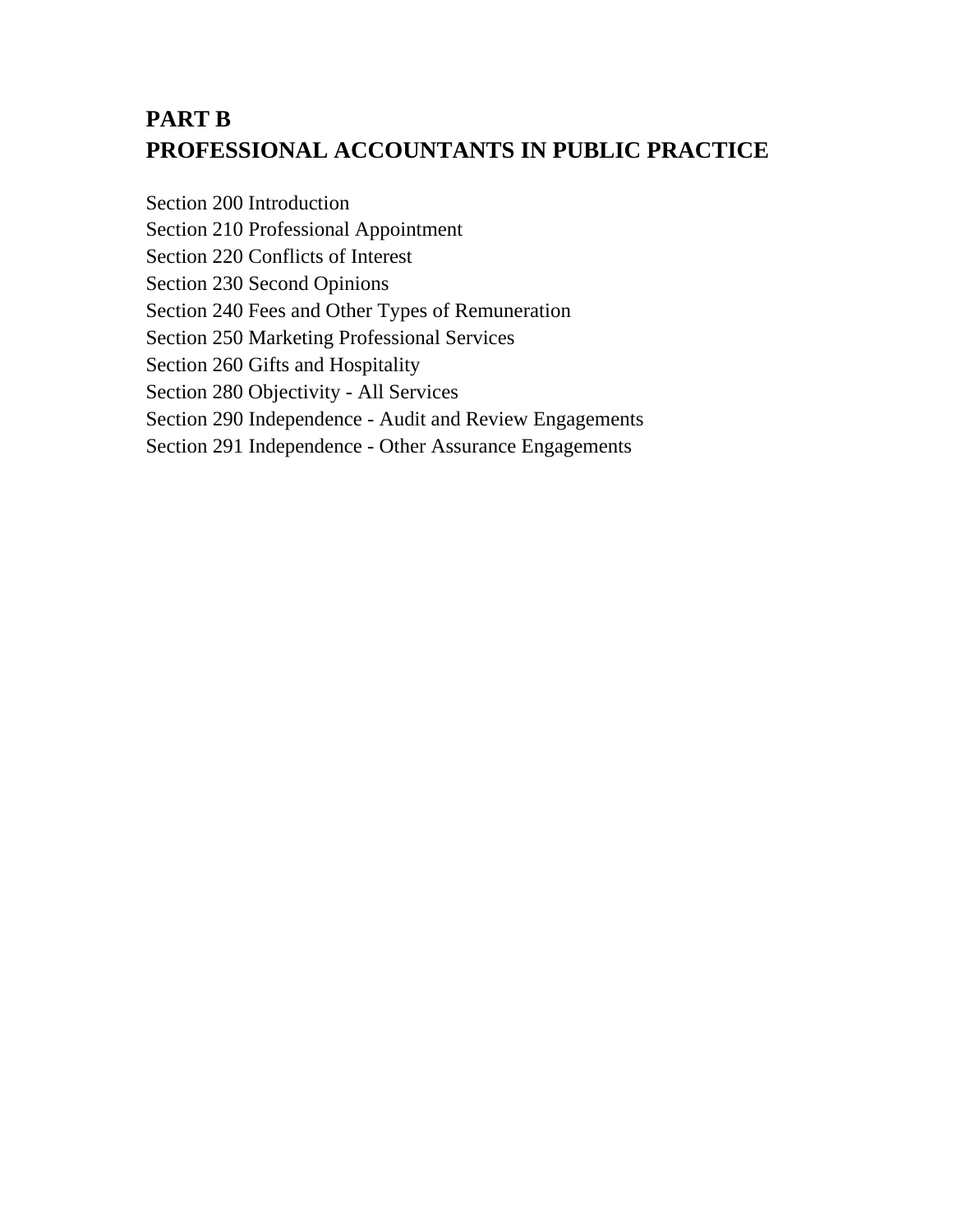## **PART B PROFESSIONAL ACCOUNTANTS IN PUBLIC PRACTICE**

Section 200 Introduction Section 210 Professional Appointment Section 220 Conflicts of Interest Section 230 Second Opinions Section 240 Fees and Other Types of Remuneration Section 250 Marketing Professional Services Section 260 Gifts and Hospitality Section 280 Objectivity - All Services Section 290 Independence - Audit and Review Engagements Section 291 Independence - Other Assurance Engagements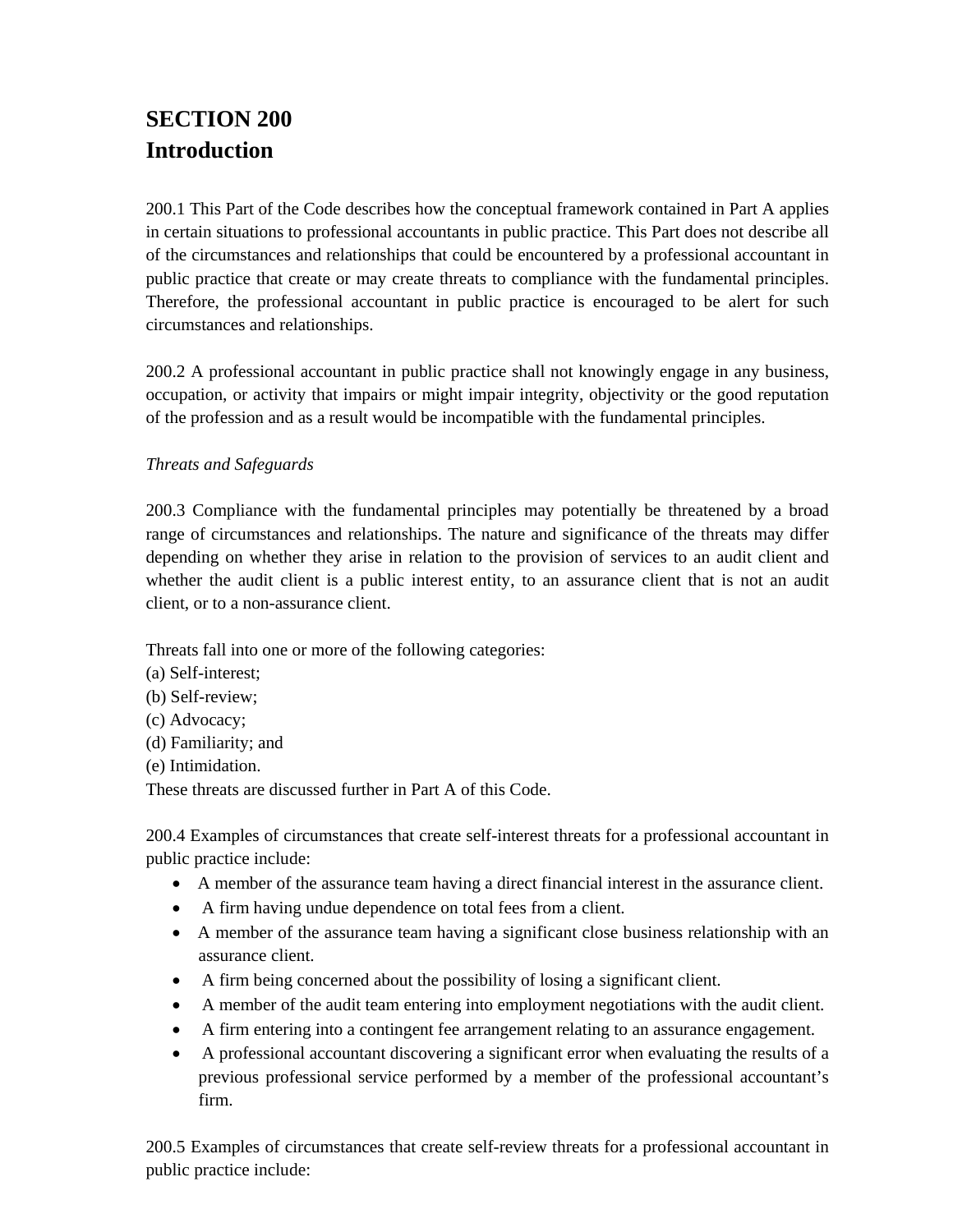## **SECTION 200 Introduction**

200.1 This Part of the Code describes how the conceptual framework contained in Part A applies in certain situations to professional accountants in public practice. This Part does not describe all of the circumstances and relationships that could be encountered by a professional accountant in public practice that create or may create threats to compliance with the fundamental principles. Therefore, the professional accountant in public practice is encouraged to be alert for such circumstances and relationships.

200.2 A professional accountant in public practice shall not knowingly engage in any business, occupation, or activity that impairs or might impair integrity, objectivity or the good reputation of the profession and as a result would be incompatible with the fundamental principles.

#### *Threats and Safeguards*

200.3 Compliance with the fundamental principles may potentially be threatened by a broad range of circumstances and relationships. The nature and significance of the threats may differ depending on whether they arise in relation to the provision of services to an audit client and whether the audit client is a public interest entity, to an assurance client that is not an audit client, or to a non-assurance client.

Threats fall into one or more of the following categories:

- (a) Self-interest;
- (b) Self-review;
- (c) Advocacy;
- (d) Familiarity; and
- (e) Intimidation.

These threats are discussed further in Part A of this Code.

200.4 Examples of circumstances that create self-interest threats for a professional accountant in public practice include:

- A member of the assurance team having a direct financial interest in the assurance client.
- A firm having undue dependence on total fees from a client.
- A member of the assurance team having a significant close business relationship with an assurance client.
- A firm being concerned about the possibility of losing a significant client.
- A member of the audit team entering into employment negotiations with the audit client.
- A firm entering into a contingent fee arrangement relating to an assurance engagement.
- A professional accountant discovering a significant error when evaluating the results of a previous professional service performed by a member of the professional accountant's firm.

200.5 Examples of circumstances that create self-review threats for a professional accountant in public practice include: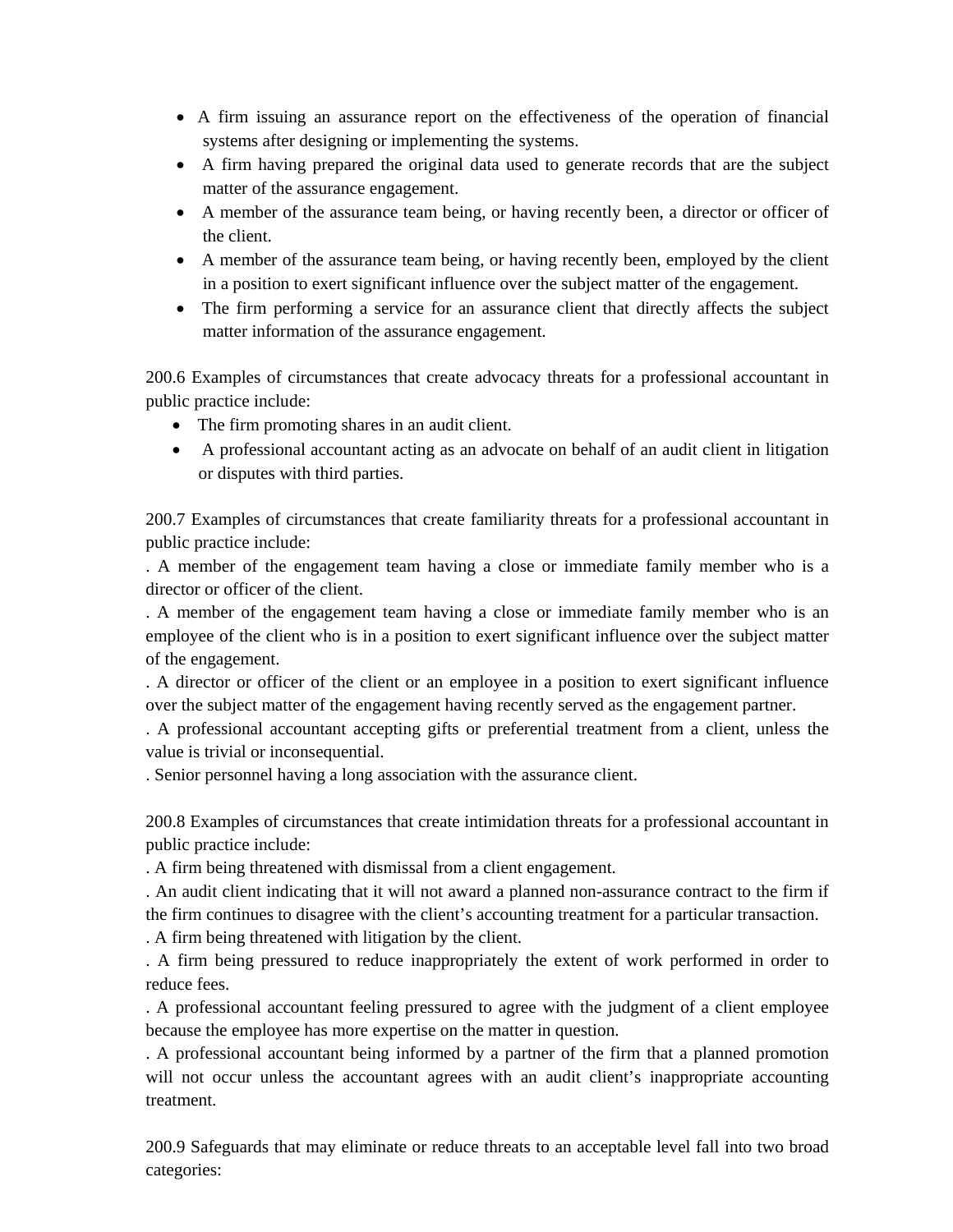- A firm issuing an assurance report on the effectiveness of the operation of financial systems after designing or implementing the systems.
- A firm having prepared the original data used to generate records that are the subject matter of the assurance engagement.
- A member of the assurance team being, or having recently been, a director or officer of the client.
- A member of the assurance team being, or having recently been, employed by the client in a position to exert significant influence over the subject matter of the engagement.
- The firm performing a service for an assurance client that directly affects the subject matter information of the assurance engagement.

200.6 Examples of circumstances that create advocacy threats for a professional accountant in public practice include:

- The firm promoting shares in an audit client.
- A professional accountant acting as an advocate on behalf of an audit client in litigation or disputes with third parties.

200.7 Examples of circumstances that create familiarity threats for a professional accountant in public practice include:

. A member of the engagement team having a close or immediate family member who is a director or officer of the client.

. A member of the engagement team having a close or immediate family member who is an employee of the client who is in a position to exert significant influence over the subject matter of the engagement.

. A director or officer of the client or an employee in a position to exert significant influence over the subject matter of the engagement having recently served as the engagement partner.

. A professional accountant accepting gifts or preferential treatment from a client, unless the value is trivial or inconsequential.

. Senior personnel having a long association with the assurance client.

200.8 Examples of circumstances that create intimidation threats for a professional accountant in public practice include:

. A firm being threatened with dismissal from a client engagement.

. An audit client indicating that it will not award a planned non-assurance contract to the firm if the firm continues to disagree with the client's accounting treatment for a particular transaction.

. A firm being threatened with litigation by the client.

. A firm being pressured to reduce inappropriately the extent of work performed in order to reduce fees.

. A professional accountant feeling pressured to agree with the judgment of a client employee because the employee has more expertise on the matter in question.

. A professional accountant being informed by a partner of the firm that a planned promotion will not occur unless the accountant agrees with an audit client's inappropriate accounting treatment.

200.9 Safeguards that may eliminate or reduce threats to an acceptable level fall into two broad categories: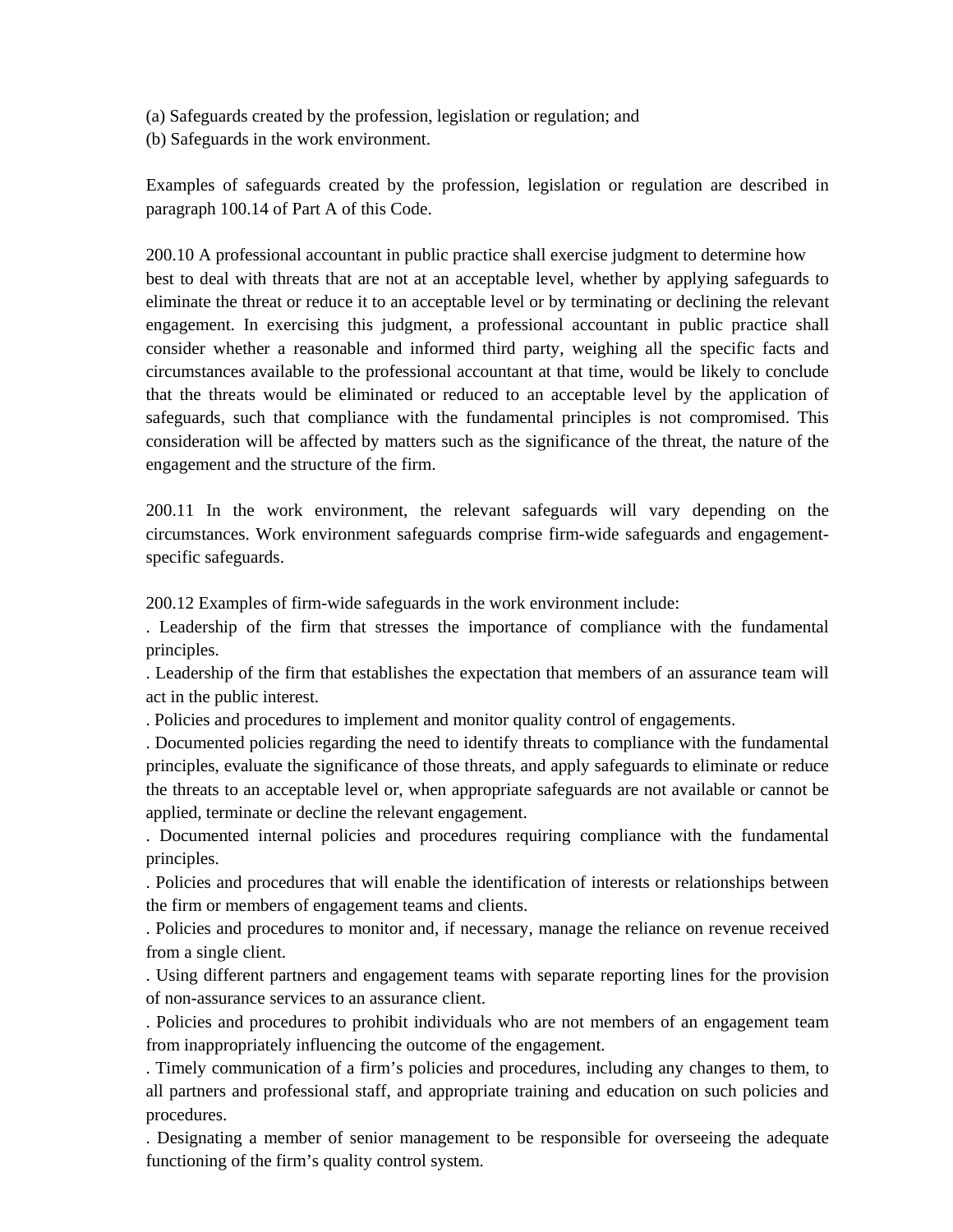(a) Safeguards created by the profession, legislation or regulation; and

(b) Safeguards in the work environment.

Examples of safeguards created by the profession, legislation or regulation are described in paragraph 100.14 of Part A of this Code.

200.10 A professional accountant in public practice shall exercise judgment to determine how best to deal with threats that are not at an acceptable level, whether by applying safeguards to eliminate the threat or reduce it to an acceptable level or by terminating or declining the relevant engagement. In exercising this judgment, a professional accountant in public practice shall consider whether a reasonable and informed third party, weighing all the specific facts and circumstances available to the professional accountant at that time, would be likely to conclude that the threats would be eliminated or reduced to an acceptable level by the application of safeguards, such that compliance with the fundamental principles is not compromised. This consideration will be affected by matters such as the significance of the threat, the nature of the engagement and the structure of the firm.

200.11 In the work environment, the relevant safeguards will vary depending on the circumstances. Work environment safeguards comprise firm-wide safeguards and engagementspecific safeguards.

200.12 Examples of firm-wide safeguards in the work environment include:

. Leadership of the firm that stresses the importance of compliance with the fundamental principles.

. Leadership of the firm that establishes the expectation that members of an assurance team will act in the public interest.

. Policies and procedures to implement and monitor quality control of engagements.

. Documented policies regarding the need to identify threats to compliance with the fundamental principles, evaluate the significance of those threats, and apply safeguards to eliminate or reduce the threats to an acceptable level or, when appropriate safeguards are not available or cannot be applied, terminate or decline the relevant engagement.

. Documented internal policies and procedures requiring compliance with the fundamental principles.

. Policies and procedures that will enable the identification of interests or relationships between the firm or members of engagement teams and clients.

. Policies and procedures to monitor and, if necessary, manage the reliance on revenue received from a single client.

. Using different partners and engagement teams with separate reporting lines for the provision of non-assurance services to an assurance client.

. Policies and procedures to prohibit individuals who are not members of an engagement team from inappropriately influencing the outcome of the engagement.

. Timely communication of a firm's policies and procedures, including any changes to them, to all partners and professional staff, and appropriate training and education on such policies and procedures.

. Designating a member of senior management to be responsible for overseeing the adequate functioning of the firm's quality control system.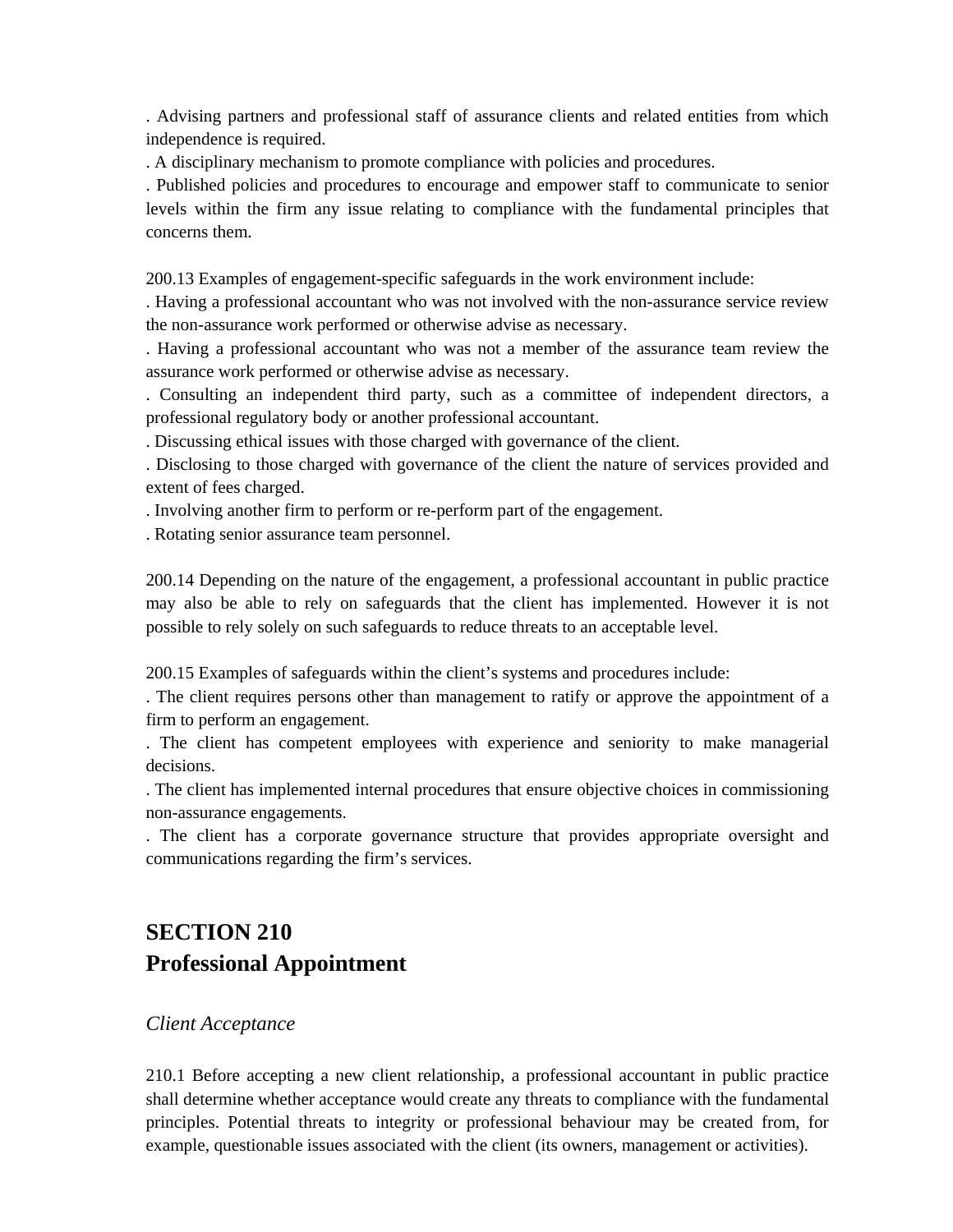. Advising partners and professional staff of assurance clients and related entities from which independence is required.

. A disciplinary mechanism to promote compliance with policies and procedures.

. Published policies and procedures to encourage and empower staff to communicate to senior levels within the firm any issue relating to compliance with the fundamental principles that concerns them.

200.13 Examples of engagement-specific safeguards in the work environment include:

. Having a professional accountant who was not involved with the non-assurance service review the non-assurance work performed or otherwise advise as necessary.

. Having a professional accountant who was not a member of the assurance team review the assurance work performed or otherwise advise as necessary.

. Consulting an independent third party, such as a committee of independent directors, a professional regulatory body or another professional accountant.

. Discussing ethical issues with those charged with governance of the client.

. Disclosing to those charged with governance of the client the nature of services provided and extent of fees charged.

. Involving another firm to perform or re-perform part of the engagement.

. Rotating senior assurance team personnel.

200.14 Depending on the nature of the engagement, a professional accountant in public practice may also be able to rely on safeguards that the client has implemented. However it is not possible to rely solely on such safeguards to reduce threats to an acceptable level.

200.15 Examples of safeguards within the client's systems and procedures include:

. The client requires persons other than management to ratify or approve the appointment of a firm to perform an engagement.

. The client has competent employees with experience and seniority to make managerial decisions.

. The client has implemented internal procedures that ensure objective choices in commissioning non-assurance engagements.

. The client has a corporate governance structure that provides appropriate oversight and communications regarding the firm's services.

### **SECTION 210 Professional Appointment**

#### *Client Acceptance*

210.1 Before accepting a new client relationship, a professional accountant in public practice shall determine whether acceptance would create any threats to compliance with the fundamental principles. Potential threats to integrity or professional behaviour may be created from, for example, questionable issues associated with the client (its owners, management or activities).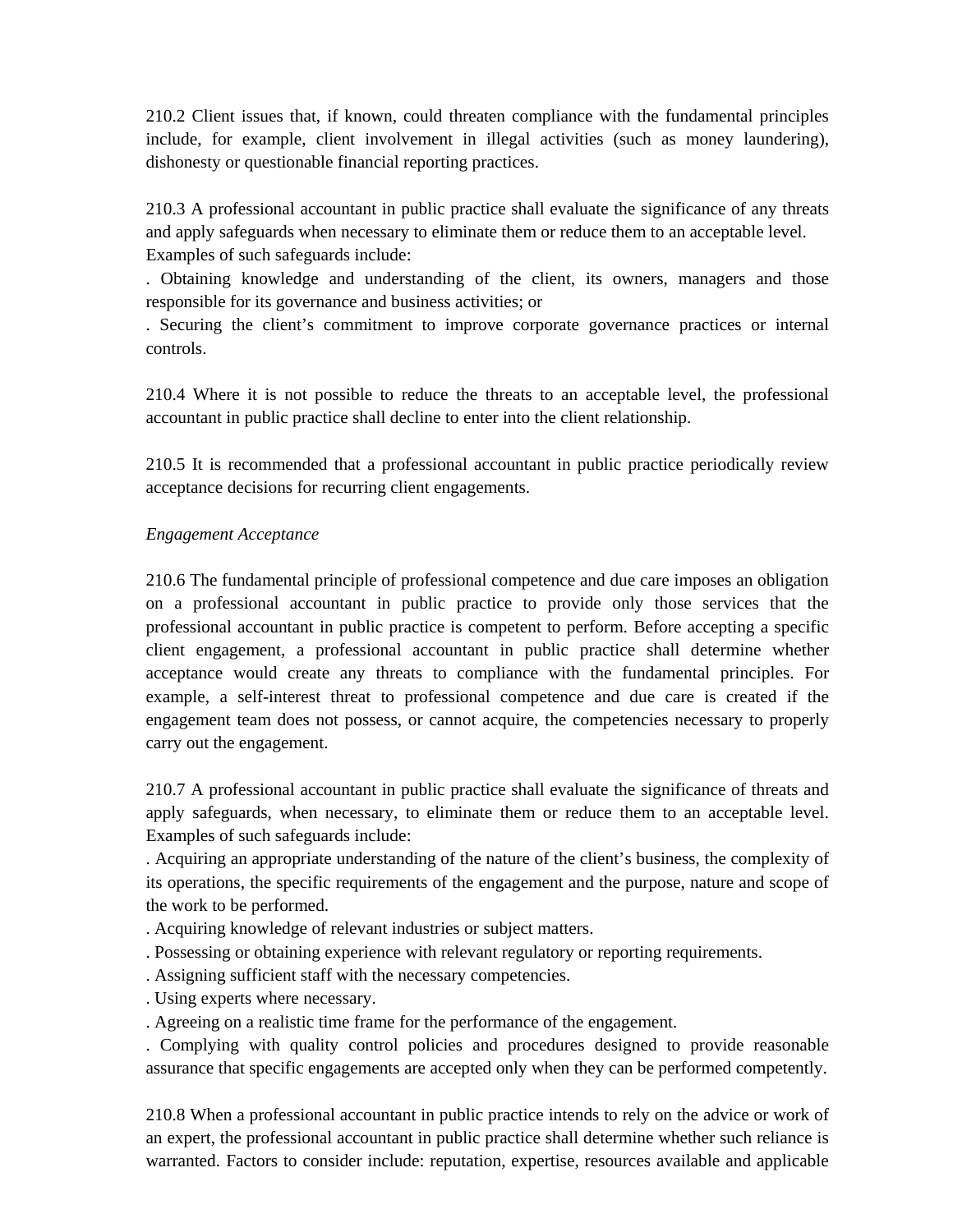210.2 Client issues that, if known, could threaten compliance with the fundamental principles include, for example, client involvement in illegal activities (such as money laundering), dishonesty or questionable financial reporting practices.

210.3 A professional accountant in public practice shall evaluate the significance of any threats and apply safeguards when necessary to eliminate them or reduce them to an acceptable level. Examples of such safeguards include:

. Obtaining knowledge and understanding of the client, its owners, managers and those responsible for its governance and business activities; or

. Securing the client's commitment to improve corporate governance practices or internal controls.

210.4 Where it is not possible to reduce the threats to an acceptable level, the professional accountant in public practice shall decline to enter into the client relationship.

210.5 It is recommended that a professional accountant in public practice periodically review acceptance decisions for recurring client engagements.

#### *Engagement Acceptance*

210.6 The fundamental principle of professional competence and due care imposes an obligation on a professional accountant in public practice to provide only those services that the professional accountant in public practice is competent to perform. Before accepting a specific client engagement, a professional accountant in public practice shall determine whether acceptance would create any threats to compliance with the fundamental principles. For example, a self-interest threat to professional competence and due care is created if the engagement team does not possess, or cannot acquire, the competencies necessary to properly carry out the engagement.

210.7 A professional accountant in public practice shall evaluate the significance of threats and apply safeguards, when necessary, to eliminate them or reduce them to an acceptable level. Examples of such safeguards include:

. Acquiring an appropriate understanding of the nature of the client's business, the complexity of its operations, the specific requirements of the engagement and the purpose, nature and scope of the work to be performed.

- . Acquiring knowledge of relevant industries or subject matters.
- . Possessing or obtaining experience with relevant regulatory or reporting requirements.
- . Assigning sufficient staff with the necessary competencies.
- . Using experts where necessary.
- . Agreeing on a realistic time frame for the performance of the engagement.

. Complying with quality control policies and procedures designed to provide reasonable assurance that specific engagements are accepted only when they can be performed competently.

210.8 When a professional accountant in public practice intends to rely on the advice or work of an expert, the professional accountant in public practice shall determine whether such reliance is warranted. Factors to consider include: reputation, expertise, resources available and applicable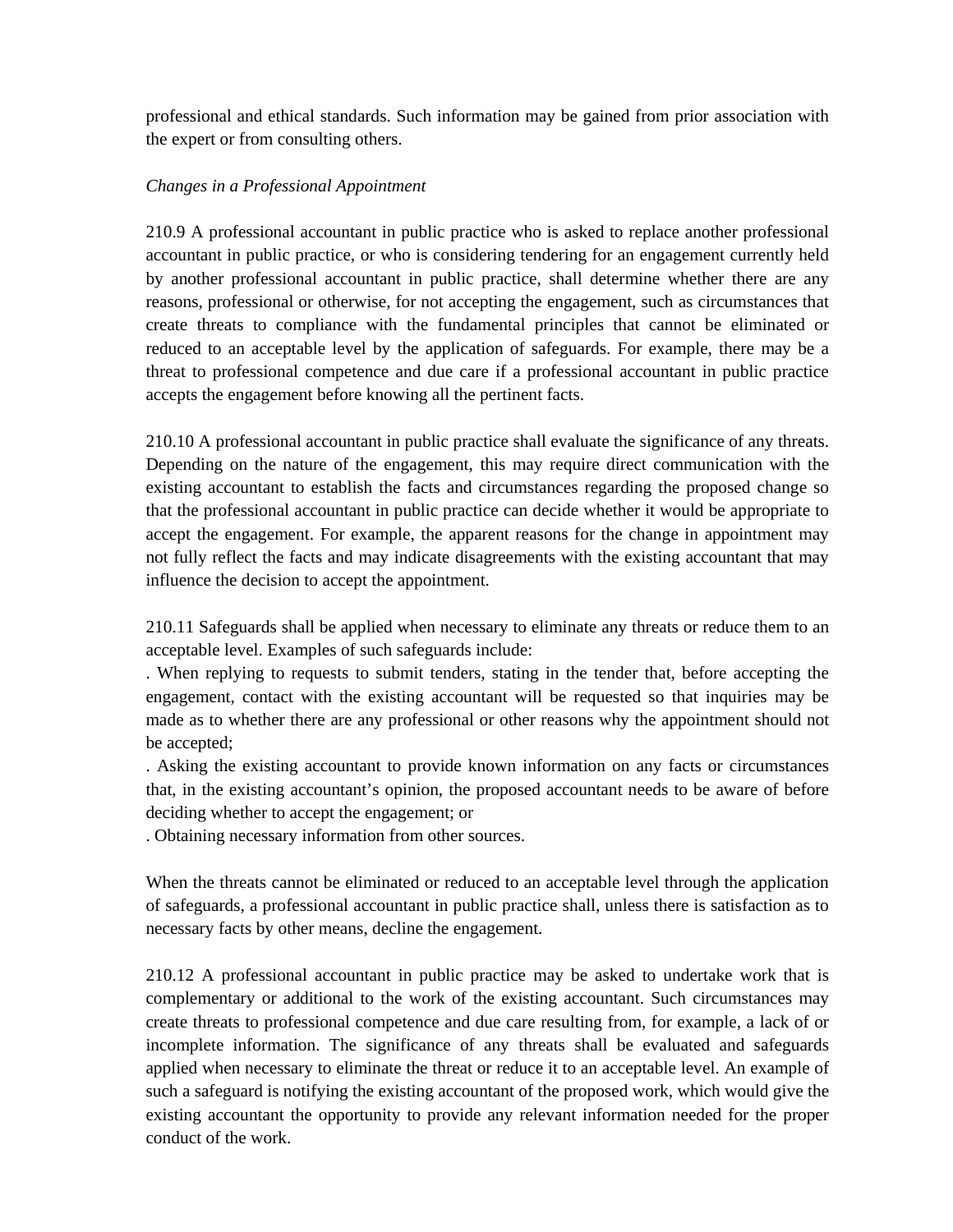professional and ethical standards. Such information may be gained from prior association with the expert or from consulting others.

#### *Changes in a Professional Appointment*

210.9 A professional accountant in public practice who is asked to replace another professional accountant in public practice, or who is considering tendering for an engagement currently held by another professional accountant in public practice, shall determine whether there are any reasons, professional or otherwise, for not accepting the engagement, such as circumstances that create threats to compliance with the fundamental principles that cannot be eliminated or reduced to an acceptable level by the application of safeguards. For example, there may be a threat to professional competence and due care if a professional accountant in public practice accepts the engagement before knowing all the pertinent facts.

210.10 A professional accountant in public practice shall evaluate the significance of any threats. Depending on the nature of the engagement, this may require direct communication with the existing accountant to establish the facts and circumstances regarding the proposed change so that the professional accountant in public practice can decide whether it would be appropriate to accept the engagement. For example, the apparent reasons for the change in appointment may not fully reflect the facts and may indicate disagreements with the existing accountant that may influence the decision to accept the appointment.

210.11 Safeguards shall be applied when necessary to eliminate any threats or reduce them to an acceptable level. Examples of such safeguards include:

. When replying to requests to submit tenders, stating in the tender that, before accepting the engagement, contact with the existing accountant will be requested so that inquiries may be made as to whether there are any professional or other reasons why the appointment should not be accepted;

. Asking the existing accountant to provide known information on any facts or circumstances that, in the existing accountant's opinion, the proposed accountant needs to be aware of before deciding whether to accept the engagement; or

. Obtaining necessary information from other sources.

When the threats cannot be eliminated or reduced to an acceptable level through the application of safeguards, a professional accountant in public practice shall, unless there is satisfaction as to necessary facts by other means, decline the engagement.

210.12 A professional accountant in public practice may be asked to undertake work that is complementary or additional to the work of the existing accountant. Such circumstances may create threats to professional competence and due care resulting from, for example, a lack of or incomplete information. The significance of any threats shall be evaluated and safeguards applied when necessary to eliminate the threat or reduce it to an acceptable level. An example of such a safeguard is notifying the existing accountant of the proposed work, which would give the existing accountant the opportunity to provide any relevant information needed for the proper conduct of the work.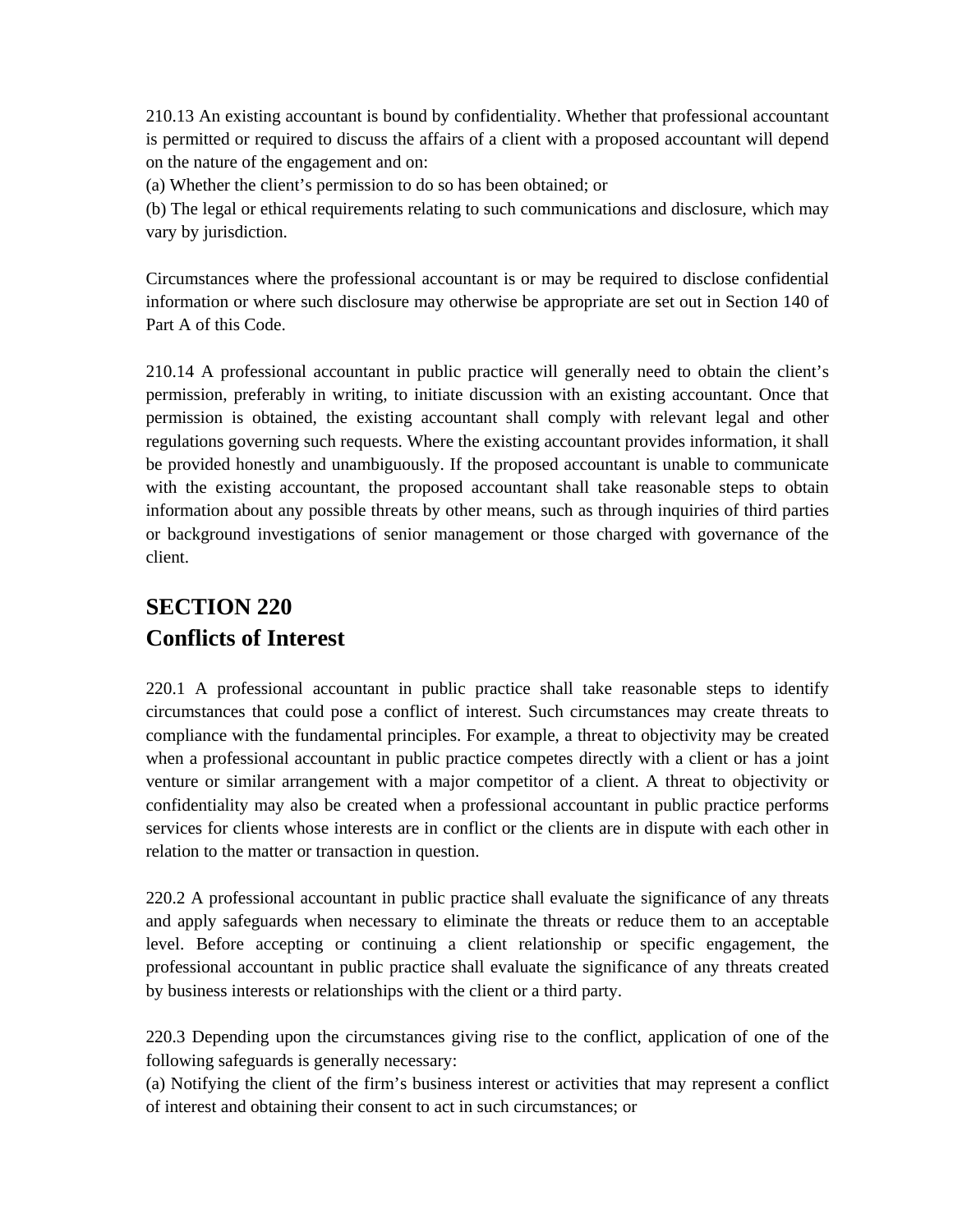210.13 An existing accountant is bound by confidentiality. Whether that professional accountant is permitted or required to discuss the affairs of a client with a proposed accountant will depend on the nature of the engagement and on:

(a) Whether the client's permission to do so has been obtained; or

(b) The legal or ethical requirements relating to such communications and disclosure, which may vary by jurisdiction.

Circumstances where the professional accountant is or may be required to disclose confidential information or where such disclosure may otherwise be appropriate are set out in Section 140 of Part A of this Code.

210.14 A professional accountant in public practice will generally need to obtain the client's permission, preferably in writing, to initiate discussion with an existing accountant. Once that permission is obtained, the existing accountant shall comply with relevant legal and other regulations governing such requests. Where the existing accountant provides information, it shall be provided honestly and unambiguously. If the proposed accountant is unable to communicate with the existing accountant, the proposed accountant shall take reasonable steps to obtain information about any possible threats by other means, such as through inquiries of third parties or background investigations of senior management or those charged with governance of the client.

## **SECTION 220 Conflicts of Interest**

220.1 A professional accountant in public practice shall take reasonable steps to identify circumstances that could pose a conflict of interest. Such circumstances may create threats to compliance with the fundamental principles. For example, a threat to objectivity may be created when a professional accountant in public practice competes directly with a client or has a joint venture or similar arrangement with a major competitor of a client. A threat to objectivity or confidentiality may also be created when a professional accountant in public practice performs services for clients whose interests are in conflict or the clients are in dispute with each other in relation to the matter or transaction in question.

220.2 A professional accountant in public practice shall evaluate the significance of any threats and apply safeguards when necessary to eliminate the threats or reduce them to an acceptable level. Before accepting or continuing a client relationship or specific engagement, the professional accountant in public practice shall evaluate the significance of any threats created by business interests or relationships with the client or a third party.

220.3 Depending upon the circumstances giving rise to the conflict, application of one of the following safeguards is generally necessary:

(a) Notifying the client of the firm's business interest or activities that may represent a conflict of interest and obtaining their consent to act in such circumstances; or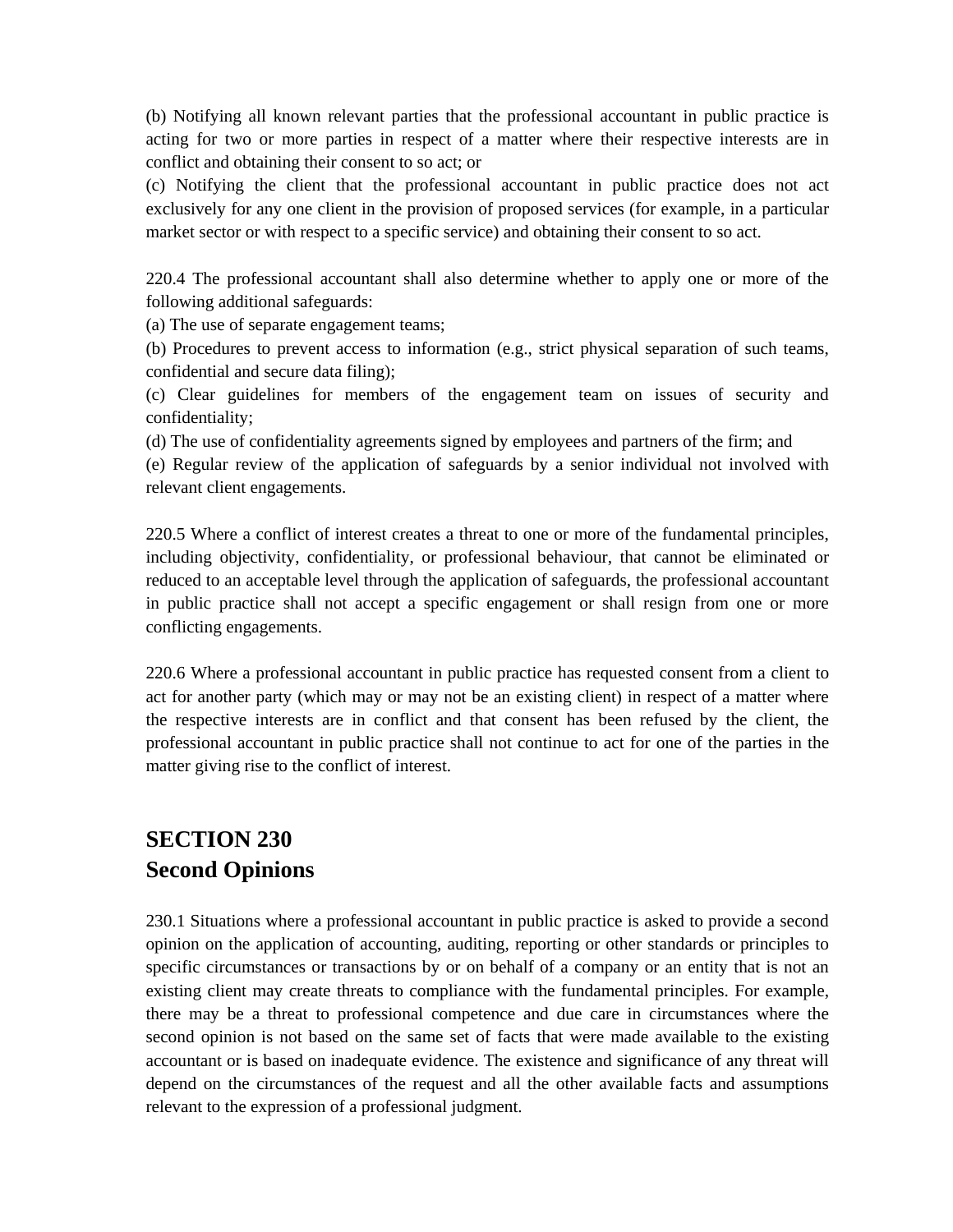(b) Notifying all known relevant parties that the professional accountant in public practice is acting for two or more parties in respect of a matter where their respective interests are in conflict and obtaining their consent to so act; or

(c) Notifying the client that the professional accountant in public practice does not act exclusively for any one client in the provision of proposed services (for example, in a particular market sector or with respect to a specific service) and obtaining their consent to so act.

220.4 The professional accountant shall also determine whether to apply one or more of the following additional safeguards:

(a) The use of separate engagement teams;

(b) Procedures to prevent access to information (e.g., strict physical separation of such teams, confidential and secure data filing);

(c) Clear guidelines for members of the engagement team on issues of security and confidentiality;

(d) The use of confidentiality agreements signed by employees and partners of the firm; and

(e) Regular review of the application of safeguards by a senior individual not involved with relevant client engagements.

220.5 Where a conflict of interest creates a threat to one or more of the fundamental principles, including objectivity, confidentiality, or professional behaviour, that cannot be eliminated or reduced to an acceptable level through the application of safeguards, the professional accountant in public practice shall not accept a specific engagement or shall resign from one or more conflicting engagements.

220.6 Where a professional accountant in public practice has requested consent from a client to act for another party (which may or may not be an existing client) in respect of a matter where the respective interests are in conflict and that consent has been refused by the client, the professional accountant in public practice shall not continue to act for one of the parties in the matter giving rise to the conflict of interest.

### **SECTION 230 Second Opinions**

230.1 Situations where a professional accountant in public practice is asked to provide a second opinion on the application of accounting, auditing, reporting or other standards or principles to specific circumstances or transactions by or on behalf of a company or an entity that is not an existing client may create threats to compliance with the fundamental principles. For example, there may be a threat to professional competence and due care in circumstances where the second opinion is not based on the same set of facts that were made available to the existing accountant or is based on inadequate evidence. The existence and significance of any threat will depend on the circumstances of the request and all the other available facts and assumptions relevant to the expression of a professional judgment.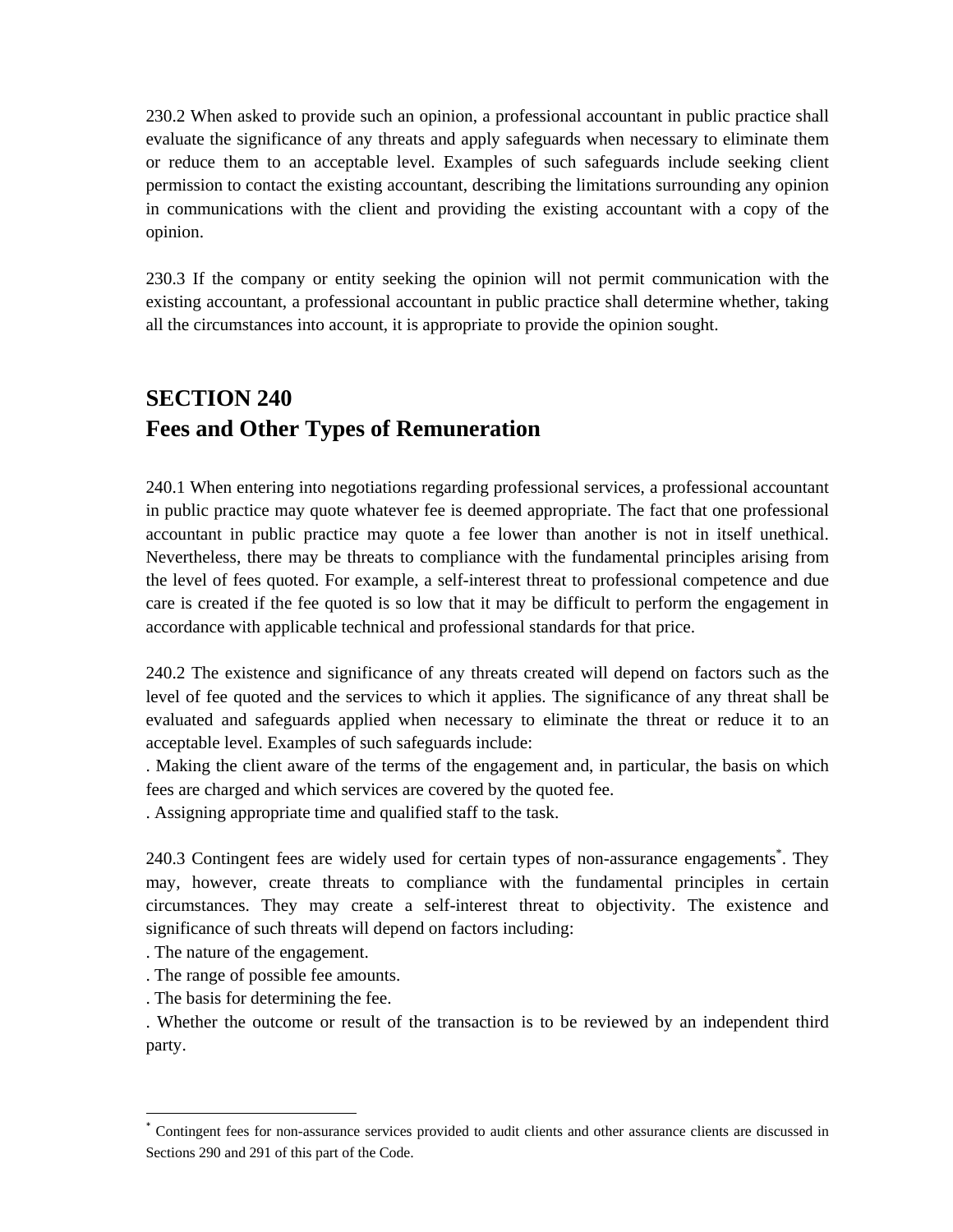230.2 When asked to provide such an opinion, a professional accountant in public practice shall evaluate the significance of any threats and apply safeguards when necessary to eliminate them or reduce them to an acceptable level. Examples of such safeguards include seeking client permission to contact the existing accountant, describing the limitations surrounding any opinion in communications with the client and providing the existing accountant with a copy of the opinion.

230.3 If the company or entity seeking the opinion will not permit communication with the existing accountant, a professional accountant in public practice shall determine whether, taking all the circumstances into account, it is appropriate to provide the opinion sought.

## **SECTION 240 Fees and Other Types of Remuneration**

240.1 When entering into negotiations regarding professional services, a professional accountant in public practice may quote whatever fee is deemed appropriate. The fact that one professional accountant in public practice may quote a fee lower than another is not in itself unethical. Nevertheless, there may be threats to compliance with the fundamental principles arising from the level of fees quoted. For example, a self-interest threat to professional competence and due care is created if the fee quoted is so low that it may be difficult to perform the engagement in accordance with applicable technical and professional standards for that price.

240.2 The existence and significance of any threats created will depend on factors such as the level of fee quoted and the services to which it applies. The significance of any threat shall be evaluated and safeguards applied when necessary to eliminate the threat or reduce it to an acceptable level. Examples of such safeguards include:

. Making the client aware of the terms of the engagement and, in particular, the basis on which fees are charged and which services are covered by the quoted fee.

. Assigning appropriate time and qualified staff to the task.

240.3 Contingent fees are widely used for certain types of non-assurance engagements<sup>\*</sup>. They may, however, create threats to compliance with the fundamental principles in certain circumstances. They may create a self-interest threat to objectivity. The existence and significance of such threats will depend on factors including:

. The nature of the engagement.

- . The range of possible fee amounts.
- . The basis for determining the fee.

. Whether the outcome or result of the transaction is to be reviewed by an independent third party.

<sup>\*</sup> Contingent fees for non-assurance services provided to audit clients and other assurance clients are discussed in Sections 290 and 291 of this part of the Code.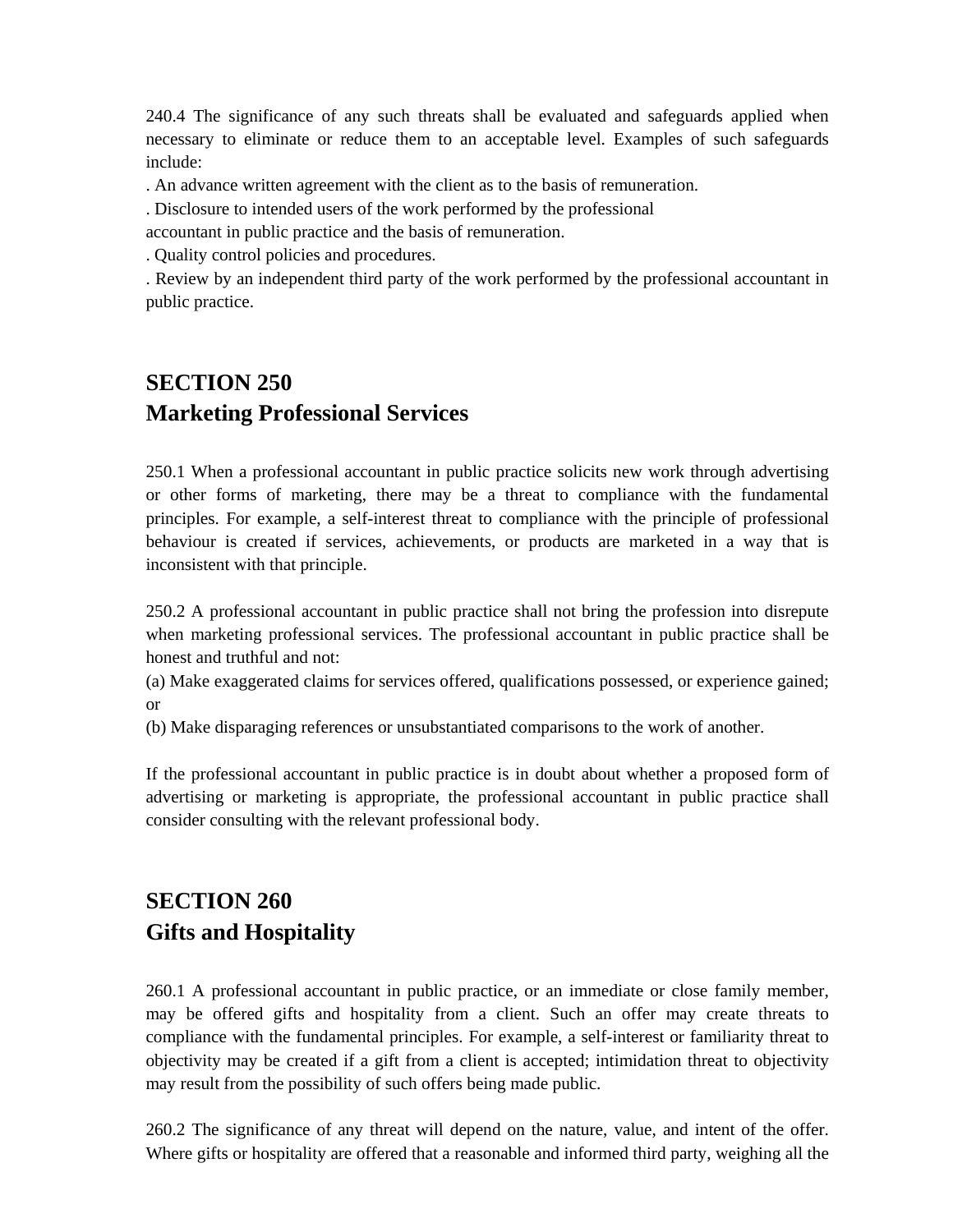240.4 The significance of any such threats shall be evaluated and safeguards applied when necessary to eliminate or reduce them to an acceptable level. Examples of such safeguards include:

. An advance written agreement with the client as to the basis of remuneration.

. Disclosure to intended users of the work performed by the professional

accountant in public practice and the basis of remuneration.

. Quality control policies and procedures.

. Review by an independent third party of the work performed by the professional accountant in public practice.

#### **SECTION 250 Marketing Professional Services**

250.1 When a professional accountant in public practice solicits new work through advertising or other forms of marketing, there may be a threat to compliance with the fundamental principles. For example, a self-interest threat to compliance with the principle of professional behaviour is created if services, achievements, or products are marketed in a way that is inconsistent with that principle.

250.2 A professional accountant in public practice shall not bring the profession into disrepute when marketing professional services. The professional accountant in public practice shall be honest and truthful and not:

(a) Make exaggerated claims for services offered, qualifications possessed, or experience gained; or

(b) Make disparaging references or unsubstantiated comparisons to the work of another.

If the professional accountant in public practice is in doubt about whether a proposed form of advertising or marketing is appropriate, the professional accountant in public practice shall consider consulting with the relevant professional body.

### **SECTION 260 Gifts and Hospitality**

260.1 A professional accountant in public practice, or an immediate or close family member, may be offered gifts and hospitality from a client. Such an offer may create threats to compliance with the fundamental principles. For example, a self-interest or familiarity threat to objectivity may be created if a gift from a client is accepted; intimidation threat to objectivity may result from the possibility of such offers being made public.

260.2 The significance of any threat will depend on the nature, value, and intent of the offer. Where gifts or hospitality are offered that a reasonable and informed third party, weighing all the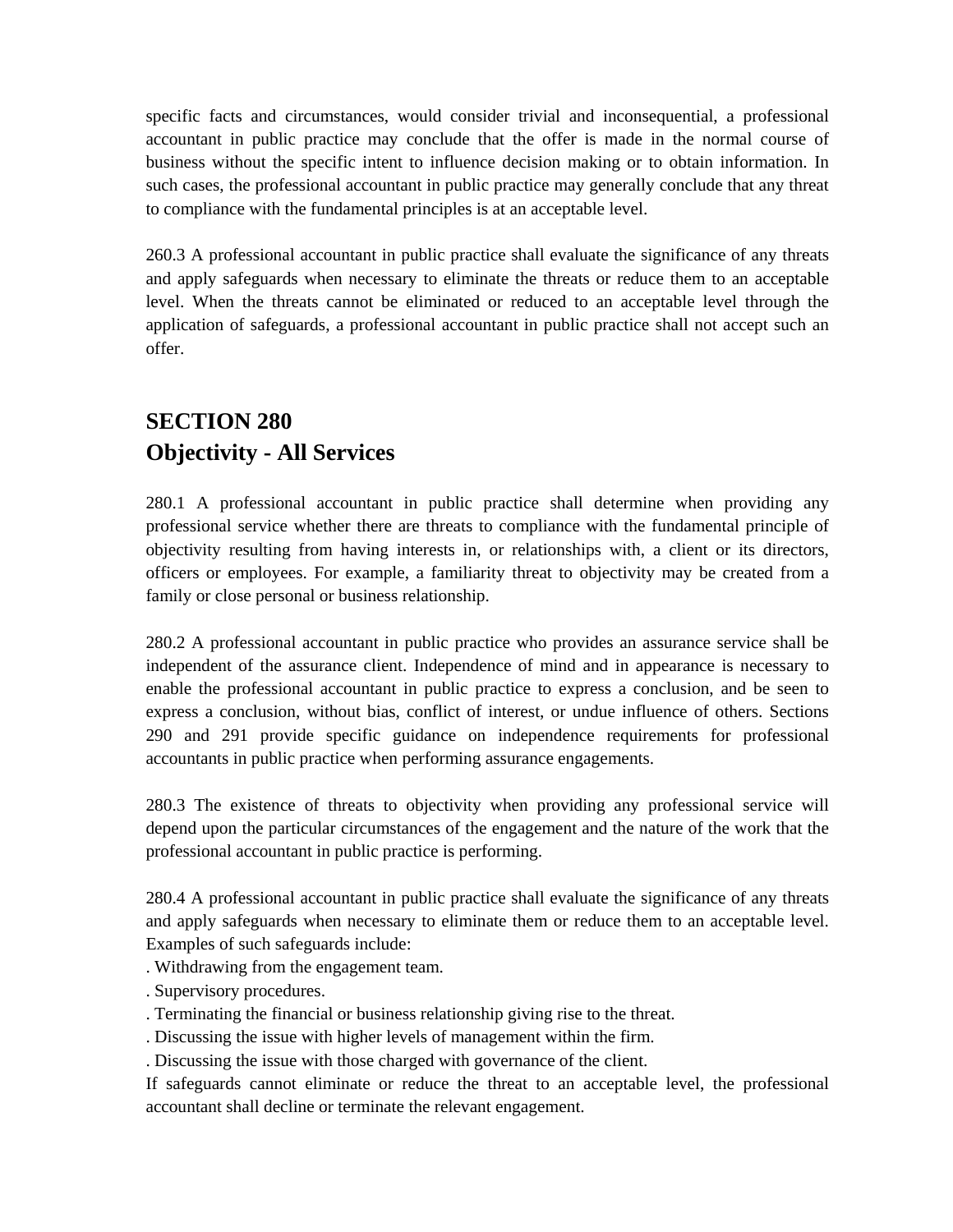specific facts and circumstances, would consider trivial and inconsequential, a professional accountant in public practice may conclude that the offer is made in the normal course of business without the specific intent to influence decision making or to obtain information. In such cases, the professional accountant in public practice may generally conclude that any threat to compliance with the fundamental principles is at an acceptable level.

260.3 A professional accountant in public practice shall evaluate the significance of any threats and apply safeguards when necessary to eliminate the threats or reduce them to an acceptable level. When the threats cannot be eliminated or reduced to an acceptable level through the application of safeguards, a professional accountant in public practice shall not accept such an offer.

# **SECTION 280 Objectivity - All Services**

280.1 A professional accountant in public practice shall determine when providing any professional service whether there are threats to compliance with the fundamental principle of objectivity resulting from having interests in, or relationships with, a client or its directors, officers or employees. For example, a familiarity threat to objectivity may be created from a family or close personal or business relationship.

280.2 A professional accountant in public practice who provides an assurance service shall be independent of the assurance client. Independence of mind and in appearance is necessary to enable the professional accountant in public practice to express a conclusion, and be seen to express a conclusion, without bias, conflict of interest, or undue influence of others. Sections 290 and 291 provide specific guidance on independence requirements for professional accountants in public practice when performing assurance engagements.

280.3 The existence of threats to objectivity when providing any professional service will depend upon the particular circumstances of the engagement and the nature of the work that the professional accountant in public practice is performing.

280.4 A professional accountant in public practice shall evaluate the significance of any threats and apply safeguards when necessary to eliminate them or reduce them to an acceptable level. Examples of such safeguards include:

. Withdrawing from the engagement team.

. Supervisory procedures.

- . Terminating the financial or business relationship giving rise to the threat.
- . Discussing the issue with higher levels of management within the firm.

. Discussing the issue with those charged with governance of the client.

If safeguards cannot eliminate or reduce the threat to an acceptable level, the professional accountant shall decline or terminate the relevant engagement.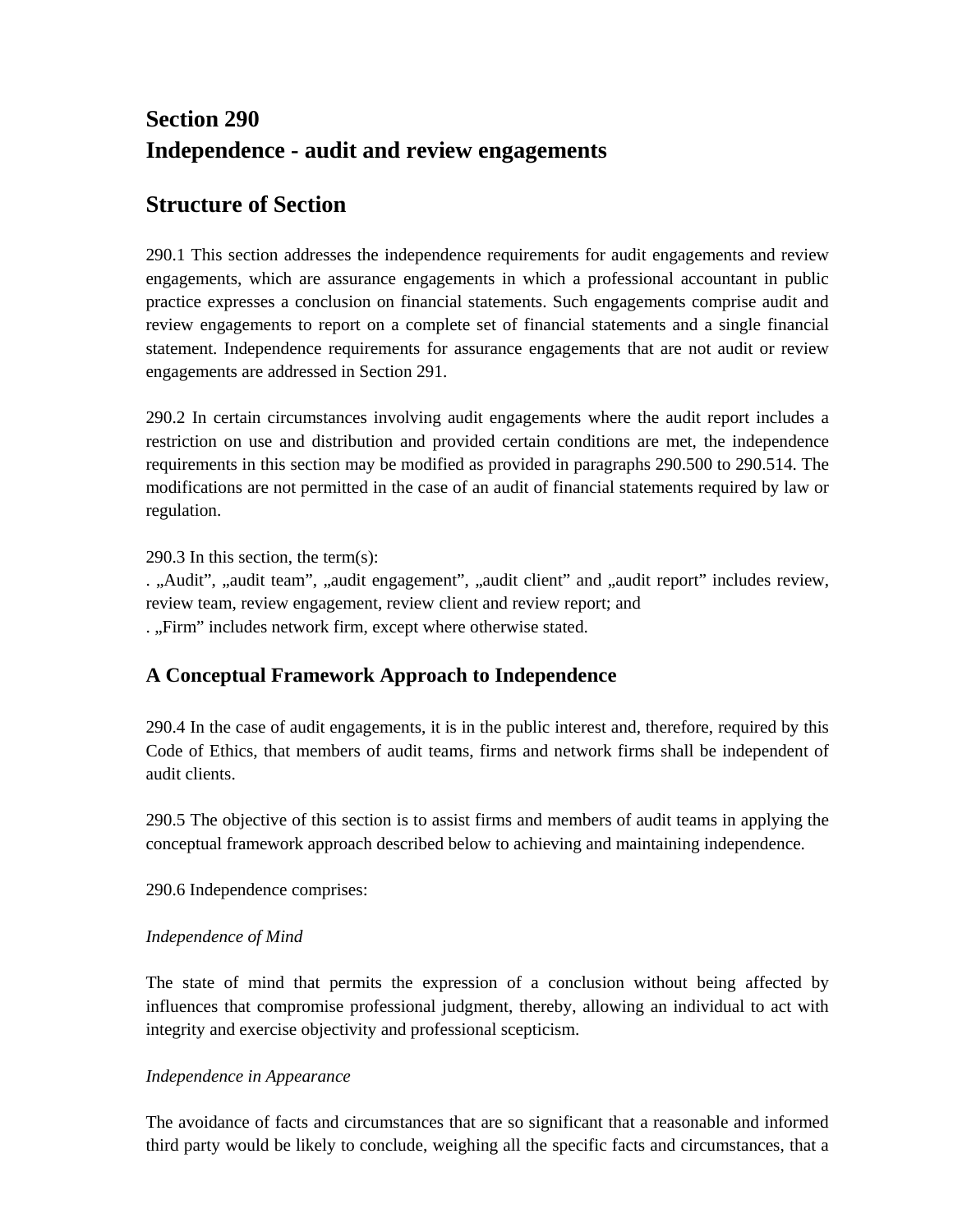# **Section 290 Independence - audit and review engagements**

### **Structure of Section**

290.1 This section addresses the independence requirements for audit engagements and review engagements, which are assurance engagements in which a professional accountant in public practice expresses a conclusion on financial statements. Such engagements comprise audit and review engagements to report on a complete set of financial statements and a single financial statement. Independence requirements for assurance engagements that are not audit or review engagements are addressed in Section 291.

290.2 In certain circumstances involving audit engagements where the audit report includes a restriction on use and distribution and provided certain conditions are met, the independence requirements in this section may be modified as provided in paragraphs 290.500 to 290.514. The modifications are not permitted in the case of an audit of financial statements required by law or regulation.

290.3 In this section, the term(s):

. "Audit", "audit team", "audit engagement", "audit client" and "audit report" includes review, review team, review engagement, review client and review report; and . "Firm" includes network firm, except where otherwise stated.

### **A Conceptual Framework Approach to Independence**

290.4 In the case of audit engagements, it is in the public interest and, therefore, required by this Code of Ethics, that members of audit teams, firms and network firms shall be independent of audit clients.

290.5 The objective of this section is to assist firms and members of audit teams in applying the conceptual framework approach described below to achieving and maintaining independence.

290.6 Independence comprises:

#### *Independence of Mind*

The state of mind that permits the expression of a conclusion without being affected by influences that compromise professional judgment, thereby, allowing an individual to act with integrity and exercise objectivity and professional scepticism.

#### *Independence in Appearance*

The avoidance of facts and circumstances that are so significant that a reasonable and informed third party would be likely to conclude, weighing all the specific facts and circumstances, that a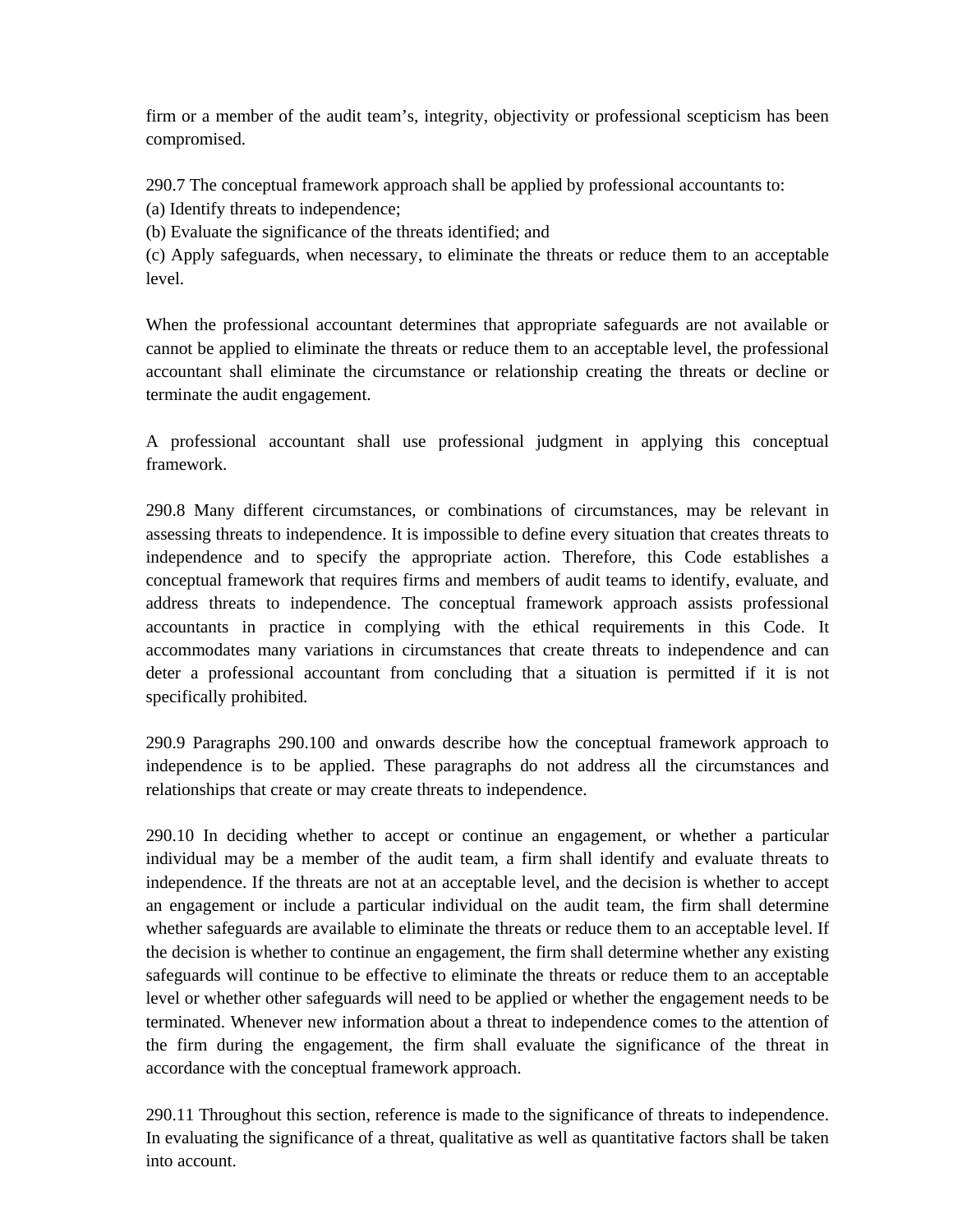firm or a member of the audit team's, integrity, objectivity or professional scepticism has been compromised.

290.7 The conceptual framework approach shall be applied by professional accountants to:

(a) Identify threats to independence;

(b) Evaluate the significance of the threats identified; and

(c) Apply safeguards, when necessary, to eliminate the threats or reduce them to an acceptable level.

When the professional accountant determines that appropriate safeguards are not available or cannot be applied to eliminate the threats or reduce them to an acceptable level, the professional accountant shall eliminate the circumstance or relationship creating the threats or decline or terminate the audit engagement.

A professional accountant shall use professional judgment in applying this conceptual framework.

290.8 Many different circumstances, or combinations of circumstances, may be relevant in assessing threats to independence. It is impossible to define every situation that creates threats to independence and to specify the appropriate action. Therefore, this Code establishes a conceptual framework that requires firms and members of audit teams to identify, evaluate, and address threats to independence. The conceptual framework approach assists professional accountants in practice in complying with the ethical requirements in this Code. It accommodates many variations in circumstances that create threats to independence and can deter a professional accountant from concluding that a situation is permitted if it is not specifically prohibited.

290.9 Paragraphs 290.100 and onwards describe how the conceptual framework approach to independence is to be applied. These paragraphs do not address all the circumstances and relationships that create or may create threats to independence.

290.10 In deciding whether to accept or continue an engagement, or whether a particular individual may be a member of the audit team, a firm shall identify and evaluate threats to independence. If the threats are not at an acceptable level, and the decision is whether to accept an engagement or include a particular individual on the audit team, the firm shall determine whether safeguards are available to eliminate the threats or reduce them to an acceptable level. If the decision is whether to continue an engagement, the firm shall determine whether any existing safeguards will continue to be effective to eliminate the threats or reduce them to an acceptable level or whether other safeguards will need to be applied or whether the engagement needs to be terminated. Whenever new information about a threat to independence comes to the attention of the firm during the engagement, the firm shall evaluate the significance of the threat in accordance with the conceptual framework approach.

290.11 Throughout this section, reference is made to the significance of threats to independence. In evaluating the significance of a threat, qualitative as well as quantitative factors shall be taken into account.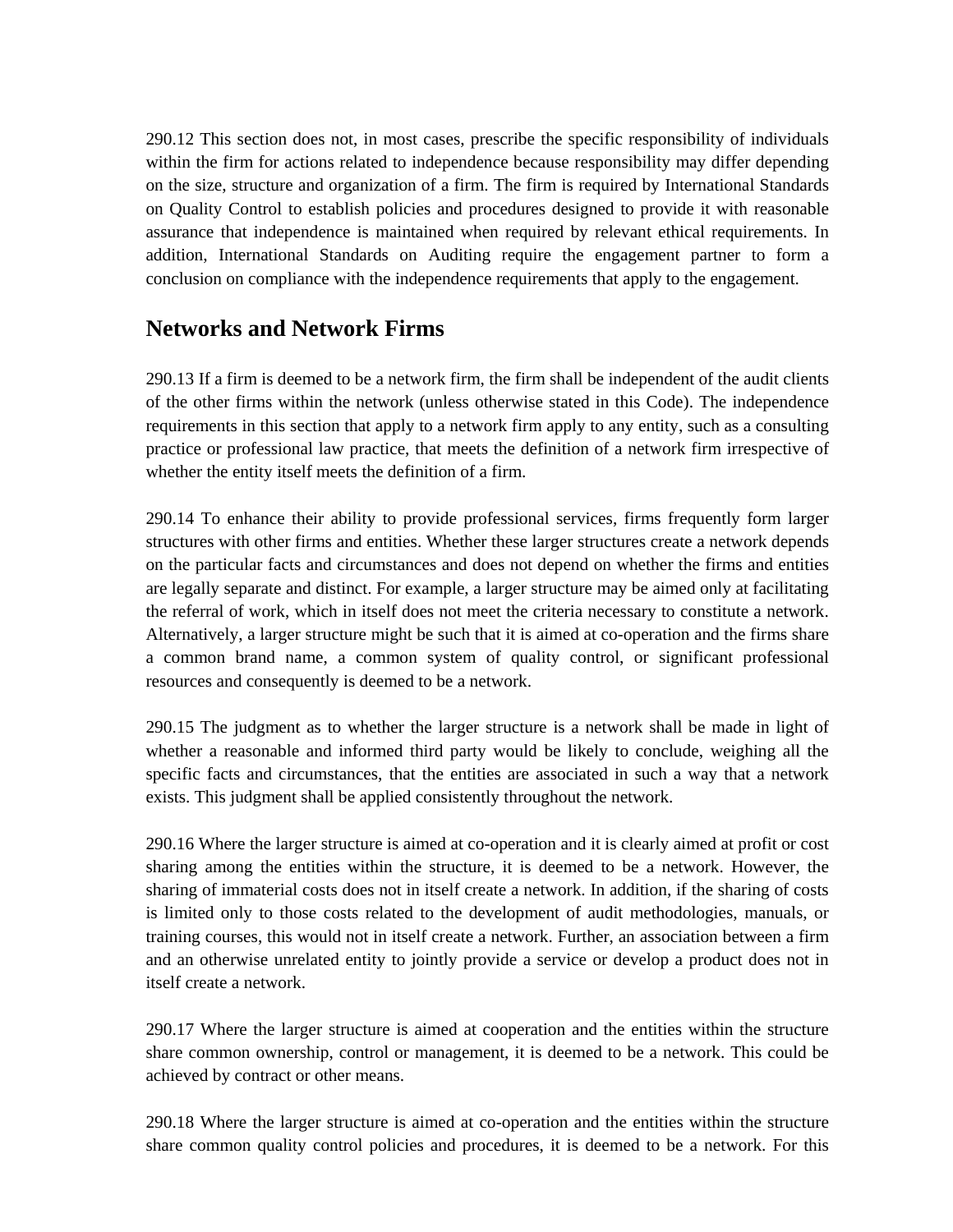290.12 This section does not, in most cases, prescribe the specific responsibility of individuals within the firm for actions related to independence because responsibility may differ depending on the size, structure and organization of a firm. The firm is required by International Standards on Quality Control to establish policies and procedures designed to provide it with reasonable assurance that independence is maintained when required by relevant ethical requirements. In addition, International Standards on Auditing require the engagement partner to form a conclusion on compliance with the independence requirements that apply to the engagement.

# **Networks and Network Firms**

290.13 If a firm is deemed to be a network firm, the firm shall be independent of the audit clients of the other firms within the network (unless otherwise stated in this Code). The independence requirements in this section that apply to a network firm apply to any entity, such as a consulting practice or professional law practice, that meets the definition of a network firm irrespective of whether the entity itself meets the definition of a firm.

290.14 To enhance their ability to provide professional services, firms frequently form larger structures with other firms and entities. Whether these larger structures create a network depends on the particular facts and circumstances and does not depend on whether the firms and entities are legally separate and distinct. For example, a larger structure may be aimed only at facilitating the referral of work, which in itself does not meet the criteria necessary to constitute a network. Alternatively, a larger structure might be such that it is aimed at co-operation and the firms share a common brand name, a common system of quality control, or significant professional resources and consequently is deemed to be a network.

290.15 The judgment as to whether the larger structure is a network shall be made in light of whether a reasonable and informed third party would be likely to conclude, weighing all the specific facts and circumstances, that the entities are associated in such a way that a network exists. This judgment shall be applied consistently throughout the network.

290.16 Where the larger structure is aimed at co-operation and it is clearly aimed at profit or cost sharing among the entities within the structure, it is deemed to be a network. However, the sharing of immaterial costs does not in itself create a network. In addition, if the sharing of costs is limited only to those costs related to the development of audit methodologies, manuals, or training courses, this would not in itself create a network. Further, an association between a firm and an otherwise unrelated entity to jointly provide a service or develop a product does not in itself create a network.

290.17 Where the larger structure is aimed at cooperation and the entities within the structure share common ownership, control or management, it is deemed to be a network. This could be achieved by contract or other means.

290.18 Where the larger structure is aimed at co-operation and the entities within the structure share common quality control policies and procedures, it is deemed to be a network. For this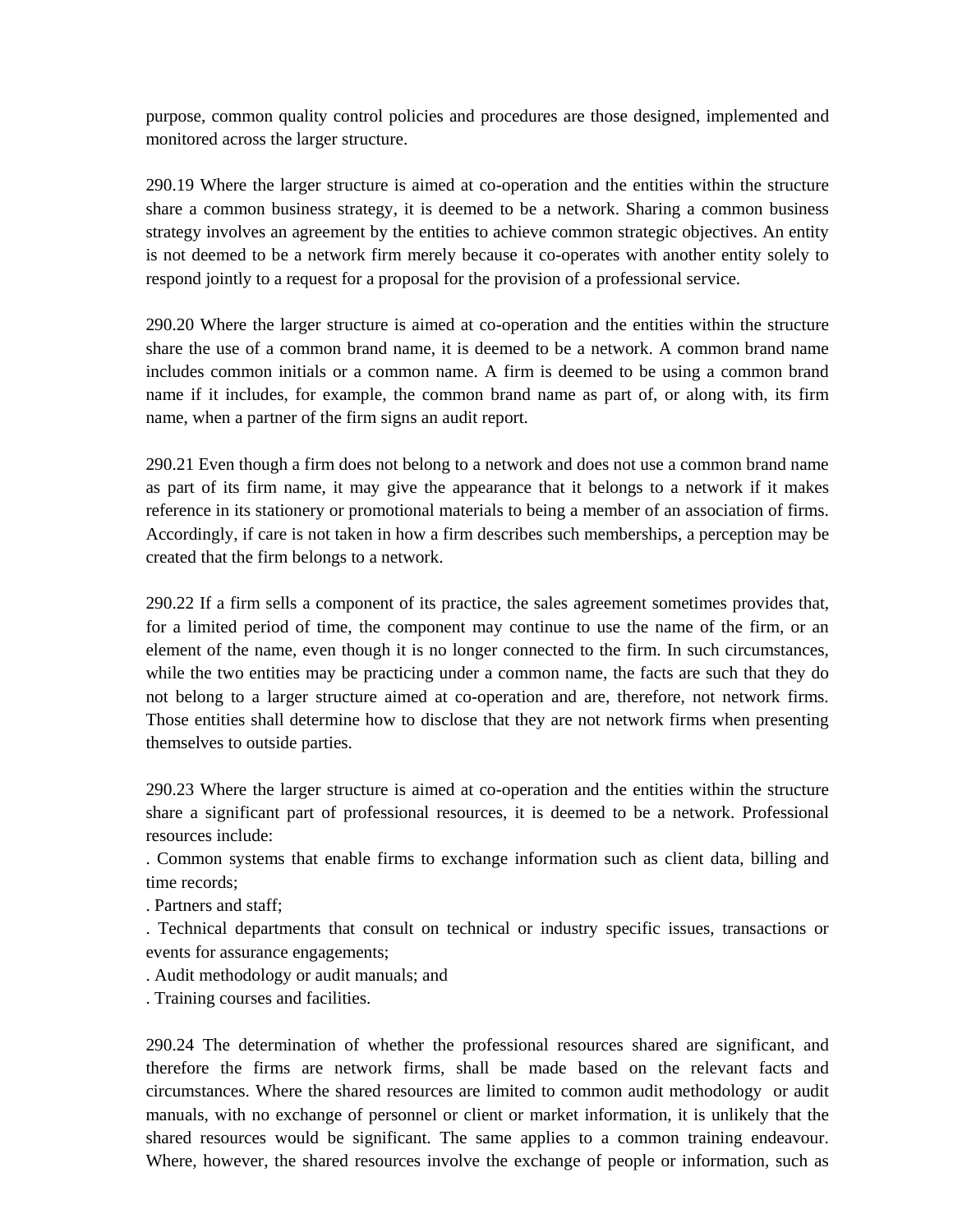purpose, common quality control policies and procedures are those designed, implemented and monitored across the larger structure.

290.19 Where the larger structure is aimed at co-operation and the entities within the structure share a common business strategy, it is deemed to be a network. Sharing a common business strategy involves an agreement by the entities to achieve common strategic objectives. An entity is not deemed to be a network firm merely because it co-operates with another entity solely to respond jointly to a request for a proposal for the provision of a professional service.

290.20 Where the larger structure is aimed at co-operation and the entities within the structure share the use of a common brand name, it is deemed to be a network. A common brand name includes common initials or a common name. A firm is deemed to be using a common brand name if it includes, for example, the common brand name as part of, or along with, its firm name, when a partner of the firm signs an audit report.

290.21 Even though a firm does not belong to a network and does not use a common brand name as part of its firm name, it may give the appearance that it belongs to a network if it makes reference in its stationery or promotional materials to being a member of an association of firms. Accordingly, if care is not taken in how a firm describes such memberships, a perception may be created that the firm belongs to a network.

290.22 If a firm sells a component of its practice, the sales agreement sometimes provides that, for a limited period of time, the component may continue to use the name of the firm, or an element of the name, even though it is no longer connected to the firm. In such circumstances, while the two entities may be practicing under a common name, the facts are such that they do not belong to a larger structure aimed at co-operation and are, therefore, not network firms. Those entities shall determine how to disclose that they are not network firms when presenting themselves to outside parties.

290.23 Where the larger structure is aimed at co-operation and the entities within the structure share a significant part of professional resources, it is deemed to be a network. Professional resources include:

. Common systems that enable firms to exchange information such as client data, billing and time records;

. Partners and staff;

. Technical departments that consult on technical or industry specific issues, transactions or events for assurance engagements;

. Audit methodology or audit manuals; and

. Training courses and facilities.

290.24 The determination of whether the professional resources shared are significant, and therefore the firms are network firms, shall be made based on the relevant facts and circumstances. Where the shared resources are limited to common audit methodology or audit manuals, with no exchange of personnel or client or market information, it is unlikely that the shared resources would be significant. The same applies to a common training endeavour. Where, however, the shared resources involve the exchange of people or information, such as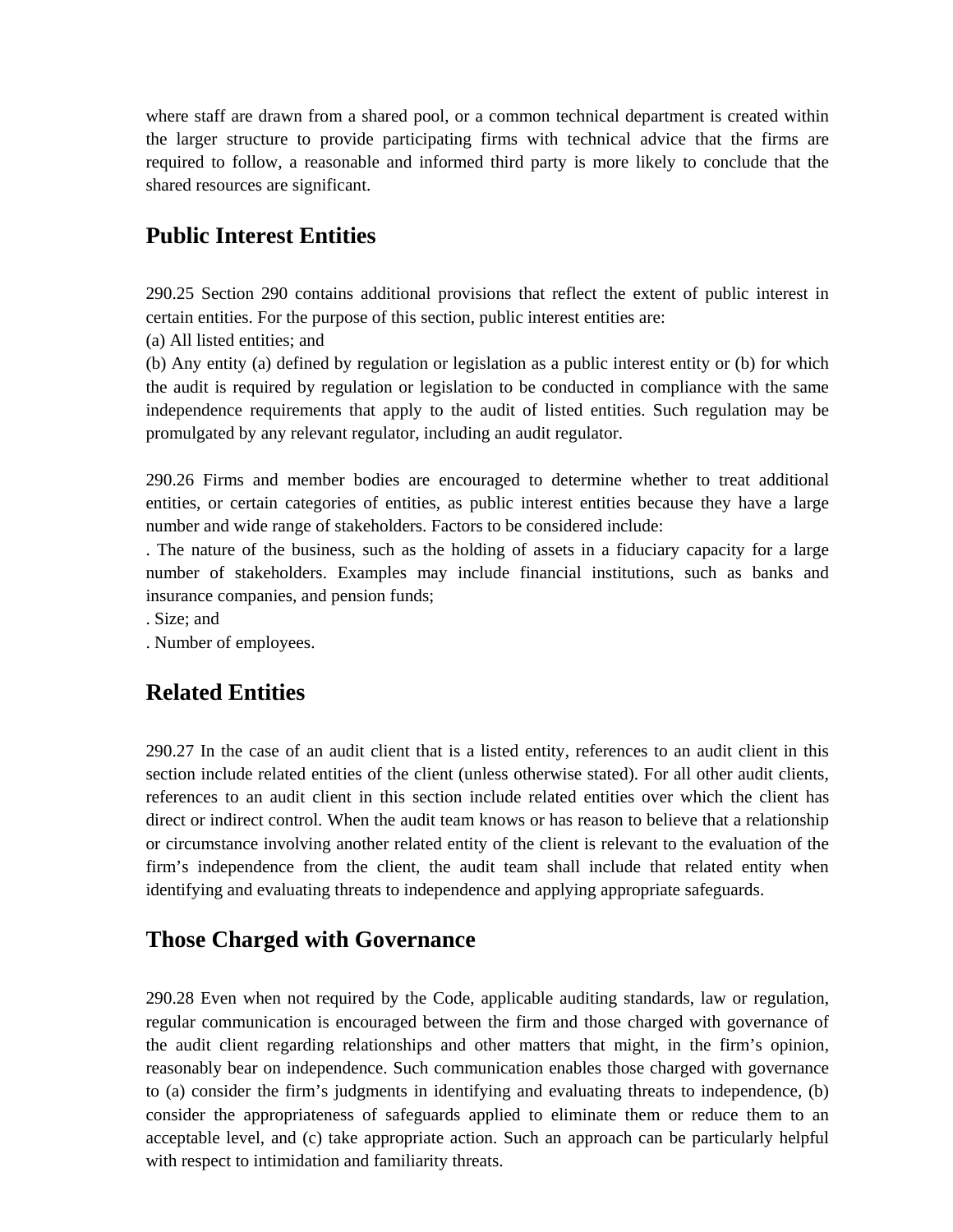where staff are drawn from a shared pool, or a common technical department is created within the larger structure to provide participating firms with technical advice that the firms are required to follow, a reasonable and informed third party is more likely to conclude that the shared resources are significant.

### **Public Interest Entities**

290.25 Section 290 contains additional provisions that reflect the extent of public interest in certain entities. For the purpose of this section, public interest entities are:

(a) All listed entities; and

(b) Any entity (a) defined by regulation or legislation as a public interest entity or (b) for which the audit is required by regulation or legislation to be conducted in compliance with the same independence requirements that apply to the audit of listed entities. Such regulation may be promulgated by any relevant regulator, including an audit regulator.

290.26 Firms and member bodies are encouraged to determine whether to treat additional entities, or certain categories of entities, as public interest entities because they have a large number and wide range of stakeholders. Factors to be considered include:

. The nature of the business, such as the holding of assets in a fiduciary capacity for a large number of stakeholders. Examples may include financial institutions, such as banks and insurance companies, and pension funds;

. Size; and

. Number of employees.

## **Related Entities**

290.27 In the case of an audit client that is a listed entity, references to an audit client in this section include related entities of the client (unless otherwise stated). For all other audit clients, references to an audit client in this section include related entities over which the client has direct or indirect control. When the audit team knows or has reason to believe that a relationship or circumstance involving another related entity of the client is relevant to the evaluation of the firm's independence from the client, the audit team shall include that related entity when identifying and evaluating threats to independence and applying appropriate safeguards.

### **Those Charged with Governance**

290.28 Even when not required by the Code, applicable auditing standards, law or regulation, regular communication is encouraged between the firm and those charged with governance of the audit client regarding relationships and other matters that might, in the firm's opinion, reasonably bear on independence. Such communication enables those charged with governance to (a) consider the firm's judgments in identifying and evaluating threats to independence, (b) consider the appropriateness of safeguards applied to eliminate them or reduce them to an acceptable level, and (c) take appropriate action. Such an approach can be particularly helpful with respect to intimidation and familiarity threats.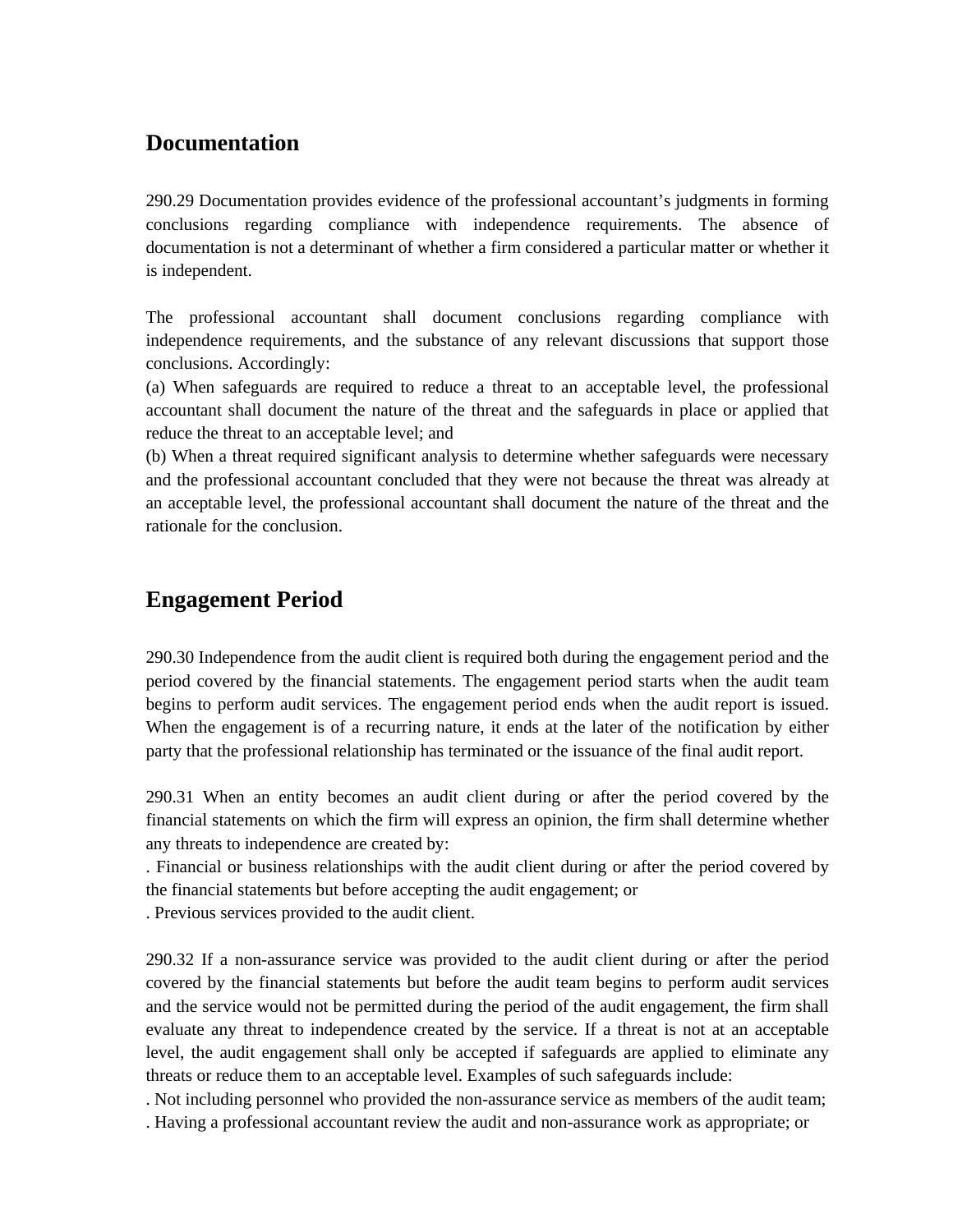## **Documentation**

290.29 Documentation provides evidence of the professional accountant's judgments in forming conclusions regarding compliance with independence requirements. The absence of documentation is not a determinant of whether a firm considered a particular matter or whether it is independent.

The professional accountant shall document conclusions regarding compliance with independence requirements, and the substance of any relevant discussions that support those conclusions. Accordingly:

(a) When safeguards are required to reduce a threat to an acceptable level, the professional accountant shall document the nature of the threat and the safeguards in place or applied that reduce the threat to an acceptable level; and

(b) When a threat required significant analysis to determine whether safeguards were necessary and the professional accountant concluded that they were not because the threat was already at an acceptable level, the professional accountant shall document the nature of the threat and the rationale for the conclusion.

### **Engagement Period**

290.30 Independence from the audit client is required both during the engagement period and the period covered by the financial statements. The engagement period starts when the audit team begins to perform audit services. The engagement period ends when the audit report is issued. When the engagement is of a recurring nature, it ends at the later of the notification by either party that the professional relationship has terminated or the issuance of the final audit report.

290.31 When an entity becomes an audit client during or after the period covered by the financial statements on which the firm will express an opinion, the firm shall determine whether any threats to independence are created by:

. Financial or business relationships with the audit client during or after the period covered by the financial statements but before accepting the audit engagement; or

. Previous services provided to the audit client.

290.32 If a non-assurance service was provided to the audit client during or after the period covered by the financial statements but before the audit team begins to perform audit services and the service would not be permitted during the period of the audit engagement, the firm shall evaluate any threat to independence created by the service. If a threat is not at an acceptable level, the audit engagement shall only be accepted if safeguards are applied to eliminate any threats or reduce them to an acceptable level. Examples of such safeguards include:

. Not including personnel who provided the non-assurance service as members of the audit team;

. Having a professional accountant review the audit and non-assurance work as appropriate; or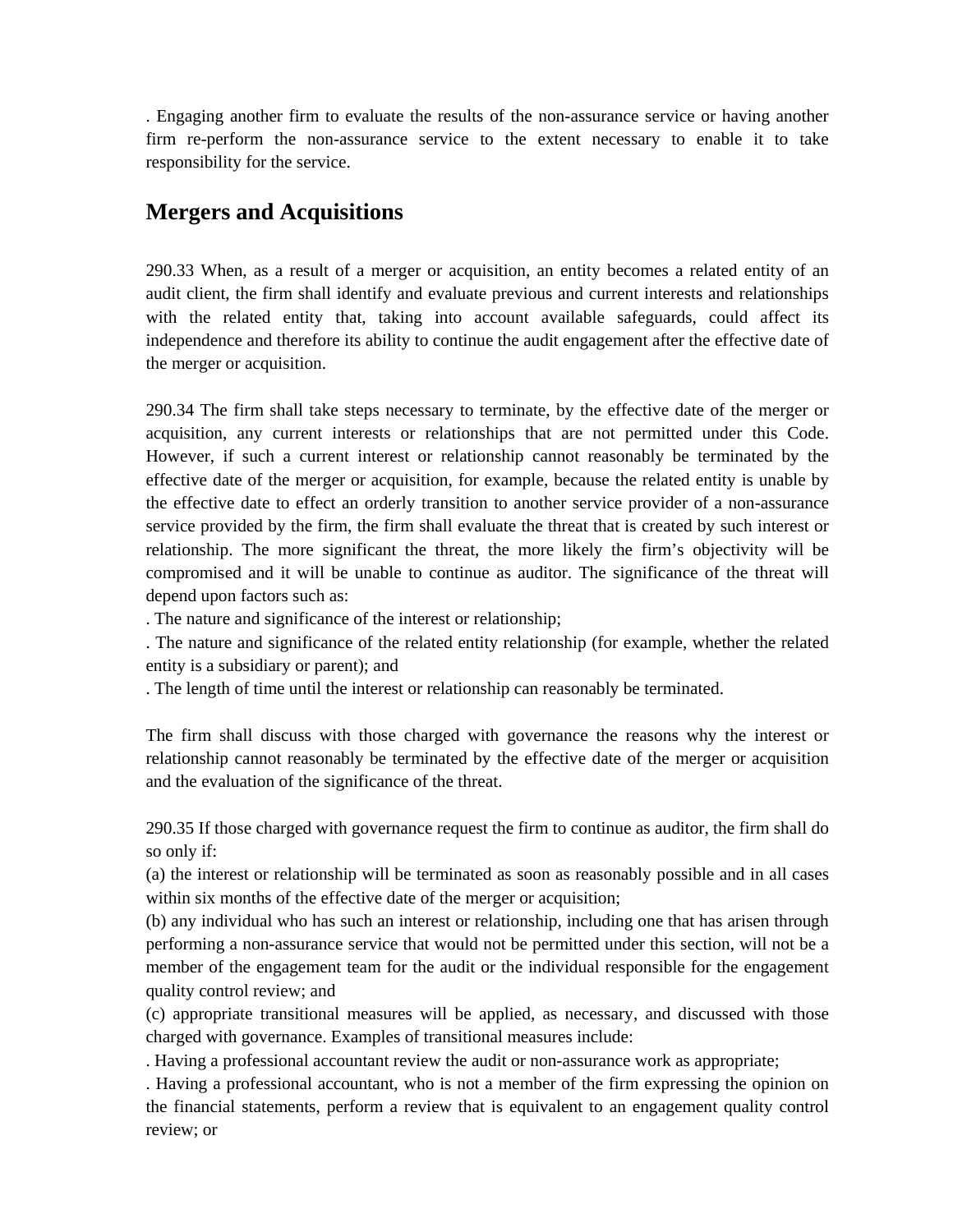. Engaging another firm to evaluate the results of the non-assurance service or having another firm re-perform the non-assurance service to the extent necessary to enable it to take responsibility for the service.

## **Mergers and Acquisitions**

290.33 When, as a result of a merger or acquisition, an entity becomes a related entity of an audit client, the firm shall identify and evaluate previous and current interests and relationships with the related entity that, taking into account available safeguards, could affect its independence and therefore its ability to continue the audit engagement after the effective date of the merger or acquisition.

290.34 The firm shall take steps necessary to terminate, by the effective date of the merger or acquisition, any current interests or relationships that are not permitted under this Code. However, if such a current interest or relationship cannot reasonably be terminated by the effective date of the merger or acquisition, for example, because the related entity is unable by the effective date to effect an orderly transition to another service provider of a non-assurance service provided by the firm, the firm shall evaluate the threat that is created by such interest or relationship. The more significant the threat, the more likely the firm's objectivity will be compromised and it will be unable to continue as auditor. The significance of the threat will depend upon factors such as:

. The nature and significance of the interest or relationship;

. The nature and significance of the related entity relationship (for example, whether the related entity is a subsidiary or parent); and

. The length of time until the interest or relationship can reasonably be terminated.

The firm shall discuss with those charged with governance the reasons why the interest or relationship cannot reasonably be terminated by the effective date of the merger or acquisition and the evaluation of the significance of the threat.

290.35 If those charged with governance request the firm to continue as auditor, the firm shall do so only if:

(a) the interest or relationship will be terminated as soon as reasonably possible and in all cases within six months of the effective date of the merger or acquisition;

(b) any individual who has such an interest or relationship, including one that has arisen through performing a non-assurance service that would not be permitted under this section, will not be a member of the engagement team for the audit or the individual responsible for the engagement quality control review; and

(c) appropriate transitional measures will be applied, as necessary, and discussed with those charged with governance. Examples of transitional measures include:

. Having a professional accountant review the audit or non-assurance work as appropriate;

. Having a professional accountant, who is not a member of the firm expressing the opinion on the financial statements, perform a review that is equivalent to an engagement quality control review; or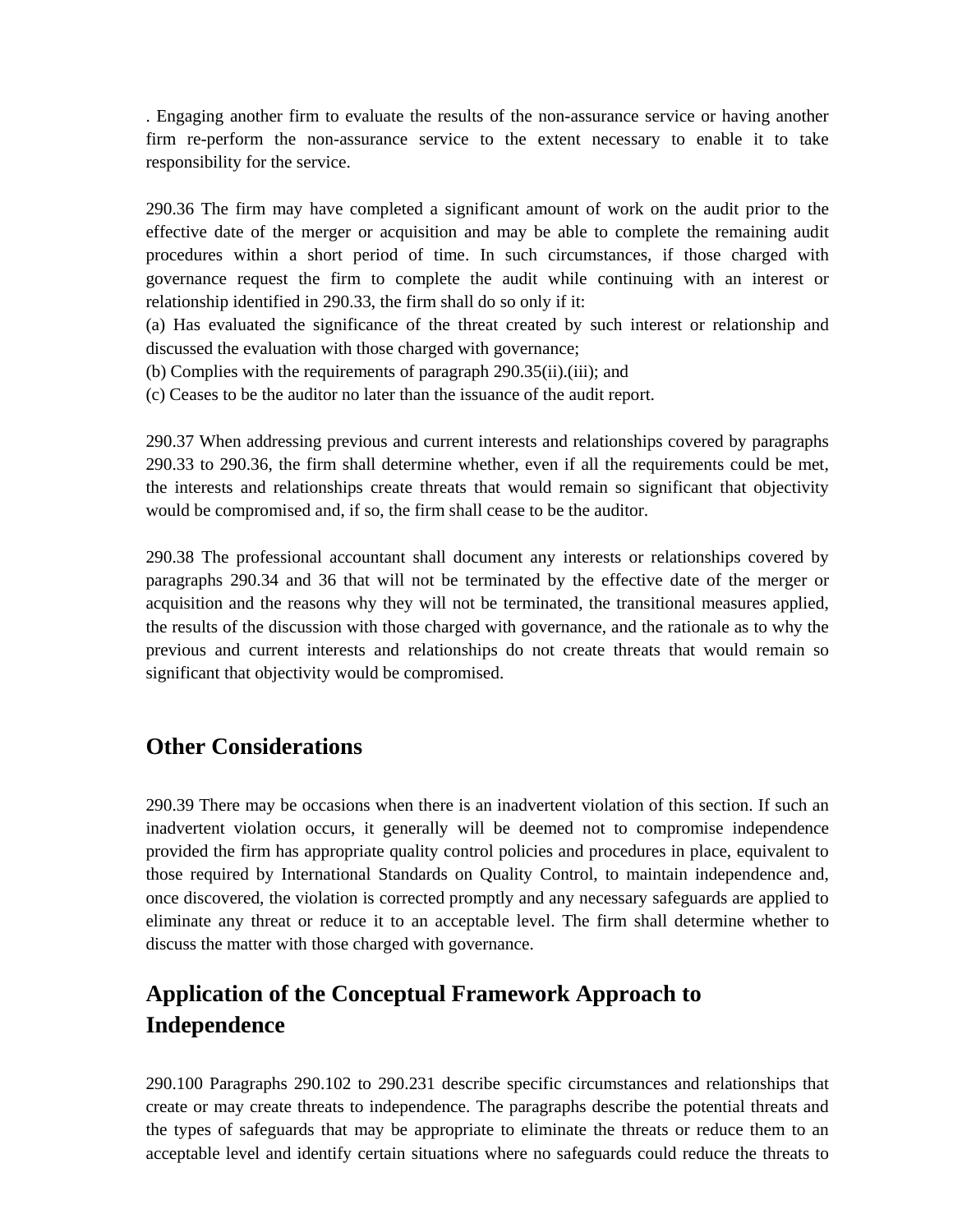. Engaging another firm to evaluate the results of the non-assurance service or having another firm re-perform the non-assurance service to the extent necessary to enable it to take responsibility for the service.

290.36 The firm may have completed a significant amount of work on the audit prior to the effective date of the merger or acquisition and may be able to complete the remaining audit procedures within a short period of time. In such circumstances, if those charged with governance request the firm to complete the audit while continuing with an interest or relationship identified in 290.33, the firm shall do so only if it:

(a) Has evaluated the significance of the threat created by such interest or relationship and discussed the evaluation with those charged with governance;

(b) Complies with the requirements of paragraph 290.35(ii).(iii); and

(c) Ceases to be the auditor no later than the issuance of the audit report.

290.37 When addressing previous and current interests and relationships covered by paragraphs 290.33 to 290.36, the firm shall determine whether, even if all the requirements could be met, the interests and relationships create threats that would remain so significant that objectivity would be compromised and, if so, the firm shall cease to be the auditor.

290.38 The professional accountant shall document any interests or relationships covered by paragraphs 290.34 and 36 that will not be terminated by the effective date of the merger or acquisition and the reasons why they will not be terminated, the transitional measures applied, the results of the discussion with those charged with governance, and the rationale as to why the previous and current interests and relationships do not create threats that would remain so significant that objectivity would be compromised.

## **Other Considerations**

290.39 There may be occasions when there is an inadvertent violation of this section. If such an inadvertent violation occurs, it generally will be deemed not to compromise independence provided the firm has appropriate quality control policies and procedures in place, equivalent to those required by International Standards on Quality Control, to maintain independence and, once discovered, the violation is corrected promptly and any necessary safeguards are applied to eliminate any threat or reduce it to an acceptable level. The firm shall determine whether to discuss the matter with those charged with governance.

# **Application of the Conceptual Framework Approach to Independence**

290.100 Paragraphs 290.102 to 290.231 describe specific circumstances and relationships that create or may create threats to independence. The paragraphs describe the potential threats and the types of safeguards that may be appropriate to eliminate the threats or reduce them to an acceptable level and identify certain situations where no safeguards could reduce the threats to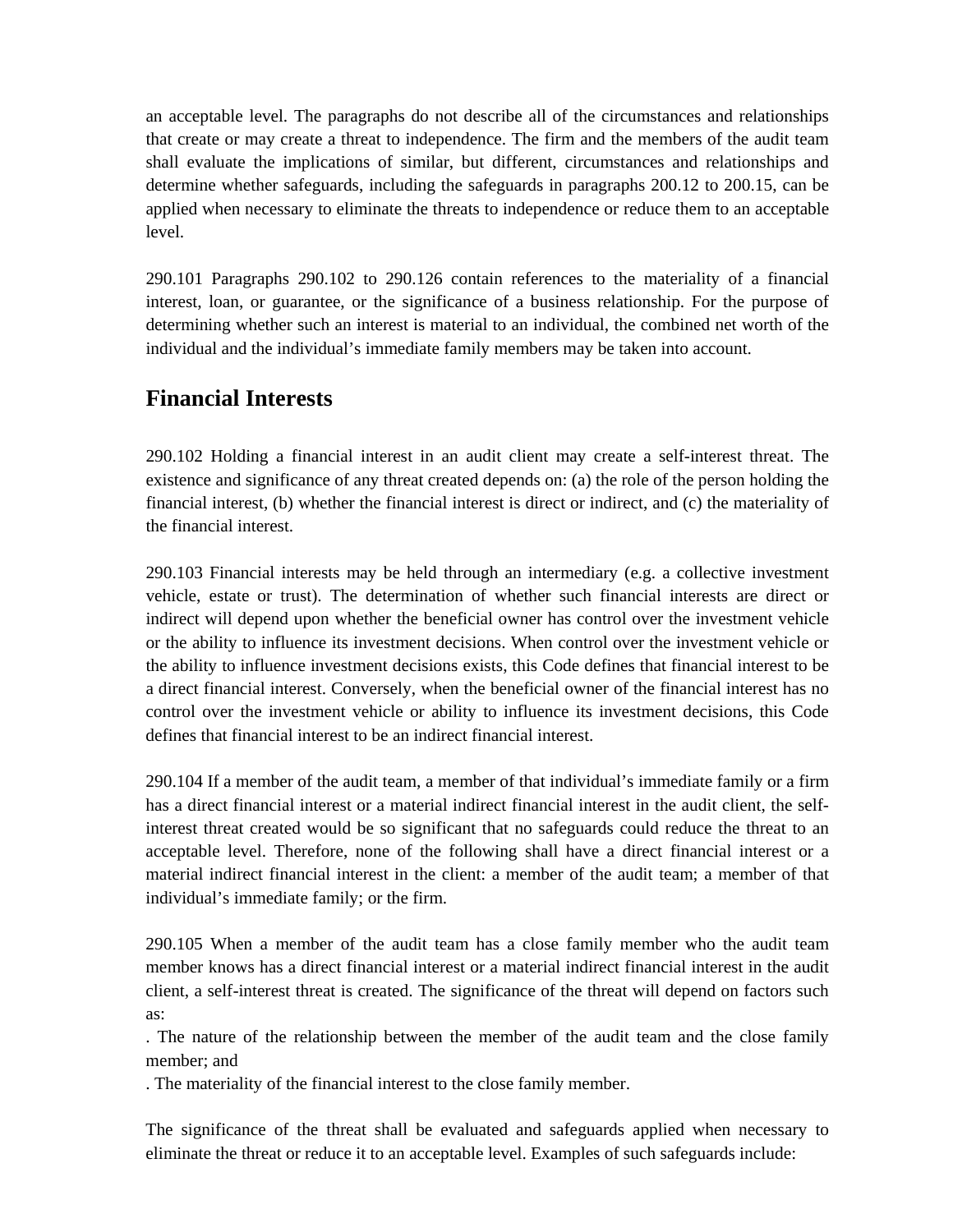an acceptable level. The paragraphs do not describe all of the circumstances and relationships that create or may create a threat to independence. The firm and the members of the audit team shall evaluate the implications of similar, but different, circumstances and relationships and determine whether safeguards, including the safeguards in paragraphs 200.12 to 200.15, can be applied when necessary to eliminate the threats to independence or reduce them to an acceptable level.

290.101 Paragraphs 290.102 to 290.126 contain references to the materiality of a financial interest, loan, or guarantee, or the significance of a business relationship. For the purpose of determining whether such an interest is material to an individual, the combined net worth of the individual and the individual's immediate family members may be taken into account.

### **Financial Interests**

290.102 Holding a financial interest in an audit client may create a self-interest threat. The existence and significance of any threat created depends on: (a) the role of the person holding the financial interest, (b) whether the financial interest is direct or indirect, and (c) the materiality of the financial interest.

290.103 Financial interests may be held through an intermediary (e.g. a collective investment vehicle, estate or trust). The determination of whether such financial interests are direct or indirect will depend upon whether the beneficial owner has control over the investment vehicle or the ability to influence its investment decisions. When control over the investment vehicle or the ability to influence investment decisions exists, this Code defines that financial interest to be a direct financial interest. Conversely, when the beneficial owner of the financial interest has no control over the investment vehicle or ability to influence its investment decisions, this Code defines that financial interest to be an indirect financial interest.

290.104 If a member of the audit team, a member of that individual's immediate family or a firm has a direct financial interest or a material indirect financial interest in the audit client, the selfinterest threat created would be so significant that no safeguards could reduce the threat to an acceptable level. Therefore, none of the following shall have a direct financial interest or a material indirect financial interest in the client: a member of the audit team; a member of that individual's immediate family; or the firm.

290.105 When a member of the audit team has a close family member who the audit team member knows has a direct financial interest or a material indirect financial interest in the audit client, a self-interest threat is created. The significance of the threat will depend on factors such as:

. The nature of the relationship between the member of the audit team and the close family member; and

. The materiality of the financial interest to the close family member.

The significance of the threat shall be evaluated and safeguards applied when necessary to eliminate the threat or reduce it to an acceptable level. Examples of such safeguards include: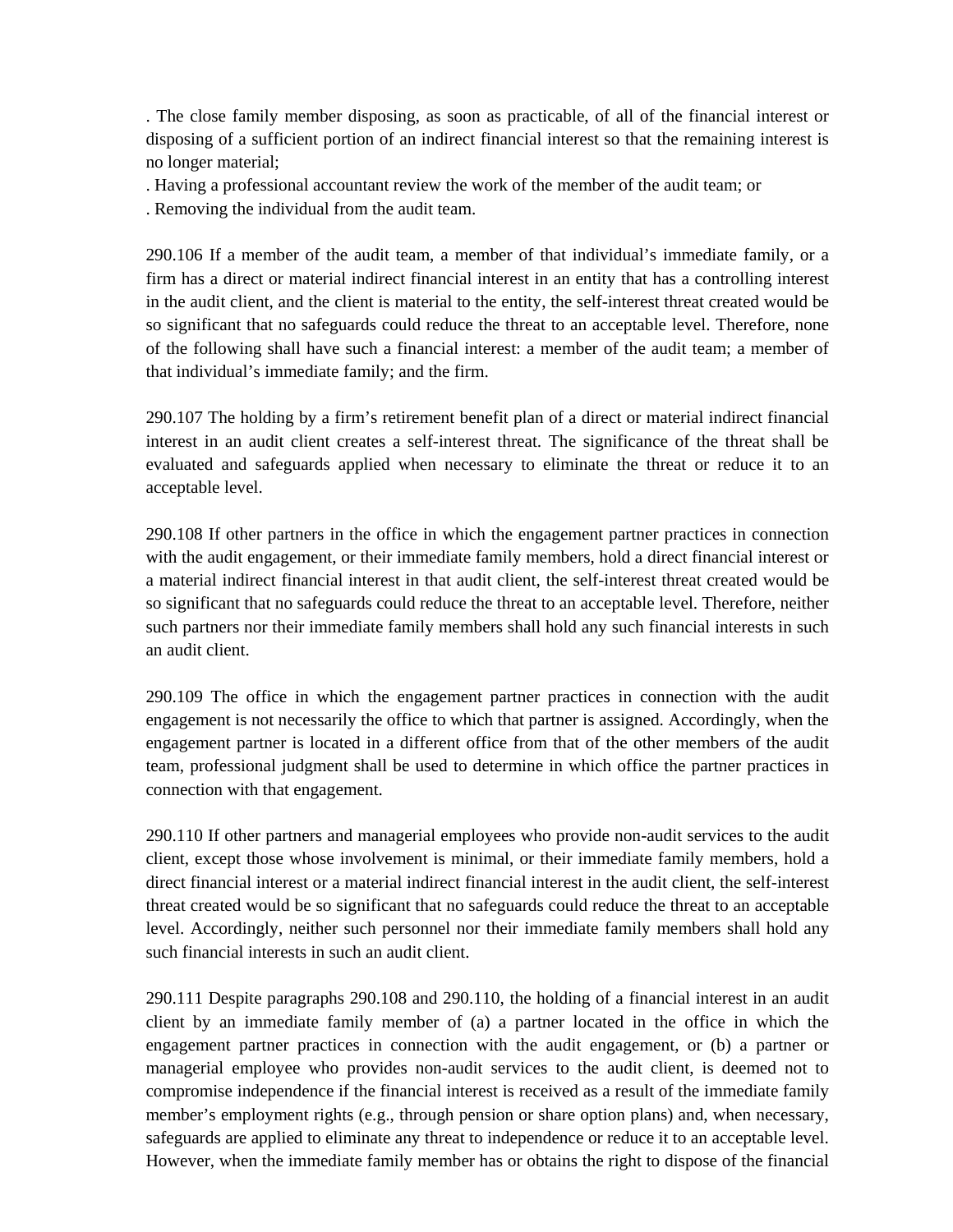. The close family member disposing, as soon as practicable, of all of the financial interest or disposing of a sufficient portion of an indirect financial interest so that the remaining interest is no longer material;

. Having a professional accountant review the work of the member of the audit team; or

. Removing the individual from the audit team.

290.106 If a member of the audit team, a member of that individual's immediate family, or a firm has a direct or material indirect financial interest in an entity that has a controlling interest in the audit client, and the client is material to the entity, the self-interest threat created would be so significant that no safeguards could reduce the threat to an acceptable level. Therefore, none of the following shall have such a financial interest: a member of the audit team; a member of that individual's immediate family; and the firm.

290.107 The holding by a firm's retirement benefit plan of a direct or material indirect financial interest in an audit client creates a self-interest threat. The significance of the threat shall be evaluated and safeguards applied when necessary to eliminate the threat or reduce it to an acceptable level.

290.108 If other partners in the office in which the engagement partner practices in connection with the audit engagement, or their immediate family members, hold a direct financial interest or a material indirect financial interest in that audit client, the self-interest threat created would be so significant that no safeguards could reduce the threat to an acceptable level. Therefore, neither such partners nor their immediate family members shall hold any such financial interests in such an audit client.

290.109 The office in which the engagement partner practices in connection with the audit engagement is not necessarily the office to which that partner is assigned. Accordingly, when the engagement partner is located in a different office from that of the other members of the audit team, professional judgment shall be used to determine in which office the partner practices in connection with that engagement.

290.110 If other partners and managerial employees who provide non-audit services to the audit client, except those whose involvement is minimal, or their immediate family members, hold a direct financial interest or a material indirect financial interest in the audit client, the self-interest threat created would be so significant that no safeguards could reduce the threat to an acceptable level. Accordingly, neither such personnel nor their immediate family members shall hold any such financial interests in such an audit client.

290.111 Despite paragraphs 290.108 and 290.110, the holding of a financial interest in an audit client by an immediate family member of (a) a partner located in the office in which the engagement partner practices in connection with the audit engagement, or (b) a partner or managerial employee who provides non-audit services to the audit client, is deemed not to compromise independence if the financial interest is received as a result of the immediate family member's employment rights (e.g., through pension or share option plans) and, when necessary, safeguards are applied to eliminate any threat to independence or reduce it to an acceptable level. However, when the immediate family member has or obtains the right to dispose of the financial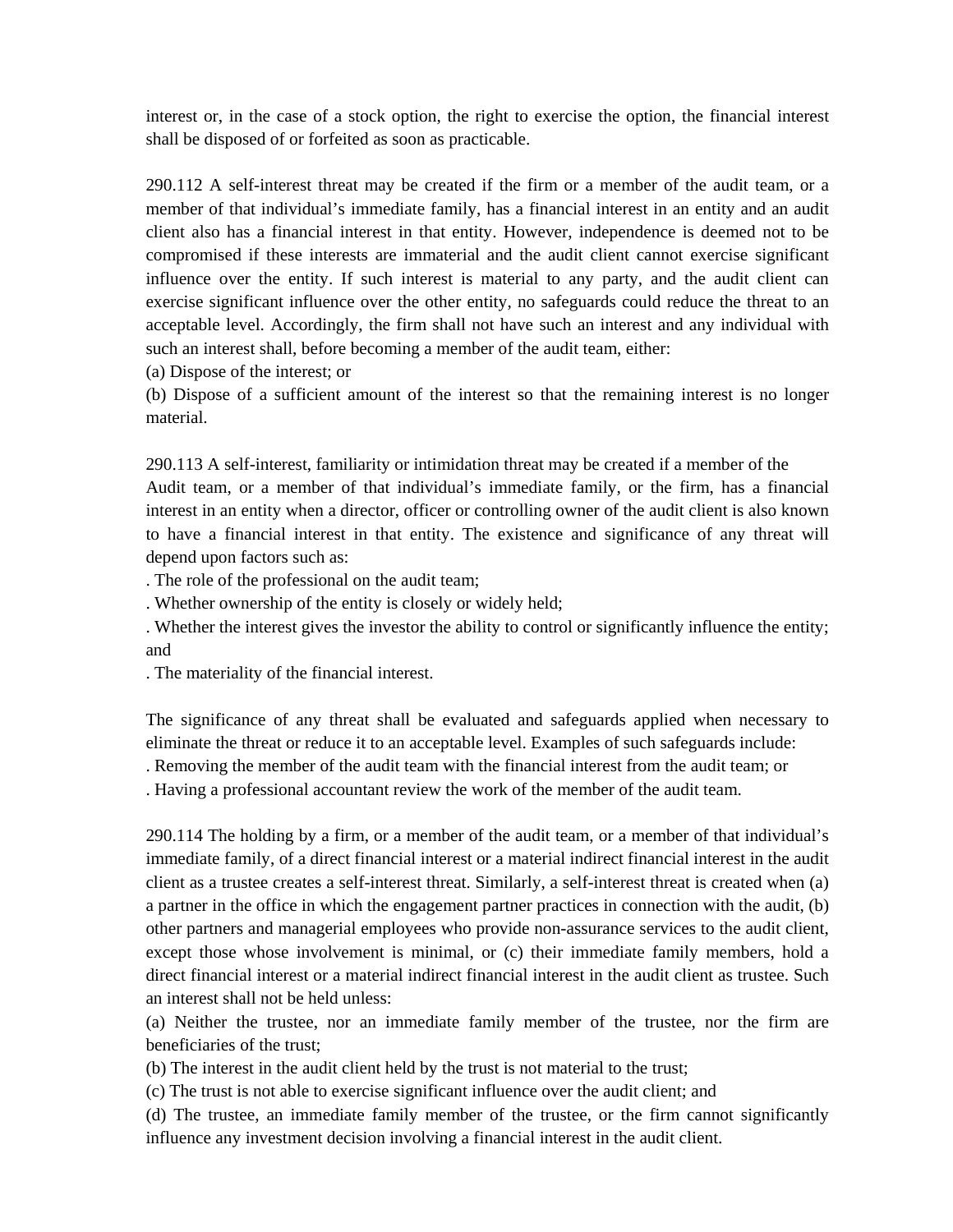interest or, in the case of a stock option, the right to exercise the option, the financial interest shall be disposed of or forfeited as soon as practicable.

290.112 A self-interest threat may be created if the firm or a member of the audit team, or a member of that individual's immediate family, has a financial interest in an entity and an audit client also has a financial interest in that entity. However, independence is deemed not to be compromised if these interests are immaterial and the audit client cannot exercise significant influence over the entity. If such interest is material to any party, and the audit client can exercise significant influence over the other entity, no safeguards could reduce the threat to an acceptable level. Accordingly, the firm shall not have such an interest and any individual with such an interest shall, before becoming a member of the audit team, either:

(a) Dispose of the interest; or

(b) Dispose of a sufficient amount of the interest so that the remaining interest is no longer material.

290.113 A self-interest, familiarity or intimidation threat may be created if a member of the Audit team, or a member of that individual's immediate family, or the firm, has a financial interest in an entity when a director, officer or controlling owner of the audit client is also known to have a financial interest in that entity. The existence and significance of any threat will depend upon factors such as:

. The role of the professional on the audit team;

. Whether ownership of the entity is closely or widely held;

. Whether the interest gives the investor the ability to control or significantly influence the entity; and

. The materiality of the financial interest.

The significance of any threat shall be evaluated and safeguards applied when necessary to eliminate the threat or reduce it to an acceptable level. Examples of such safeguards include:

. Removing the member of the audit team with the financial interest from the audit team; or

. Having a professional accountant review the work of the member of the audit team.

290.114 The holding by a firm, or a member of the audit team, or a member of that individual's immediate family, of a direct financial interest or a material indirect financial interest in the audit client as a trustee creates a self-interest threat. Similarly, a self-interest threat is created when (a) a partner in the office in which the engagement partner practices in connection with the audit, (b) other partners and managerial employees who provide non-assurance services to the audit client, except those whose involvement is minimal, or (c) their immediate family members, hold a direct financial interest or a material indirect financial interest in the audit client as trustee. Such an interest shall not be held unless:

(a) Neither the trustee, nor an immediate family member of the trustee, nor the firm are beneficiaries of the trust;

(b) The interest in the audit client held by the trust is not material to the trust;

(c) The trust is not able to exercise significant influence over the audit client; and

(d) The trustee, an immediate family member of the trustee, or the firm cannot significantly influence any investment decision involving a financial interest in the audit client.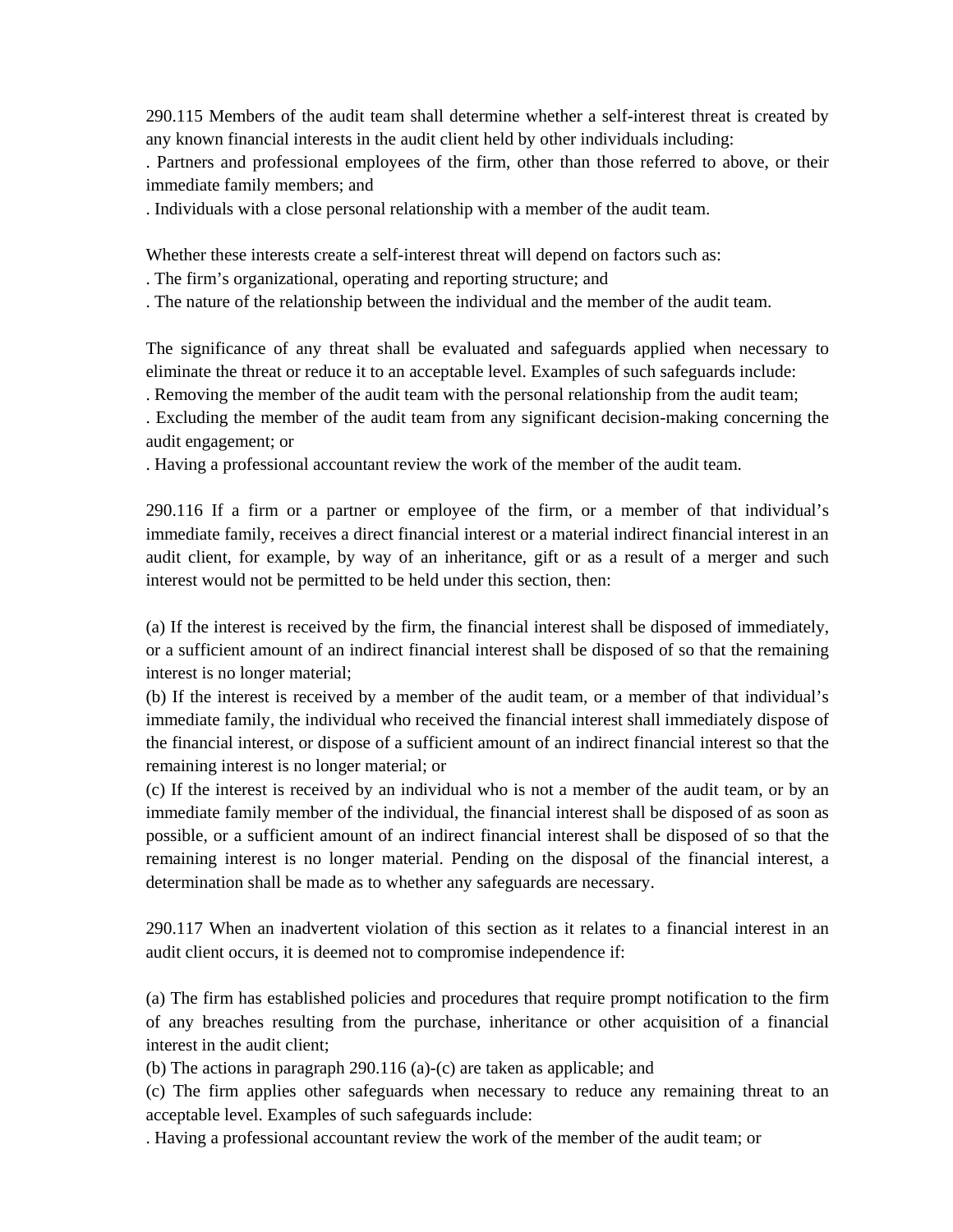290.115 Members of the audit team shall determine whether a self-interest threat is created by any known financial interests in the audit client held by other individuals including:

. Partners and professional employees of the firm, other than those referred to above, or their immediate family members; and

. Individuals with a close personal relationship with a member of the audit team.

Whether these interests create a self-interest threat will depend on factors such as:

. The firm's organizational, operating and reporting structure; and

. The nature of the relationship between the individual and the member of the audit team.

The significance of any threat shall be evaluated and safeguards applied when necessary to eliminate the threat or reduce it to an acceptable level. Examples of such safeguards include:

. Removing the member of the audit team with the personal relationship from the audit team;

. Excluding the member of the audit team from any significant decision-making concerning the audit engagement; or

. Having a professional accountant review the work of the member of the audit team.

290.116 If a firm or a partner or employee of the firm, or a member of that individual's immediate family, receives a direct financial interest or a material indirect financial interest in an audit client, for example, by way of an inheritance, gift or as a result of a merger and such interest would not be permitted to be held under this section, then:

(a) If the interest is received by the firm, the financial interest shall be disposed of immediately, or a sufficient amount of an indirect financial interest shall be disposed of so that the remaining interest is no longer material;

(b) If the interest is received by a member of the audit team, or a member of that individual's immediate family, the individual who received the financial interest shall immediately dispose of the financial interest, or dispose of a sufficient amount of an indirect financial interest so that the remaining interest is no longer material; or

(c) If the interest is received by an individual who is not a member of the audit team, or by an immediate family member of the individual, the financial interest shall be disposed of as soon as possible, or a sufficient amount of an indirect financial interest shall be disposed of so that the remaining interest is no longer material. Pending on the disposal of the financial interest, a determination shall be made as to whether any safeguards are necessary.

290.117 When an inadvertent violation of this section as it relates to a financial interest in an audit client occurs, it is deemed not to compromise independence if:

(a) The firm has established policies and procedures that require prompt notification to the firm of any breaches resulting from the purchase, inheritance or other acquisition of a financial interest in the audit client;

(b) The actions in paragraph 290.116 (a)-(c) are taken as applicable; and

(c) The firm applies other safeguards when necessary to reduce any remaining threat to an acceptable level. Examples of such safeguards include:

. Having a professional accountant review the work of the member of the audit team; or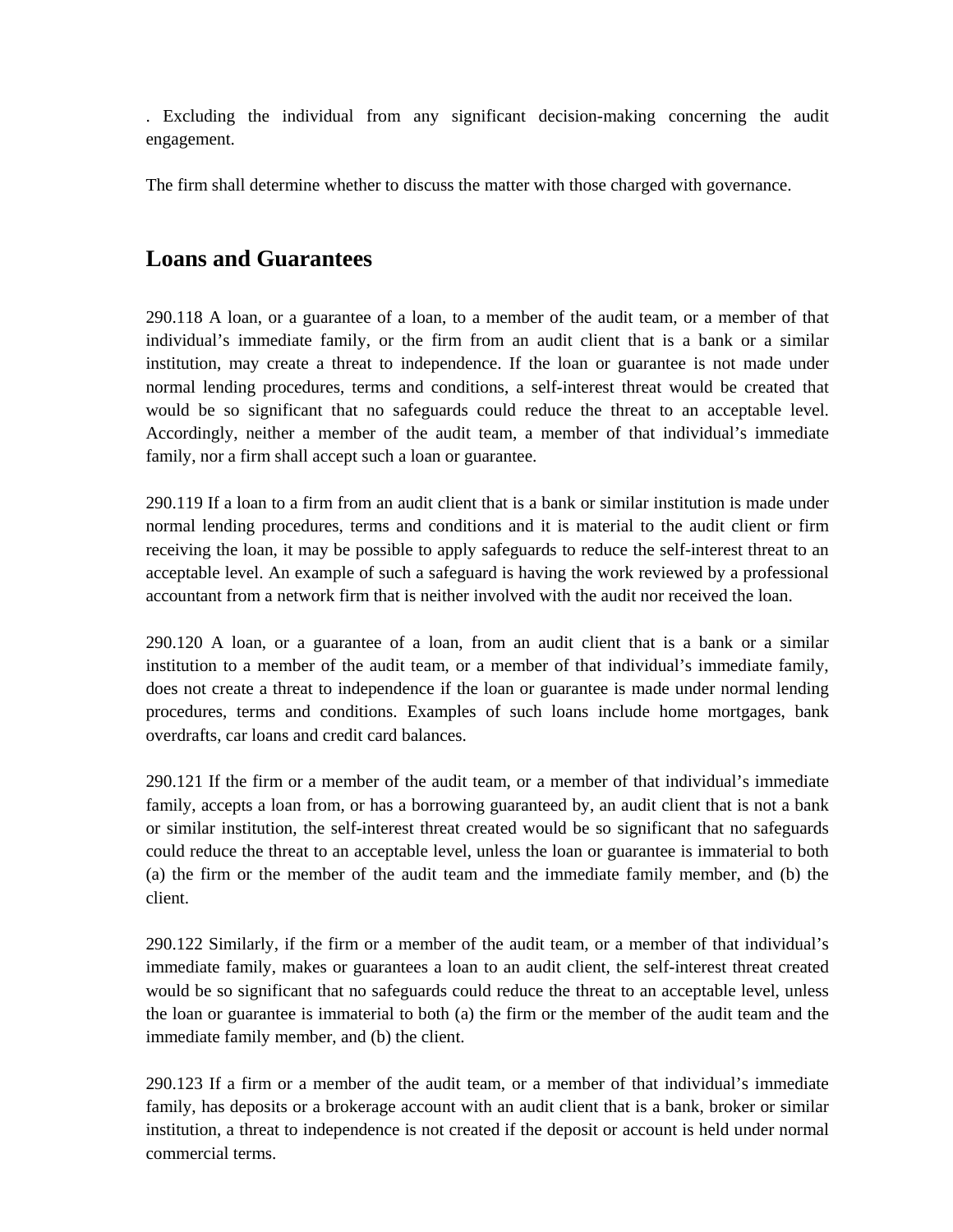. Excluding the individual from any significant decision-making concerning the audit engagement.

The firm shall determine whether to discuss the matter with those charged with governance.

# **Loans and Guarantees**

290.118 A loan, or a guarantee of a loan, to a member of the audit team, or a member of that individual's immediate family, or the firm from an audit client that is a bank or a similar institution, may create a threat to independence. If the loan or guarantee is not made under normal lending procedures, terms and conditions, a self-interest threat would be created that would be so significant that no safeguards could reduce the threat to an acceptable level. Accordingly, neither a member of the audit team, a member of that individual's immediate family, nor a firm shall accept such a loan or guarantee.

290.119 If a loan to a firm from an audit client that is a bank or similar institution is made under normal lending procedures, terms and conditions and it is material to the audit client or firm receiving the loan, it may be possible to apply safeguards to reduce the self-interest threat to an acceptable level. An example of such a safeguard is having the work reviewed by a professional accountant from a network firm that is neither involved with the audit nor received the loan.

290.120 A loan, or a guarantee of a loan, from an audit client that is a bank or a similar institution to a member of the audit team, or a member of that individual's immediate family, does not create a threat to independence if the loan or guarantee is made under normal lending procedures, terms and conditions. Examples of such loans include home mortgages, bank overdrafts, car loans and credit card balances.

290.121 If the firm or a member of the audit team, or a member of that individual's immediate family, accepts a loan from, or has a borrowing guaranteed by, an audit client that is not a bank or similar institution, the self-interest threat created would be so significant that no safeguards could reduce the threat to an acceptable level, unless the loan or guarantee is immaterial to both (a) the firm or the member of the audit team and the immediate family member, and (b) the client.

290.122 Similarly, if the firm or a member of the audit team, or a member of that individual's immediate family, makes or guarantees a loan to an audit client, the self-interest threat created would be so significant that no safeguards could reduce the threat to an acceptable level, unless the loan or guarantee is immaterial to both (a) the firm or the member of the audit team and the immediate family member, and (b) the client.

290.123 If a firm or a member of the audit team, or a member of that individual's immediate family, has deposits or a brokerage account with an audit client that is a bank, broker or similar institution, a threat to independence is not created if the deposit or account is held under normal commercial terms.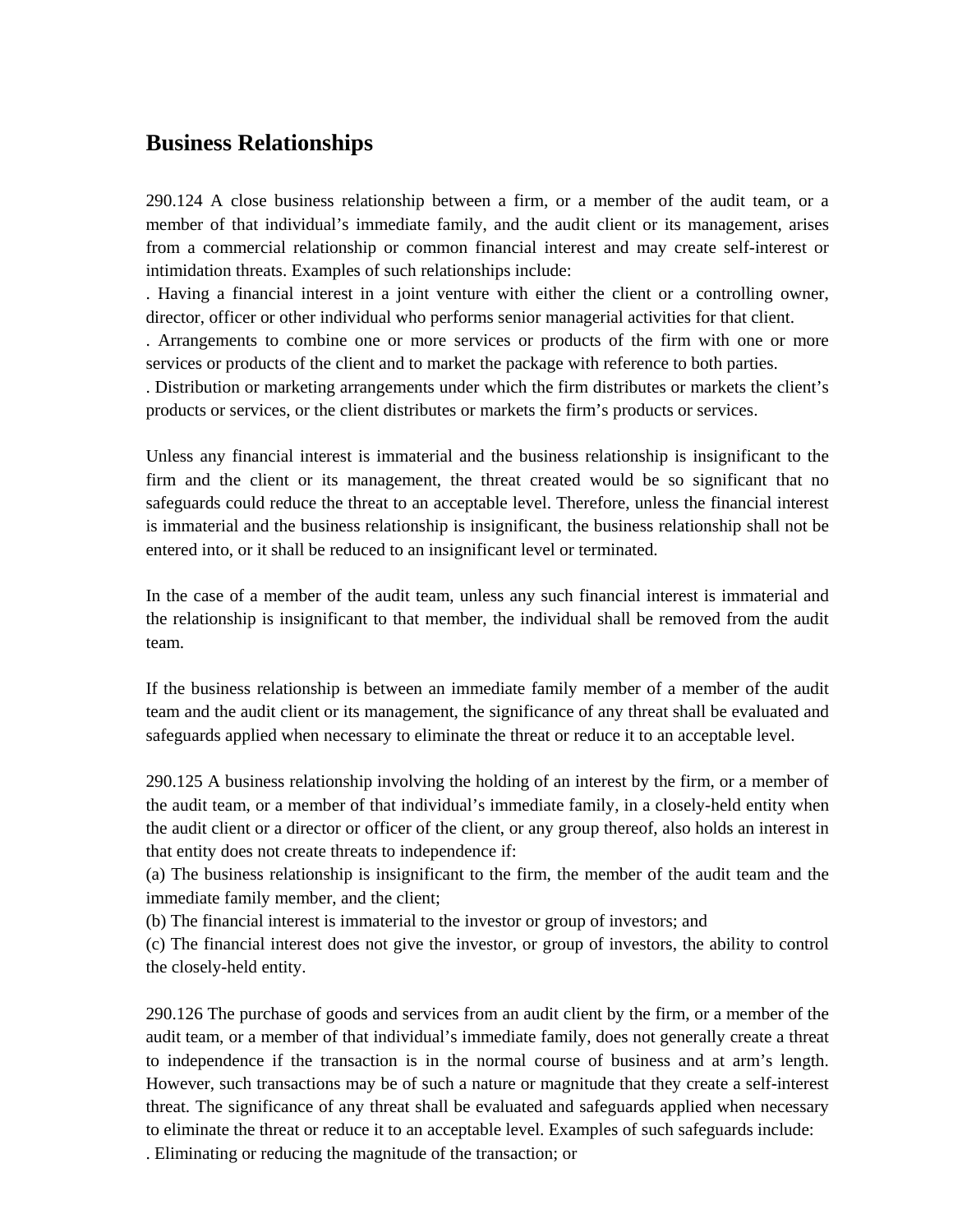### **Business Relationships**

290.124 A close business relationship between a firm, or a member of the audit team, or a member of that individual's immediate family, and the audit client or its management, arises from a commercial relationship or common financial interest and may create self-interest or intimidation threats. Examples of such relationships include:

. Having a financial interest in a joint venture with either the client or a controlling owner, director, officer or other individual who performs senior managerial activities for that client.

. Arrangements to combine one or more services or products of the firm with one or more services or products of the client and to market the package with reference to both parties.

. Distribution or marketing arrangements under which the firm distributes or markets the client's products or services, or the client distributes or markets the firm's products or services.

Unless any financial interest is immaterial and the business relationship is insignificant to the firm and the client or its management, the threat created would be so significant that no safeguards could reduce the threat to an acceptable level. Therefore, unless the financial interest is immaterial and the business relationship is insignificant, the business relationship shall not be entered into, or it shall be reduced to an insignificant level or terminated.

In the case of a member of the audit team, unless any such financial interest is immaterial and the relationship is insignificant to that member, the individual shall be removed from the audit team.

If the business relationship is between an immediate family member of a member of the audit team and the audit client or its management, the significance of any threat shall be evaluated and safeguards applied when necessary to eliminate the threat or reduce it to an acceptable level.

290.125 A business relationship involving the holding of an interest by the firm, or a member of the audit team, or a member of that individual's immediate family, in a closely-held entity when the audit client or a director or officer of the client, or any group thereof, also holds an interest in that entity does not create threats to independence if:

(a) The business relationship is insignificant to the firm, the member of the audit team and the immediate family member, and the client;

(b) The financial interest is immaterial to the investor or group of investors; and

(c) The financial interest does not give the investor, or group of investors, the ability to control the closely-held entity.

290.126 The purchase of goods and services from an audit client by the firm, or a member of the audit team, or a member of that individual's immediate family, does not generally create a threat to independence if the transaction is in the normal course of business and at arm's length. However, such transactions may be of such a nature or magnitude that they create a self-interest threat. The significance of any threat shall be evaluated and safeguards applied when necessary to eliminate the threat or reduce it to an acceptable level. Examples of such safeguards include: . Eliminating or reducing the magnitude of the transaction; or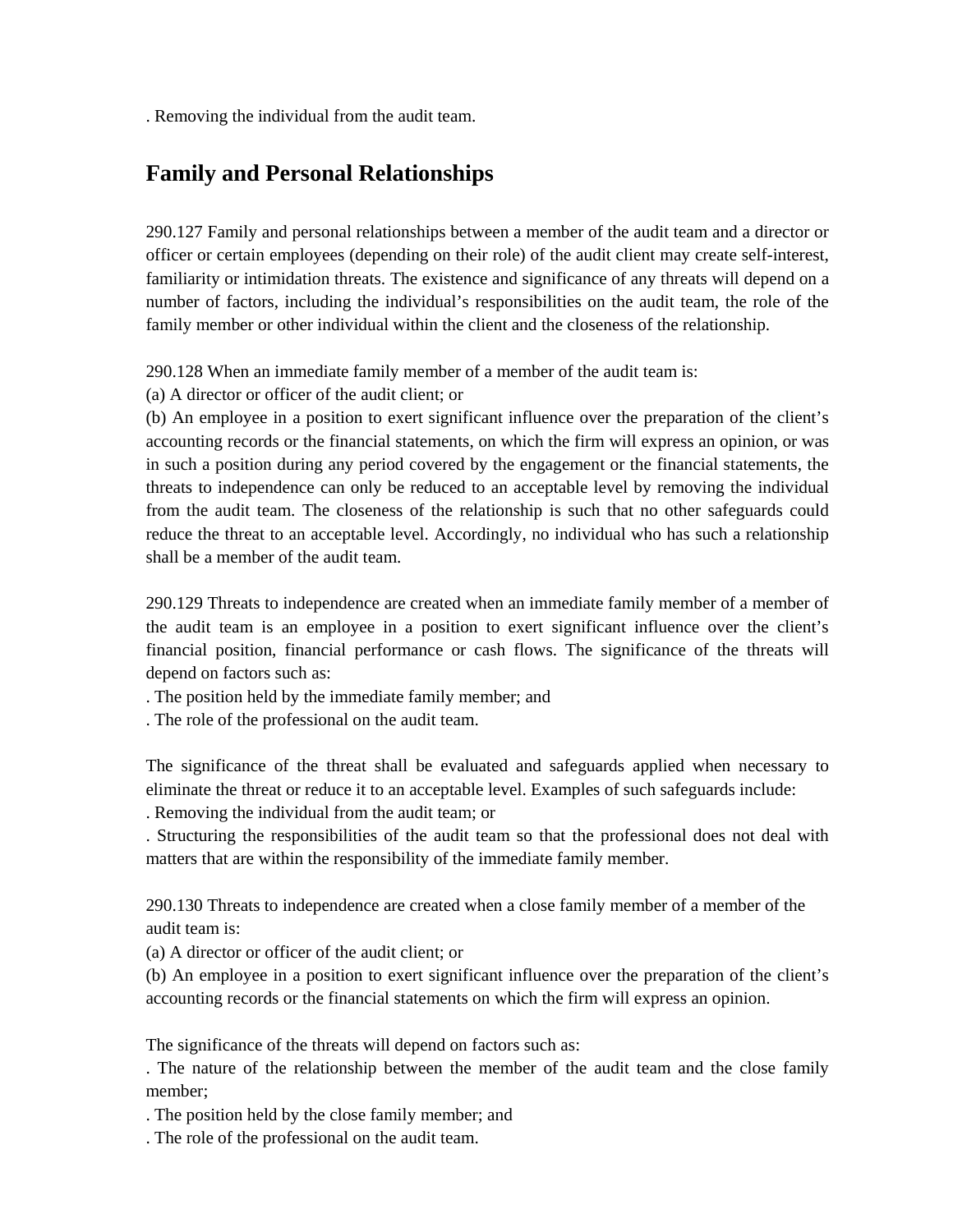. Removing the individual from the audit team.

### **Family and Personal Relationships**

290.127 Family and personal relationships between a member of the audit team and a director or officer or certain employees (depending on their role) of the audit client may create self-interest, familiarity or intimidation threats. The existence and significance of any threats will depend on a number of factors, including the individual's responsibilities on the audit team, the role of the family member or other individual within the client and the closeness of the relationship.

290.128 When an immediate family member of a member of the audit team is:

(a) A director or officer of the audit client; or

(b) An employee in a position to exert significant influence over the preparation of the client's accounting records or the financial statements, on which the firm will express an opinion, or was in such a position during any period covered by the engagement or the financial statements, the threats to independence can only be reduced to an acceptable level by removing the individual from the audit team. The closeness of the relationship is such that no other safeguards could reduce the threat to an acceptable level. Accordingly, no individual who has such a relationship shall be a member of the audit team.

290.129 Threats to independence are created when an immediate family member of a member of the audit team is an employee in a position to exert significant influence over the client's financial position, financial performance or cash flows. The significance of the threats will depend on factors such as:

. The position held by the immediate family member; and

. The role of the professional on the audit team.

The significance of the threat shall be evaluated and safeguards applied when necessary to eliminate the threat or reduce it to an acceptable level. Examples of such safeguards include:

. Removing the individual from the audit team; or

. Structuring the responsibilities of the audit team so that the professional does not deal with matters that are within the responsibility of the immediate family member.

290.130 Threats to independence are created when a close family member of a member of the audit team is:

(a) A director or officer of the audit client; or

(b) An employee in a position to exert significant influence over the preparation of the client's accounting records or the financial statements on which the firm will express an opinion.

The significance of the threats will depend on factors such as:

. The nature of the relationship between the member of the audit team and the close family member;

. The position held by the close family member; and

. The role of the professional on the audit team.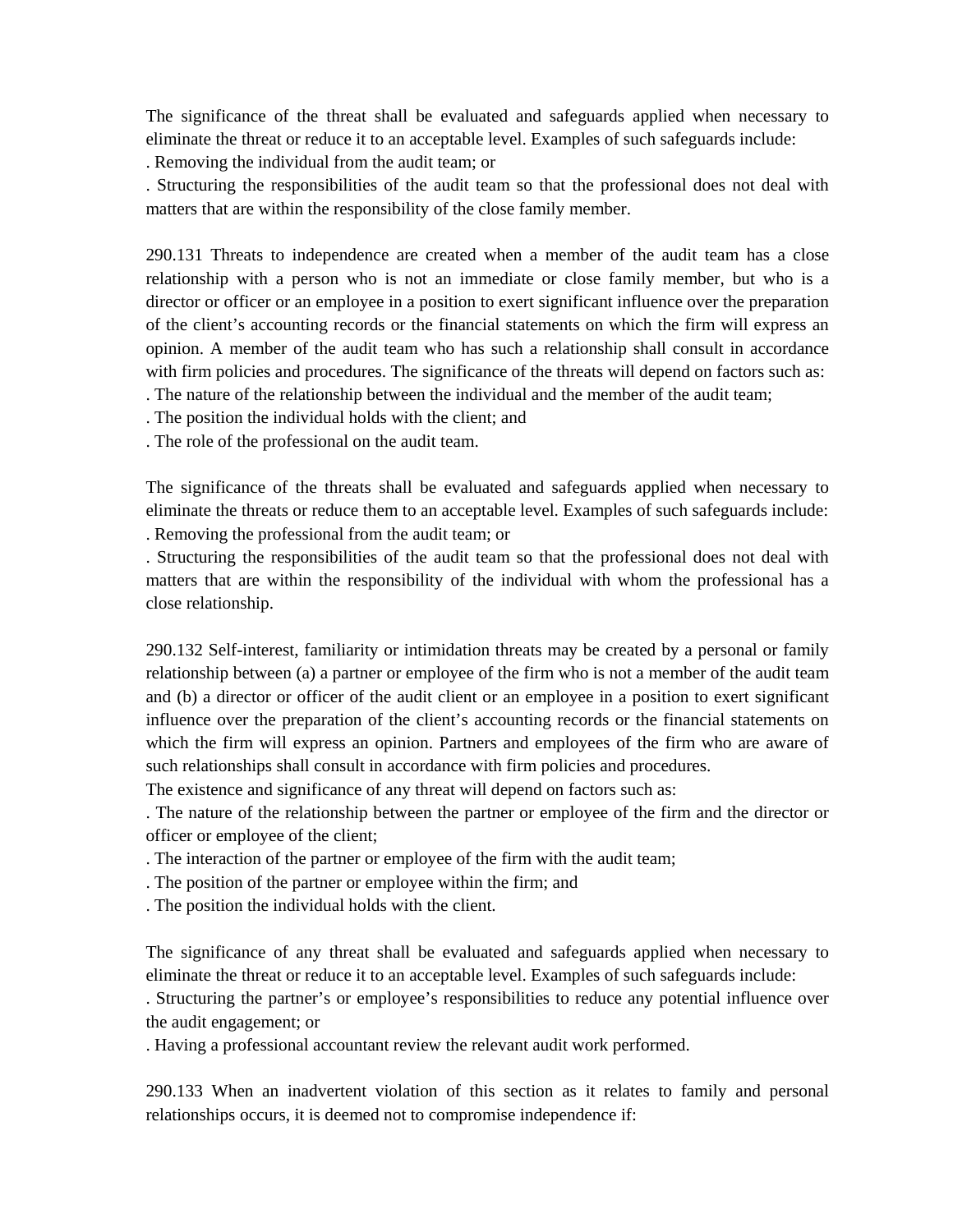The significance of the threat shall be evaluated and safeguards applied when necessary to eliminate the threat or reduce it to an acceptable level. Examples of such safeguards include:

. Removing the individual from the audit team; or

. Structuring the responsibilities of the audit team so that the professional does not deal with matters that are within the responsibility of the close family member.

290.131 Threats to independence are created when a member of the audit team has a close relationship with a person who is not an immediate or close family member, but who is a director or officer or an employee in a position to exert significant influence over the preparation of the client's accounting records or the financial statements on which the firm will express an opinion. A member of the audit team who has such a relationship shall consult in accordance with firm policies and procedures. The significance of the threats will depend on factors such as:

. The nature of the relationship between the individual and the member of the audit team;

. The position the individual holds with the client; and

. The role of the professional on the audit team.

The significance of the threats shall be evaluated and safeguards applied when necessary to eliminate the threats or reduce them to an acceptable level. Examples of such safeguards include: . Removing the professional from the audit team; or

. Structuring the responsibilities of the audit team so that the professional does not deal with matters that are within the responsibility of the individual with whom the professional has a close relationship.

290.132 Self-interest, familiarity or intimidation threats may be created by a personal or family relationship between (a) a partner or employee of the firm who is not a member of the audit team and (b) a director or officer of the audit client or an employee in a position to exert significant influence over the preparation of the client's accounting records or the financial statements on which the firm will express an opinion. Partners and employees of the firm who are aware of such relationships shall consult in accordance with firm policies and procedures.

The existence and significance of any threat will depend on factors such as:

. The nature of the relationship between the partner or employee of the firm and the director or officer or employee of the client;

. The interaction of the partner or employee of the firm with the audit team;

. The position of the partner or employee within the firm; and

. The position the individual holds with the client.

The significance of any threat shall be evaluated and safeguards applied when necessary to eliminate the threat or reduce it to an acceptable level. Examples of such safeguards include:

. Structuring the partner's or employee's responsibilities to reduce any potential influence over the audit engagement; or

. Having a professional accountant review the relevant audit work performed.

290.133 When an inadvertent violation of this section as it relates to family and personal relationships occurs, it is deemed not to compromise independence if: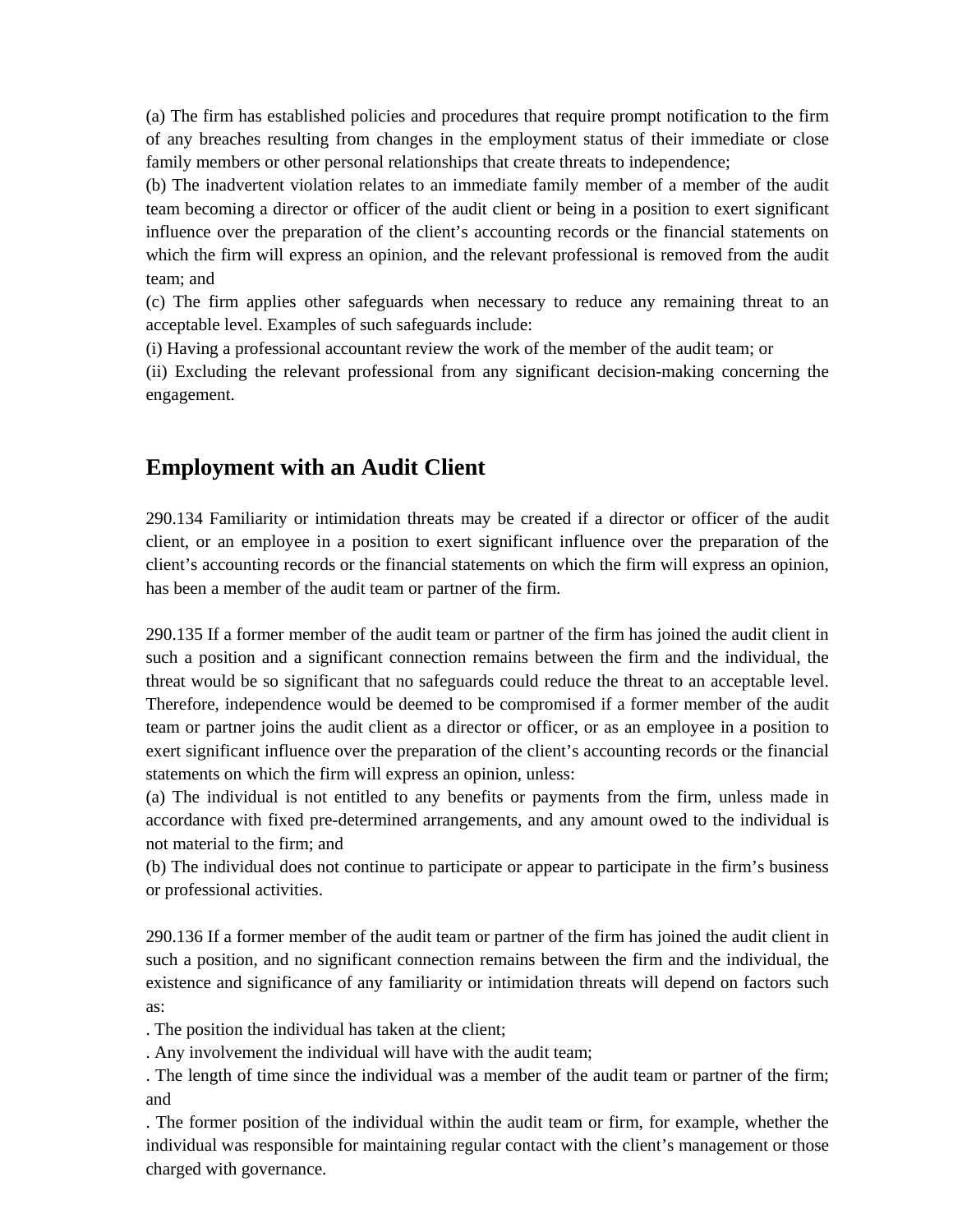(a) The firm has established policies and procedures that require prompt notification to the firm of any breaches resulting from changes in the employment status of their immediate or close family members or other personal relationships that create threats to independence;

(b) The inadvertent violation relates to an immediate family member of a member of the audit team becoming a director or officer of the audit client or being in a position to exert significant influence over the preparation of the client's accounting records or the financial statements on which the firm will express an opinion, and the relevant professional is removed from the audit team; and

(c) The firm applies other safeguards when necessary to reduce any remaining threat to an acceptable level. Examples of such safeguards include:

(i) Having a professional accountant review the work of the member of the audit team; or

(ii) Excluding the relevant professional from any significant decision-making concerning the engagement.

## **Employment with an Audit Client**

290.134 Familiarity or intimidation threats may be created if a director or officer of the audit client, or an employee in a position to exert significant influence over the preparation of the client's accounting records or the financial statements on which the firm will express an opinion, has been a member of the audit team or partner of the firm.

290.135 If a former member of the audit team or partner of the firm has joined the audit client in such a position and a significant connection remains between the firm and the individual, the threat would be so significant that no safeguards could reduce the threat to an acceptable level. Therefore, independence would be deemed to be compromised if a former member of the audit team or partner joins the audit client as a director or officer, or as an employee in a position to exert significant influence over the preparation of the client's accounting records or the financial statements on which the firm will express an opinion, unless:

(a) The individual is not entitled to any benefits or payments from the firm, unless made in accordance with fixed pre-determined arrangements, and any amount owed to the individual is not material to the firm; and

(b) The individual does not continue to participate or appear to participate in the firm's business or professional activities.

290.136 If a former member of the audit team or partner of the firm has joined the audit client in such a position, and no significant connection remains between the firm and the individual, the existence and significance of any familiarity or intimidation threats will depend on factors such as:

. The position the individual has taken at the client;

. Any involvement the individual will have with the audit team;

. The length of time since the individual was a member of the audit team or partner of the firm; and

. The former position of the individual within the audit team or firm, for example, whether the individual was responsible for maintaining regular contact with the client's management or those charged with governance.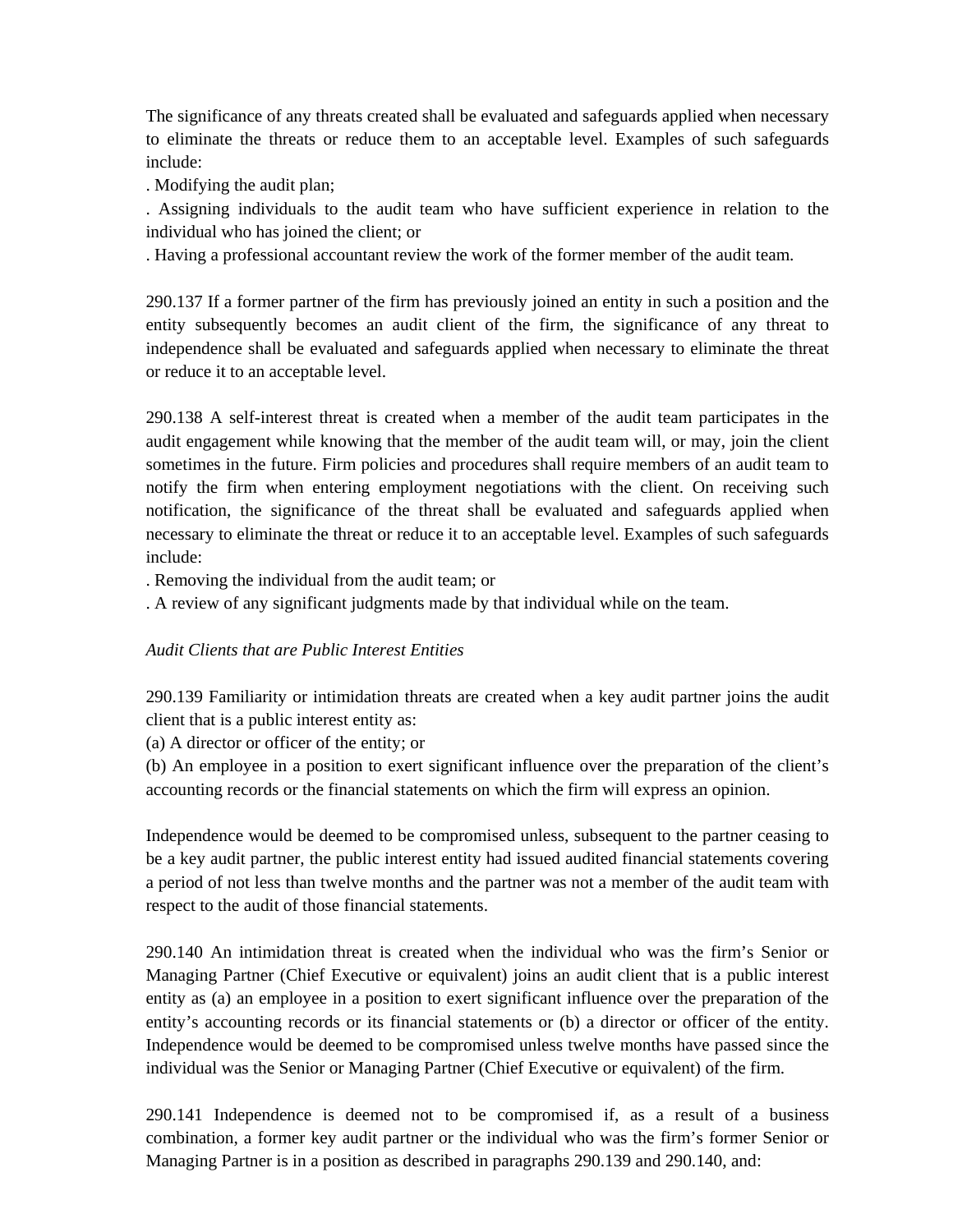The significance of any threats created shall be evaluated and safeguards applied when necessary to eliminate the threats or reduce them to an acceptable level. Examples of such safeguards include:

. Modifying the audit plan;

. Assigning individuals to the audit team who have sufficient experience in relation to the individual who has joined the client; or

. Having a professional accountant review the work of the former member of the audit team.

290.137 If a former partner of the firm has previously joined an entity in such a position and the entity subsequently becomes an audit client of the firm, the significance of any threat to independence shall be evaluated and safeguards applied when necessary to eliminate the threat or reduce it to an acceptable level.

290.138 A self-interest threat is created when a member of the audit team participates in the audit engagement while knowing that the member of the audit team will, or may, join the client sometimes in the future. Firm policies and procedures shall require members of an audit team to notify the firm when entering employment negotiations with the client. On receiving such notification, the significance of the threat shall be evaluated and safeguards applied when necessary to eliminate the threat or reduce it to an acceptable level. Examples of such safeguards include:

. Removing the individual from the audit team; or

. A review of any significant judgments made by that individual while on the team.

#### *Audit Clients that are Public Interest Entities*

290.139 Familiarity or intimidation threats are created when a key audit partner joins the audit client that is a public interest entity as:

(a) A director or officer of the entity; or

(b) An employee in a position to exert significant influence over the preparation of the client's accounting records or the financial statements on which the firm will express an opinion.

Independence would be deemed to be compromised unless, subsequent to the partner ceasing to be a key audit partner, the public interest entity had issued audited financial statements covering a period of not less than twelve months and the partner was not a member of the audit team with respect to the audit of those financial statements.

290.140 An intimidation threat is created when the individual who was the firm's Senior or Managing Partner (Chief Executive or equivalent) joins an audit client that is a public interest entity as (a) an employee in a position to exert significant influence over the preparation of the entity's accounting records or its financial statements or (b) a director or officer of the entity. Independence would be deemed to be compromised unless twelve months have passed since the individual was the Senior or Managing Partner (Chief Executive or equivalent) of the firm.

290.141 Independence is deemed not to be compromised if, as a result of a business combination, a former key audit partner or the individual who was the firm's former Senior or Managing Partner is in a position as described in paragraphs 290.139 and 290.140, and: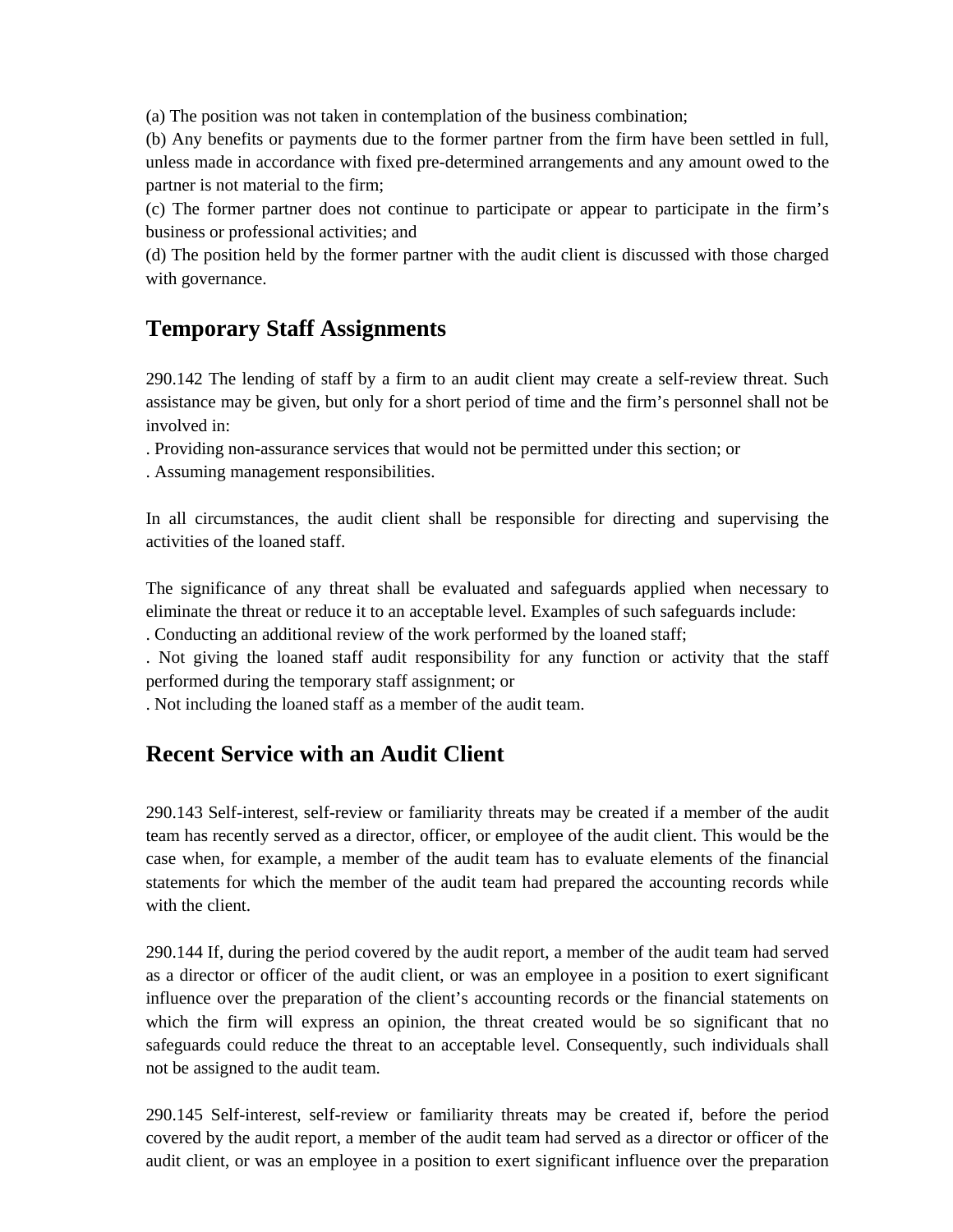(a) The position was not taken in contemplation of the business combination;

(b) Any benefits or payments due to the former partner from the firm have been settled in full, unless made in accordance with fixed pre-determined arrangements and any amount owed to the partner is not material to the firm;

(c) The former partner does not continue to participate or appear to participate in the firm's business or professional activities; and

(d) The position held by the former partner with the audit client is discussed with those charged with governance.

# **Temporary Staff Assignments**

290.142 The lending of staff by a firm to an audit client may create a self-review threat. Such assistance may be given, but only for a short period of time and the firm's personnel shall not be involved in:

. Providing non-assurance services that would not be permitted under this section; or

. Assuming management responsibilities.

In all circumstances, the audit client shall be responsible for directing and supervising the activities of the loaned staff.

The significance of any threat shall be evaluated and safeguards applied when necessary to eliminate the threat or reduce it to an acceptable level. Examples of such safeguards include:

. Conducting an additional review of the work performed by the loaned staff;

. Not giving the loaned staff audit responsibility for any function or activity that the staff performed during the temporary staff assignment; or

. Not including the loaned staff as a member of the audit team.

# **Recent Service with an Audit Client**

290.143 Self-interest, self-review or familiarity threats may be created if a member of the audit team has recently served as a director, officer, or employee of the audit client. This would be the case when, for example, a member of the audit team has to evaluate elements of the financial statements for which the member of the audit team had prepared the accounting records while with the client.

290.144 If, during the period covered by the audit report, a member of the audit team had served as a director or officer of the audit client, or was an employee in a position to exert significant influence over the preparation of the client's accounting records or the financial statements on which the firm will express an opinion, the threat created would be so significant that no safeguards could reduce the threat to an acceptable level. Consequently, such individuals shall not be assigned to the audit team.

290.145 Self-interest, self-review or familiarity threats may be created if, before the period covered by the audit report, a member of the audit team had served as a director or officer of the audit client, or was an employee in a position to exert significant influence over the preparation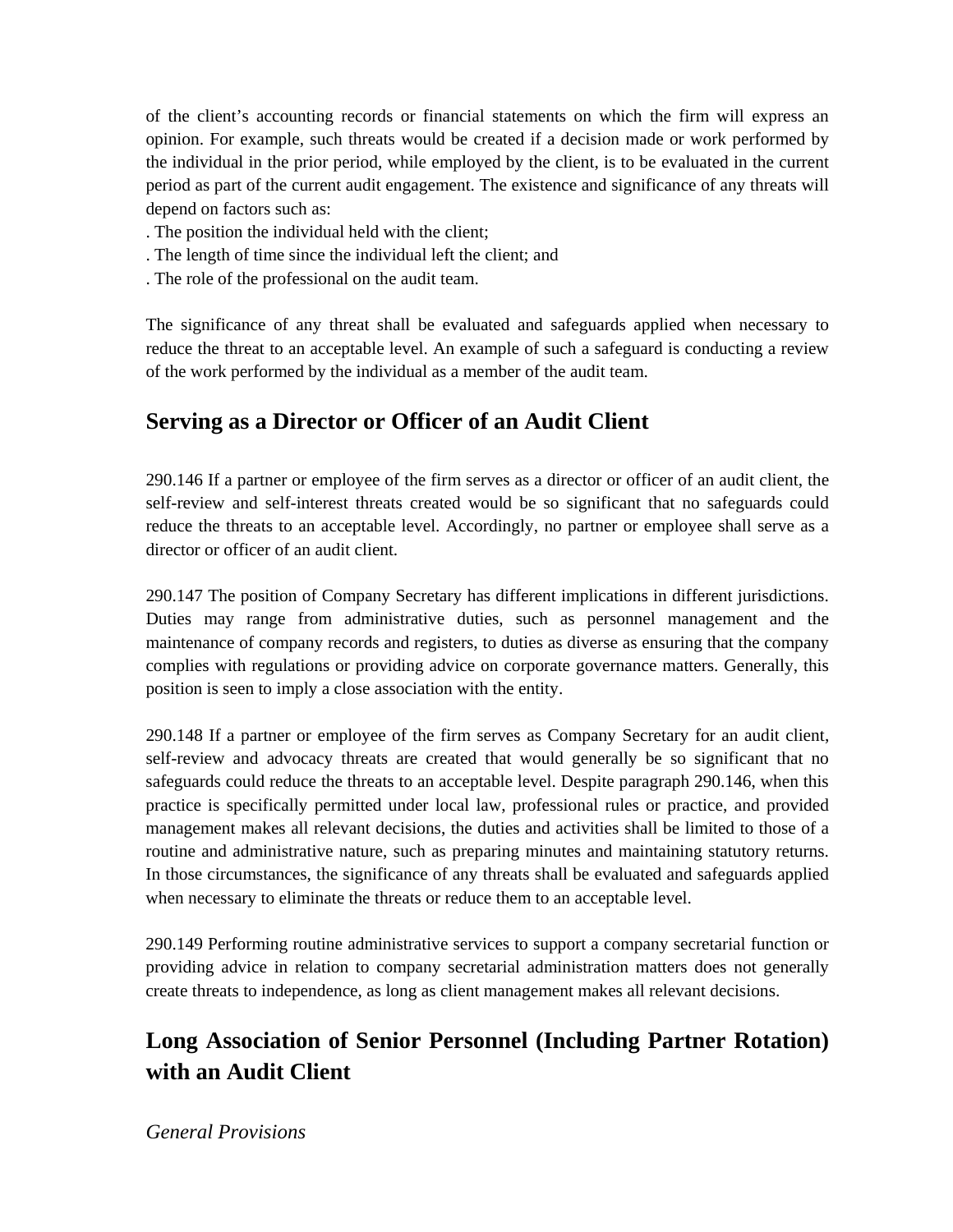of the client's accounting records or financial statements on which the firm will express an opinion. For example, such threats would be created if a decision made or work performed by the individual in the prior period, while employed by the client, is to be evaluated in the current period as part of the current audit engagement. The existence and significance of any threats will depend on factors such as:

- . The position the individual held with the client;
- . The length of time since the individual left the client; and
- . The role of the professional on the audit team.

The significance of any threat shall be evaluated and safeguards applied when necessary to reduce the threat to an acceptable level. An example of such a safeguard is conducting a review of the work performed by the individual as a member of the audit team.

# **Serving as a Director or Officer of an Audit Client**

290.146 If a partner or employee of the firm serves as a director or officer of an audit client, the self-review and self-interest threats created would be so significant that no safeguards could reduce the threats to an acceptable level. Accordingly, no partner or employee shall serve as a director or officer of an audit client.

290.147 The position of Company Secretary has different implications in different jurisdictions. Duties may range from administrative duties, such as personnel management and the maintenance of company records and registers, to duties as diverse as ensuring that the company complies with regulations or providing advice on corporate governance matters. Generally, this position is seen to imply a close association with the entity.

290.148 If a partner or employee of the firm serves as Company Secretary for an audit client, self-review and advocacy threats are created that would generally be so significant that no safeguards could reduce the threats to an acceptable level. Despite paragraph 290.146, when this practice is specifically permitted under local law, professional rules or practice, and provided management makes all relevant decisions, the duties and activities shall be limited to those of a routine and administrative nature, such as preparing minutes and maintaining statutory returns. In those circumstances, the significance of any threats shall be evaluated and safeguards applied when necessary to eliminate the threats or reduce them to an acceptable level.

290.149 Performing routine administrative services to support a company secretarial function or providing advice in relation to company secretarial administration matters does not generally create threats to independence, as long as client management makes all relevant decisions.

# **Long Association of Senior Personnel (Including Partner Rotation) with an Audit Client**

*General Provisions*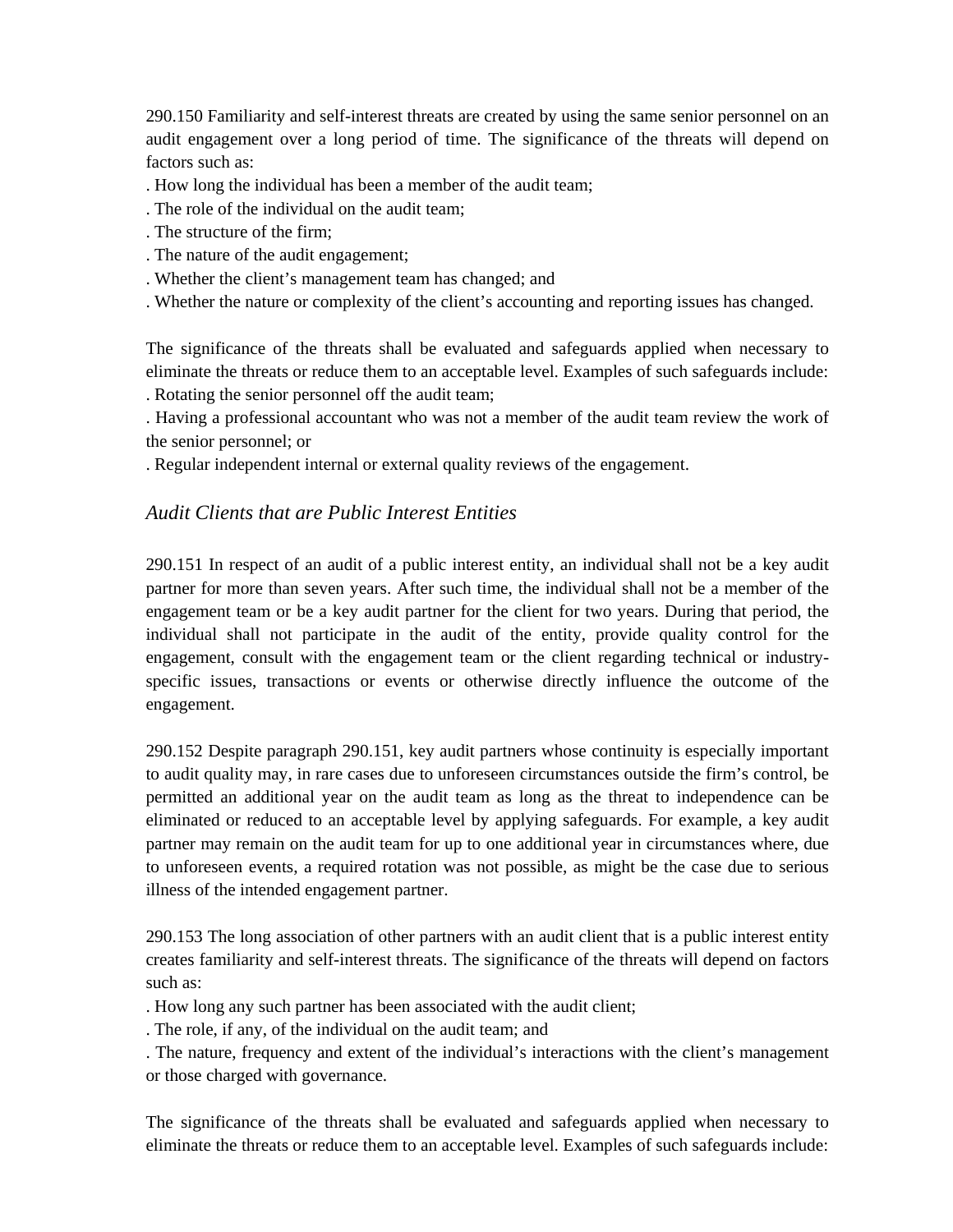290.150 Familiarity and self-interest threats are created by using the same senior personnel on an audit engagement over a long period of time. The significance of the threats will depend on factors such as:

. How long the individual has been a member of the audit team;

- . The role of the individual on the audit team;
- . The structure of the firm;
- . The nature of the audit engagement;
- . Whether the client's management team has changed; and
- . Whether the nature or complexity of the client's accounting and reporting issues has changed.

The significance of the threats shall be evaluated and safeguards applied when necessary to eliminate the threats or reduce them to an acceptable level. Examples of such safeguards include: . Rotating the senior personnel off the audit team;

. Having a professional accountant who was not a member of the audit team review the work of the senior personnel; or

. Regular independent internal or external quality reviews of the engagement.

#### *Audit Clients that are Public Interest Entities*

290.151 In respect of an audit of a public interest entity, an individual shall not be a key audit partner for more than seven years. After such time, the individual shall not be a member of the engagement team or be a key audit partner for the client for two years. During that period, the individual shall not participate in the audit of the entity, provide quality control for the engagement, consult with the engagement team or the client regarding technical or industryspecific issues, transactions or events or otherwise directly influence the outcome of the engagement.

290.152 Despite paragraph 290.151, key audit partners whose continuity is especially important to audit quality may, in rare cases due to unforeseen circumstances outside the firm's control, be permitted an additional year on the audit team as long as the threat to independence can be eliminated or reduced to an acceptable level by applying safeguards. For example, a key audit partner may remain on the audit team for up to one additional year in circumstances where, due to unforeseen events, a required rotation was not possible, as might be the case due to serious illness of the intended engagement partner.

290.153 The long association of other partners with an audit client that is a public interest entity creates familiarity and self-interest threats. The significance of the threats will depend on factors such as:

. How long any such partner has been associated with the audit client;

. The role, if any, of the individual on the audit team; and

. The nature, frequency and extent of the individual's interactions with the client's management or those charged with governance.

The significance of the threats shall be evaluated and safeguards applied when necessary to eliminate the threats or reduce them to an acceptable level. Examples of such safeguards include: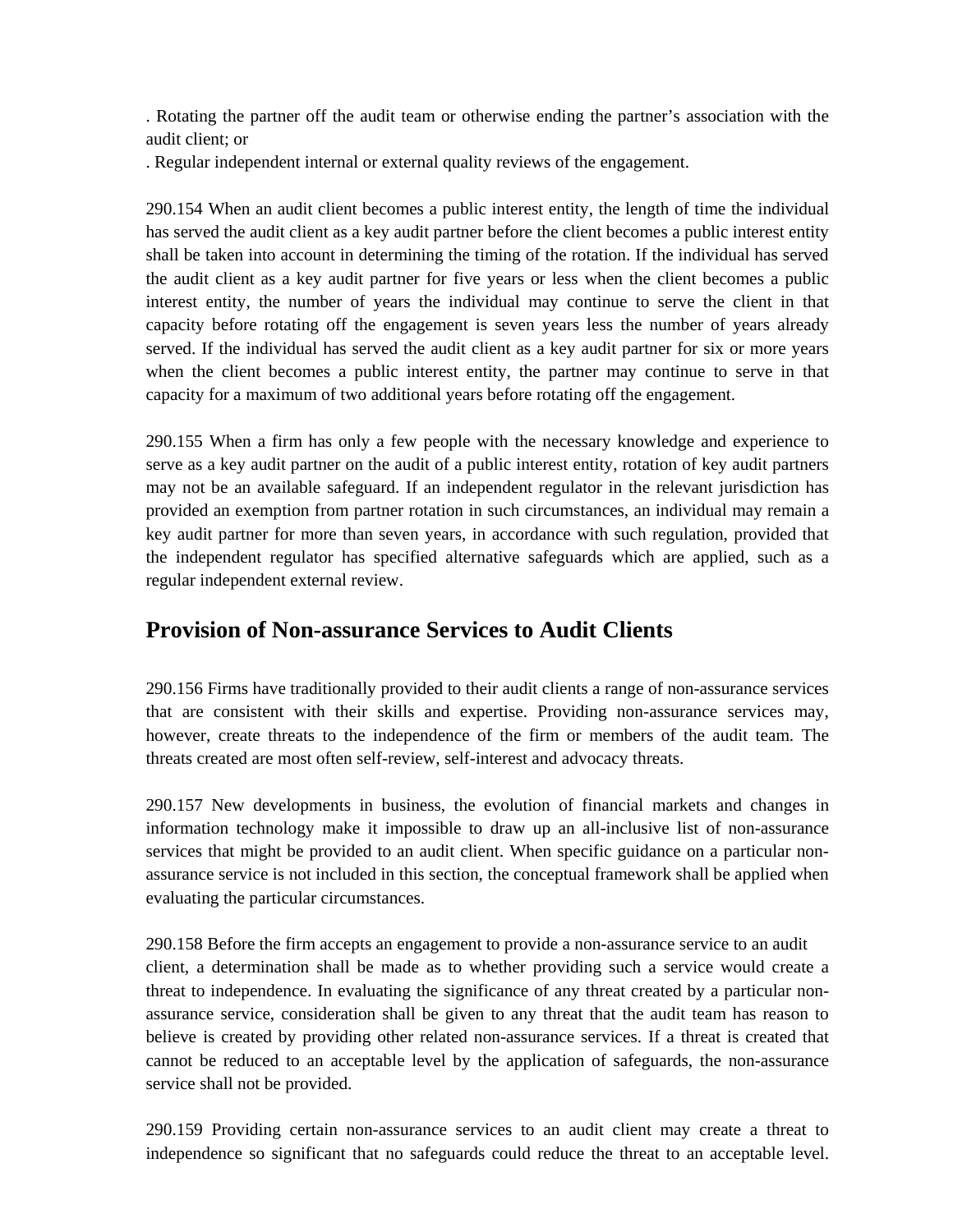. Rotating the partner off the audit team or otherwise ending the partner's association with the audit client; or

. Regular independent internal or external quality reviews of the engagement.

290.154 When an audit client becomes a public interest entity, the length of time the individual has served the audit client as a key audit partner before the client becomes a public interest entity shall be taken into account in determining the timing of the rotation. If the individual has served the audit client as a key audit partner for five years or less when the client becomes a public interest entity, the number of years the individual may continue to serve the client in that capacity before rotating off the engagement is seven years less the number of years already served. If the individual has served the audit client as a key audit partner for six or more years when the client becomes a public interest entity, the partner may continue to serve in that capacity for a maximum of two additional years before rotating off the engagement.

290.155 When a firm has only a few people with the necessary knowledge and experience to serve as a key audit partner on the audit of a public interest entity, rotation of key audit partners may not be an available safeguard. If an independent regulator in the relevant jurisdiction has provided an exemption from partner rotation in such circumstances, an individual may remain a key audit partner for more than seven years, in accordance with such regulation, provided that the independent regulator has specified alternative safeguards which are applied, such as a regular independent external review.

# **Provision of Non-assurance Services to Audit Clients**

290.156 Firms have traditionally provided to their audit clients a range of non-assurance services that are consistent with their skills and expertise. Providing non-assurance services may, however, create threats to the independence of the firm or members of the audit team. The threats created are most often self-review, self-interest and advocacy threats.

290.157 New developments in business, the evolution of financial markets and changes in information technology make it impossible to draw up an all-inclusive list of non-assurance services that might be provided to an audit client. When specific guidance on a particular nonassurance service is not included in this section, the conceptual framework shall be applied when evaluating the particular circumstances.

290.158 Before the firm accepts an engagement to provide a non-assurance service to an audit client, a determination shall be made as to whether providing such a service would create a threat to independence. In evaluating the significance of any threat created by a particular nonassurance service, consideration shall be given to any threat that the audit team has reason to believe is created by providing other related non-assurance services. If a threat is created that cannot be reduced to an acceptable level by the application of safeguards, the non-assurance service shall not be provided.

290.159 Providing certain non-assurance services to an audit client may create a threat to independence so significant that no safeguards could reduce the threat to an acceptable level.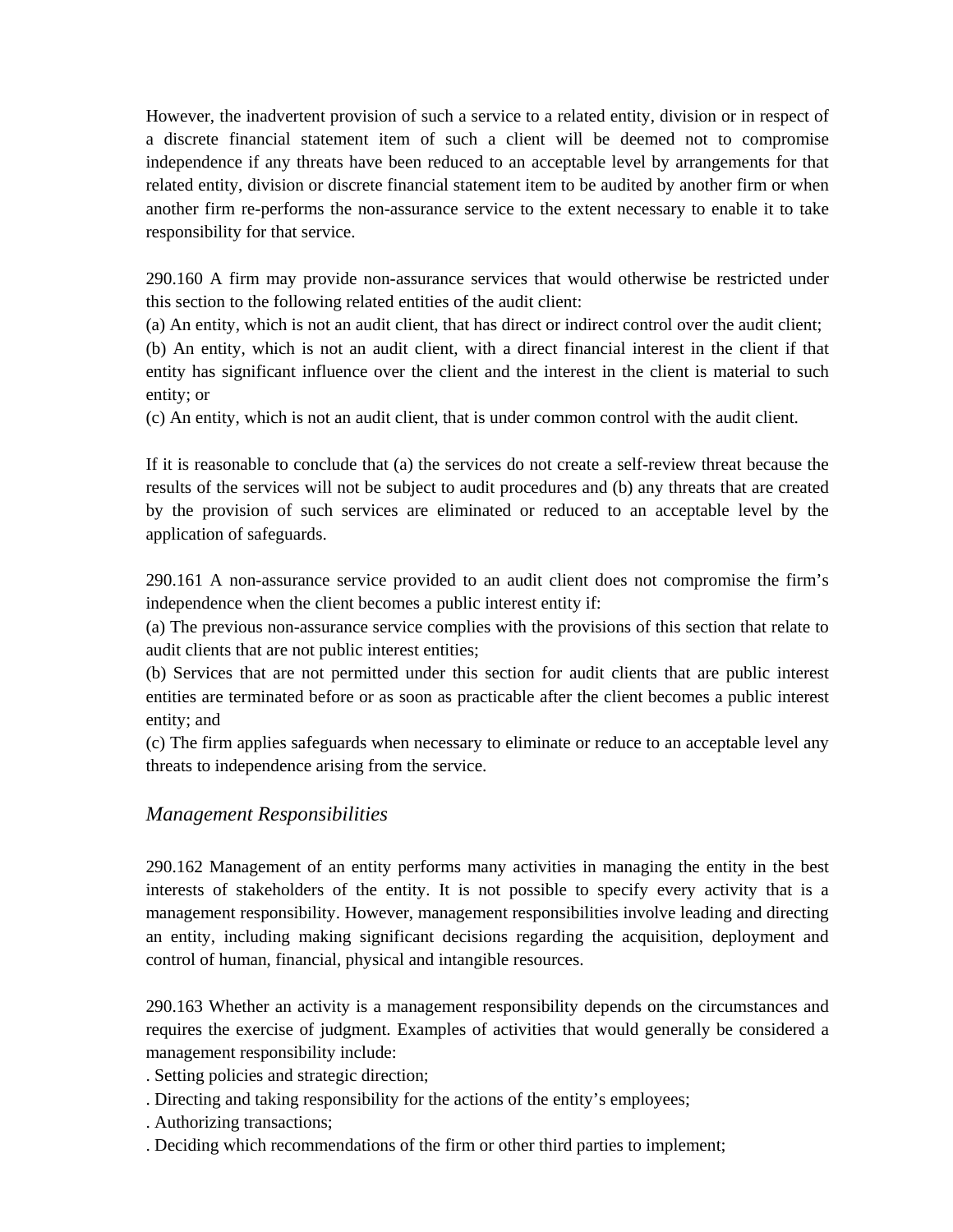However, the inadvertent provision of such a service to a related entity, division or in respect of a discrete financial statement item of such a client will be deemed not to compromise independence if any threats have been reduced to an acceptable level by arrangements for that related entity, division or discrete financial statement item to be audited by another firm or when another firm re-performs the non-assurance service to the extent necessary to enable it to take responsibility for that service.

290.160 A firm may provide non-assurance services that would otherwise be restricted under this section to the following related entities of the audit client:

(a) An entity, which is not an audit client, that has direct or indirect control over the audit client;

(b) An entity, which is not an audit client, with a direct financial interest in the client if that entity has significant influence over the client and the interest in the client is material to such entity; or

(c) An entity, which is not an audit client, that is under common control with the audit client.

If it is reasonable to conclude that (a) the services do not create a self-review threat because the results of the services will not be subject to audit procedures and (b) any threats that are created by the provision of such services are eliminated or reduced to an acceptable level by the application of safeguards.

290.161 A non-assurance service provided to an audit client does not compromise the firm's independence when the client becomes a public interest entity if:

(a) The previous non-assurance service complies with the provisions of this section that relate to audit clients that are not public interest entities;

(b) Services that are not permitted under this section for audit clients that are public interest entities are terminated before or as soon as practicable after the client becomes a public interest entity; and

(c) The firm applies safeguards when necessary to eliminate or reduce to an acceptable level any threats to independence arising from the service.

### *Management Responsibilities*

290.162 Management of an entity performs many activities in managing the entity in the best interests of stakeholders of the entity. It is not possible to specify every activity that is a management responsibility. However, management responsibilities involve leading and directing an entity, including making significant decisions regarding the acquisition, deployment and control of human, financial, physical and intangible resources.

290.163 Whether an activity is a management responsibility depends on the circumstances and requires the exercise of judgment. Examples of activities that would generally be considered a management responsibility include:

. Setting policies and strategic direction;

- . Directing and taking responsibility for the actions of the entity's employees;
- . Authorizing transactions;
- . Deciding which recommendations of the firm or other third parties to implement;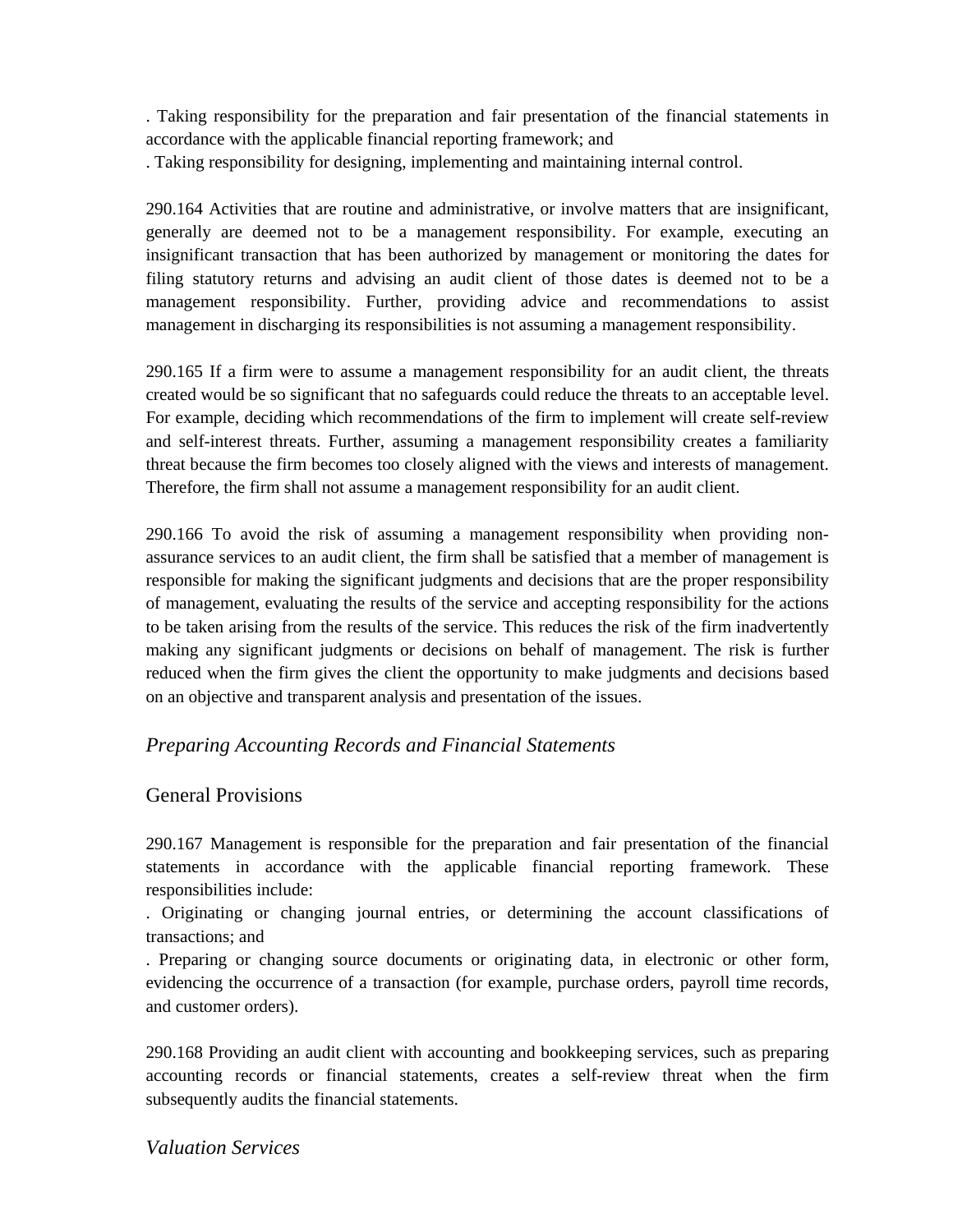. Taking responsibility for the preparation and fair presentation of the financial statements in accordance with the applicable financial reporting framework; and

. Taking responsibility for designing, implementing and maintaining internal control.

290.164 Activities that are routine and administrative, or involve matters that are insignificant, generally are deemed not to be a management responsibility. For example, executing an insignificant transaction that has been authorized by management or monitoring the dates for filing statutory returns and advising an audit client of those dates is deemed not to be a management responsibility. Further, providing advice and recommendations to assist management in discharging its responsibilities is not assuming a management responsibility.

290.165 If a firm were to assume a management responsibility for an audit client, the threats created would be so significant that no safeguards could reduce the threats to an acceptable level. For example, deciding which recommendations of the firm to implement will create self-review and self-interest threats. Further, assuming a management responsibility creates a familiarity threat because the firm becomes too closely aligned with the views and interests of management. Therefore, the firm shall not assume a management responsibility for an audit client.

290.166 To avoid the risk of assuming a management responsibility when providing nonassurance services to an audit client, the firm shall be satisfied that a member of management is responsible for making the significant judgments and decisions that are the proper responsibility of management, evaluating the results of the service and accepting responsibility for the actions to be taken arising from the results of the service. This reduces the risk of the firm inadvertently making any significant judgments or decisions on behalf of management. The risk is further reduced when the firm gives the client the opportunity to make judgments and decisions based on an objective and transparent analysis and presentation of the issues.

#### *Preparing Accounting Records and Financial Statements*

#### General Provisions

290.167 Management is responsible for the preparation and fair presentation of the financial statements in accordance with the applicable financial reporting framework. These responsibilities include:

. Originating or changing journal entries, or determining the account classifications of transactions; and

. Preparing or changing source documents or originating data, in electronic or other form, evidencing the occurrence of a transaction (for example, purchase orders, payroll time records, and customer orders).

290.168 Providing an audit client with accounting and bookkeeping services, such as preparing accounting records or financial statements, creates a self-review threat when the firm subsequently audits the financial statements.

#### *Valuation Services*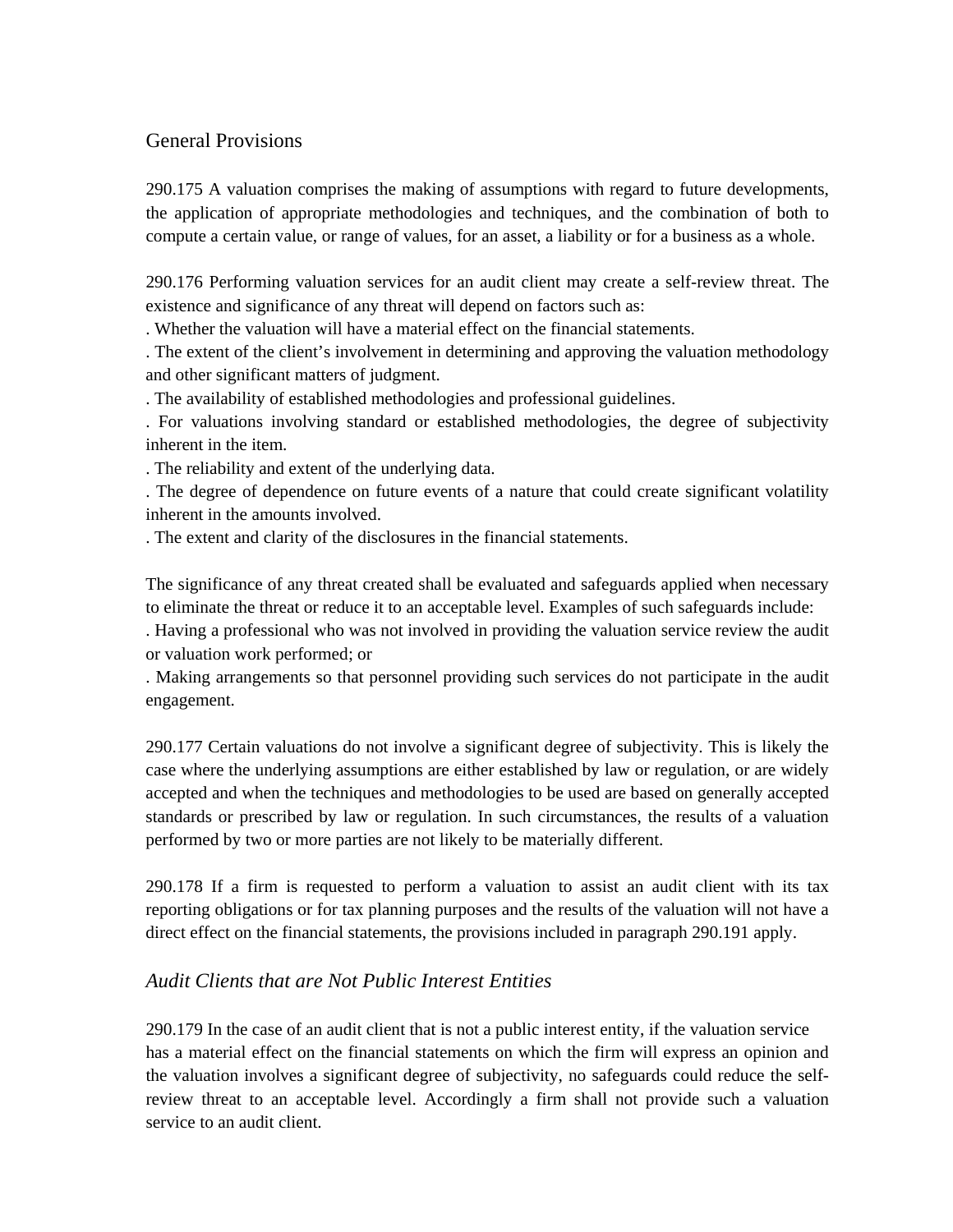#### General Provisions

290.175 A valuation comprises the making of assumptions with regard to future developments, the application of appropriate methodologies and techniques, and the combination of both to compute a certain value, or range of values, for an asset, a liability or for a business as a whole.

290.176 Performing valuation services for an audit client may create a self-review threat. The existence and significance of any threat will depend on factors such as:

. Whether the valuation will have a material effect on the financial statements.

. The extent of the client's involvement in determining and approving the valuation methodology and other significant matters of judgment.

. The availability of established methodologies and professional guidelines.

. For valuations involving standard or established methodologies, the degree of subjectivity inherent in the item.

. The reliability and extent of the underlying data.

. The degree of dependence on future events of a nature that could create significant volatility inherent in the amounts involved.

. The extent and clarity of the disclosures in the financial statements.

The significance of any threat created shall be evaluated and safeguards applied when necessary to eliminate the threat or reduce it to an acceptable level. Examples of such safeguards include:

. Having a professional who was not involved in providing the valuation service review the audit or valuation work performed; or

. Making arrangements so that personnel providing such services do not participate in the audit engagement.

290.177 Certain valuations do not involve a significant degree of subjectivity. This is likely the case where the underlying assumptions are either established by law or regulation, or are widely accepted and when the techniques and methodologies to be used are based on generally accepted standards or prescribed by law or regulation. In such circumstances, the results of a valuation performed by two or more parties are not likely to be materially different.

290.178 If a firm is requested to perform a valuation to assist an audit client with its tax reporting obligations or for tax planning purposes and the results of the valuation will not have a direct effect on the financial statements, the provisions included in paragraph 290.191 apply.

### *Audit Clients that are Not Public Interest Entities*

290.179 In the case of an audit client that is not a public interest entity, if the valuation service has a material effect on the financial statements on which the firm will express an opinion and the valuation involves a significant degree of subjectivity, no safeguards could reduce the selfreview threat to an acceptable level. Accordingly a firm shall not provide such a valuation service to an audit client.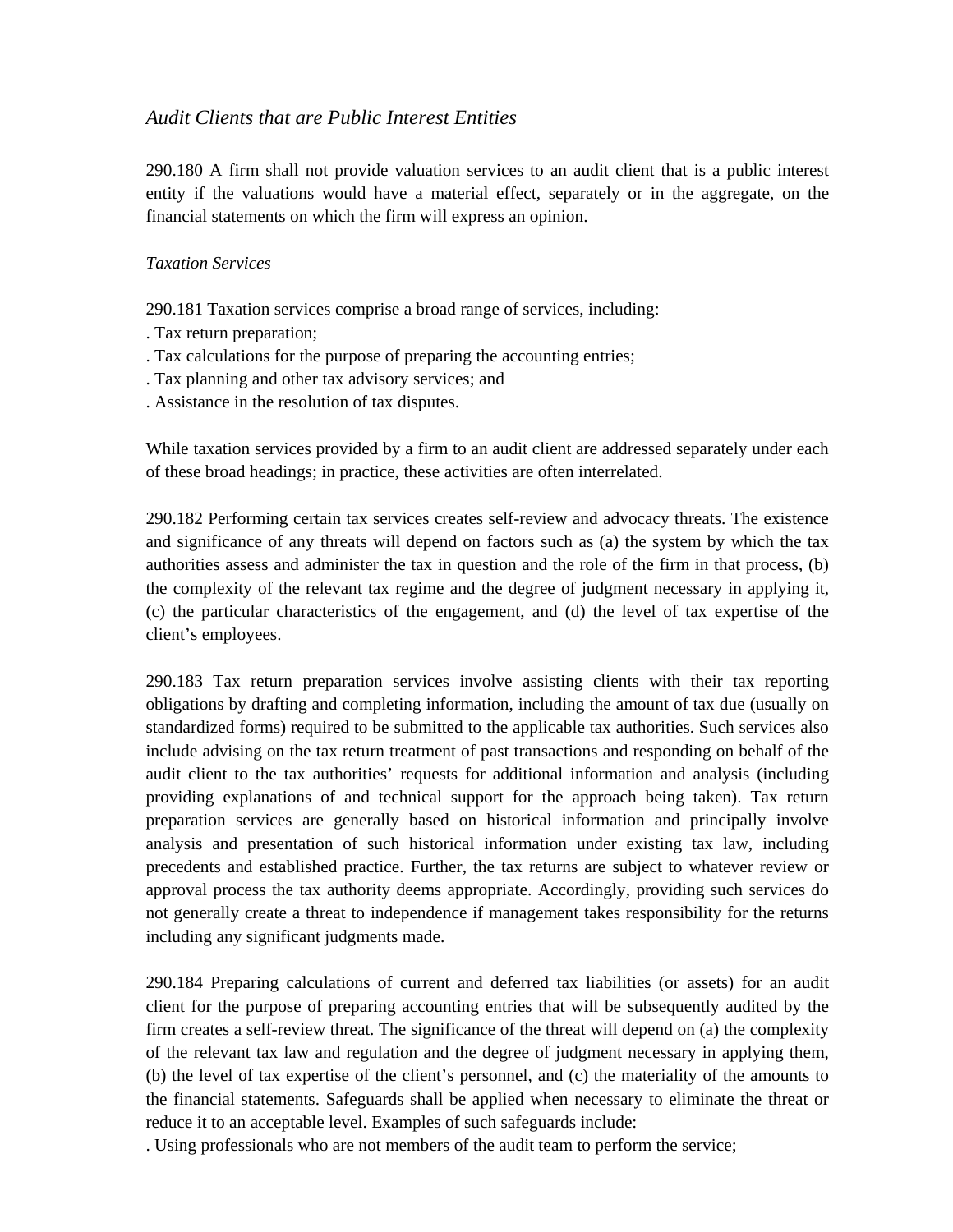### *Audit Clients that are Public Interest Entities*

290.180 A firm shall not provide valuation services to an audit client that is a public interest entity if the valuations would have a material effect, separately or in the aggregate, on the financial statements on which the firm will express an opinion.

#### *Taxation Services*

290.181 Taxation services comprise a broad range of services, including:

- . Tax return preparation;
- . Tax calculations for the purpose of preparing the accounting entries;
- . Tax planning and other tax advisory services; and
- . Assistance in the resolution of tax disputes.

While taxation services provided by a firm to an audit client are addressed separately under each of these broad headings; in practice, these activities are often interrelated.

290.182 Performing certain tax services creates self-review and advocacy threats. The existence and significance of any threats will depend on factors such as (a) the system by which the tax authorities assess and administer the tax in question and the role of the firm in that process, (b) the complexity of the relevant tax regime and the degree of judgment necessary in applying it, (c) the particular characteristics of the engagement, and (d) the level of tax expertise of the client's employees.

290.183 Tax return preparation services involve assisting clients with their tax reporting obligations by drafting and completing information, including the amount of tax due (usually on standardized forms) required to be submitted to the applicable tax authorities. Such services also include advising on the tax return treatment of past transactions and responding on behalf of the audit client to the tax authorities' requests for additional information and analysis (including providing explanations of and technical support for the approach being taken). Tax return preparation services are generally based on historical information and principally involve analysis and presentation of such historical information under existing tax law, including precedents and established practice. Further, the tax returns are subject to whatever review or approval process the tax authority deems appropriate. Accordingly, providing such services do not generally create a threat to independence if management takes responsibility for the returns including any significant judgments made.

290.184 Preparing calculations of current and deferred tax liabilities (or assets) for an audit client for the purpose of preparing accounting entries that will be subsequently audited by the firm creates a self-review threat. The significance of the threat will depend on (a) the complexity of the relevant tax law and regulation and the degree of judgment necessary in applying them, (b) the level of tax expertise of the client's personnel, and (c) the materiality of the amounts to the financial statements. Safeguards shall be applied when necessary to eliminate the threat or reduce it to an acceptable level. Examples of such safeguards include:

. Using professionals who are not members of the audit team to perform the service;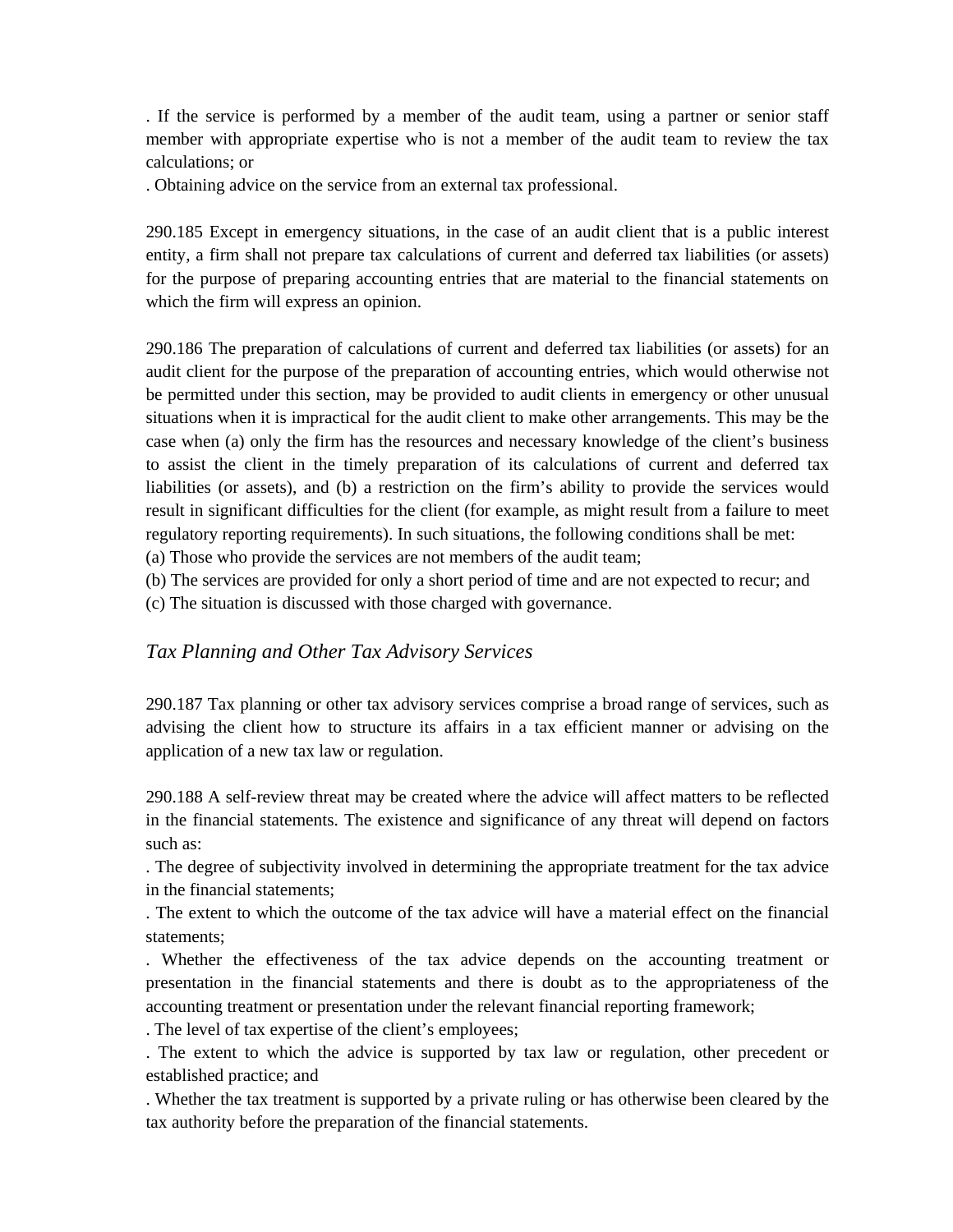. If the service is performed by a member of the audit team, using a partner or senior staff member with appropriate expertise who is not a member of the audit team to review the tax calculations; or

. Obtaining advice on the service from an external tax professional.

290.185 Except in emergency situations, in the case of an audit client that is a public interest entity, a firm shall not prepare tax calculations of current and deferred tax liabilities (or assets) for the purpose of preparing accounting entries that are material to the financial statements on which the firm will express an opinion.

290.186 The preparation of calculations of current and deferred tax liabilities (or assets) for an audit client for the purpose of the preparation of accounting entries, which would otherwise not be permitted under this section, may be provided to audit clients in emergency or other unusual situations when it is impractical for the audit client to make other arrangements. This may be the case when (a) only the firm has the resources and necessary knowledge of the client's business to assist the client in the timely preparation of its calculations of current and deferred tax liabilities (or assets), and (b) a restriction on the firm's ability to provide the services would result in significant difficulties for the client (for example, as might result from a failure to meet regulatory reporting requirements). In such situations, the following conditions shall be met: (a) Those who provide the services are not members of the audit team;

(b) The services are provided for only a short period of time and are not expected to recur; and (c) The situation is discussed with those charged with governance.

#### *Tax Planning and Other Tax Advisory Services*

290.187 Tax planning or other tax advisory services comprise a broad range of services, such as advising the client how to structure its affairs in a tax efficient manner or advising on the application of a new tax law or regulation.

290.188 A self-review threat may be created where the advice will affect matters to be reflected in the financial statements. The existence and significance of any threat will depend on factors such as:

. The degree of subjectivity involved in determining the appropriate treatment for the tax advice in the financial statements;

. The extent to which the outcome of the tax advice will have a material effect on the financial statements;

. Whether the effectiveness of the tax advice depends on the accounting treatment or presentation in the financial statements and there is doubt as to the appropriateness of the accounting treatment or presentation under the relevant financial reporting framework;

. The level of tax expertise of the client's employees;

. The extent to which the advice is supported by tax law or regulation, other precedent or established practice; and

. Whether the tax treatment is supported by a private ruling or has otherwise been cleared by the tax authority before the preparation of the financial statements.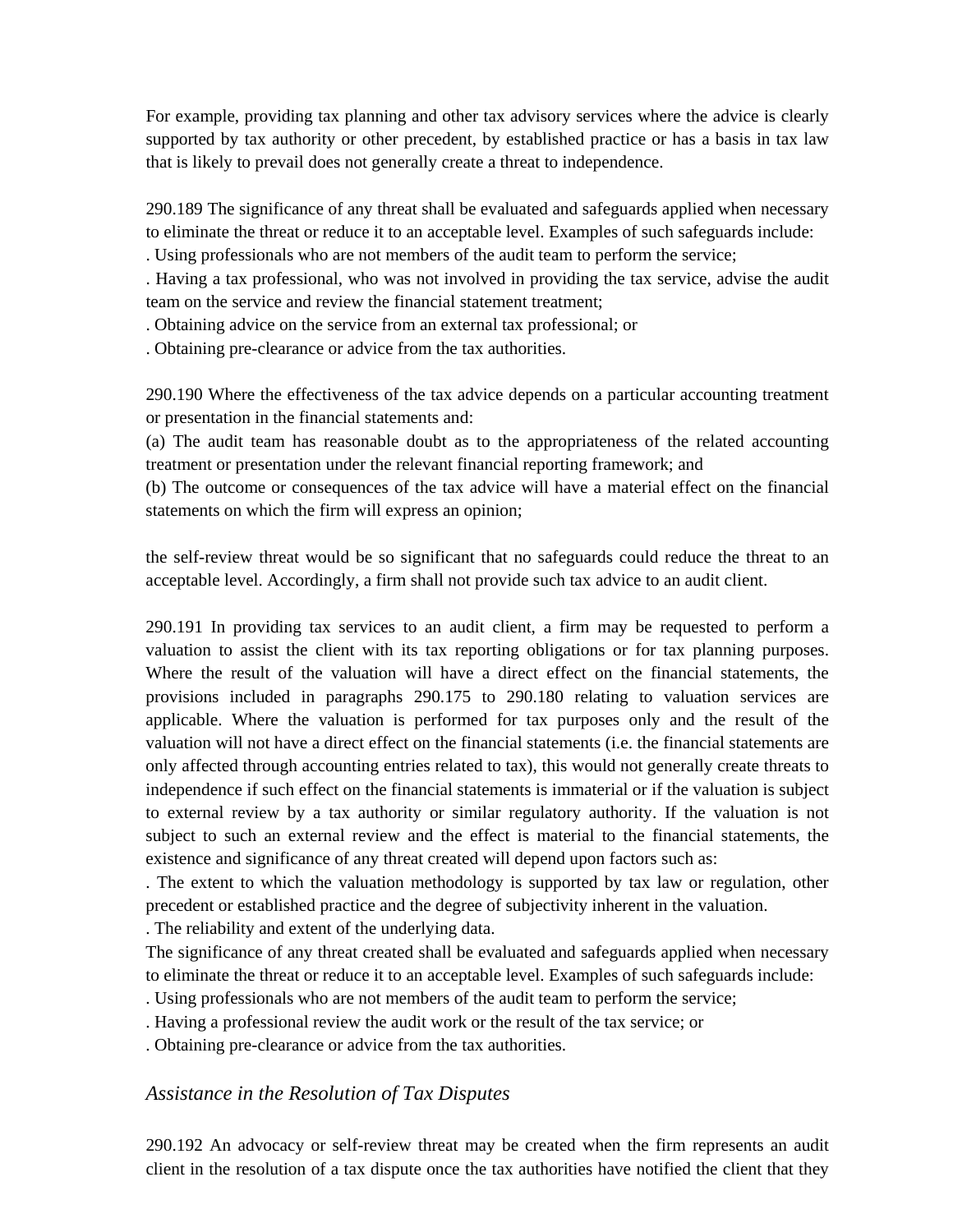For example, providing tax planning and other tax advisory services where the advice is clearly supported by tax authority or other precedent, by established practice or has a basis in tax law that is likely to prevail does not generally create a threat to independence.

290.189 The significance of any threat shall be evaluated and safeguards applied when necessary to eliminate the threat or reduce it to an acceptable level. Examples of such safeguards include:

. Using professionals who are not members of the audit team to perform the service;

. Having a tax professional, who was not involved in providing the tax service, advise the audit team on the service and review the financial statement treatment;

. Obtaining advice on the service from an external tax professional; or

. Obtaining pre-clearance or advice from the tax authorities.

290.190 Where the effectiveness of the tax advice depends on a particular accounting treatment or presentation in the financial statements and:

(a) The audit team has reasonable doubt as to the appropriateness of the related accounting treatment or presentation under the relevant financial reporting framework; and

(b) The outcome or consequences of the tax advice will have a material effect on the financial statements on which the firm will express an opinion;

the self-review threat would be so significant that no safeguards could reduce the threat to an acceptable level. Accordingly, a firm shall not provide such tax advice to an audit client.

290.191 In providing tax services to an audit client, a firm may be requested to perform a valuation to assist the client with its tax reporting obligations or for tax planning purposes. Where the result of the valuation will have a direct effect on the financial statements, the provisions included in paragraphs 290.175 to 290.180 relating to valuation services are applicable. Where the valuation is performed for tax purposes only and the result of the valuation will not have a direct effect on the financial statements (i.e. the financial statements are only affected through accounting entries related to tax), this would not generally create threats to independence if such effect on the financial statements is immaterial or if the valuation is subject to external review by a tax authority or similar regulatory authority. If the valuation is not subject to such an external review and the effect is material to the financial statements, the existence and significance of any threat created will depend upon factors such as:

. The extent to which the valuation methodology is supported by tax law or regulation, other precedent or established practice and the degree of subjectivity inherent in the valuation.

. The reliability and extent of the underlying data.

The significance of any threat created shall be evaluated and safeguards applied when necessary to eliminate the threat or reduce it to an acceptable level. Examples of such safeguards include:

. Using professionals who are not members of the audit team to perform the service;

. Having a professional review the audit work or the result of the tax service; or

. Obtaining pre-clearance or advice from the tax authorities.

#### *Assistance in the Resolution of Tax Disputes*

290.192 An advocacy or self-review threat may be created when the firm represents an audit client in the resolution of a tax dispute once the tax authorities have notified the client that they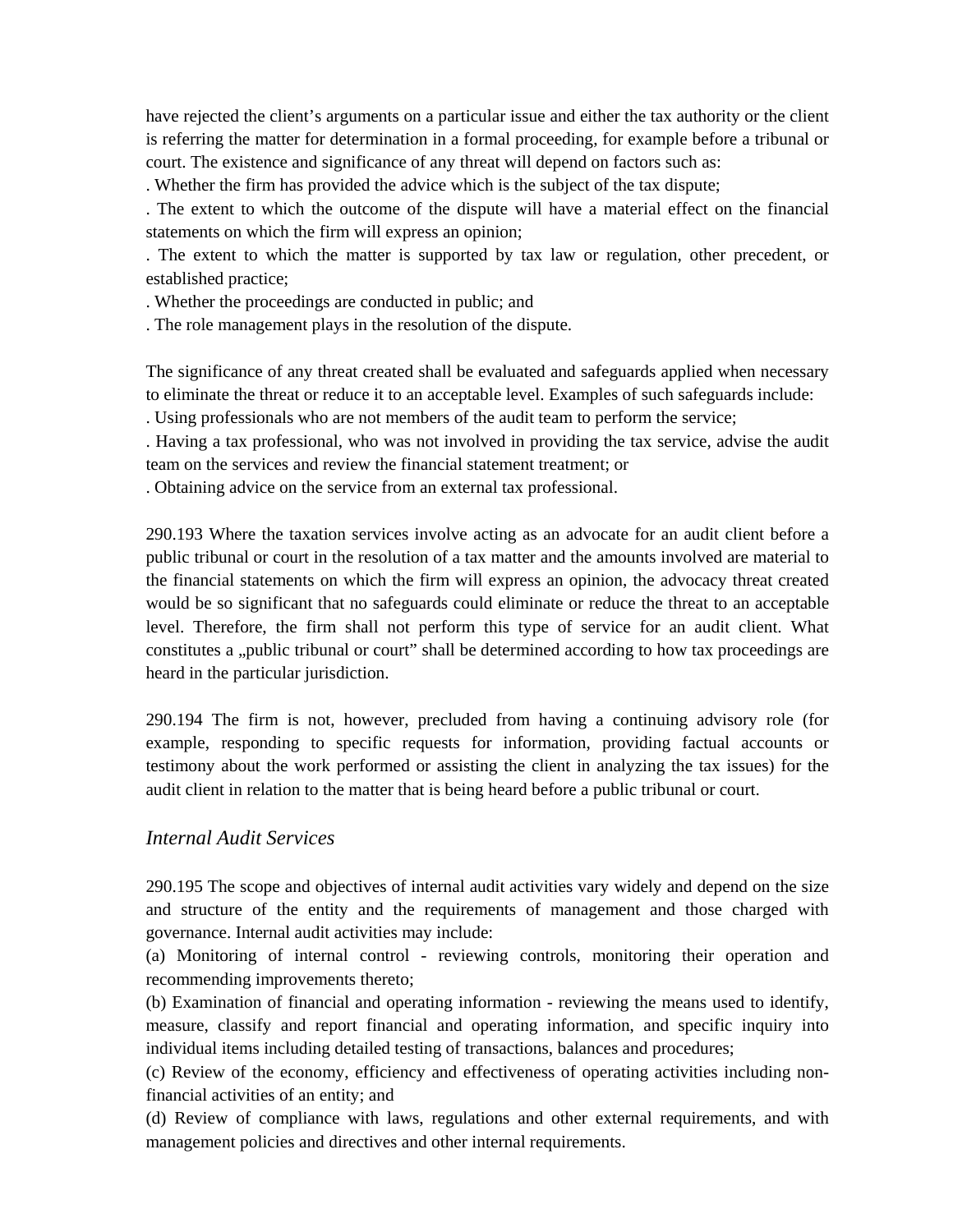have rejected the client's arguments on a particular issue and either the tax authority or the client is referring the matter for determination in a formal proceeding, for example before a tribunal or court. The existence and significance of any threat will depend on factors such as:

. Whether the firm has provided the advice which is the subject of the tax dispute;

. The extent to which the outcome of the dispute will have a material effect on the financial statements on which the firm will express an opinion;

. The extent to which the matter is supported by tax law or regulation, other precedent, or established practice;

. Whether the proceedings are conducted in public; and

. The role management plays in the resolution of the dispute.

The significance of any threat created shall be evaluated and safeguards applied when necessary to eliminate the threat or reduce it to an acceptable level. Examples of such safeguards include:

. Using professionals who are not members of the audit team to perform the service;

. Having a tax professional, who was not involved in providing the tax service, advise the audit team on the services and review the financial statement treatment; or

. Obtaining advice on the service from an external tax professional.

290.193 Where the taxation services involve acting as an advocate for an audit client before a public tribunal or court in the resolution of a tax matter and the amounts involved are material to the financial statements on which the firm will express an opinion, the advocacy threat created would be so significant that no safeguards could eliminate or reduce the threat to an acceptable level. Therefore, the firm shall not perform this type of service for an audit client. What constitutes a "public tribunal or court" shall be determined according to how tax proceedings are heard in the particular jurisdiction.

290.194 The firm is not, however, precluded from having a continuing advisory role (for example, responding to specific requests for information, providing factual accounts or testimony about the work performed or assisting the client in analyzing the tax issues) for the audit client in relation to the matter that is being heard before a public tribunal or court.

#### *Internal Audit Services*

290.195 The scope and objectives of internal audit activities vary widely and depend on the size and structure of the entity and the requirements of management and those charged with governance. Internal audit activities may include:

(a) Monitoring of internal control - reviewing controls, monitoring their operation and recommending improvements thereto;

(b) Examination of financial and operating information - reviewing the means used to identify, measure, classify and report financial and operating information, and specific inquiry into individual items including detailed testing of transactions, balances and procedures;

(c) Review of the economy, efficiency and effectiveness of operating activities including nonfinancial activities of an entity; and

(d) Review of compliance with laws, regulations and other external requirements, and with management policies and directives and other internal requirements.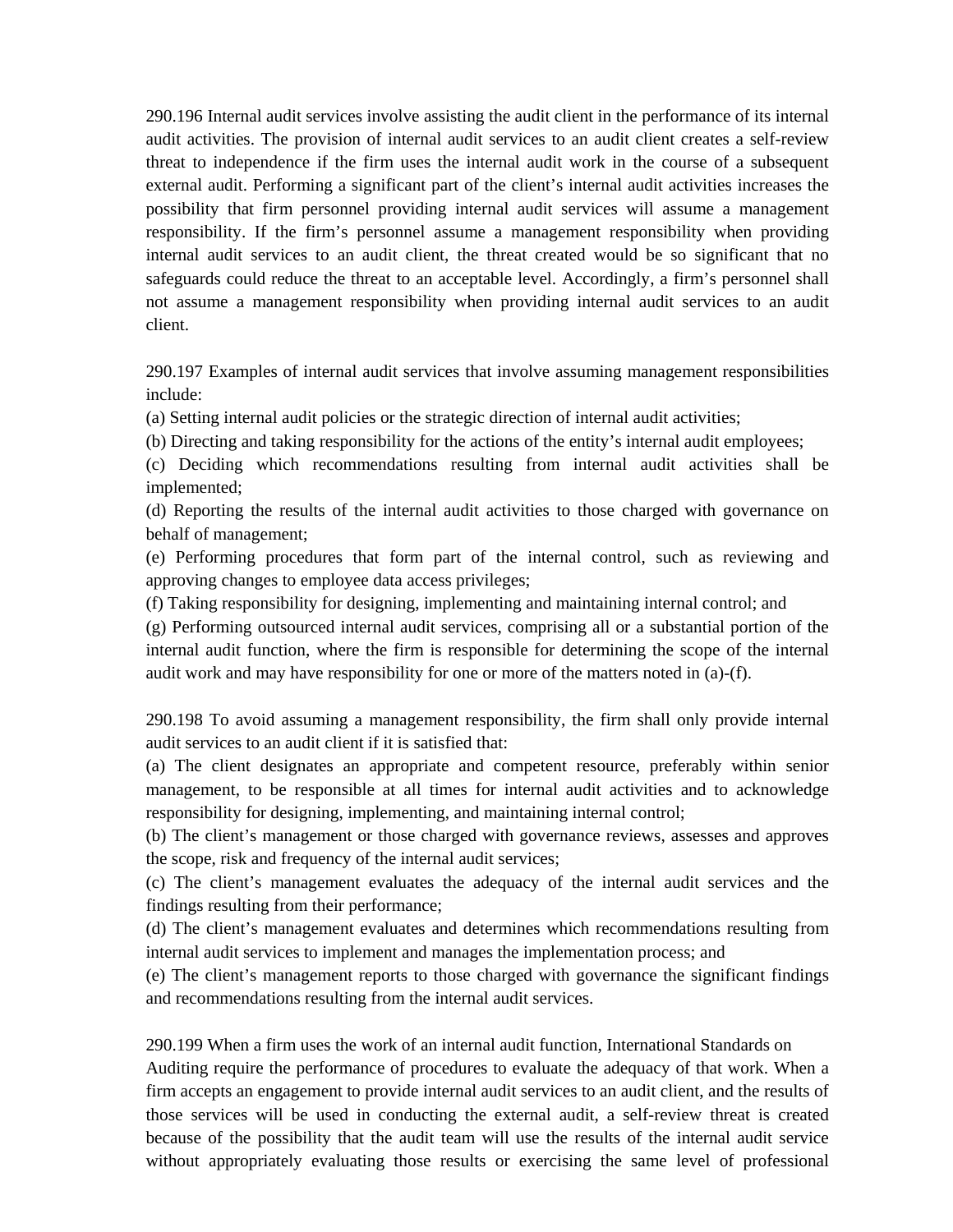290.196 Internal audit services involve assisting the audit client in the performance of its internal audit activities. The provision of internal audit services to an audit client creates a self-review threat to independence if the firm uses the internal audit work in the course of a subsequent external audit. Performing a significant part of the client's internal audit activities increases the possibility that firm personnel providing internal audit services will assume a management responsibility. If the firm's personnel assume a management responsibility when providing internal audit services to an audit client, the threat created would be so significant that no safeguards could reduce the threat to an acceptable level. Accordingly, a firm's personnel shall not assume a management responsibility when providing internal audit services to an audit client.

290.197 Examples of internal audit services that involve assuming management responsibilities include:

(a) Setting internal audit policies or the strategic direction of internal audit activities;

(b) Directing and taking responsibility for the actions of the entity's internal audit employees;

(c) Deciding which recommendations resulting from internal audit activities shall be implemented;

(d) Reporting the results of the internal audit activities to those charged with governance on behalf of management;

(e) Performing procedures that form part of the internal control, such as reviewing and approving changes to employee data access privileges;

(f) Taking responsibility for designing, implementing and maintaining internal control; and

(g) Performing outsourced internal audit services, comprising all or a substantial portion of the internal audit function, where the firm is responsible for determining the scope of the internal audit work and may have responsibility for one or more of the matters noted in (a)-(f).

290.198 To avoid assuming a management responsibility, the firm shall only provide internal audit services to an audit client if it is satisfied that:

(a) The client designates an appropriate and competent resource, preferably within senior management, to be responsible at all times for internal audit activities and to acknowledge responsibility for designing, implementing, and maintaining internal control;

(b) The client's management or those charged with governance reviews, assesses and approves the scope, risk and frequency of the internal audit services;

(c) The client's management evaluates the adequacy of the internal audit services and the findings resulting from their performance;

(d) The client's management evaluates and determines which recommendations resulting from internal audit services to implement and manages the implementation process; and

(e) The client's management reports to those charged with governance the significant findings and recommendations resulting from the internal audit services.

290.199 When a firm uses the work of an internal audit function, International Standards on Auditing require the performance of procedures to evaluate the adequacy of that work. When a firm accepts an engagement to provide internal audit services to an audit client, and the results of those services will be used in conducting the external audit, a self-review threat is created because of the possibility that the audit team will use the results of the internal audit service without appropriately evaluating those results or exercising the same level of professional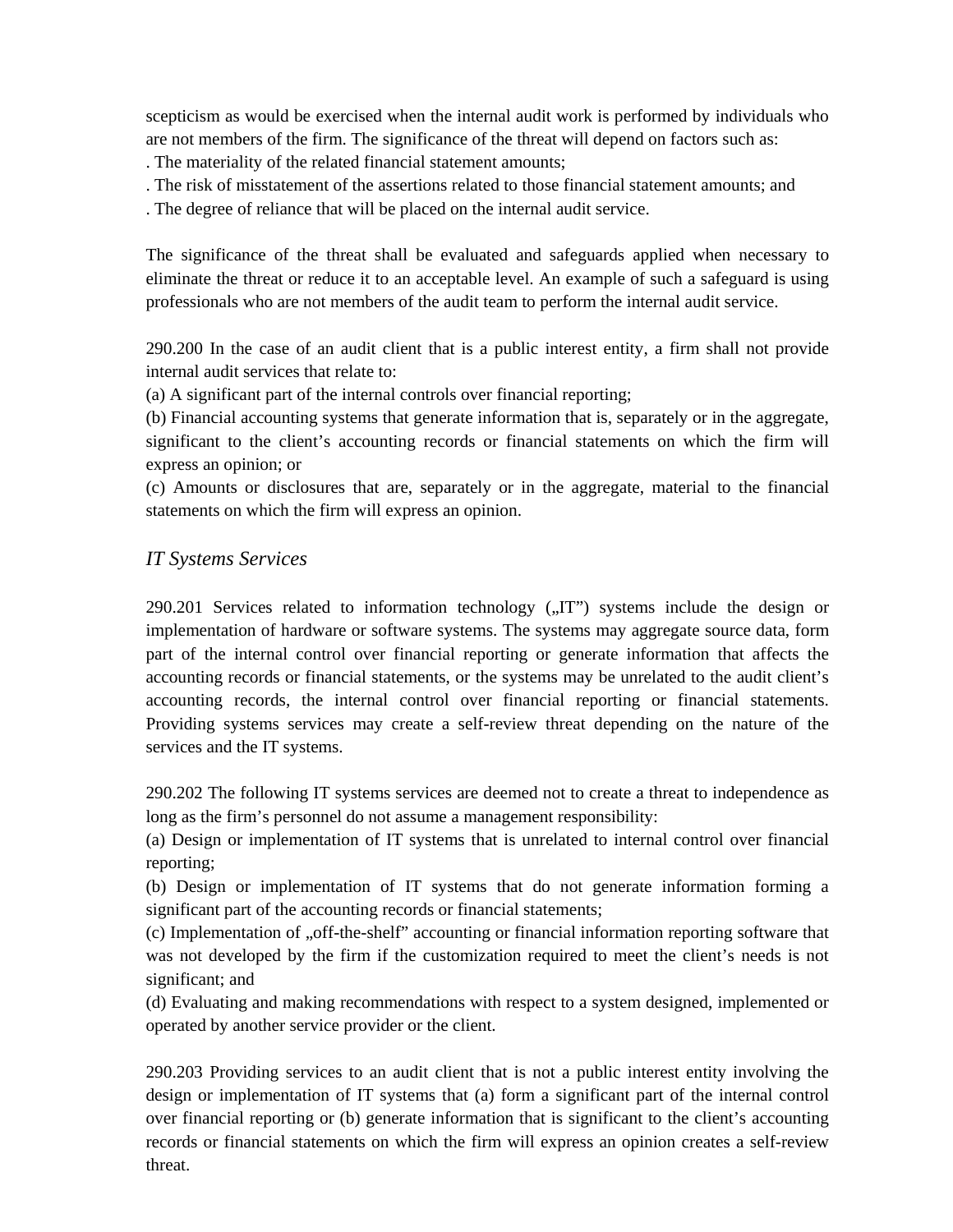scepticism as would be exercised when the internal audit work is performed by individuals who are not members of the firm. The significance of the threat will depend on factors such as:

. The materiality of the related financial statement amounts;

. The risk of misstatement of the assertions related to those financial statement amounts; and

. The degree of reliance that will be placed on the internal audit service.

The significance of the threat shall be evaluated and safeguards applied when necessary to eliminate the threat or reduce it to an acceptable level. An example of such a safeguard is using professionals who are not members of the audit team to perform the internal audit service.

290.200 In the case of an audit client that is a public interest entity, a firm shall not provide internal audit services that relate to:

(a) A significant part of the internal controls over financial reporting;

(b) Financial accounting systems that generate information that is, separately or in the aggregate, significant to the client's accounting records or financial statements on which the firm will express an opinion; or

(c) Amounts or disclosures that are, separately or in the aggregate, material to the financial statements on which the firm will express an opinion.

#### *IT Systems Services*

 $290.201$  Services related to information technology  $($ "IT") systems include the design or implementation of hardware or software systems. The systems may aggregate source data, form part of the internal control over financial reporting or generate information that affects the accounting records or financial statements, or the systems may be unrelated to the audit client's accounting records, the internal control over financial reporting or financial statements. Providing systems services may create a self-review threat depending on the nature of the services and the IT systems.

290.202 The following IT systems services are deemed not to create a threat to independence as long as the firm's personnel do not assume a management responsibility:

(a) Design or implementation of IT systems that is unrelated to internal control over financial reporting;

(b) Design or implementation of IT systems that do not generate information forming a significant part of the accounting records or financial statements;

(c) Implementation of "off-the-shelf" accounting or financial information reporting software that was not developed by the firm if the customization required to meet the client's needs is not significant; and

(d) Evaluating and making recommendations with respect to a system designed, implemented or operated by another service provider or the client.

290.203 Providing services to an audit client that is not a public interest entity involving the design or implementation of IT systems that (a) form a significant part of the internal control over financial reporting or (b) generate information that is significant to the client's accounting records or financial statements on which the firm will express an opinion creates a self-review threat.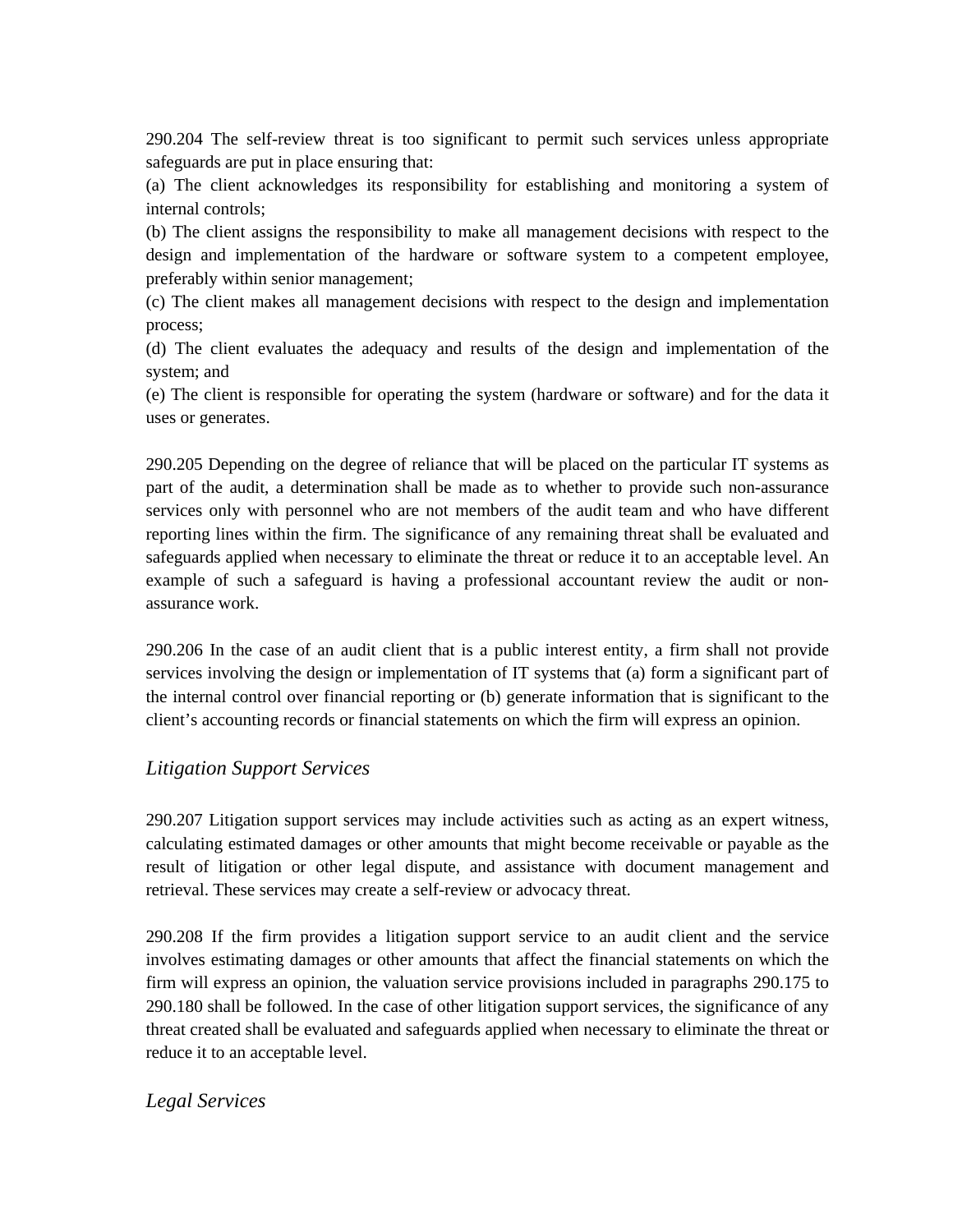290.204 The self-review threat is too significant to permit such services unless appropriate safeguards are put in place ensuring that:

(a) The client acknowledges its responsibility for establishing and monitoring a system of internal controls;

(b) The client assigns the responsibility to make all management decisions with respect to the design and implementation of the hardware or software system to a competent employee, preferably within senior management;

(c) The client makes all management decisions with respect to the design and implementation process;

(d) The client evaluates the adequacy and results of the design and implementation of the system; and

(e) The client is responsible for operating the system (hardware or software) and for the data it uses or generates.

290.205 Depending on the degree of reliance that will be placed on the particular IT systems as part of the audit, a determination shall be made as to whether to provide such non-assurance services only with personnel who are not members of the audit team and who have different reporting lines within the firm. The significance of any remaining threat shall be evaluated and safeguards applied when necessary to eliminate the threat or reduce it to an acceptable level. An example of such a safeguard is having a professional accountant review the audit or nonassurance work.

290.206 In the case of an audit client that is a public interest entity, a firm shall not provide services involving the design or implementation of IT systems that (a) form a significant part of the internal control over financial reporting or (b) generate information that is significant to the client's accounting records or financial statements on which the firm will express an opinion.

#### *Litigation Support Services*

290.207 Litigation support services may include activities such as acting as an expert witness, calculating estimated damages or other amounts that might become receivable or payable as the result of litigation or other legal dispute, and assistance with document management and retrieval. These services may create a self-review or advocacy threat.

290.208 If the firm provides a litigation support service to an audit client and the service involves estimating damages or other amounts that affect the financial statements on which the firm will express an opinion, the valuation service provisions included in paragraphs 290.175 to 290.180 shall be followed. In the case of other litigation support services, the significance of any threat created shall be evaluated and safeguards applied when necessary to eliminate the threat or reduce it to an acceptable level.

#### *Legal Services*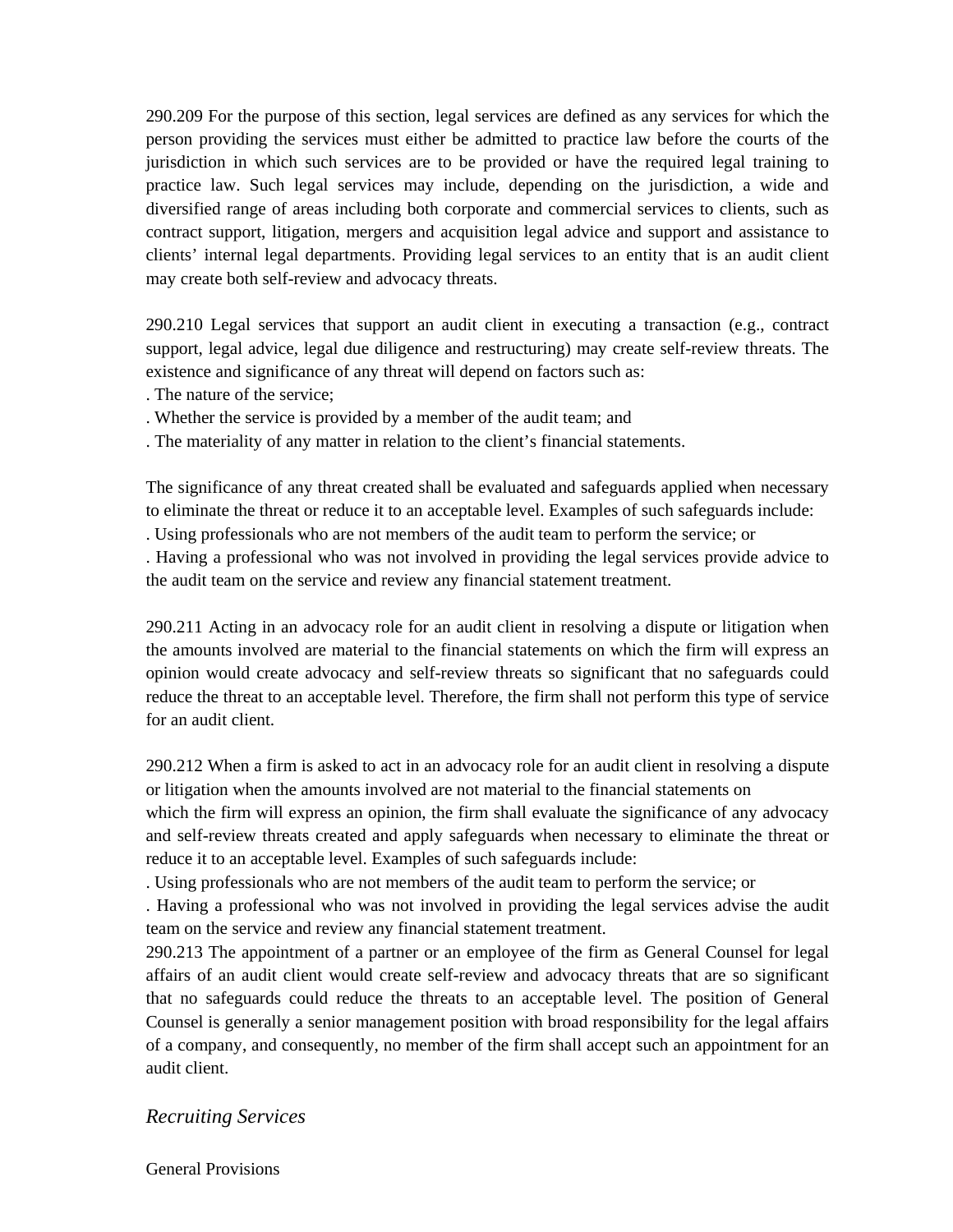290.209 For the purpose of this section, legal services are defined as any services for which the person providing the services must either be admitted to practice law before the courts of the jurisdiction in which such services are to be provided or have the required legal training to practice law. Such legal services may include, depending on the jurisdiction, a wide and diversified range of areas including both corporate and commercial services to clients, such as contract support, litigation, mergers and acquisition legal advice and support and assistance to clients' internal legal departments. Providing legal services to an entity that is an audit client may create both self-review and advocacy threats.

290.210 Legal services that support an audit client in executing a transaction (e.g., contract support, legal advice, legal due diligence and restructuring) may create self-review threats. The existence and significance of any threat will depend on factors such as:

. The nature of the service;

. Whether the service is provided by a member of the audit team; and

. The materiality of any matter in relation to the client's financial statements.

The significance of any threat created shall be evaluated and safeguards applied when necessary to eliminate the threat or reduce it to an acceptable level. Examples of such safeguards include:

. Using professionals who are not members of the audit team to perform the service; or

. Having a professional who was not involved in providing the legal services provide advice to the audit team on the service and review any financial statement treatment.

290.211 Acting in an advocacy role for an audit client in resolving a dispute or litigation when the amounts involved are material to the financial statements on which the firm will express an opinion would create advocacy and self-review threats so significant that no safeguards could reduce the threat to an acceptable level. Therefore, the firm shall not perform this type of service for an audit client.

290.212 When a firm is asked to act in an advocacy role for an audit client in resolving a dispute or litigation when the amounts involved are not material to the financial statements on

which the firm will express an opinion, the firm shall evaluate the significance of any advocacy and self-review threats created and apply safeguards when necessary to eliminate the threat or reduce it to an acceptable level. Examples of such safeguards include:

. Using professionals who are not members of the audit team to perform the service; or

. Having a professional who was not involved in providing the legal services advise the audit team on the service and review any financial statement treatment.

290.213 The appointment of a partner or an employee of the firm as General Counsel for legal affairs of an audit client would create self-review and advocacy threats that are so significant that no safeguards could reduce the threats to an acceptable level. The position of General Counsel is generally a senior management position with broad responsibility for the legal affairs of a company, and consequently, no member of the firm shall accept such an appointment for an audit client.

#### *Recruiting Services*

General Provisions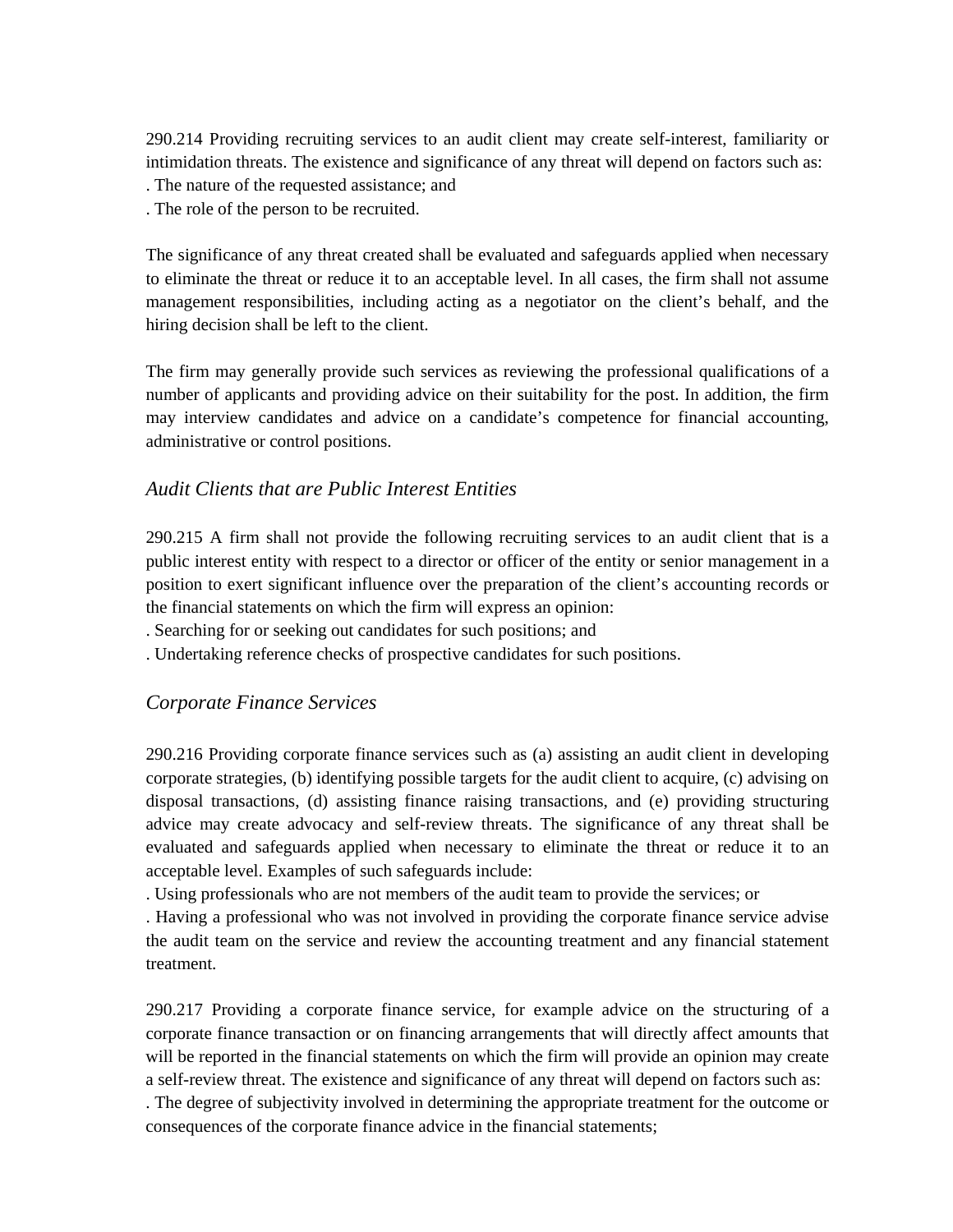290.214 Providing recruiting services to an audit client may create self-interest, familiarity or intimidation threats. The existence and significance of any threat will depend on factors such as:

. The nature of the requested assistance; and

. The role of the person to be recruited.

The significance of any threat created shall be evaluated and safeguards applied when necessary to eliminate the threat or reduce it to an acceptable level. In all cases, the firm shall not assume management responsibilities, including acting as a negotiator on the client's behalf, and the hiring decision shall be left to the client.

The firm may generally provide such services as reviewing the professional qualifications of a number of applicants and providing advice on their suitability for the post. In addition, the firm may interview candidates and advice on a candidate's competence for financial accounting, administrative or control positions.

#### *Audit Clients that are Public Interest Entities*

290.215 A firm shall not provide the following recruiting services to an audit client that is a public interest entity with respect to a director or officer of the entity or senior management in a position to exert significant influence over the preparation of the client's accounting records or the financial statements on which the firm will express an opinion:

. Searching for or seeking out candidates for such positions; and

. Undertaking reference checks of prospective candidates for such positions.

#### *Corporate Finance Services*

290.216 Providing corporate finance services such as (a) assisting an audit client in developing corporate strategies, (b) identifying possible targets for the audit client to acquire, (c) advising on disposal transactions, (d) assisting finance raising transactions, and (e) providing structuring advice may create advocacy and self-review threats. The significance of any threat shall be evaluated and safeguards applied when necessary to eliminate the threat or reduce it to an acceptable level. Examples of such safeguards include:

. Using professionals who are not members of the audit team to provide the services; or

. Having a professional who was not involved in providing the corporate finance service advise the audit team on the service and review the accounting treatment and any financial statement treatment.

290.217 Providing a corporate finance service, for example advice on the structuring of a corporate finance transaction or on financing arrangements that will directly affect amounts that will be reported in the financial statements on which the firm will provide an opinion may create a self-review threat. The existence and significance of any threat will depend on factors such as:

. The degree of subjectivity involved in determining the appropriate treatment for the outcome or consequences of the corporate finance advice in the financial statements;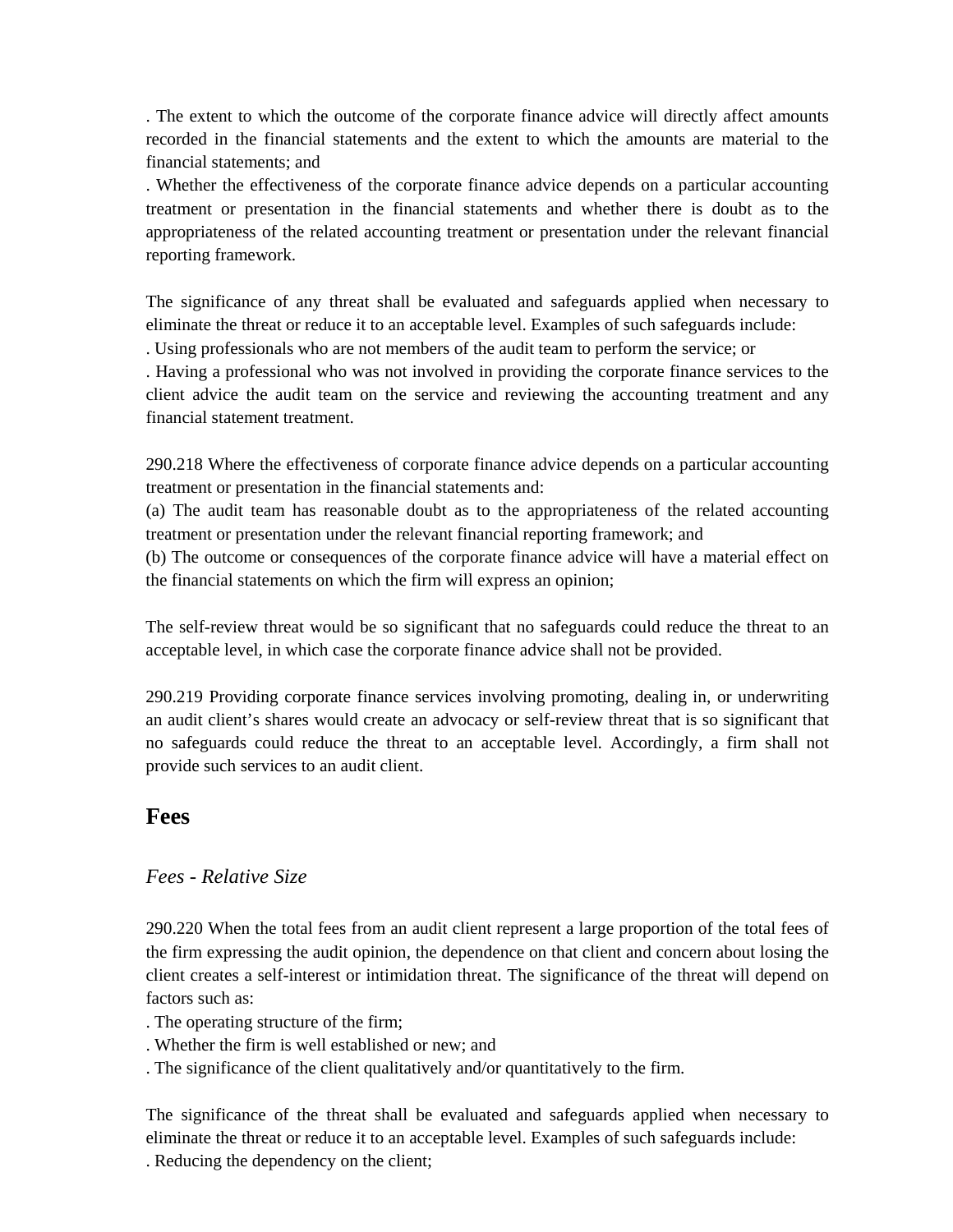. The extent to which the outcome of the corporate finance advice will directly affect amounts recorded in the financial statements and the extent to which the amounts are material to the financial statements; and

. Whether the effectiveness of the corporate finance advice depends on a particular accounting treatment or presentation in the financial statements and whether there is doubt as to the appropriateness of the related accounting treatment or presentation under the relevant financial reporting framework.

The significance of any threat shall be evaluated and safeguards applied when necessary to eliminate the threat or reduce it to an acceptable level. Examples of such safeguards include:

. Using professionals who are not members of the audit team to perform the service; or

. Having a professional who was not involved in providing the corporate finance services to the client advice the audit team on the service and reviewing the accounting treatment and any financial statement treatment.

290.218 Where the effectiveness of corporate finance advice depends on a particular accounting treatment or presentation in the financial statements and:

(a) The audit team has reasonable doubt as to the appropriateness of the related accounting treatment or presentation under the relevant financial reporting framework; and

(b) The outcome or consequences of the corporate finance advice will have a material effect on the financial statements on which the firm will express an opinion;

The self-review threat would be so significant that no safeguards could reduce the threat to an acceptable level, in which case the corporate finance advice shall not be provided.

290.219 Providing corporate finance services involving promoting, dealing in, or underwriting an audit client's shares would create an advocacy or self-review threat that is so significant that no safeguards could reduce the threat to an acceptable level. Accordingly, a firm shall not provide such services to an audit client.

### **Fees**

#### *Fees - Relative Size*

290.220 When the total fees from an audit client represent a large proportion of the total fees of the firm expressing the audit opinion, the dependence on that client and concern about losing the client creates a self-interest or intimidation threat. The significance of the threat will depend on factors such as:

. The operating structure of the firm;

. Whether the firm is well established or new; and

. The significance of the client qualitatively and/or quantitatively to the firm.

The significance of the threat shall be evaluated and safeguards applied when necessary to eliminate the threat or reduce it to an acceptable level. Examples of such safeguards include: . Reducing the dependency on the client;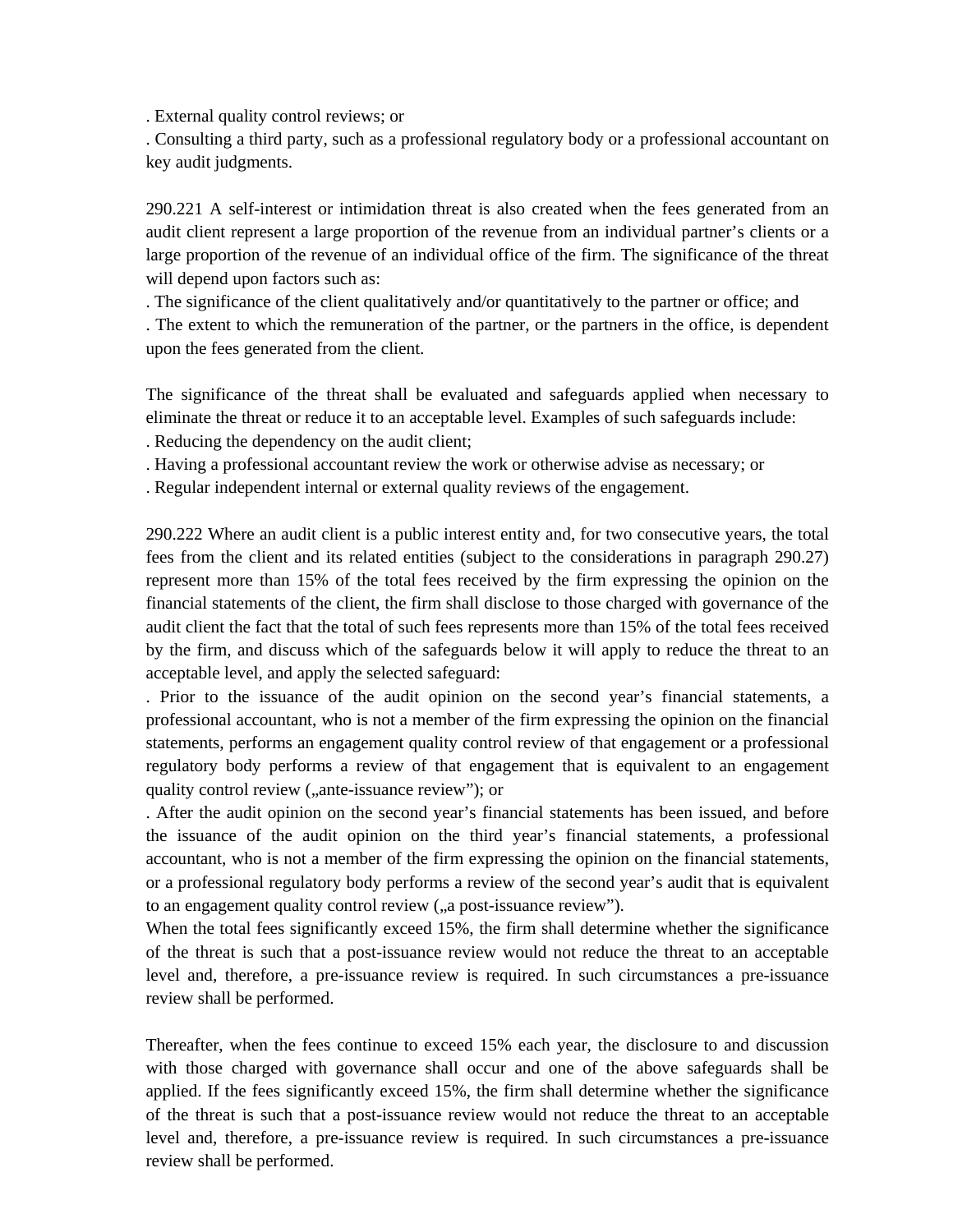. External quality control reviews; or

. Consulting a third party, such as a professional regulatory body or a professional accountant on key audit judgments.

290.221 A self-interest or intimidation threat is also created when the fees generated from an audit client represent a large proportion of the revenue from an individual partner's clients or a large proportion of the revenue of an individual office of the firm. The significance of the threat will depend upon factors such as:

. The significance of the client qualitatively and/or quantitatively to the partner or office; and

. The extent to which the remuneration of the partner, or the partners in the office, is dependent upon the fees generated from the client.

The significance of the threat shall be evaluated and safeguards applied when necessary to eliminate the threat or reduce it to an acceptable level. Examples of such safeguards include: . Reducing the dependency on the audit client;

. Having a professional accountant review the work or otherwise advise as necessary; or

. Regular independent internal or external quality reviews of the engagement.

290.222 Where an audit client is a public interest entity and, for two consecutive years, the total fees from the client and its related entities (subject to the considerations in paragraph 290.27) represent more than 15% of the total fees received by the firm expressing the opinion on the financial statements of the client, the firm shall disclose to those charged with governance of the audit client the fact that the total of such fees represents more than 15% of the total fees received by the firm, and discuss which of the safeguards below it will apply to reduce the threat to an acceptable level, and apply the selected safeguard:

. Prior to the issuance of the audit opinion on the second year's financial statements, a professional accountant, who is not a member of the firm expressing the opinion on the financial statements, performs an engagement quality control review of that engagement or a professional regulatory body performs a review of that engagement that is equivalent to an engagement quality control review (, ante-issuance review"); or

. After the audit opinion on the second year's financial statements has been issued, and before the issuance of the audit opinion on the third year's financial statements, a professional accountant, who is not a member of the firm expressing the opinion on the financial statements, or a professional regulatory body performs a review of the second year's audit that is equivalent to an engagement quality control review (, a post-issuance review").

When the total fees significantly exceed 15%, the firm shall determine whether the significance of the threat is such that a post-issuance review would not reduce the threat to an acceptable level and, therefore, a pre-issuance review is required. In such circumstances a pre-issuance review shall be performed.

Thereafter, when the fees continue to exceed 15% each year, the disclosure to and discussion with those charged with governance shall occur and one of the above safeguards shall be applied. If the fees significantly exceed 15%, the firm shall determine whether the significance of the threat is such that a post-issuance review would not reduce the threat to an acceptable level and, therefore, a pre-issuance review is required. In such circumstances a pre-issuance review shall be performed.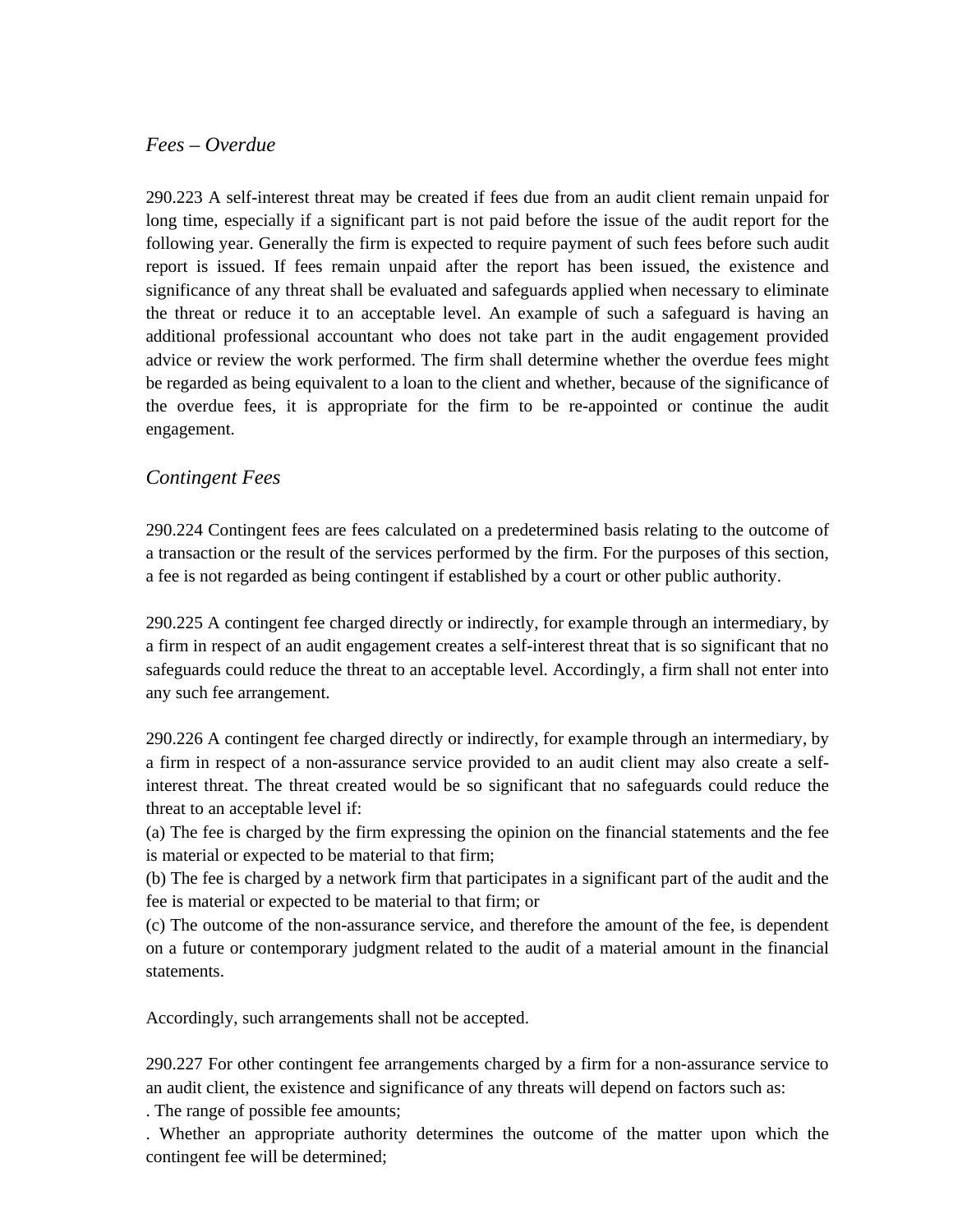#### *Fees – Overdue*

290.223 A self-interest threat may be created if fees due from an audit client remain unpaid for long time, especially if a significant part is not paid before the issue of the audit report for the following year. Generally the firm is expected to require payment of such fees before such audit report is issued. If fees remain unpaid after the report has been issued, the existence and significance of any threat shall be evaluated and safeguards applied when necessary to eliminate the threat or reduce it to an acceptable level. An example of such a safeguard is having an additional professional accountant who does not take part in the audit engagement provided advice or review the work performed. The firm shall determine whether the overdue fees might be regarded as being equivalent to a loan to the client and whether, because of the significance of the overdue fees, it is appropriate for the firm to be re-appointed or continue the audit engagement.

#### *Contingent Fees*

290.224 Contingent fees are fees calculated on a predetermined basis relating to the outcome of a transaction or the result of the services performed by the firm. For the purposes of this section, a fee is not regarded as being contingent if established by a court or other public authority.

290.225 A contingent fee charged directly or indirectly, for example through an intermediary, by a firm in respect of an audit engagement creates a self-interest threat that is so significant that no safeguards could reduce the threat to an acceptable level. Accordingly, a firm shall not enter into any such fee arrangement.

290.226 A contingent fee charged directly or indirectly, for example through an intermediary, by a firm in respect of a non-assurance service provided to an audit client may also create a selfinterest threat. The threat created would be so significant that no safeguards could reduce the threat to an acceptable level if:

(a) The fee is charged by the firm expressing the opinion on the financial statements and the fee is material or expected to be material to that firm;

(b) The fee is charged by a network firm that participates in a significant part of the audit and the fee is material or expected to be material to that firm; or

(c) The outcome of the non-assurance service, and therefore the amount of the fee, is dependent on a future or contemporary judgment related to the audit of a material amount in the financial statements.

Accordingly, such arrangements shall not be accepted.

290.227 For other contingent fee arrangements charged by a firm for a non-assurance service to an audit client, the existence and significance of any threats will depend on factors such as:

. The range of possible fee amounts;

. Whether an appropriate authority determines the outcome of the matter upon which the contingent fee will be determined;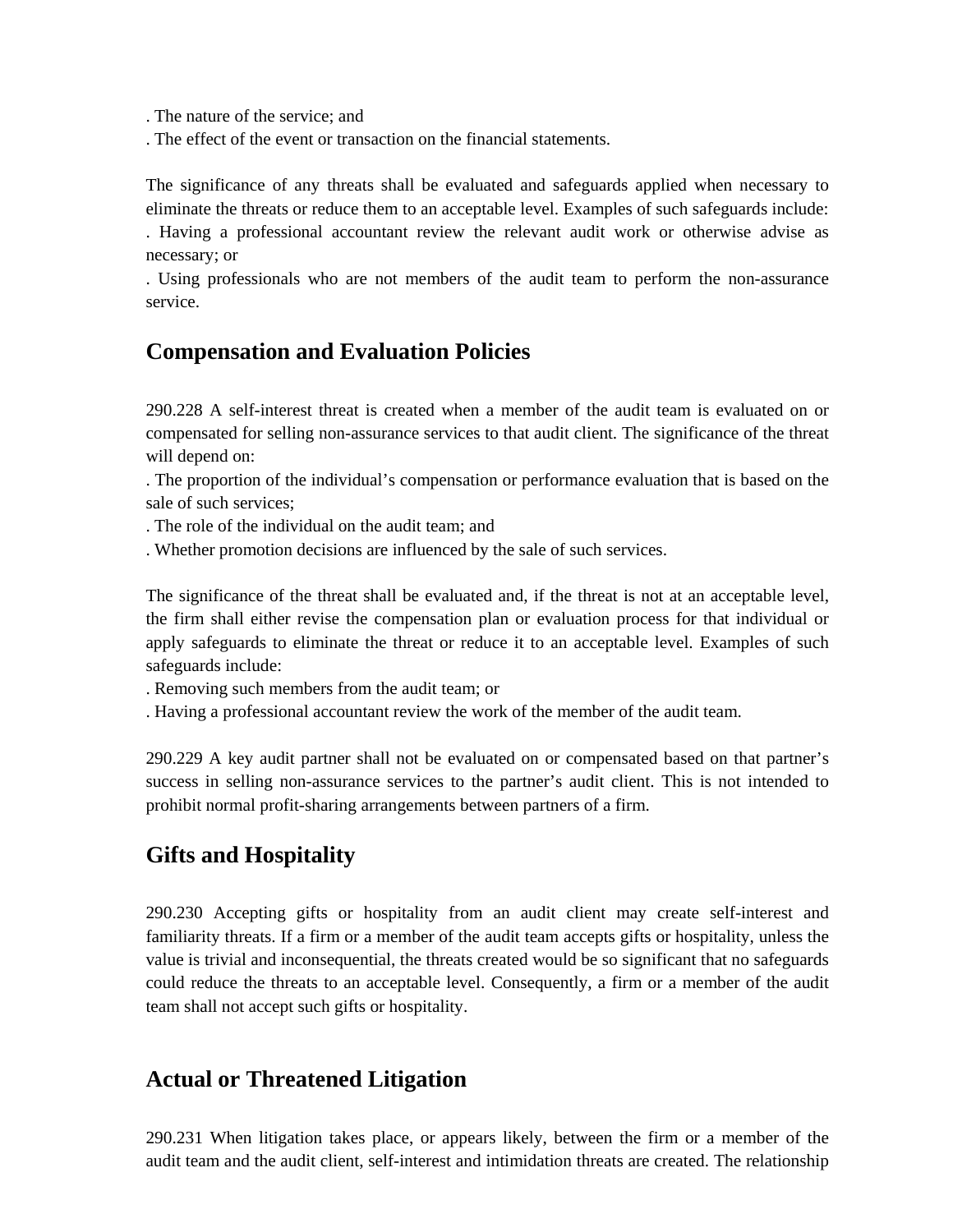. The nature of the service; and

. The effect of the event or transaction on the financial statements.

The significance of any threats shall be evaluated and safeguards applied when necessary to eliminate the threats or reduce them to an acceptable level. Examples of such safeguards include:

. Having a professional accountant review the relevant audit work or otherwise advise as necessary; or

. Using professionals who are not members of the audit team to perform the non-assurance service.

### **Compensation and Evaluation Policies**

290.228 A self-interest threat is created when a member of the audit team is evaluated on or compensated for selling non-assurance services to that audit client. The significance of the threat will depend on:

. The proportion of the individual's compensation or performance evaluation that is based on the sale of such services;

. The role of the individual on the audit team; and

. Whether promotion decisions are influenced by the sale of such services.

The significance of the threat shall be evaluated and, if the threat is not at an acceptable level, the firm shall either revise the compensation plan or evaluation process for that individual or apply safeguards to eliminate the threat or reduce it to an acceptable level. Examples of such safeguards include:

. Removing such members from the audit team; or

. Having a professional accountant review the work of the member of the audit team.

290.229 A key audit partner shall not be evaluated on or compensated based on that partner's success in selling non-assurance services to the partner's audit client. This is not intended to prohibit normal profit-sharing arrangements between partners of a firm.

# **Gifts and Hospitality**

290.230 Accepting gifts or hospitality from an audit client may create self-interest and familiarity threats. If a firm or a member of the audit team accepts gifts or hospitality, unless the value is trivial and inconsequential, the threats created would be so significant that no safeguards could reduce the threats to an acceptable level. Consequently, a firm or a member of the audit team shall not accept such gifts or hospitality.

### **Actual or Threatened Litigation**

290.231 When litigation takes place, or appears likely, between the firm or a member of the audit team and the audit client, self-interest and intimidation threats are created. The relationship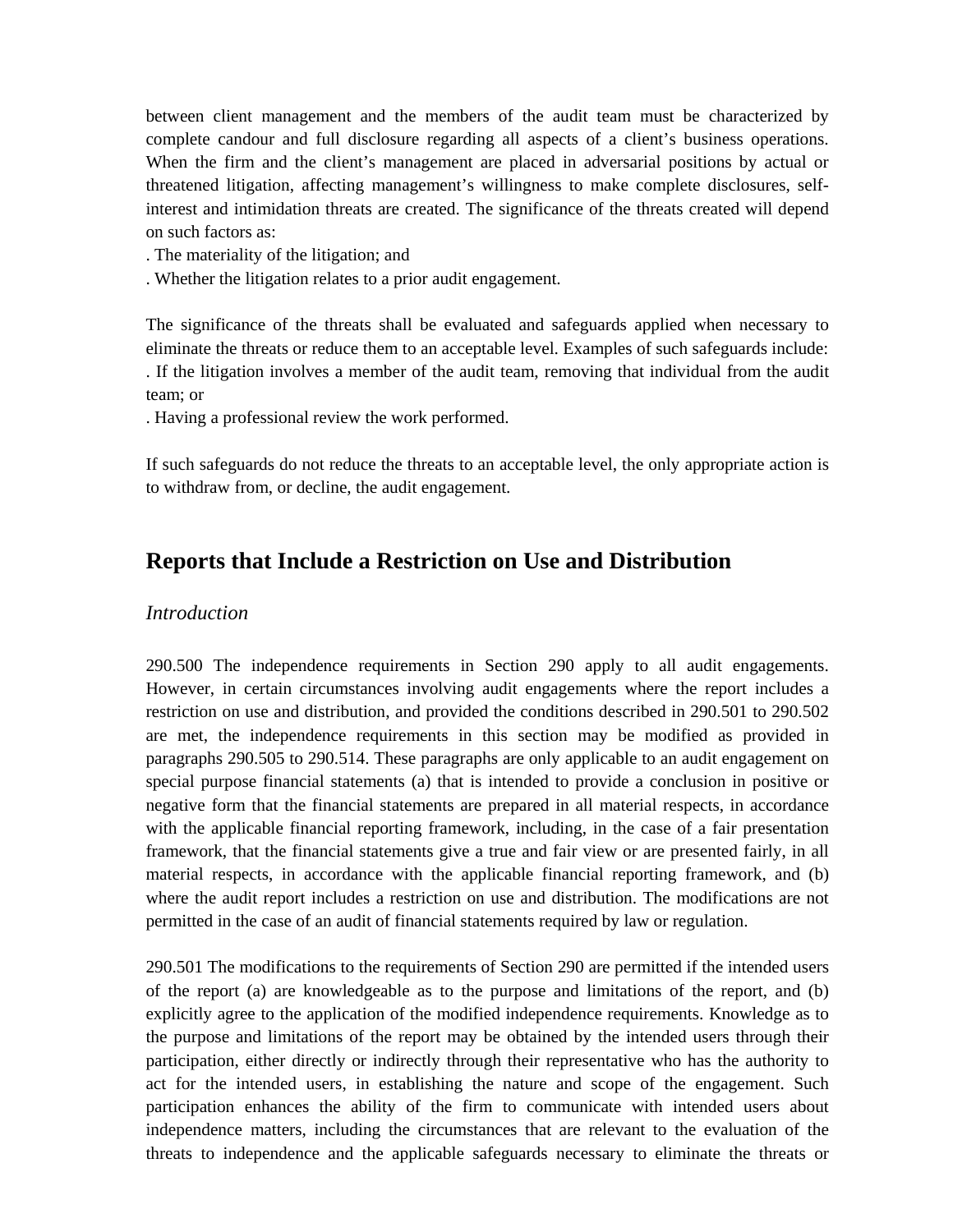between client management and the members of the audit team must be characterized by complete candour and full disclosure regarding all aspects of a client's business operations. When the firm and the client's management are placed in adversarial positions by actual or threatened litigation, affecting management's willingness to make complete disclosures, selfinterest and intimidation threats are created. The significance of the threats created will depend on such factors as:

- . The materiality of the litigation; and
- . Whether the litigation relates to a prior audit engagement.

The significance of the threats shall be evaluated and safeguards applied when necessary to eliminate the threats or reduce them to an acceptable level. Examples of such safeguards include: . If the litigation involves a member of the audit team, removing that individual from the audit team; or

. Having a professional review the work performed.

If such safeguards do not reduce the threats to an acceptable level, the only appropriate action is to withdraw from, or decline, the audit engagement.

#### **Reports that Include a Restriction on Use and Distribution**

#### *Introduction*

290.500 The independence requirements in Section 290 apply to all audit engagements. However, in certain circumstances involving audit engagements where the report includes a restriction on use and distribution, and provided the conditions described in 290.501 to 290.502 are met, the independence requirements in this section may be modified as provided in paragraphs 290.505 to 290.514. These paragraphs are only applicable to an audit engagement on special purpose financial statements (a) that is intended to provide a conclusion in positive or negative form that the financial statements are prepared in all material respects, in accordance with the applicable financial reporting framework, including, in the case of a fair presentation framework, that the financial statements give a true and fair view or are presented fairly, in all material respects, in accordance with the applicable financial reporting framework, and (b) where the audit report includes a restriction on use and distribution. The modifications are not permitted in the case of an audit of financial statements required by law or regulation.

290.501 The modifications to the requirements of Section 290 are permitted if the intended users of the report (a) are knowledgeable as to the purpose and limitations of the report, and (b) explicitly agree to the application of the modified independence requirements. Knowledge as to the purpose and limitations of the report may be obtained by the intended users through their participation, either directly or indirectly through their representative who has the authority to act for the intended users, in establishing the nature and scope of the engagement. Such participation enhances the ability of the firm to communicate with intended users about independence matters, including the circumstances that are relevant to the evaluation of the threats to independence and the applicable safeguards necessary to eliminate the threats or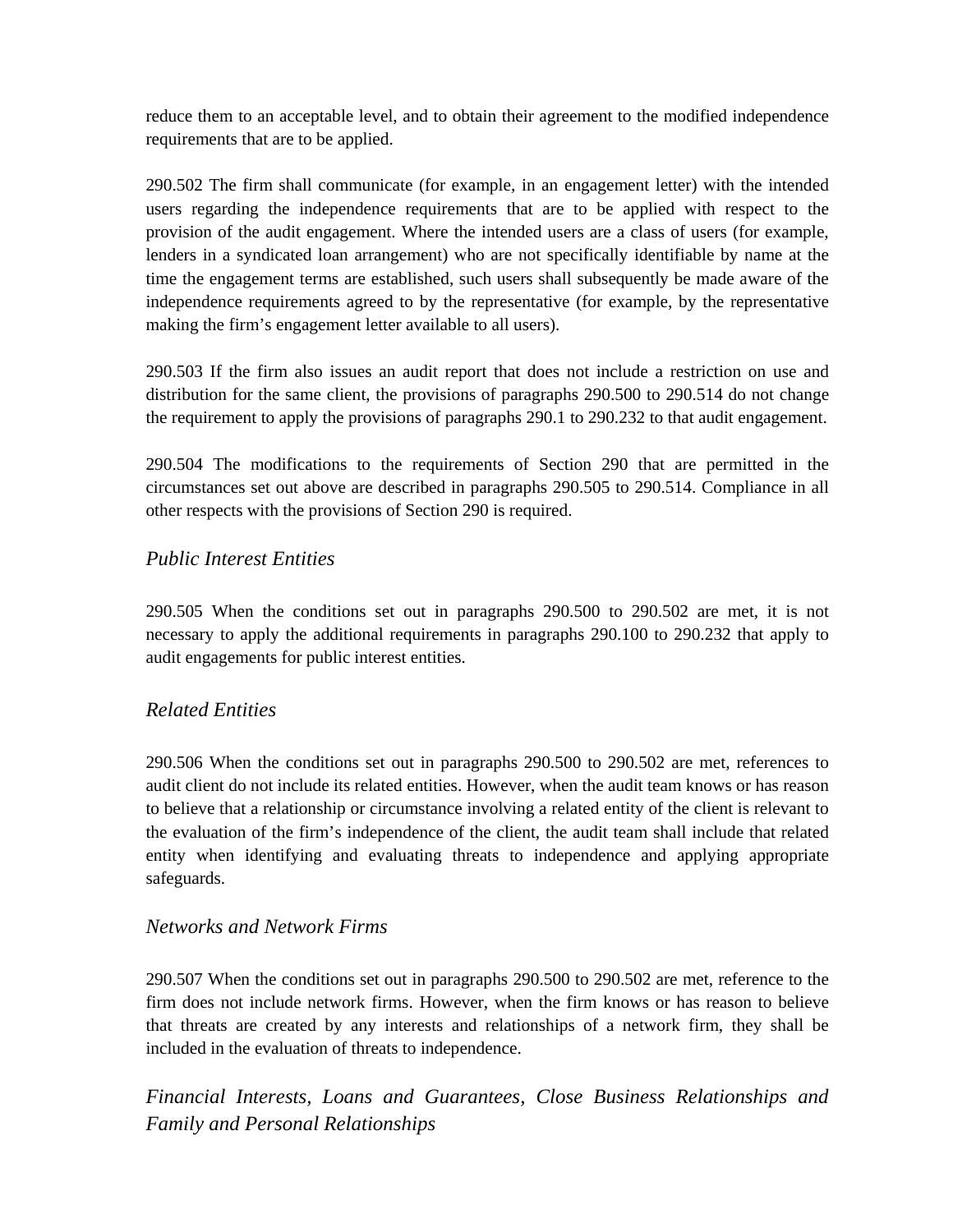reduce them to an acceptable level, and to obtain their agreement to the modified independence requirements that are to be applied.

290.502 The firm shall communicate (for example, in an engagement letter) with the intended users regarding the independence requirements that are to be applied with respect to the provision of the audit engagement. Where the intended users are a class of users (for example, lenders in a syndicated loan arrangement) who are not specifically identifiable by name at the time the engagement terms are established, such users shall subsequently be made aware of the independence requirements agreed to by the representative (for example, by the representative making the firm's engagement letter available to all users).

290.503 If the firm also issues an audit report that does not include a restriction on use and distribution for the same client, the provisions of paragraphs 290.500 to 290.514 do not change the requirement to apply the provisions of paragraphs 290.1 to 290.232 to that audit engagement.

290.504 The modifications to the requirements of Section 290 that are permitted in the circumstances set out above are described in paragraphs 290.505 to 290.514. Compliance in all other respects with the provisions of Section 290 is required.

#### *Public Interest Entities*

290.505 When the conditions set out in paragraphs 290.500 to 290.502 are met, it is not necessary to apply the additional requirements in paragraphs 290.100 to 290.232 that apply to audit engagements for public interest entities.

#### *Related Entities*

290.506 When the conditions set out in paragraphs 290.500 to 290.502 are met, references to audit client do not include its related entities. However, when the audit team knows or has reason to believe that a relationship or circumstance involving a related entity of the client is relevant to the evaluation of the firm's independence of the client, the audit team shall include that related entity when identifying and evaluating threats to independence and applying appropriate safeguards.

#### *Networks and Network Firms*

290.507 When the conditions set out in paragraphs 290.500 to 290.502 are met, reference to the firm does not include network firms. However, when the firm knows or has reason to believe that threats are created by any interests and relationships of a network firm, they shall be included in the evaluation of threats to independence.

*Financial Interests, Loans and Guarantees, Close Business Relationships and Family and Personal Relationships*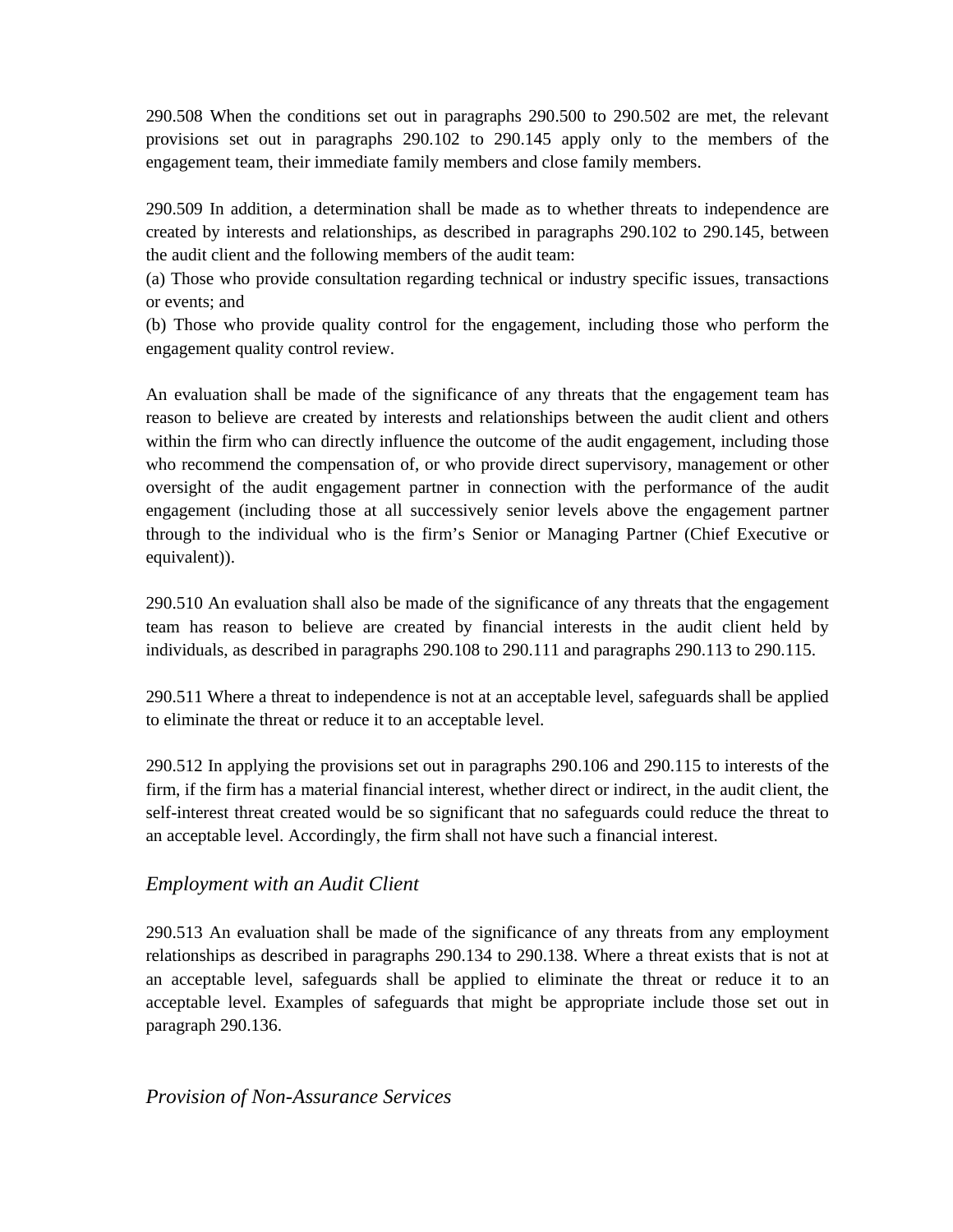290.508 When the conditions set out in paragraphs 290.500 to 290.502 are met, the relevant provisions set out in paragraphs 290.102 to 290.145 apply only to the members of the engagement team, their immediate family members and close family members.

290.509 In addition, a determination shall be made as to whether threats to independence are created by interests and relationships, as described in paragraphs 290.102 to 290.145, between the audit client and the following members of the audit team:

(a) Those who provide consultation regarding technical or industry specific issues, transactions or events; and

(b) Those who provide quality control for the engagement, including those who perform the engagement quality control review.

An evaluation shall be made of the significance of any threats that the engagement team has reason to believe are created by interests and relationships between the audit client and others within the firm who can directly influence the outcome of the audit engagement, including those who recommend the compensation of, or who provide direct supervisory, management or other oversight of the audit engagement partner in connection with the performance of the audit engagement (including those at all successively senior levels above the engagement partner through to the individual who is the firm's Senior or Managing Partner (Chief Executive or equivalent)).

290.510 An evaluation shall also be made of the significance of any threats that the engagement team has reason to believe are created by financial interests in the audit client held by individuals, as described in paragraphs 290.108 to 290.111 and paragraphs 290.113 to 290.115.

290.511 Where a threat to independence is not at an acceptable level, safeguards shall be applied to eliminate the threat or reduce it to an acceptable level.

290.512 In applying the provisions set out in paragraphs 290.106 and 290.115 to interests of the firm, if the firm has a material financial interest, whether direct or indirect, in the audit client, the self-interest threat created would be so significant that no safeguards could reduce the threat to an acceptable level. Accordingly, the firm shall not have such a financial interest.

#### *Employment with an Audit Client*

290.513 An evaluation shall be made of the significance of any threats from any employment relationships as described in paragraphs 290.134 to 290.138. Where a threat exists that is not at an acceptable level, safeguards shall be applied to eliminate the threat or reduce it to an acceptable level. Examples of safeguards that might be appropriate include those set out in paragraph 290.136.

#### *Provision of Non-Assurance Services*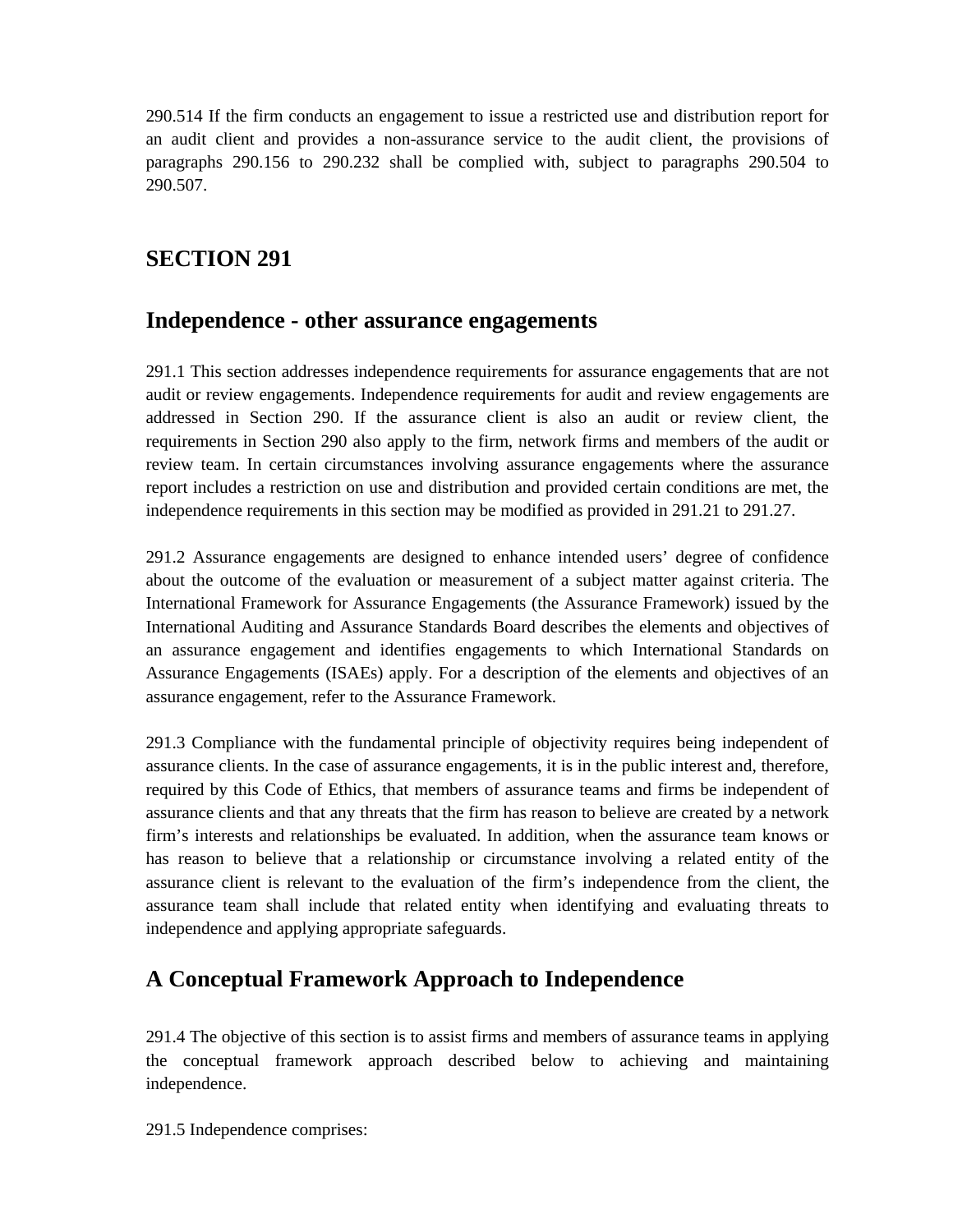290.514 If the firm conducts an engagement to issue a restricted use and distribution report for an audit client and provides a non-assurance service to the audit client, the provisions of paragraphs 290.156 to 290.232 shall be complied with, subject to paragraphs 290.504 to 290.507.

# **SECTION 291**

#### **Independence - other assurance engagements**

291.1 This section addresses independence requirements for assurance engagements that are not audit or review engagements. Independence requirements for audit and review engagements are addressed in Section 290. If the assurance client is also an audit or review client, the requirements in Section 290 also apply to the firm, network firms and members of the audit or review team. In certain circumstances involving assurance engagements where the assurance report includes a restriction on use and distribution and provided certain conditions are met, the independence requirements in this section may be modified as provided in 291.21 to 291.27.

291.2 Assurance engagements are designed to enhance intended users' degree of confidence about the outcome of the evaluation or measurement of a subject matter against criteria. The International Framework for Assurance Engagements (the Assurance Framework) issued by the International Auditing and Assurance Standards Board describes the elements and objectives of an assurance engagement and identifies engagements to which International Standards on Assurance Engagements (ISAEs) apply. For a description of the elements and objectives of an assurance engagement, refer to the Assurance Framework.

291.3 Compliance with the fundamental principle of objectivity requires being independent of assurance clients. In the case of assurance engagements, it is in the public interest and, therefore, required by this Code of Ethics, that members of assurance teams and firms be independent of assurance clients and that any threats that the firm has reason to believe are created by a network firm's interests and relationships be evaluated. In addition, when the assurance team knows or has reason to believe that a relationship or circumstance involving a related entity of the assurance client is relevant to the evaluation of the firm's independence from the client, the assurance team shall include that related entity when identifying and evaluating threats to independence and applying appropriate safeguards.

# **A Conceptual Framework Approach to Independence**

291.4 The objective of this section is to assist firms and members of assurance teams in applying the conceptual framework approach described below to achieving and maintaining independence.

291.5 Independence comprises: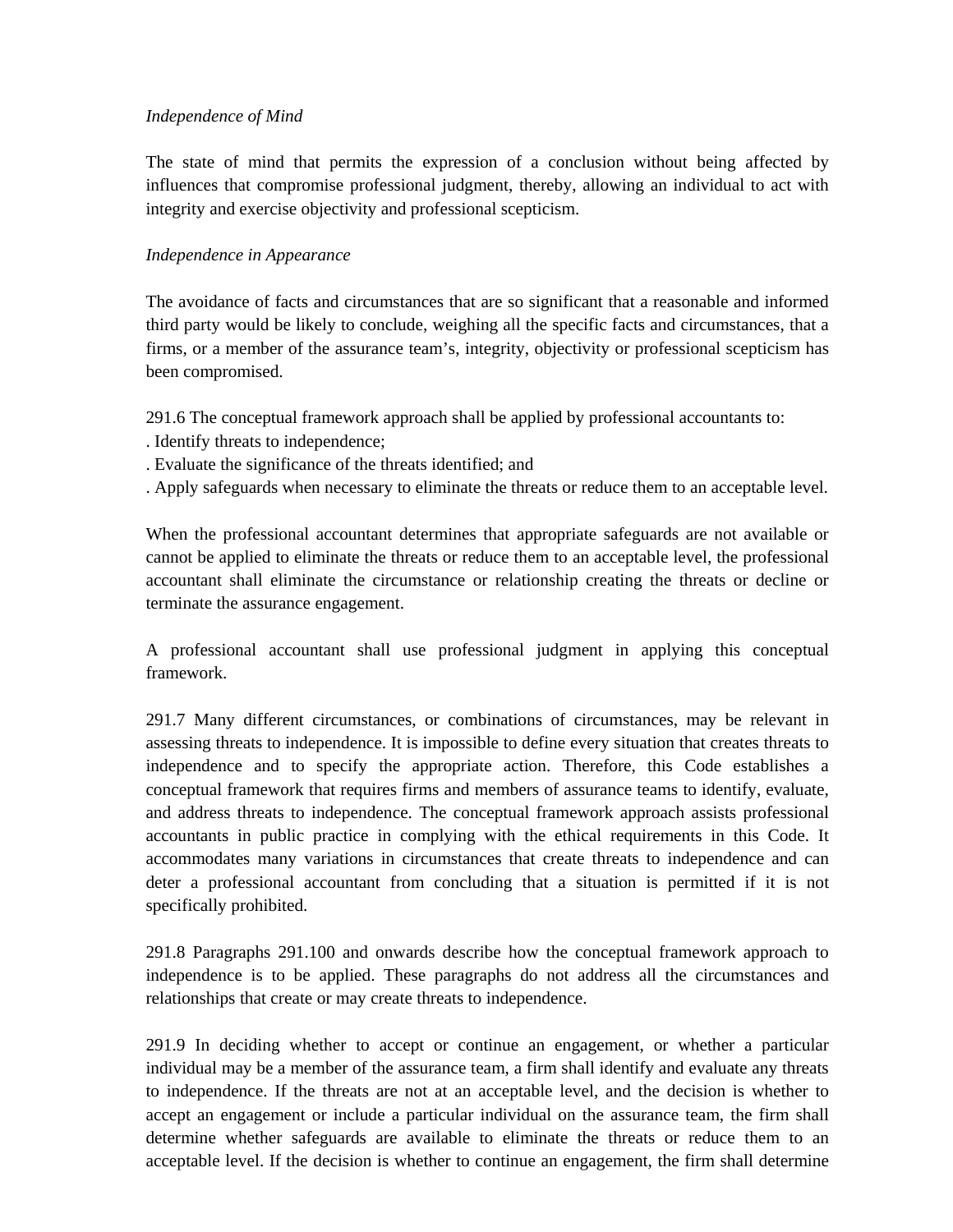#### *Independence of Mind*

The state of mind that permits the expression of a conclusion without being affected by influences that compromise professional judgment, thereby, allowing an individual to act with integrity and exercise objectivity and professional scepticism.

#### *Independence in Appearance*

The avoidance of facts and circumstances that are so significant that a reasonable and informed third party would be likely to conclude, weighing all the specific facts and circumstances, that a firms, or a member of the assurance team's, integrity, objectivity or professional scepticism has been compromised.

291.6 The conceptual framework approach shall be applied by professional accountants to:

- . Identify threats to independence;
- . Evaluate the significance of the threats identified; and
- . Apply safeguards when necessary to eliminate the threats or reduce them to an acceptable level.

When the professional accountant determines that appropriate safeguards are not available or cannot be applied to eliminate the threats or reduce them to an acceptable level, the professional accountant shall eliminate the circumstance or relationship creating the threats or decline or terminate the assurance engagement.

A professional accountant shall use professional judgment in applying this conceptual framework.

291.7 Many different circumstances, or combinations of circumstances, may be relevant in assessing threats to independence. It is impossible to define every situation that creates threats to independence and to specify the appropriate action. Therefore, this Code establishes a conceptual framework that requires firms and members of assurance teams to identify, evaluate, and address threats to independence. The conceptual framework approach assists professional accountants in public practice in complying with the ethical requirements in this Code. It accommodates many variations in circumstances that create threats to independence and can deter a professional accountant from concluding that a situation is permitted if it is not specifically prohibited.

291.8 Paragraphs 291.100 and onwards describe how the conceptual framework approach to independence is to be applied. These paragraphs do not address all the circumstances and relationships that create or may create threats to independence.

291.9 In deciding whether to accept or continue an engagement, or whether a particular individual may be a member of the assurance team, a firm shall identify and evaluate any threats to independence. If the threats are not at an acceptable level, and the decision is whether to accept an engagement or include a particular individual on the assurance team, the firm shall determine whether safeguards are available to eliminate the threats or reduce them to an acceptable level. If the decision is whether to continue an engagement, the firm shall determine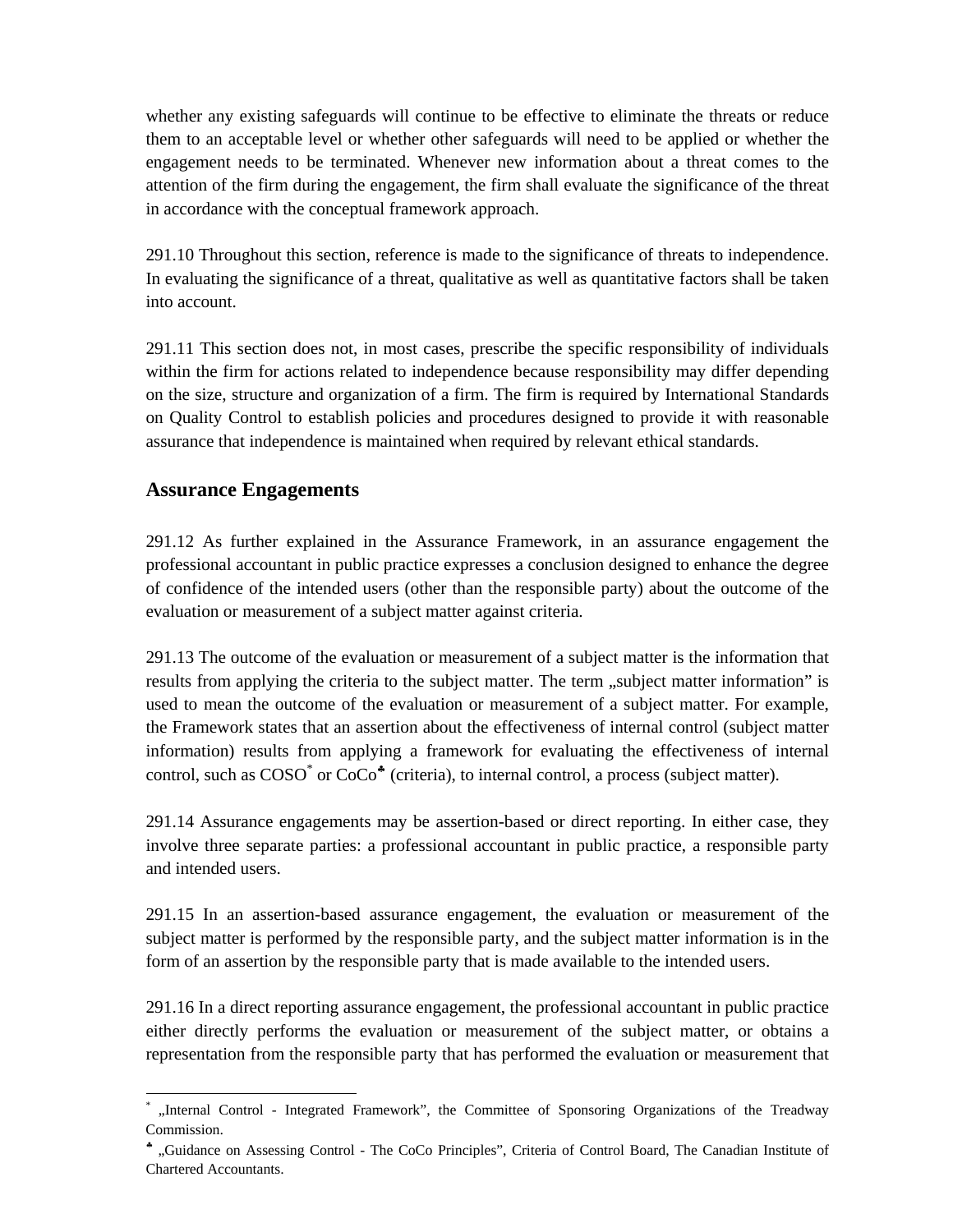whether any existing safeguards will continue to be effective to eliminate the threats or reduce them to an acceptable level or whether other safeguards will need to be applied or whether the engagement needs to be terminated. Whenever new information about a threat comes to the attention of the firm during the engagement, the firm shall evaluate the significance of the threat in accordance with the conceptual framework approach.

291.10 Throughout this section, reference is made to the significance of threats to independence. In evaluating the significance of a threat, qualitative as well as quantitative factors shall be taken into account.

291.11 This section does not, in most cases, prescribe the specific responsibility of individuals within the firm for actions related to independence because responsibility may differ depending on the size, structure and organization of a firm. The firm is required by International Standards on Quality Control to establish policies and procedures designed to provide it with reasonable assurance that independence is maintained when required by relevant ethical standards.

#### **Assurance Engagements**

291.12 As further explained in the Assurance Framework, in an assurance engagement the professional accountant in public practice expresses a conclusion designed to enhance the degree of confidence of the intended users (other than the responsible party) about the outcome of the evaluation or measurement of a subject matter against criteria.

291.13 The outcome of the evaluation or measurement of a subject matter is the information that results from applying the criteria to the subject matter. The term "subject matter information" is used to mean the outcome of the evaluation or measurement of a subject matter. For example, the Framework states that an assertion about the effectiveness of internal control (subject matter information) results from applying a framework for evaluating the effectiveness of internal control, such as  $COSO^*$  or  $CoCo^*$  (criteria), to internal control, a process (subject matter).

291.14 Assurance engagements may be assertion-based or direct reporting. In either case, they involve three separate parties: a professional accountant in public practice, a responsible party and intended users.

291.15 In an assertion-based assurance engagement, the evaluation or measurement of the subject matter is performed by the responsible party, and the subject matter information is in the form of an assertion by the responsible party that is made available to the intended users.

291.16 In a direct reporting assurance engagement, the professional accountant in public practice either directly performs the evaluation or measurement of the subject matter, or obtains a representation from the responsible party that has performed the evaluation or measurement that

<sup>&</sup>quot;Internal Control - Integrated Framework", the Committee of Sponsoring Organizations of the Treadway Commission.

<sup>♣</sup> "Guidance on Assessing Control - The CoCo Principles", Criteria of Control Board, The Canadian Institute of Chartered Accountants.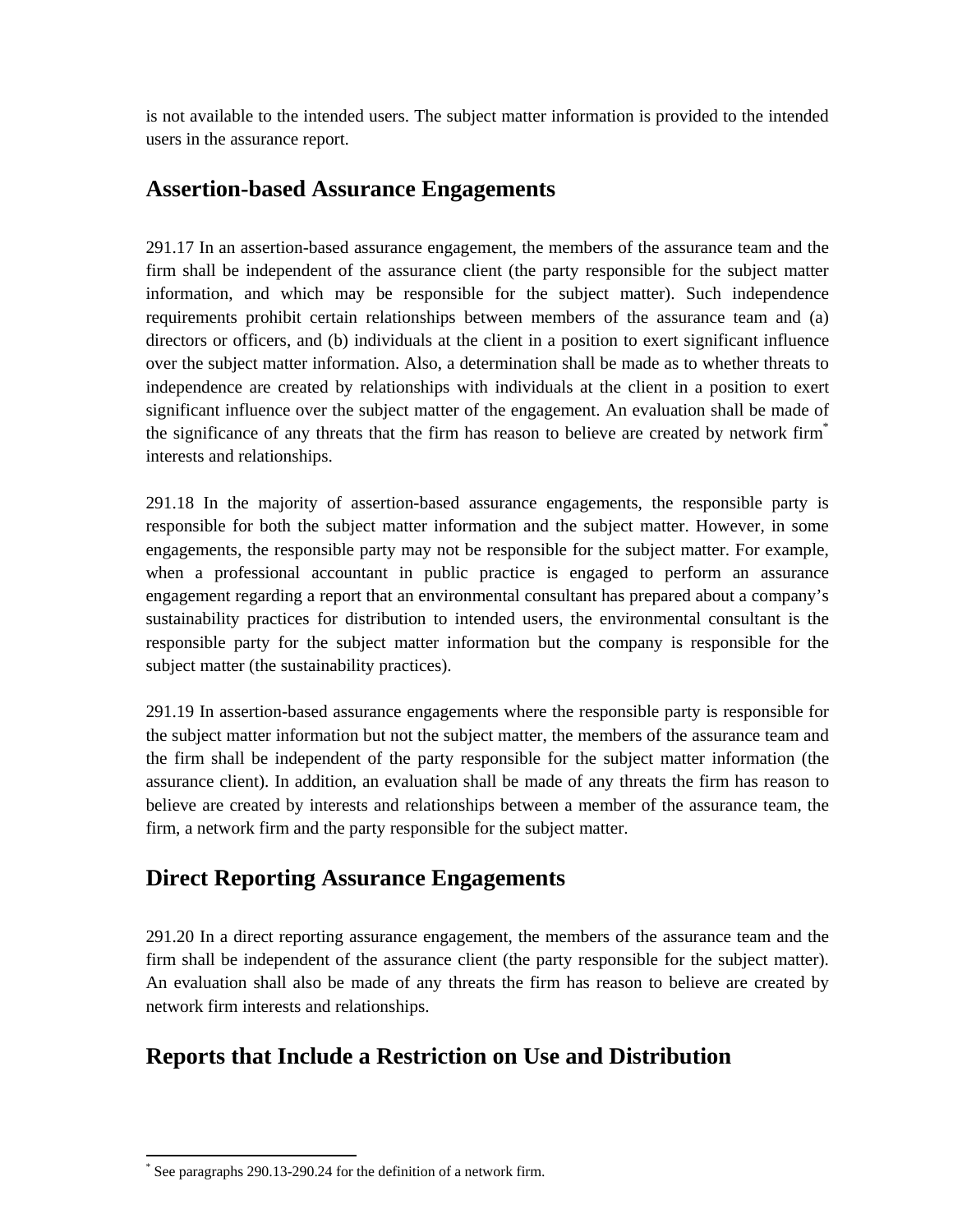is not available to the intended users. The subject matter information is provided to the intended users in the assurance report.

# **Assertion-based Assurance Engagements**

291.17 In an assertion-based assurance engagement, the members of the assurance team and the firm shall be independent of the assurance client (the party responsible for the subject matter information, and which may be responsible for the subject matter). Such independence requirements prohibit certain relationships between members of the assurance team and (a) directors or officers, and (b) individuals at the client in a position to exert significant influence over the subject matter information. Also, a determination shall be made as to whether threats to independence are created by relationships with individuals at the client in a position to exert significant influence over the subject matter of the engagement. An evaluation shall be made of the significance of any threats that the firm has reason to believe are created by network firm $\dot{\ }$ interests and relationships.

291.18 In the majority of assertion-based assurance engagements, the responsible party is responsible for both the subject matter information and the subject matter. However, in some engagements, the responsible party may not be responsible for the subject matter. For example, when a professional accountant in public practice is engaged to perform an assurance engagement regarding a report that an environmental consultant has prepared about a company's sustainability practices for distribution to intended users, the environmental consultant is the responsible party for the subject matter information but the company is responsible for the subject matter (the sustainability practices).

291.19 In assertion-based assurance engagements where the responsible party is responsible for the subject matter information but not the subject matter, the members of the assurance team and the firm shall be independent of the party responsible for the subject matter information (the assurance client). In addition, an evaluation shall be made of any threats the firm has reason to believe are created by interests and relationships between a member of the assurance team, the firm, a network firm and the party responsible for the subject matter.

# **Direct Reporting Assurance Engagements**

291.20 In a direct reporting assurance engagement, the members of the assurance team and the firm shall be independent of the assurance client (the party responsible for the subject matter). An evaluation shall also be made of any threats the firm has reason to believe are created by network firm interests and relationships.

# **Reports that Include a Restriction on Use and Distribution**

<sup>\*</sup> See paragraphs 290.13-290.24 for the definition of a network firm.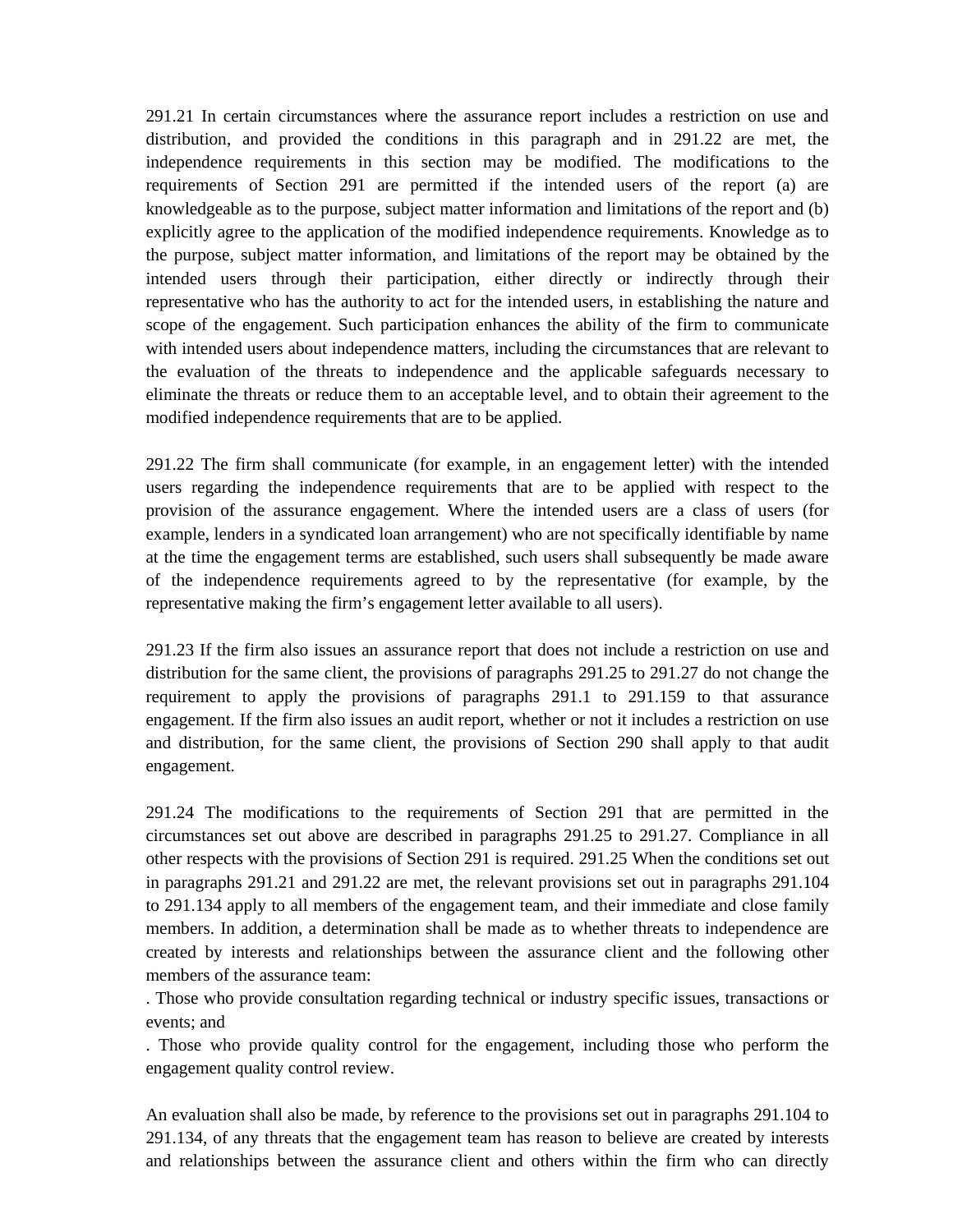291.21 In certain circumstances where the assurance report includes a restriction on use and distribution, and provided the conditions in this paragraph and in 291.22 are met, the independence requirements in this section may be modified. The modifications to the requirements of Section 291 are permitted if the intended users of the report (a) are knowledgeable as to the purpose, subject matter information and limitations of the report and (b) explicitly agree to the application of the modified independence requirements. Knowledge as to the purpose, subject matter information, and limitations of the report may be obtained by the intended users through their participation, either directly or indirectly through their representative who has the authority to act for the intended users, in establishing the nature and scope of the engagement. Such participation enhances the ability of the firm to communicate with intended users about independence matters, including the circumstances that are relevant to the evaluation of the threats to independence and the applicable safeguards necessary to eliminate the threats or reduce them to an acceptable level, and to obtain their agreement to the modified independence requirements that are to be applied.

291.22 The firm shall communicate (for example, in an engagement letter) with the intended users regarding the independence requirements that are to be applied with respect to the provision of the assurance engagement. Where the intended users are a class of users (for example, lenders in a syndicated loan arrangement) who are not specifically identifiable by name at the time the engagement terms are established, such users shall subsequently be made aware of the independence requirements agreed to by the representative (for example, by the representative making the firm's engagement letter available to all users).

291.23 If the firm also issues an assurance report that does not include a restriction on use and distribution for the same client, the provisions of paragraphs 291.25 to 291.27 do not change the requirement to apply the provisions of paragraphs 291.1 to 291.159 to that assurance engagement. If the firm also issues an audit report, whether or not it includes a restriction on use and distribution, for the same client, the provisions of Section 290 shall apply to that audit engagement.

291.24 The modifications to the requirements of Section 291 that are permitted in the circumstances set out above are described in paragraphs 291.25 to 291.27. Compliance in all other respects with the provisions of Section 291 is required. 291.25 When the conditions set out in paragraphs 291.21 and 291.22 are met, the relevant provisions set out in paragraphs 291.104 to 291.134 apply to all members of the engagement team, and their immediate and close family members. In addition, a determination shall be made as to whether threats to independence are created by interests and relationships between the assurance client and the following other members of the assurance team:

. Those who provide consultation regarding technical or industry specific issues, transactions or events; and

. Those who provide quality control for the engagement, including those who perform the engagement quality control review.

An evaluation shall also be made, by reference to the provisions set out in paragraphs 291.104 to 291.134, of any threats that the engagement team has reason to believe are created by interests and relationships between the assurance client and others within the firm who can directly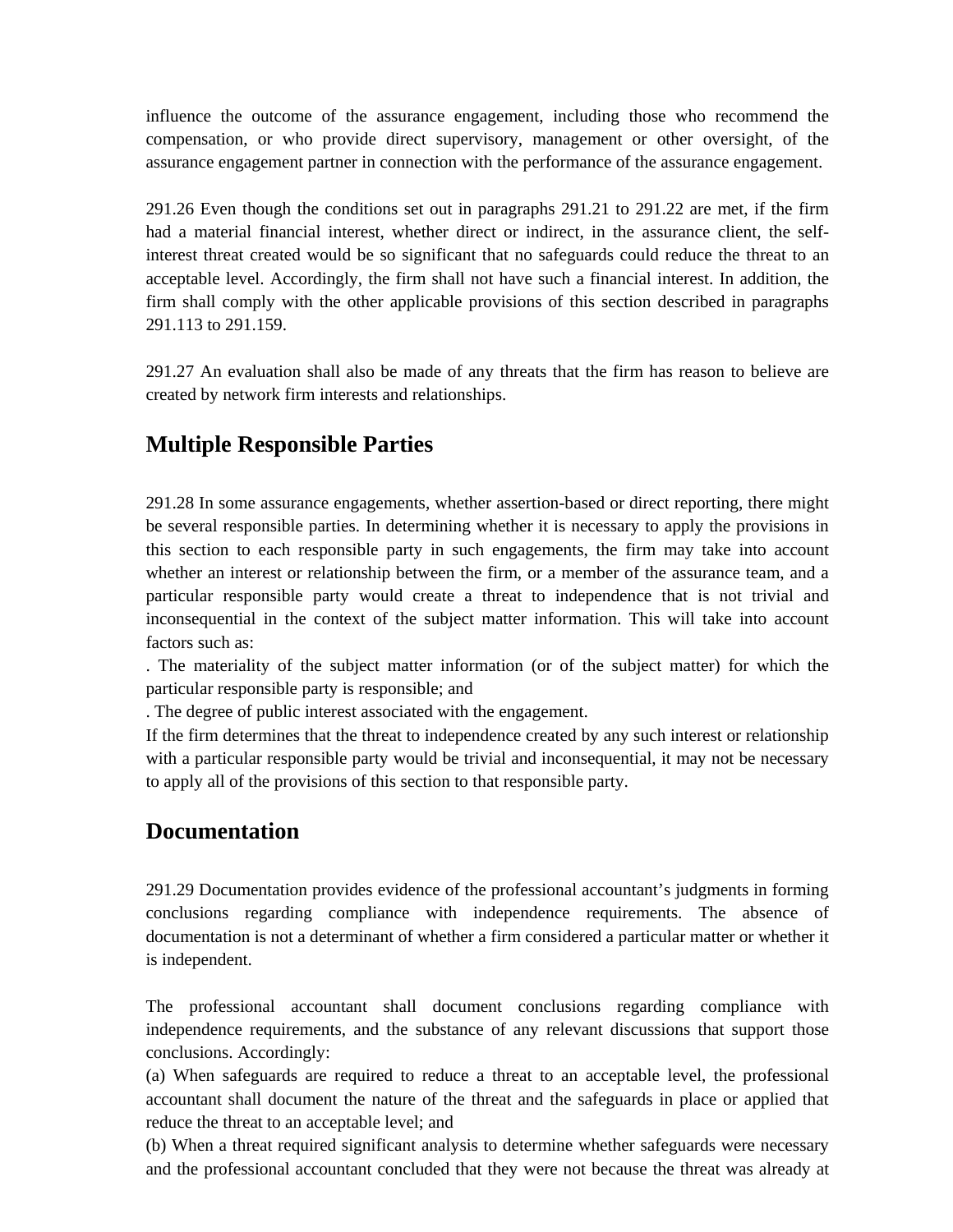influence the outcome of the assurance engagement, including those who recommend the compensation, or who provide direct supervisory, management or other oversight, of the assurance engagement partner in connection with the performance of the assurance engagement.

291.26 Even though the conditions set out in paragraphs 291.21 to 291.22 are met, if the firm had a material financial interest, whether direct or indirect, in the assurance client, the selfinterest threat created would be so significant that no safeguards could reduce the threat to an acceptable level. Accordingly, the firm shall not have such a financial interest. In addition, the firm shall comply with the other applicable provisions of this section described in paragraphs 291.113 to 291.159.

291.27 An evaluation shall also be made of any threats that the firm has reason to believe are created by network firm interests and relationships.

### **Multiple Responsible Parties**

291.28 In some assurance engagements, whether assertion-based or direct reporting, there might be several responsible parties. In determining whether it is necessary to apply the provisions in this section to each responsible party in such engagements, the firm may take into account whether an interest or relationship between the firm, or a member of the assurance team, and a particular responsible party would create a threat to independence that is not trivial and inconsequential in the context of the subject matter information. This will take into account factors such as:

. The materiality of the subject matter information (or of the subject matter) for which the particular responsible party is responsible; and

. The degree of public interest associated with the engagement.

If the firm determines that the threat to independence created by any such interest or relationship with a particular responsible party would be trivial and inconsequential, it may not be necessary to apply all of the provisions of this section to that responsible party.

### **Documentation**

291.29 Documentation provides evidence of the professional accountant's judgments in forming conclusions regarding compliance with independence requirements. The absence of documentation is not a determinant of whether a firm considered a particular matter or whether it is independent.

The professional accountant shall document conclusions regarding compliance with independence requirements, and the substance of any relevant discussions that support those conclusions. Accordingly:

(a) When safeguards are required to reduce a threat to an acceptable level, the professional accountant shall document the nature of the threat and the safeguards in place or applied that reduce the threat to an acceptable level; and

(b) When a threat required significant analysis to determine whether safeguards were necessary and the professional accountant concluded that they were not because the threat was already at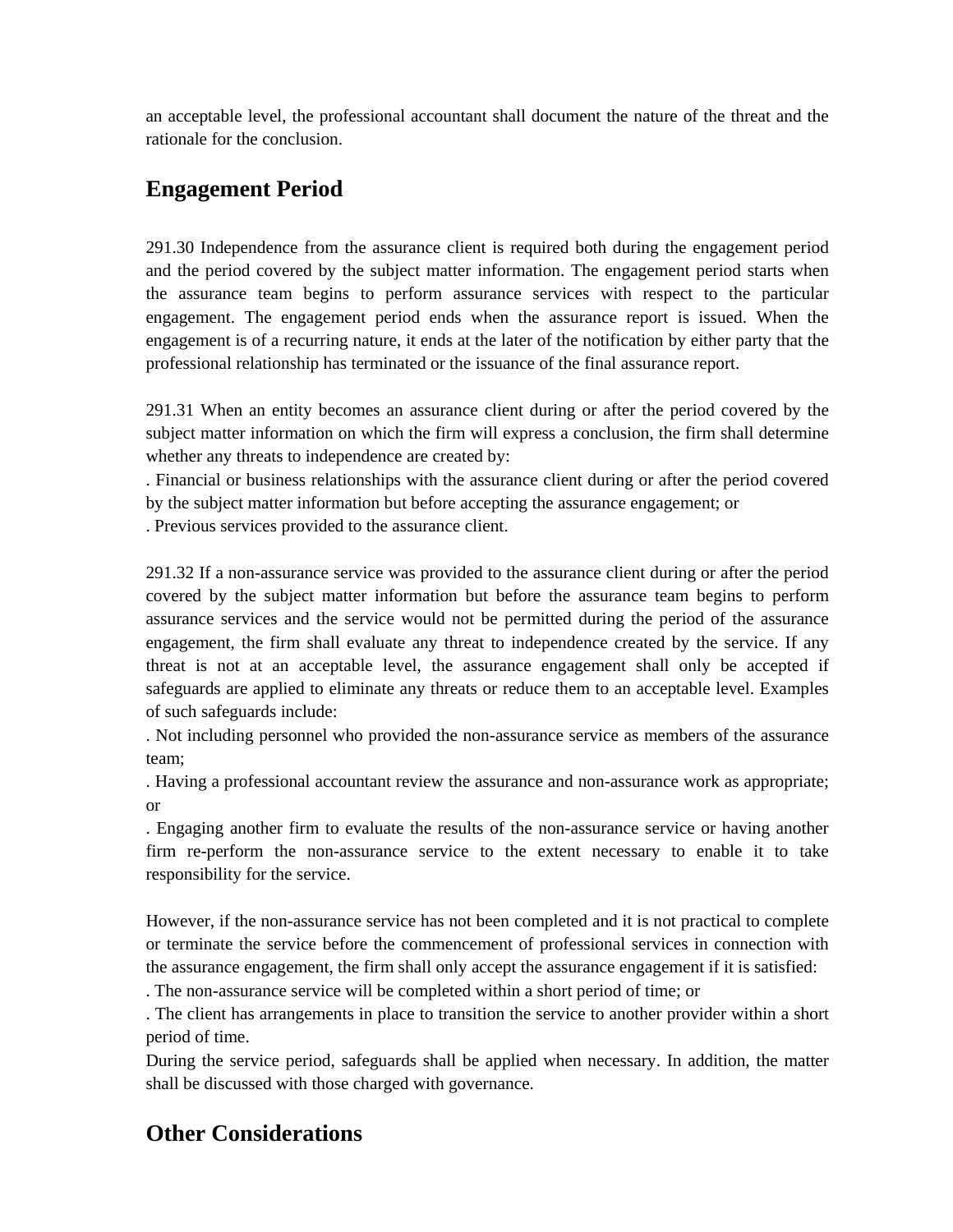an acceptable level, the professional accountant shall document the nature of the threat and the rationale for the conclusion.

# **Engagement Period**

291.30 Independence from the assurance client is required both during the engagement period and the period covered by the subject matter information. The engagement period starts when the assurance team begins to perform assurance services with respect to the particular engagement. The engagement period ends when the assurance report is issued. When the engagement is of a recurring nature, it ends at the later of the notification by either party that the professional relationship has terminated or the issuance of the final assurance report.

291.31 When an entity becomes an assurance client during or after the period covered by the subject matter information on which the firm will express a conclusion, the firm shall determine whether any threats to independence are created by:

. Financial or business relationships with the assurance client during or after the period covered by the subject matter information but before accepting the assurance engagement; or

. Previous services provided to the assurance client.

291.32 If a non-assurance service was provided to the assurance client during or after the period covered by the subject matter information but before the assurance team begins to perform assurance services and the service would not be permitted during the period of the assurance engagement, the firm shall evaluate any threat to independence created by the service. If any threat is not at an acceptable level, the assurance engagement shall only be accepted if safeguards are applied to eliminate any threats or reduce them to an acceptable level. Examples of such safeguards include:

. Not including personnel who provided the non-assurance service as members of the assurance team;

. Having a professional accountant review the assurance and non-assurance work as appropriate; or

. Engaging another firm to evaluate the results of the non-assurance service or having another firm re-perform the non-assurance service to the extent necessary to enable it to take responsibility for the service.

However, if the non-assurance service has not been completed and it is not practical to complete or terminate the service before the commencement of professional services in connection with the assurance engagement, the firm shall only accept the assurance engagement if it is satisfied:

. The non-assurance service will be completed within a short period of time; or

. The client has arrangements in place to transition the service to another provider within a short period of time.

During the service period, safeguards shall be applied when necessary. In addition, the matter shall be discussed with those charged with governance.

# **Other Considerations**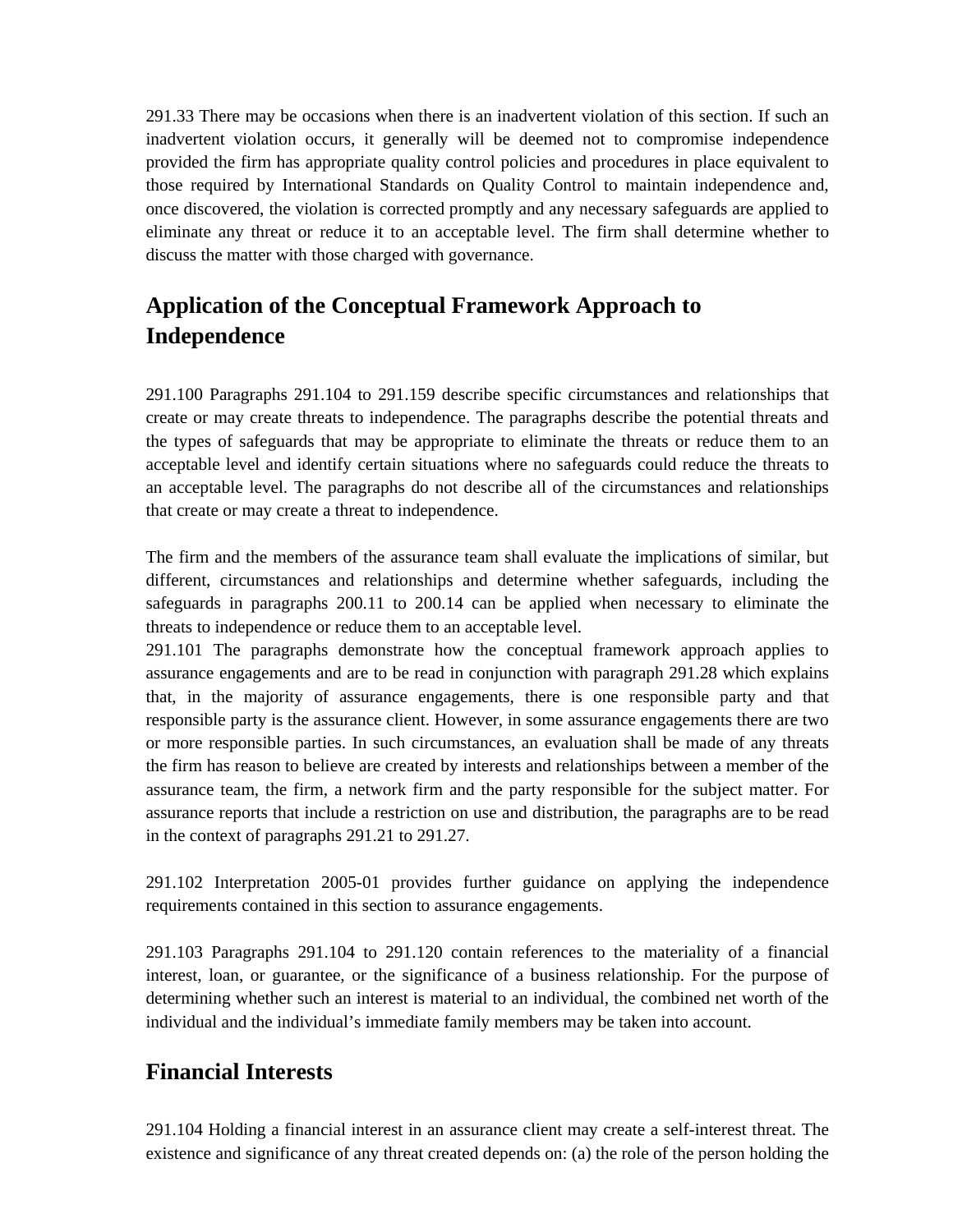291.33 There may be occasions when there is an inadvertent violation of this section. If such an inadvertent violation occurs, it generally will be deemed not to compromise independence provided the firm has appropriate quality control policies and procedures in place equivalent to those required by International Standards on Quality Control to maintain independence and, once discovered, the violation is corrected promptly and any necessary safeguards are applied to eliminate any threat or reduce it to an acceptable level. The firm shall determine whether to discuss the matter with those charged with governance.

# **Application of the Conceptual Framework Approach to Independence**

291.100 Paragraphs 291.104 to 291.159 describe specific circumstances and relationships that create or may create threats to independence. The paragraphs describe the potential threats and the types of safeguards that may be appropriate to eliminate the threats or reduce them to an acceptable level and identify certain situations where no safeguards could reduce the threats to an acceptable level. The paragraphs do not describe all of the circumstances and relationships that create or may create a threat to independence.

The firm and the members of the assurance team shall evaluate the implications of similar, but different, circumstances and relationships and determine whether safeguards, including the safeguards in paragraphs 200.11 to 200.14 can be applied when necessary to eliminate the threats to independence or reduce them to an acceptable level.

291.101 The paragraphs demonstrate how the conceptual framework approach applies to assurance engagements and are to be read in conjunction with paragraph 291.28 which explains that, in the majority of assurance engagements, there is one responsible party and that responsible party is the assurance client. However, in some assurance engagements there are two or more responsible parties. In such circumstances, an evaluation shall be made of any threats the firm has reason to believe are created by interests and relationships between a member of the assurance team, the firm, a network firm and the party responsible for the subject matter. For assurance reports that include a restriction on use and distribution, the paragraphs are to be read in the context of paragraphs 291.21 to 291.27.

291.102 Interpretation 2005-01 provides further guidance on applying the independence requirements contained in this section to assurance engagements.

291.103 Paragraphs 291.104 to 291.120 contain references to the materiality of a financial interest, loan, or guarantee, or the significance of a business relationship. For the purpose of determining whether such an interest is material to an individual, the combined net worth of the individual and the individual's immediate family members may be taken into account.

# **Financial Interests**

291.104 Holding a financial interest in an assurance client may create a self-interest threat. The existence and significance of any threat created depends on: (a) the role of the person holding the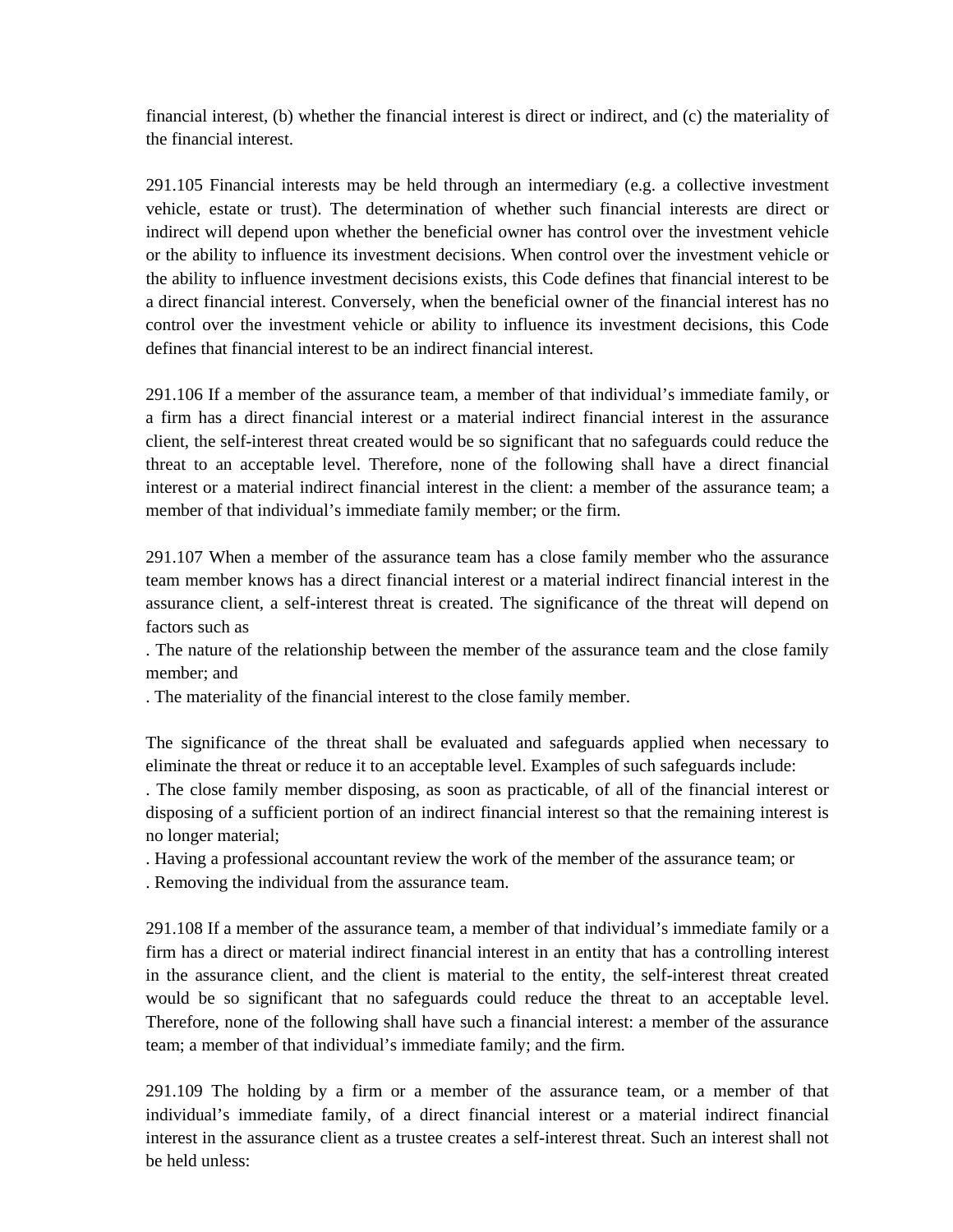financial interest, (b) whether the financial interest is direct or indirect, and (c) the materiality of the financial interest.

291.105 Financial interests may be held through an intermediary (e.g. a collective investment vehicle, estate or trust). The determination of whether such financial interests are direct or indirect will depend upon whether the beneficial owner has control over the investment vehicle or the ability to influence its investment decisions. When control over the investment vehicle or the ability to influence investment decisions exists, this Code defines that financial interest to be a direct financial interest. Conversely, when the beneficial owner of the financial interest has no control over the investment vehicle or ability to influence its investment decisions, this Code defines that financial interest to be an indirect financial interest.

291.106 If a member of the assurance team, a member of that individual's immediate family, or a firm has a direct financial interest or a material indirect financial interest in the assurance client, the self-interest threat created would be so significant that no safeguards could reduce the threat to an acceptable level. Therefore, none of the following shall have a direct financial interest or a material indirect financial interest in the client: a member of the assurance team; a member of that individual's immediate family member; or the firm.

291.107 When a member of the assurance team has a close family member who the assurance team member knows has a direct financial interest or a material indirect financial interest in the assurance client, a self-interest threat is created. The significance of the threat will depend on factors such as

. The nature of the relationship between the member of the assurance team and the close family member; and

. The materiality of the financial interest to the close family member.

The significance of the threat shall be evaluated and safeguards applied when necessary to eliminate the threat or reduce it to an acceptable level. Examples of such safeguards include:

. The close family member disposing, as soon as practicable, of all of the financial interest or disposing of a sufficient portion of an indirect financial interest so that the remaining interest is no longer material;

. Having a professional accountant review the work of the member of the assurance team; or

. Removing the individual from the assurance team.

291.108 If a member of the assurance team, a member of that individual's immediate family or a firm has a direct or material indirect financial interest in an entity that has a controlling interest in the assurance client, and the client is material to the entity, the self-interest threat created would be so significant that no safeguards could reduce the threat to an acceptable level. Therefore, none of the following shall have such a financial interest: a member of the assurance team; a member of that individual's immediate family; and the firm.

291.109 The holding by a firm or a member of the assurance team, or a member of that individual's immediate family, of a direct financial interest or a material indirect financial interest in the assurance client as a trustee creates a self-interest threat. Such an interest shall not be held unless: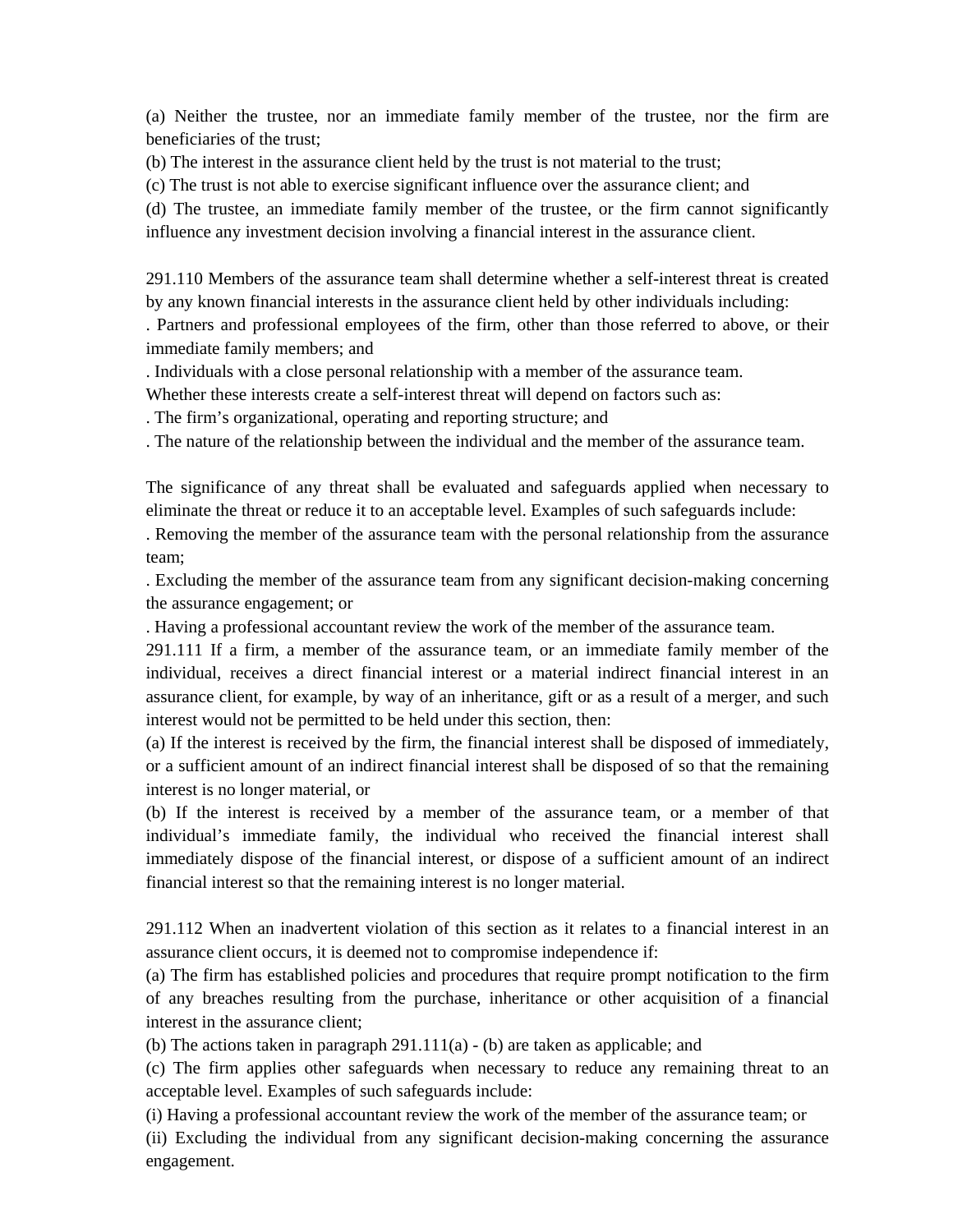(a) Neither the trustee, nor an immediate family member of the trustee, nor the firm are beneficiaries of the trust;

(b) The interest in the assurance client held by the trust is not material to the trust;

(c) The trust is not able to exercise significant influence over the assurance client; and

(d) The trustee, an immediate family member of the trustee, or the firm cannot significantly influence any investment decision involving a financial interest in the assurance client.

291.110 Members of the assurance team shall determine whether a self-interest threat is created by any known financial interests in the assurance client held by other individuals including:

. Partners and professional employees of the firm, other than those referred to above, or their immediate family members; and

. Individuals with a close personal relationship with a member of the assurance team.

Whether these interests create a self-interest threat will depend on factors such as:

. The firm's organizational, operating and reporting structure; and

. The nature of the relationship between the individual and the member of the assurance team.

The significance of any threat shall be evaluated and safeguards applied when necessary to eliminate the threat or reduce it to an acceptable level. Examples of such safeguards include:

. Removing the member of the assurance team with the personal relationship from the assurance team;

. Excluding the member of the assurance team from any significant decision-making concerning the assurance engagement; or

. Having a professional accountant review the work of the member of the assurance team.

291.111 If a firm, a member of the assurance team, or an immediate family member of the individual, receives a direct financial interest or a material indirect financial interest in an assurance client, for example, by way of an inheritance, gift or as a result of a merger, and such interest would not be permitted to be held under this section, then:

(a) If the interest is received by the firm, the financial interest shall be disposed of immediately, or a sufficient amount of an indirect financial interest shall be disposed of so that the remaining interest is no longer material, or

(b) If the interest is received by a member of the assurance team, or a member of that individual's immediate family, the individual who received the financial interest shall immediately dispose of the financial interest, or dispose of a sufficient amount of an indirect financial interest so that the remaining interest is no longer material.

291.112 When an inadvertent violation of this section as it relates to a financial interest in an assurance client occurs, it is deemed not to compromise independence if:

(a) The firm has established policies and procedures that require prompt notification to the firm of any breaches resulting from the purchase, inheritance or other acquisition of a financial interest in the assurance client;

(b) The actions taken in paragraph 291.111(a) - (b) are taken as applicable; and

(c) The firm applies other safeguards when necessary to reduce any remaining threat to an acceptable level. Examples of such safeguards include:

(i) Having a professional accountant review the work of the member of the assurance team; or

(ii) Excluding the individual from any significant decision-making concerning the assurance engagement.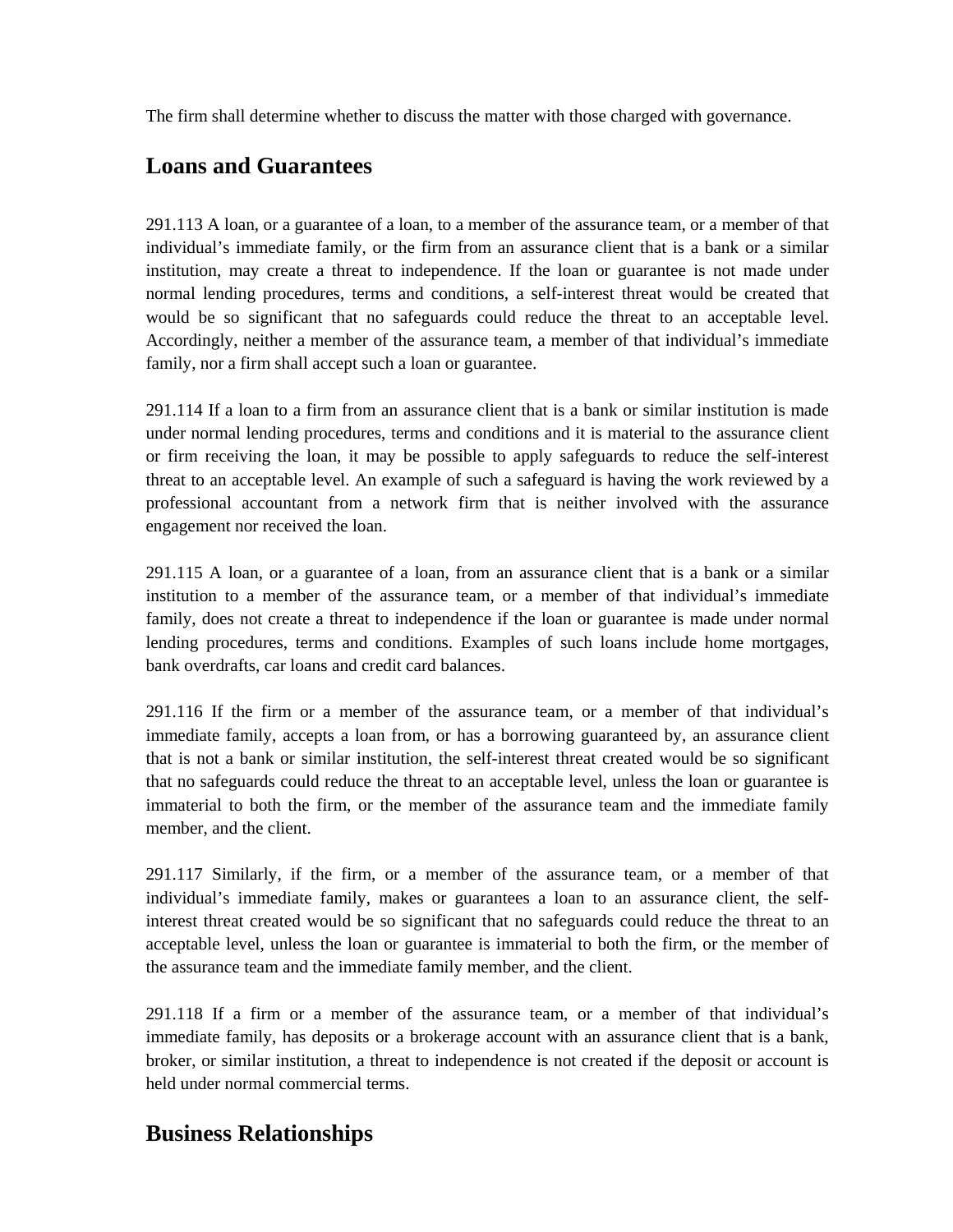The firm shall determine whether to discuss the matter with those charged with governance.

# **Loans and Guarantees**

291.113 A loan, or a guarantee of a loan, to a member of the assurance team, or a member of that individual's immediate family, or the firm from an assurance client that is a bank or a similar institution, may create a threat to independence. If the loan or guarantee is not made under normal lending procedures, terms and conditions, a self-interest threat would be created that would be so significant that no safeguards could reduce the threat to an acceptable level. Accordingly, neither a member of the assurance team, a member of that individual's immediate family, nor a firm shall accept such a loan or guarantee.

291.114 If a loan to a firm from an assurance client that is a bank or similar institution is made under normal lending procedures, terms and conditions and it is material to the assurance client or firm receiving the loan, it may be possible to apply safeguards to reduce the self-interest threat to an acceptable level. An example of such a safeguard is having the work reviewed by a professional accountant from a network firm that is neither involved with the assurance engagement nor received the loan.

291.115 A loan, or a guarantee of a loan, from an assurance client that is a bank or a similar institution to a member of the assurance team, or a member of that individual's immediate family, does not create a threat to independence if the loan or guarantee is made under normal lending procedures, terms and conditions. Examples of such loans include home mortgages, bank overdrafts, car loans and credit card balances.

291.116 If the firm or a member of the assurance team, or a member of that individual's immediate family, accepts a loan from, or has a borrowing guaranteed by, an assurance client that is not a bank or similar institution, the self-interest threat created would be so significant that no safeguards could reduce the threat to an acceptable level, unless the loan or guarantee is immaterial to both the firm, or the member of the assurance team and the immediate family member, and the client.

291.117 Similarly, if the firm, or a member of the assurance team, or a member of that individual's immediate family, makes or guarantees a loan to an assurance client, the selfinterest threat created would be so significant that no safeguards could reduce the threat to an acceptable level, unless the loan or guarantee is immaterial to both the firm, or the member of the assurance team and the immediate family member, and the client.

291.118 If a firm or a member of the assurance team, or a member of that individual's immediate family, has deposits or a brokerage account with an assurance client that is a bank, broker, or similar institution, a threat to independence is not created if the deposit or account is held under normal commercial terms.

### **Business Relationships**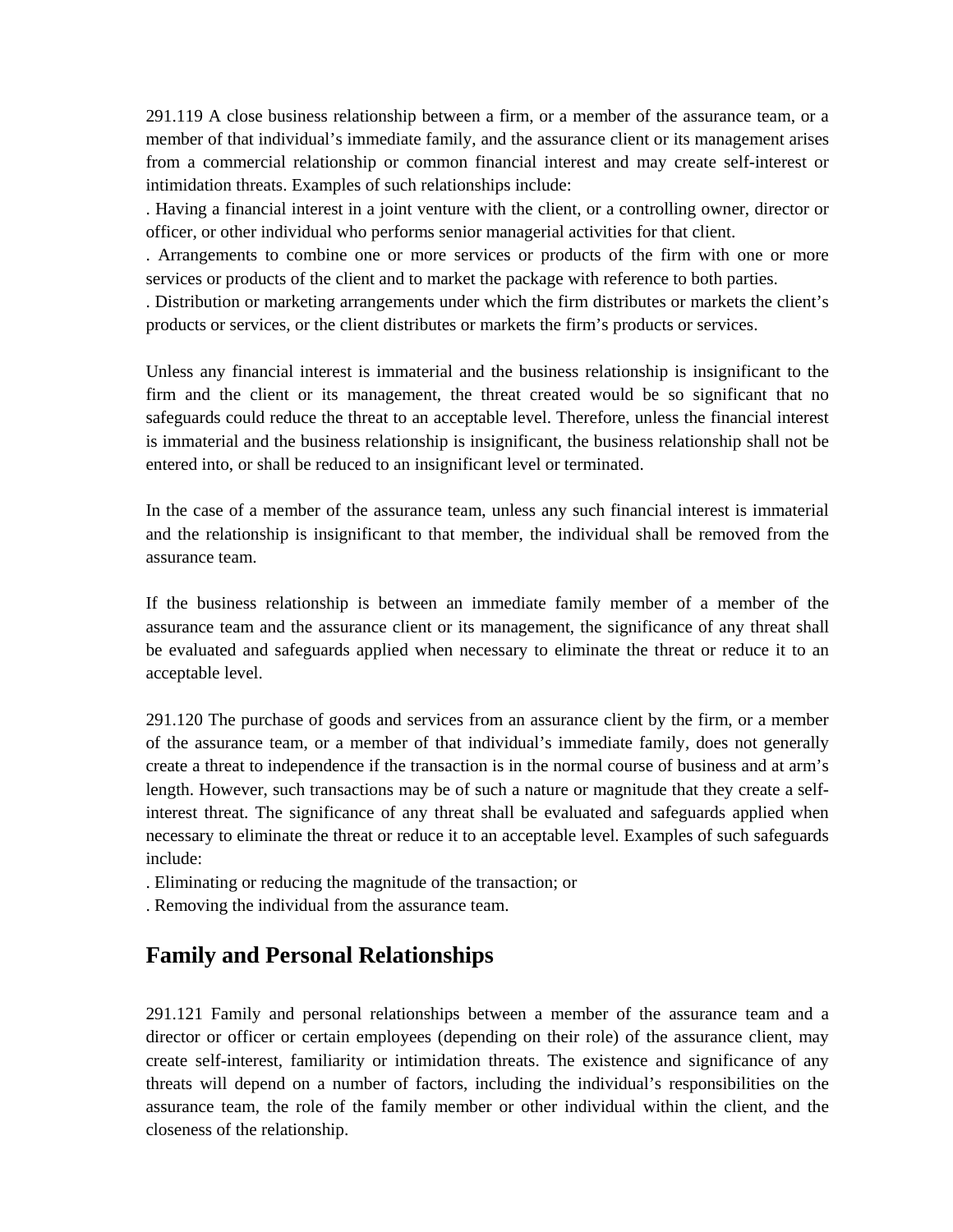291.119 A close business relationship between a firm, or a member of the assurance team, or a member of that individual's immediate family, and the assurance client or its management arises from a commercial relationship or common financial interest and may create self-interest or intimidation threats. Examples of such relationships include:

. Having a financial interest in a joint venture with the client, or a controlling owner, director or officer, or other individual who performs senior managerial activities for that client.

. Arrangements to combine one or more services or products of the firm with one or more services or products of the client and to market the package with reference to both parties.

. Distribution or marketing arrangements under which the firm distributes or markets the client's products or services, or the client distributes or markets the firm's products or services.

Unless any financial interest is immaterial and the business relationship is insignificant to the firm and the client or its management, the threat created would be so significant that no safeguards could reduce the threat to an acceptable level. Therefore, unless the financial interest is immaterial and the business relationship is insignificant, the business relationship shall not be entered into, or shall be reduced to an insignificant level or terminated.

In the case of a member of the assurance team, unless any such financial interest is immaterial and the relationship is insignificant to that member, the individual shall be removed from the assurance team.

If the business relationship is between an immediate family member of a member of the assurance team and the assurance client or its management, the significance of any threat shall be evaluated and safeguards applied when necessary to eliminate the threat or reduce it to an acceptable level.

291.120 The purchase of goods and services from an assurance client by the firm, or a member of the assurance team, or a member of that individual's immediate family, does not generally create a threat to independence if the transaction is in the normal course of business and at arm's length. However, such transactions may be of such a nature or magnitude that they create a selfinterest threat. The significance of any threat shall be evaluated and safeguards applied when necessary to eliminate the threat or reduce it to an acceptable level. Examples of such safeguards include:

. Eliminating or reducing the magnitude of the transaction; or

. Removing the individual from the assurance team.

# **Family and Personal Relationships**

291.121 Family and personal relationships between a member of the assurance team and a director or officer or certain employees (depending on their role) of the assurance client, may create self-interest, familiarity or intimidation threats. The existence and significance of any threats will depend on a number of factors, including the individual's responsibilities on the assurance team, the role of the family member or other individual within the client, and the closeness of the relationship.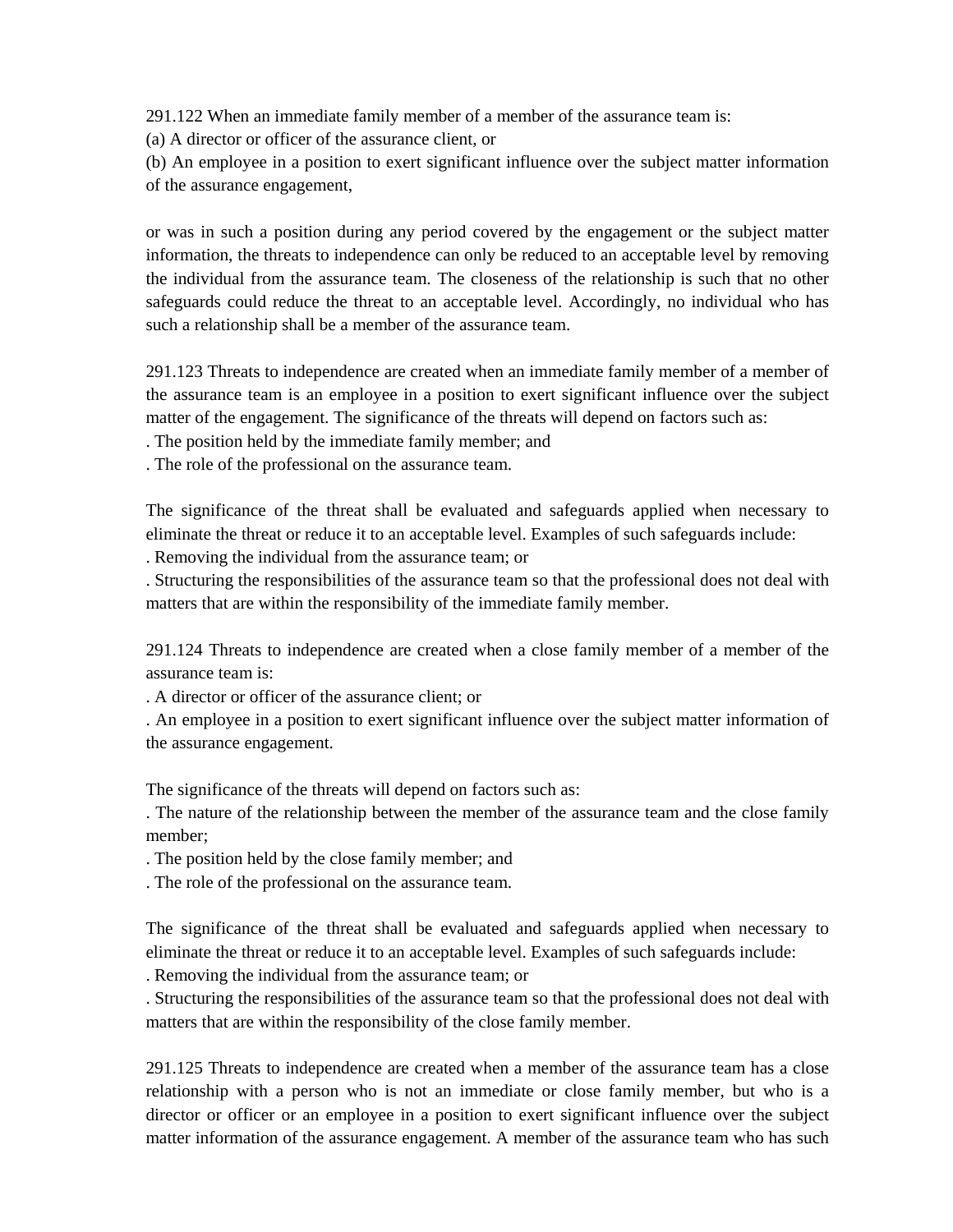291.122 When an immediate family member of a member of the assurance team is:

(a) A director or officer of the assurance client, or

(b) An employee in a position to exert significant influence over the subject matter information of the assurance engagement,

or was in such a position during any period covered by the engagement or the subject matter information, the threats to independence can only be reduced to an acceptable level by removing the individual from the assurance team. The closeness of the relationship is such that no other safeguards could reduce the threat to an acceptable level. Accordingly, no individual who has such a relationship shall be a member of the assurance team.

291.123 Threats to independence are created when an immediate family member of a member of the assurance team is an employee in a position to exert significant influence over the subject matter of the engagement. The significance of the threats will depend on factors such as:

. The position held by the immediate family member; and

. The role of the professional on the assurance team.

The significance of the threat shall be evaluated and safeguards applied when necessary to eliminate the threat or reduce it to an acceptable level. Examples of such safeguards include:

. Removing the individual from the assurance team; or

. Structuring the responsibilities of the assurance team so that the professional does not deal with matters that are within the responsibility of the immediate family member.

291.124 Threats to independence are created when a close family member of a member of the assurance team is:

. A director or officer of the assurance client; or

. An employee in a position to exert significant influence over the subject matter information of the assurance engagement.

The significance of the threats will depend on factors such as:

. The nature of the relationship between the member of the assurance team and the close family member;

. The position held by the close family member; and

. The role of the professional on the assurance team.

The significance of the threat shall be evaluated and safeguards applied when necessary to eliminate the threat or reduce it to an acceptable level. Examples of such safeguards include:

. Removing the individual from the assurance team; or

. Structuring the responsibilities of the assurance team so that the professional does not deal with matters that are within the responsibility of the close family member.

291.125 Threats to independence are created when a member of the assurance team has a close relationship with a person who is not an immediate or close family member, but who is a director or officer or an employee in a position to exert significant influence over the subject matter information of the assurance engagement. A member of the assurance team who has such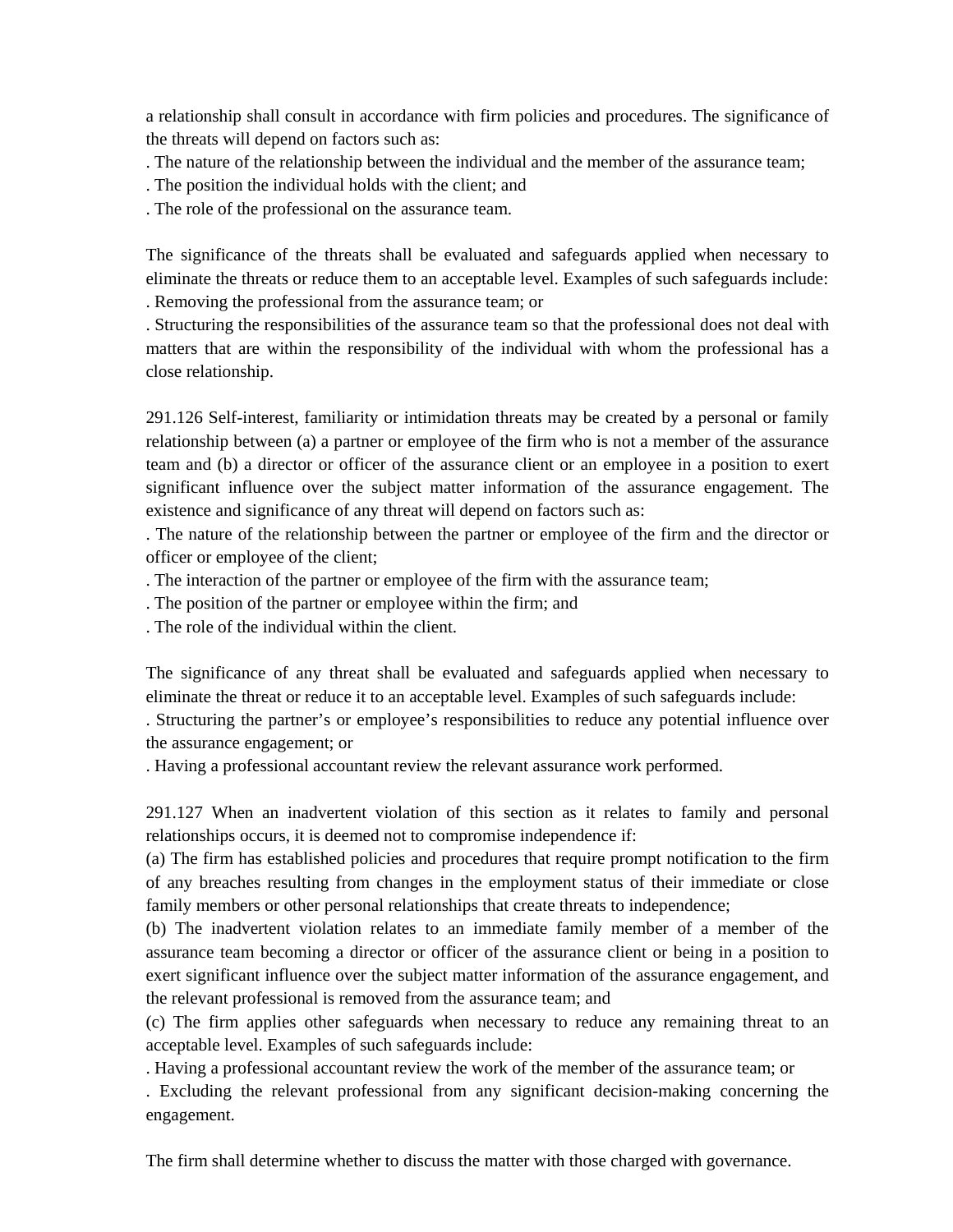a relationship shall consult in accordance with firm policies and procedures. The significance of the threats will depend on factors such as:

. The nature of the relationship between the individual and the member of the assurance team;

. The position the individual holds with the client; and

. The role of the professional on the assurance team.

The significance of the threats shall be evaluated and safeguards applied when necessary to eliminate the threats or reduce them to an acceptable level. Examples of such safeguards include: . Removing the professional from the assurance team; or

. Structuring the responsibilities of the assurance team so that the professional does not deal with matters that are within the responsibility of the individual with whom the professional has a close relationship.

291.126 Self-interest, familiarity or intimidation threats may be created by a personal or family relationship between (a) a partner or employee of the firm who is not a member of the assurance team and (b) a director or officer of the assurance client or an employee in a position to exert significant influence over the subject matter information of the assurance engagement. The existence and significance of any threat will depend on factors such as:

. The nature of the relationship between the partner or employee of the firm and the director or officer or employee of the client;

. The interaction of the partner or employee of the firm with the assurance team;

. The position of the partner or employee within the firm; and

. The role of the individual within the client.

The significance of any threat shall be evaluated and safeguards applied when necessary to eliminate the threat or reduce it to an acceptable level. Examples of such safeguards include:

. Structuring the partner's or employee's responsibilities to reduce any potential influence over the assurance engagement; or

. Having a professional accountant review the relevant assurance work performed.

291.127 When an inadvertent violation of this section as it relates to family and personal relationships occurs, it is deemed not to compromise independence if:

(a) The firm has established policies and procedures that require prompt notification to the firm of any breaches resulting from changes in the employment status of their immediate or close family members or other personal relationships that create threats to independence;

(b) The inadvertent violation relates to an immediate family member of a member of the assurance team becoming a director or officer of the assurance client or being in a position to exert significant influence over the subject matter information of the assurance engagement, and the relevant professional is removed from the assurance team; and

(c) The firm applies other safeguards when necessary to reduce any remaining threat to an acceptable level. Examples of such safeguards include:

. Having a professional accountant review the work of the member of the assurance team; or

. Excluding the relevant professional from any significant decision-making concerning the engagement.

The firm shall determine whether to discuss the matter with those charged with governance.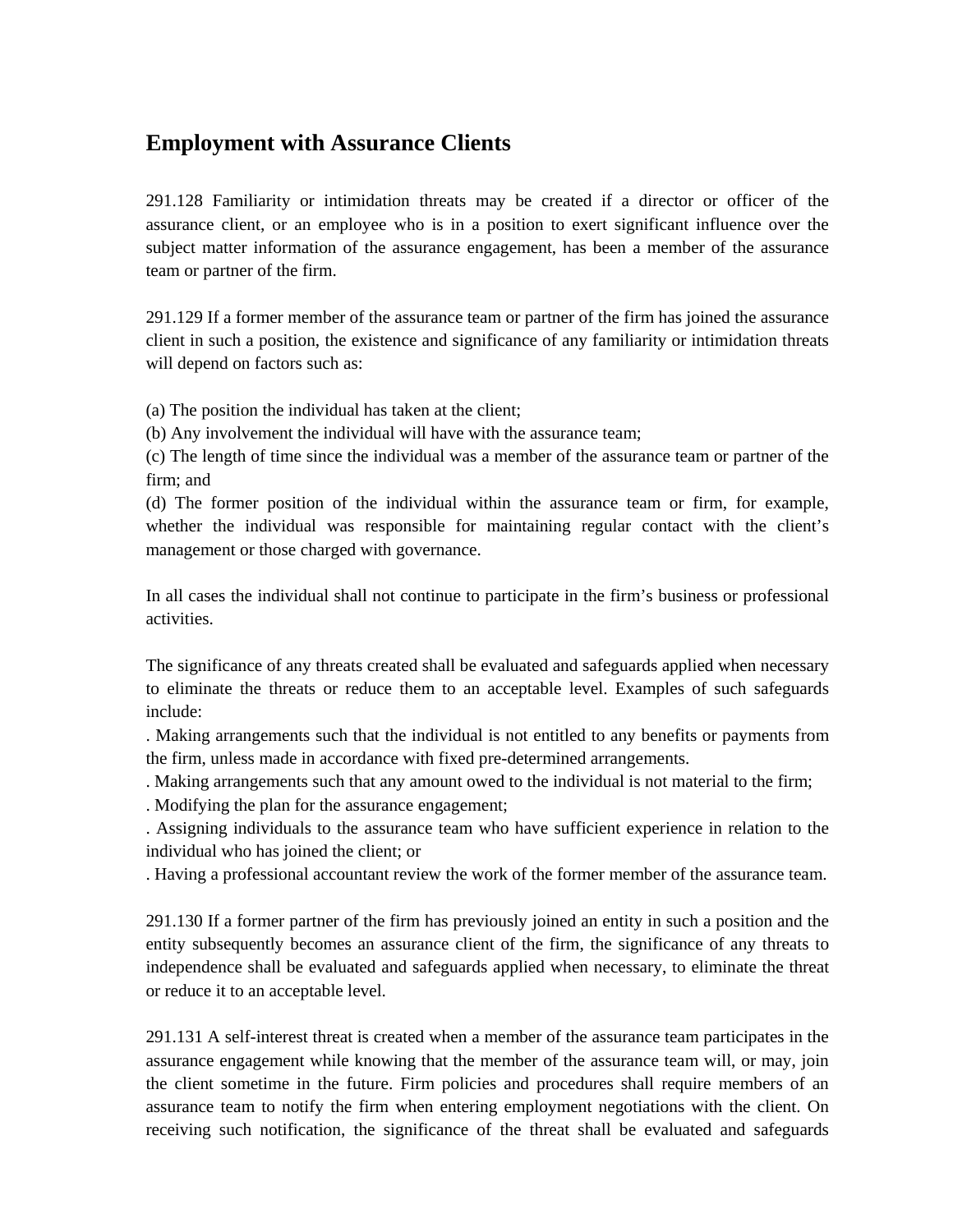# **Employment with Assurance Clients**

291.128 Familiarity or intimidation threats may be created if a director or officer of the assurance client, or an employee who is in a position to exert significant influence over the subject matter information of the assurance engagement, has been a member of the assurance team or partner of the firm.

291.129 If a former member of the assurance team or partner of the firm has joined the assurance client in such a position, the existence and significance of any familiarity or intimidation threats will depend on factors such as:

(a) The position the individual has taken at the client;

(b) Any involvement the individual will have with the assurance team;

(c) The length of time since the individual was a member of the assurance team or partner of the firm; and

(d) The former position of the individual within the assurance team or firm, for example, whether the individual was responsible for maintaining regular contact with the client's management or those charged with governance.

In all cases the individual shall not continue to participate in the firm's business or professional activities.

The significance of any threats created shall be evaluated and safeguards applied when necessary to eliminate the threats or reduce them to an acceptable level. Examples of such safeguards include:

. Making arrangements such that the individual is not entitled to any benefits or payments from the firm, unless made in accordance with fixed pre-determined arrangements.

. Making arrangements such that any amount owed to the individual is not material to the firm;

. Modifying the plan for the assurance engagement;

. Assigning individuals to the assurance team who have sufficient experience in relation to the individual who has joined the client; or

. Having a professional accountant review the work of the former member of the assurance team.

291.130 If a former partner of the firm has previously joined an entity in such a position and the entity subsequently becomes an assurance client of the firm, the significance of any threats to independence shall be evaluated and safeguards applied when necessary, to eliminate the threat or reduce it to an acceptable level.

291.131 A self-interest threat is created when a member of the assurance team participates in the assurance engagement while knowing that the member of the assurance team will, or may, join the client sometime in the future. Firm policies and procedures shall require members of an assurance team to notify the firm when entering employment negotiations with the client. On receiving such notification, the significance of the threat shall be evaluated and safeguards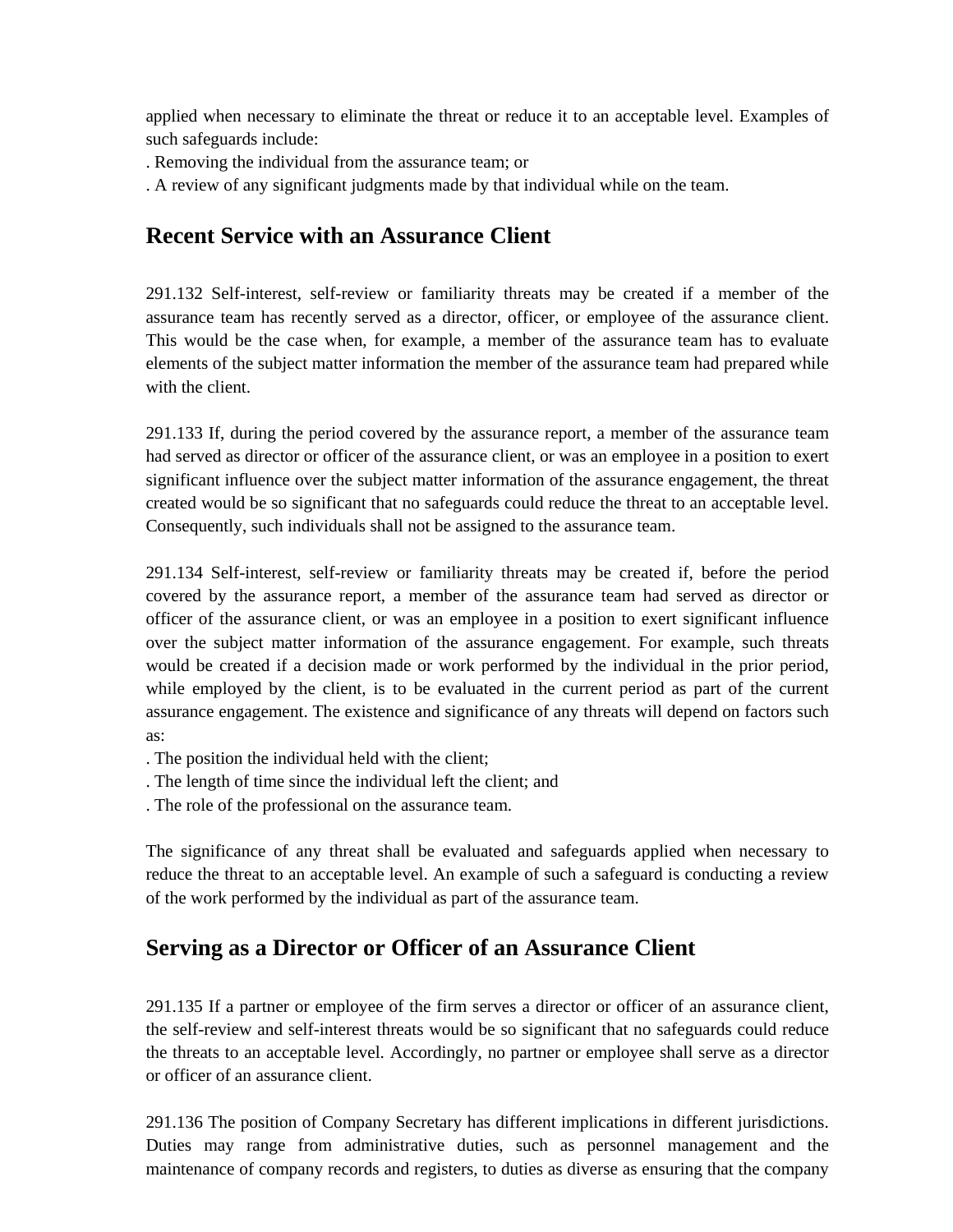applied when necessary to eliminate the threat or reduce it to an acceptable level. Examples of such safeguards include:

- . Removing the individual from the assurance team; or
- . A review of any significant judgments made by that individual while on the team.

## **Recent Service with an Assurance Client**

291.132 Self-interest, self-review or familiarity threats may be created if a member of the assurance team has recently served as a director, officer, or employee of the assurance client. This would be the case when, for example, a member of the assurance team has to evaluate elements of the subject matter information the member of the assurance team had prepared while with the client.

291.133 If, during the period covered by the assurance report, a member of the assurance team had served as director or officer of the assurance client, or was an employee in a position to exert significant influence over the subject matter information of the assurance engagement, the threat created would be so significant that no safeguards could reduce the threat to an acceptable level. Consequently, such individuals shall not be assigned to the assurance team.

291.134 Self-interest, self-review or familiarity threats may be created if, before the period covered by the assurance report, a member of the assurance team had served as director or officer of the assurance client, or was an employee in a position to exert significant influence over the subject matter information of the assurance engagement. For example, such threats would be created if a decision made or work performed by the individual in the prior period, while employed by the client, is to be evaluated in the current period as part of the current assurance engagement. The existence and significance of any threats will depend on factors such as:

- . The position the individual held with the client;
- . The length of time since the individual left the client; and
- . The role of the professional on the assurance team.

The significance of any threat shall be evaluated and safeguards applied when necessary to reduce the threat to an acceptable level. An example of such a safeguard is conducting a review of the work performed by the individual as part of the assurance team.

# **Serving as a Director or Officer of an Assurance Client**

291.135 If a partner or employee of the firm serves a director or officer of an assurance client, the self-review and self-interest threats would be so significant that no safeguards could reduce the threats to an acceptable level. Accordingly, no partner or employee shall serve as a director or officer of an assurance client.

291.136 The position of Company Secretary has different implications in different jurisdictions. Duties may range from administrative duties, such as personnel management and the maintenance of company records and registers, to duties as diverse as ensuring that the company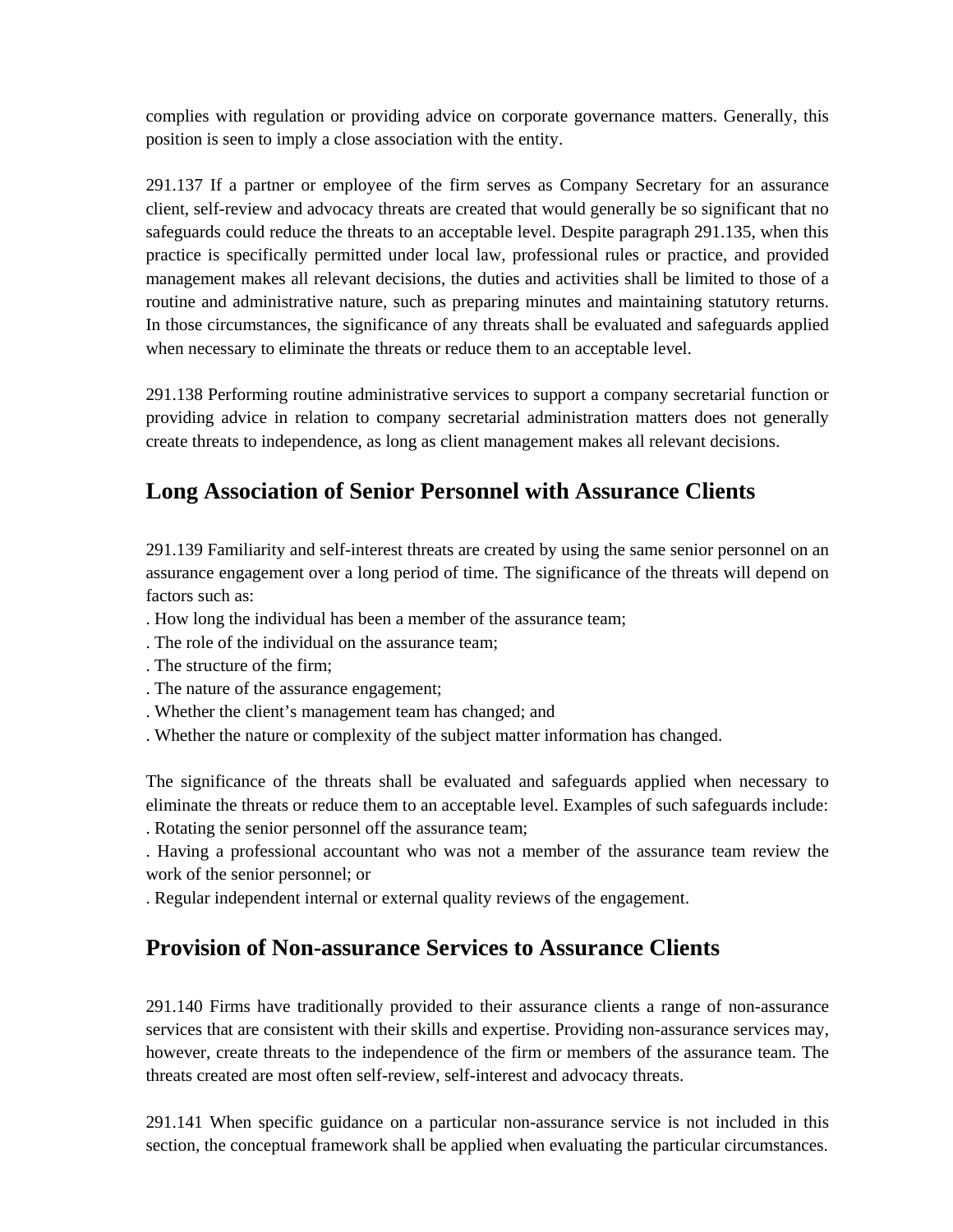complies with regulation or providing advice on corporate governance matters. Generally, this position is seen to imply a close association with the entity.

291.137 If a partner or employee of the firm serves as Company Secretary for an assurance client, self-review and advocacy threats are created that would generally be so significant that no safeguards could reduce the threats to an acceptable level. Despite paragraph 291.135, when this practice is specifically permitted under local law, professional rules or practice, and provided management makes all relevant decisions, the duties and activities shall be limited to those of a routine and administrative nature, such as preparing minutes and maintaining statutory returns. In those circumstances, the significance of any threats shall be evaluated and safeguards applied when necessary to eliminate the threats or reduce them to an acceptable level.

291.138 Performing routine administrative services to support a company secretarial function or providing advice in relation to company secretarial administration matters does not generally create threats to independence, as long as client management makes all relevant decisions.

# **Long Association of Senior Personnel with Assurance Clients**

291.139 Familiarity and self-interest threats are created by using the same senior personnel on an assurance engagement over a long period of time. The significance of the threats will depend on factors such as:

- . How long the individual has been a member of the assurance team;
- . The role of the individual on the assurance team;
- . The structure of the firm;
- . The nature of the assurance engagement;
- . Whether the client's management team has changed; and
- . Whether the nature or complexity of the subject matter information has changed.

The significance of the threats shall be evaluated and safeguards applied when necessary to eliminate the threats or reduce them to an acceptable level. Examples of such safeguards include: . Rotating the senior personnel off the assurance team;

. Having a professional accountant who was not a member of the assurance team review the work of the senior personnel; or

. Regular independent internal or external quality reviews of the engagement.

# **Provision of Non-assurance Services to Assurance Clients**

291.140 Firms have traditionally provided to their assurance clients a range of non-assurance services that are consistent with their skills and expertise. Providing non-assurance services may, however, create threats to the independence of the firm or members of the assurance team. The threats created are most often self-review, self-interest and advocacy threats.

291.141 When specific guidance on a particular non-assurance service is not included in this section, the conceptual framework shall be applied when evaluating the particular circumstances.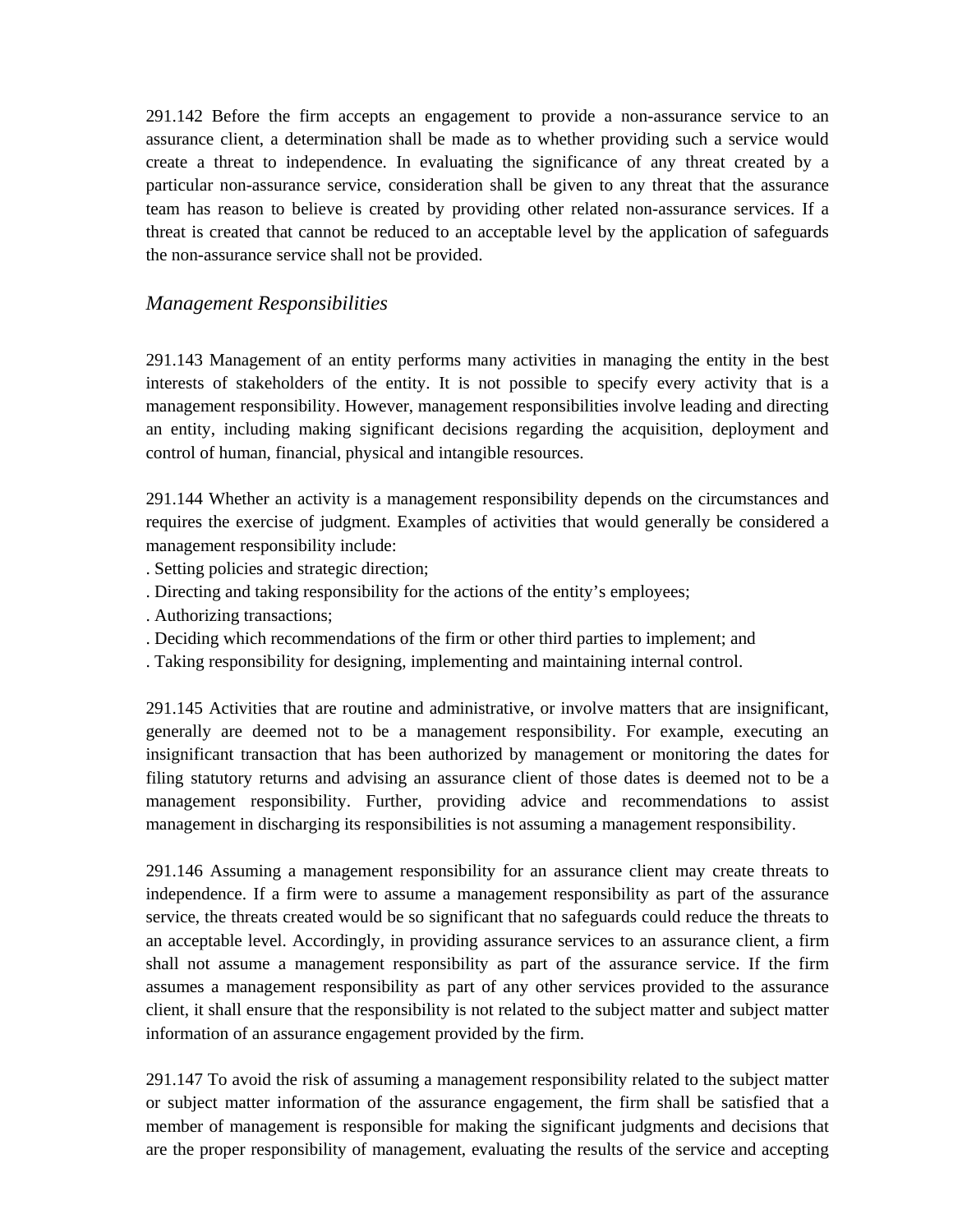291.142 Before the firm accepts an engagement to provide a non-assurance service to an assurance client, a determination shall be made as to whether providing such a service would create a threat to independence. In evaluating the significance of any threat created by a particular non-assurance service, consideration shall be given to any threat that the assurance team has reason to believe is created by providing other related non-assurance services. If a threat is created that cannot be reduced to an acceptable level by the application of safeguards the non-assurance service shall not be provided.

#### *Management Responsibilities*

291.143 Management of an entity performs many activities in managing the entity in the best interests of stakeholders of the entity. It is not possible to specify every activity that is a management responsibility. However, management responsibilities involve leading and directing an entity, including making significant decisions regarding the acquisition, deployment and control of human, financial, physical and intangible resources.

291.144 Whether an activity is a management responsibility depends on the circumstances and requires the exercise of judgment. Examples of activities that would generally be considered a management responsibility include:

- . Setting policies and strategic direction;
- . Directing and taking responsibility for the actions of the entity's employees;
- . Authorizing transactions;
- . Deciding which recommendations of the firm or other third parties to implement; and
- . Taking responsibility for designing, implementing and maintaining internal control.

291.145 Activities that are routine and administrative, or involve matters that are insignificant, generally are deemed not to be a management responsibility. For example, executing an insignificant transaction that has been authorized by management or monitoring the dates for filing statutory returns and advising an assurance client of those dates is deemed not to be a management responsibility. Further, providing advice and recommendations to assist management in discharging its responsibilities is not assuming a management responsibility.

291.146 Assuming a management responsibility for an assurance client may create threats to independence. If a firm were to assume a management responsibility as part of the assurance service, the threats created would be so significant that no safeguards could reduce the threats to an acceptable level. Accordingly, in providing assurance services to an assurance client, a firm shall not assume a management responsibility as part of the assurance service. If the firm assumes a management responsibility as part of any other services provided to the assurance client, it shall ensure that the responsibility is not related to the subject matter and subject matter information of an assurance engagement provided by the firm.

291.147 To avoid the risk of assuming a management responsibility related to the subject matter or subject matter information of the assurance engagement, the firm shall be satisfied that a member of management is responsible for making the significant judgments and decisions that are the proper responsibility of management, evaluating the results of the service and accepting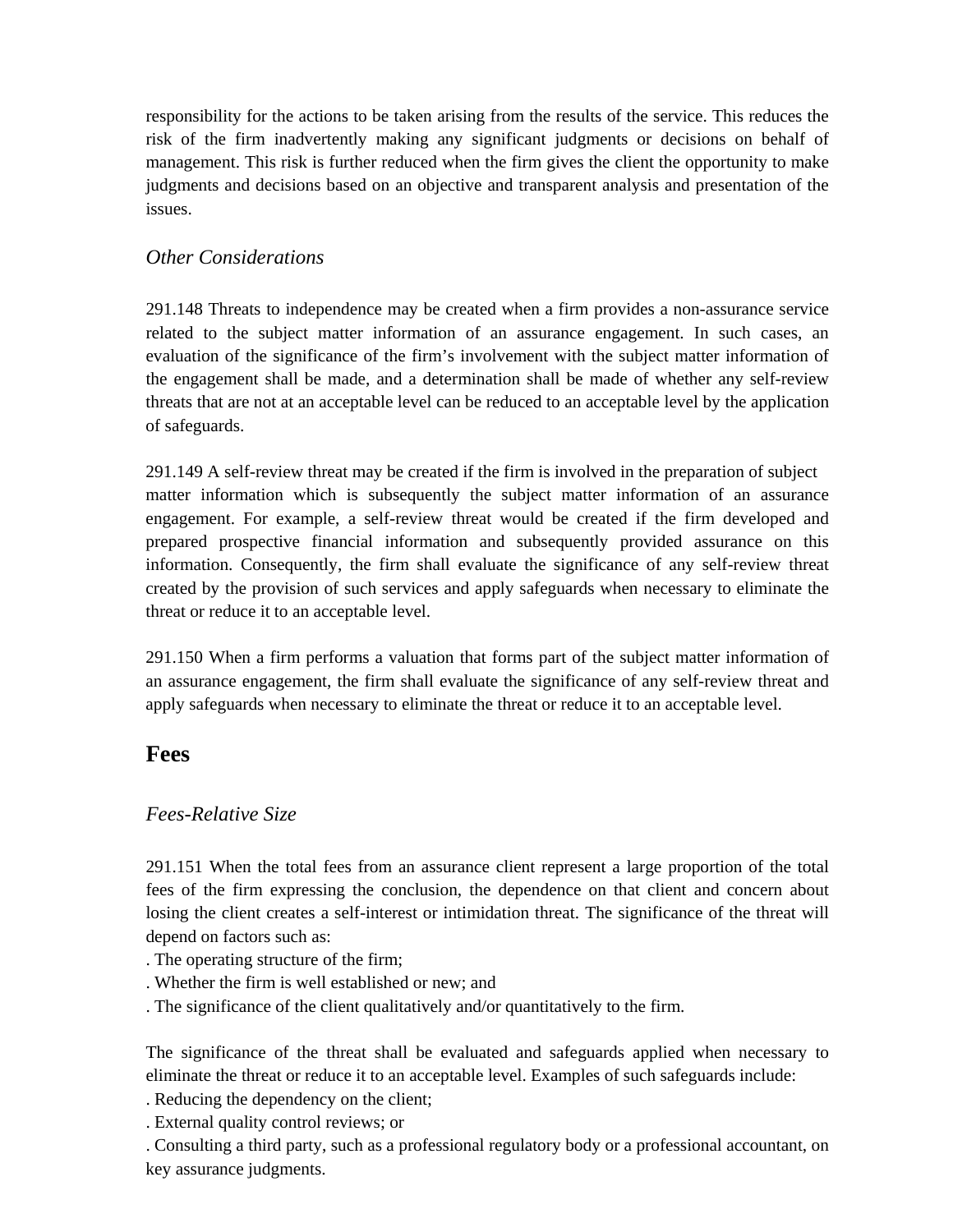responsibility for the actions to be taken arising from the results of the service. This reduces the risk of the firm inadvertently making any significant judgments or decisions on behalf of management. This risk is further reduced when the firm gives the client the opportunity to make judgments and decisions based on an objective and transparent analysis and presentation of the issues.

#### *Other Considerations*

291.148 Threats to independence may be created when a firm provides a non-assurance service related to the subject matter information of an assurance engagement. In such cases, an evaluation of the significance of the firm's involvement with the subject matter information of the engagement shall be made, and a determination shall be made of whether any self-review threats that are not at an acceptable level can be reduced to an acceptable level by the application of safeguards.

291.149 A self-review threat may be created if the firm is involved in the preparation of subject matter information which is subsequently the subject matter information of an assurance engagement. For example, a self-review threat would be created if the firm developed and prepared prospective financial information and subsequently provided assurance on this information. Consequently, the firm shall evaluate the significance of any self-review threat created by the provision of such services and apply safeguards when necessary to eliminate the threat or reduce it to an acceptable level.

291.150 When a firm performs a valuation that forms part of the subject matter information of an assurance engagement, the firm shall evaluate the significance of any self-review threat and apply safeguards when necessary to eliminate the threat or reduce it to an acceptable level.

### **Fees**

#### *Fees-Relative Size*

291.151 When the total fees from an assurance client represent a large proportion of the total fees of the firm expressing the conclusion, the dependence on that client and concern about losing the client creates a self-interest or intimidation threat. The significance of the threat will depend on factors such as:

- . The operating structure of the firm;
- . Whether the firm is well established or new; and
- . The significance of the client qualitatively and/or quantitatively to the firm.

The significance of the threat shall be evaluated and safeguards applied when necessary to eliminate the threat or reduce it to an acceptable level. Examples of such safeguards include:

- . Reducing the dependency on the client;
- . External quality control reviews; or

. Consulting a third party, such as a professional regulatory body or a professional accountant, on key assurance judgments.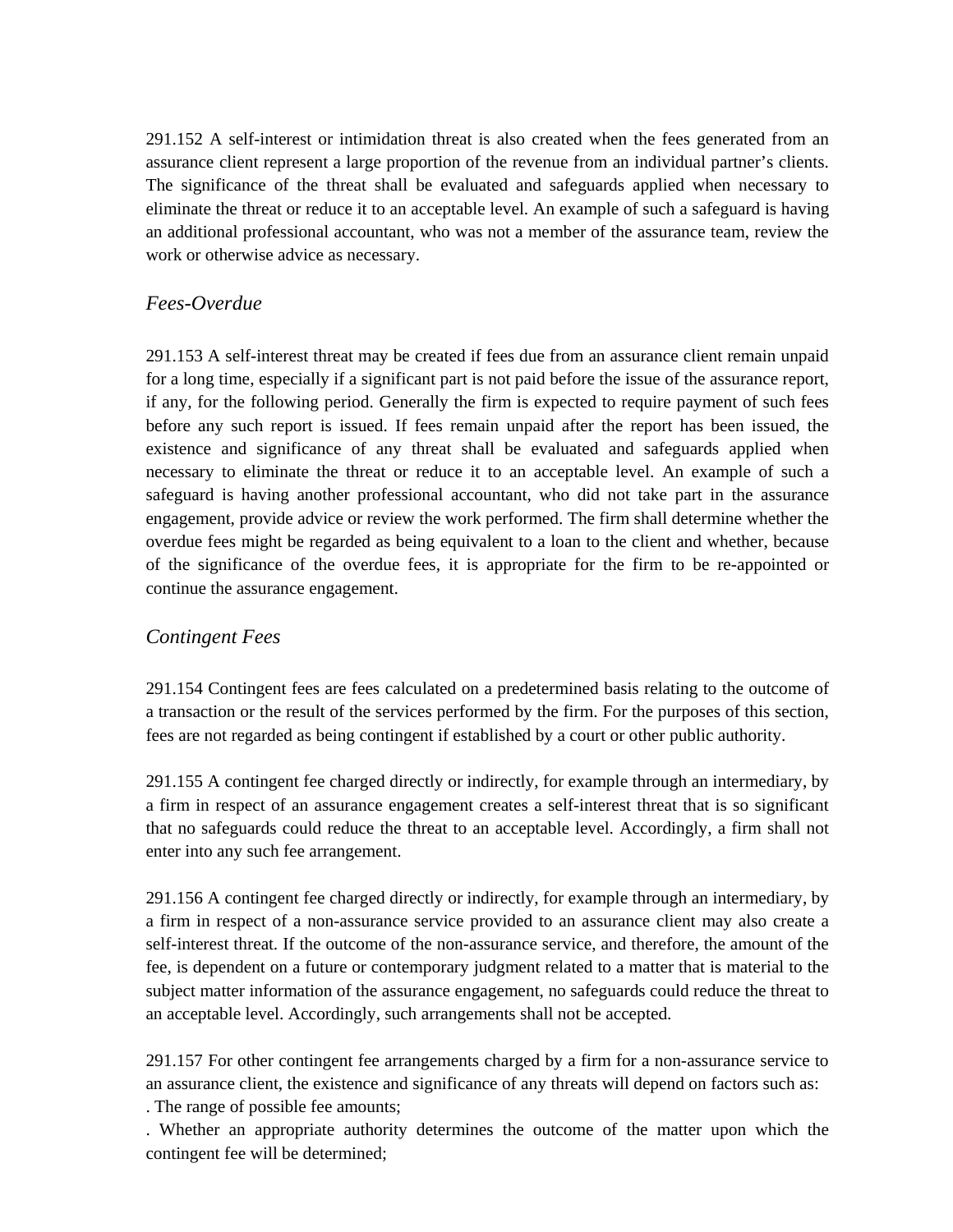291.152 A self-interest or intimidation threat is also created when the fees generated from an assurance client represent a large proportion of the revenue from an individual partner's clients. The significance of the threat shall be evaluated and safeguards applied when necessary to eliminate the threat or reduce it to an acceptable level. An example of such a safeguard is having an additional professional accountant, who was not a member of the assurance team, review the work or otherwise advice as necessary.

#### *Fees-Overdue*

291.153 A self-interest threat may be created if fees due from an assurance client remain unpaid for a long time, especially if a significant part is not paid before the issue of the assurance report, if any, for the following period. Generally the firm is expected to require payment of such fees before any such report is issued. If fees remain unpaid after the report has been issued, the existence and significance of any threat shall be evaluated and safeguards applied when necessary to eliminate the threat or reduce it to an acceptable level. An example of such a safeguard is having another professional accountant, who did not take part in the assurance engagement, provide advice or review the work performed. The firm shall determine whether the overdue fees might be regarded as being equivalent to a loan to the client and whether, because of the significance of the overdue fees, it is appropriate for the firm to be re-appointed or continue the assurance engagement.

#### *Contingent Fees*

291.154 Contingent fees are fees calculated on a predetermined basis relating to the outcome of a transaction or the result of the services performed by the firm. For the purposes of this section, fees are not regarded as being contingent if established by a court or other public authority.

291.155 A contingent fee charged directly or indirectly, for example through an intermediary, by a firm in respect of an assurance engagement creates a self-interest threat that is so significant that no safeguards could reduce the threat to an acceptable level. Accordingly, a firm shall not enter into any such fee arrangement.

291.156 A contingent fee charged directly or indirectly, for example through an intermediary, by a firm in respect of a non-assurance service provided to an assurance client may also create a self-interest threat. If the outcome of the non-assurance service, and therefore, the amount of the fee, is dependent on a future or contemporary judgment related to a matter that is material to the subject matter information of the assurance engagement, no safeguards could reduce the threat to an acceptable level. Accordingly, such arrangements shall not be accepted.

291.157 For other contingent fee arrangements charged by a firm for a non-assurance service to an assurance client, the existence and significance of any threats will depend on factors such as:

. The range of possible fee amounts;

. Whether an appropriate authority determines the outcome of the matter upon which the contingent fee will be determined;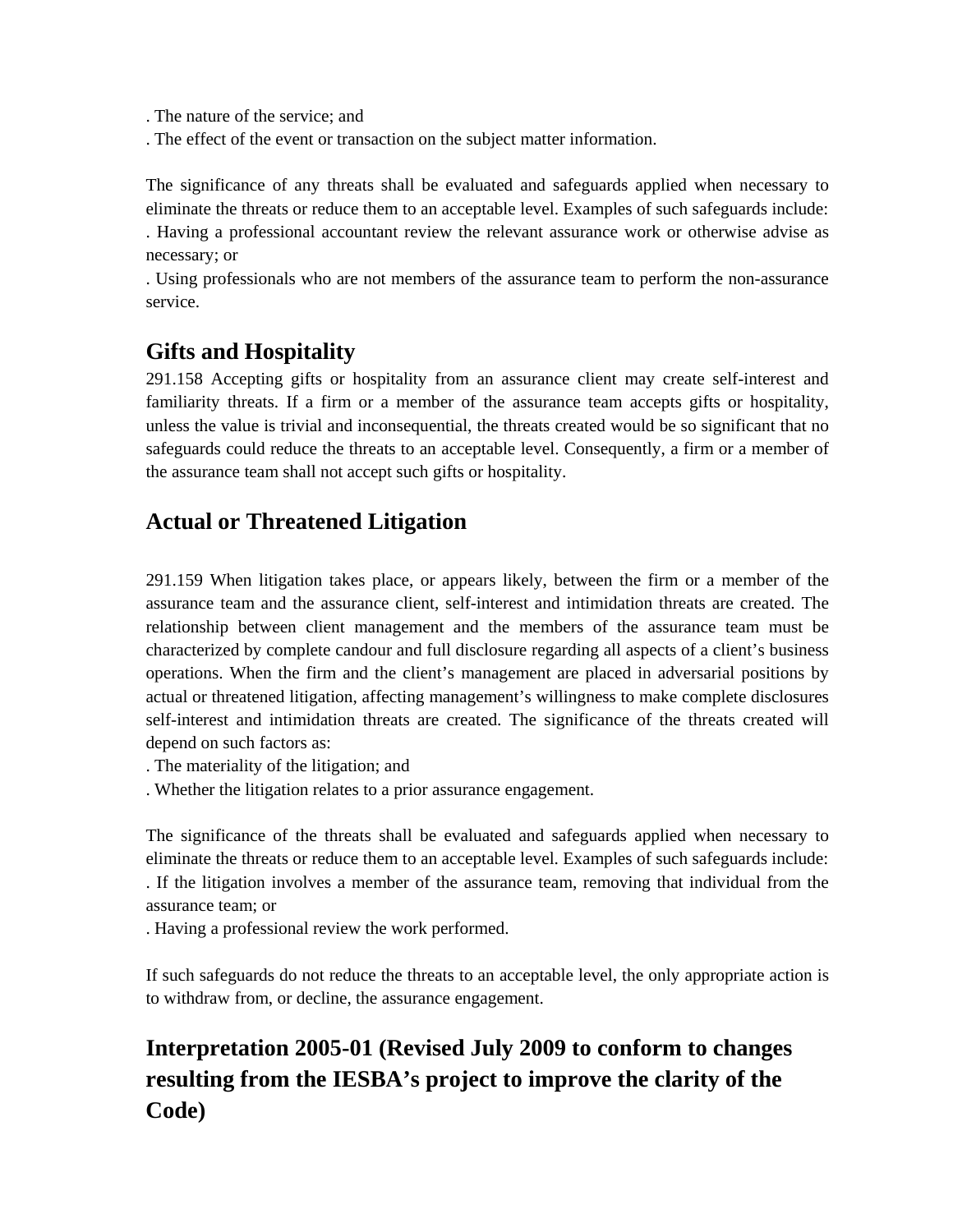. The nature of the service; and

. The effect of the event or transaction on the subject matter information.

The significance of any threats shall be evaluated and safeguards applied when necessary to eliminate the threats or reduce them to an acceptable level. Examples of such safeguards include: . Having a professional accountant review the relevant assurance work or otherwise advise as necessary; or

. Using professionals who are not members of the assurance team to perform the non-assurance service.

# **Gifts and Hospitality**

291.158 Accepting gifts or hospitality from an assurance client may create self-interest and familiarity threats. If a firm or a member of the assurance team accepts gifts or hospitality, unless the value is trivial and inconsequential, the threats created would be so significant that no safeguards could reduce the threats to an acceptable level. Consequently, a firm or a member of the assurance team shall not accept such gifts or hospitality.

# **Actual or Threatened Litigation**

291.159 When litigation takes place, or appears likely, between the firm or a member of the assurance team and the assurance client, self-interest and intimidation threats are created. The relationship between client management and the members of the assurance team must be characterized by complete candour and full disclosure regarding all aspects of a client's business operations. When the firm and the client's management are placed in adversarial positions by actual or threatened litigation, affecting management's willingness to make complete disclosures self-interest and intimidation threats are created. The significance of the threats created will depend on such factors as:

. The materiality of the litigation; and

. Whether the litigation relates to a prior assurance engagement.

The significance of the threats shall be evaluated and safeguards applied when necessary to eliminate the threats or reduce them to an acceptable level. Examples of such safeguards include: . If the litigation involves a member of the assurance team, removing that individual from the assurance team; or

. Having a professional review the work performed.

If such safeguards do not reduce the threats to an acceptable level, the only appropriate action is to withdraw from, or decline, the assurance engagement.

# **Interpretation 2005-01 (Revised July 2009 to conform to changes resulting from the IESBA's project to improve the clarity of the Code)**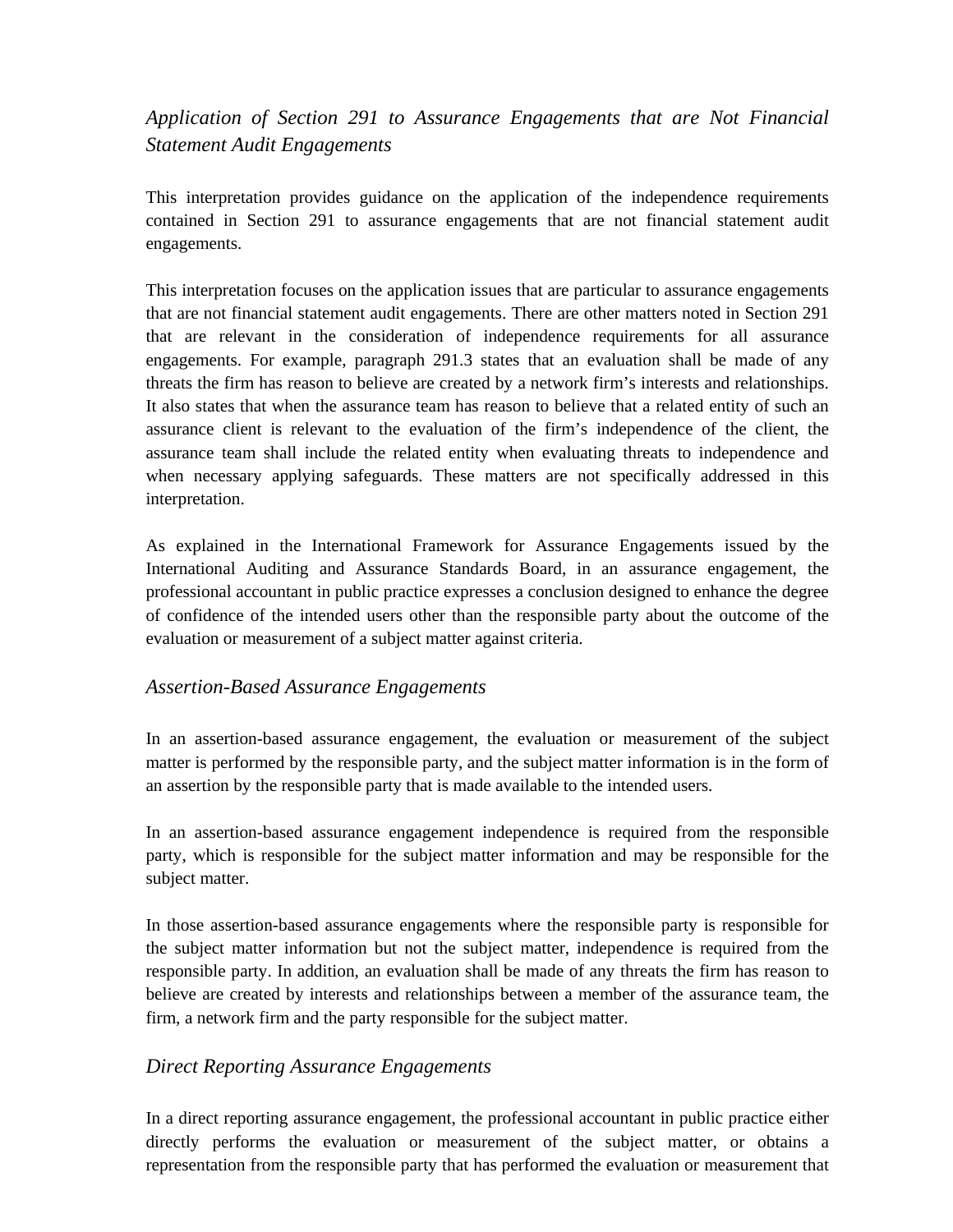### *Application of Section 291 to Assurance Engagements that are Not Financial Statement Audit Engagements*

This interpretation provides guidance on the application of the independence requirements contained in Section 291 to assurance engagements that are not financial statement audit engagements.

This interpretation focuses on the application issues that are particular to assurance engagements that are not financial statement audit engagements. There are other matters noted in Section 291 that are relevant in the consideration of independence requirements for all assurance engagements. For example, paragraph 291.3 states that an evaluation shall be made of any threats the firm has reason to believe are created by a network firm's interests and relationships. It also states that when the assurance team has reason to believe that a related entity of such an assurance client is relevant to the evaluation of the firm's independence of the client, the assurance team shall include the related entity when evaluating threats to independence and when necessary applying safeguards. These matters are not specifically addressed in this interpretation.

As explained in the International Framework for Assurance Engagements issued by the International Auditing and Assurance Standards Board, in an assurance engagement, the professional accountant in public practice expresses a conclusion designed to enhance the degree of confidence of the intended users other than the responsible party about the outcome of the evaluation or measurement of a subject matter against criteria.

#### *Assertion-Based Assurance Engagements*

In an assertion-based assurance engagement, the evaluation or measurement of the subject matter is performed by the responsible party, and the subject matter information is in the form of an assertion by the responsible party that is made available to the intended users.

In an assertion-based assurance engagement independence is required from the responsible party, which is responsible for the subject matter information and may be responsible for the subject matter.

In those assertion-based assurance engagements where the responsible party is responsible for the subject matter information but not the subject matter, independence is required from the responsible party. In addition, an evaluation shall be made of any threats the firm has reason to believe are created by interests and relationships between a member of the assurance team, the firm, a network firm and the party responsible for the subject matter.

#### *Direct Reporting Assurance Engagements*

In a direct reporting assurance engagement, the professional accountant in public practice either directly performs the evaluation or measurement of the subject matter, or obtains a representation from the responsible party that has performed the evaluation or measurement that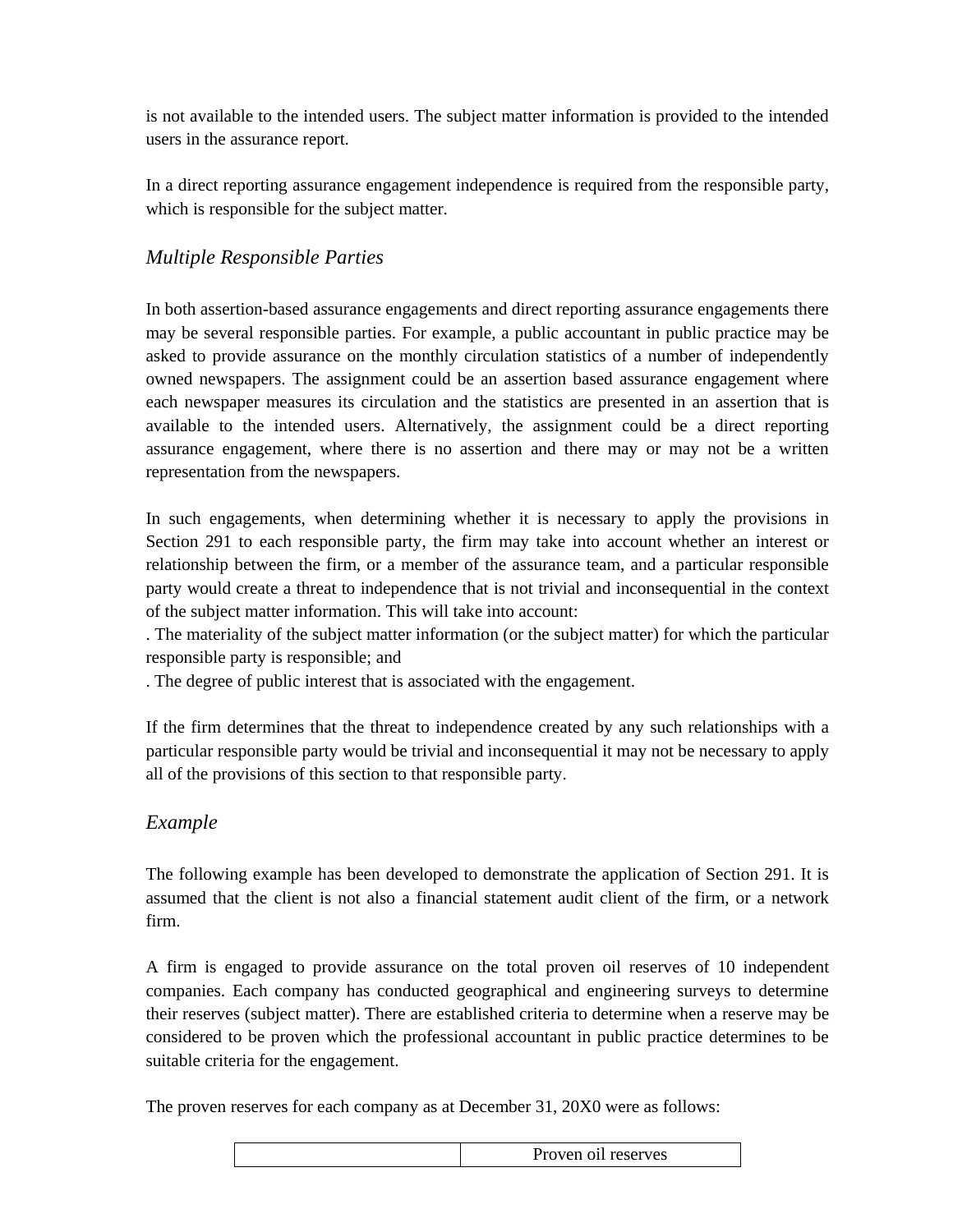is not available to the intended users. The subject matter information is provided to the intended users in the assurance report.

In a direct reporting assurance engagement independence is required from the responsible party, which is responsible for the subject matter.

#### *Multiple Responsible Parties*

In both assertion-based assurance engagements and direct reporting assurance engagements there may be several responsible parties. For example, a public accountant in public practice may be asked to provide assurance on the monthly circulation statistics of a number of independently owned newspapers. The assignment could be an assertion based assurance engagement where each newspaper measures its circulation and the statistics are presented in an assertion that is available to the intended users. Alternatively, the assignment could be a direct reporting assurance engagement, where there is no assertion and there may or may not be a written representation from the newspapers.

In such engagements, when determining whether it is necessary to apply the provisions in Section 291 to each responsible party, the firm may take into account whether an interest or relationship between the firm, or a member of the assurance team, and a particular responsible party would create a threat to independence that is not trivial and inconsequential in the context of the subject matter information. This will take into account:

. The materiality of the subject matter information (or the subject matter) for which the particular responsible party is responsible; and

. The degree of public interest that is associated with the engagement.

If the firm determines that the threat to independence created by any such relationships with a particular responsible party would be trivial and inconsequential it may not be necessary to apply all of the provisions of this section to that responsible party.

#### *Example*

The following example has been developed to demonstrate the application of Section 291. It is assumed that the client is not also a financial statement audit client of the firm, or a network firm.

A firm is engaged to provide assurance on the total proven oil reserves of 10 independent companies. Each company has conducted geographical and engineering surveys to determine their reserves (subject matter). There are established criteria to determine when a reserve may be considered to be proven which the professional accountant in public practice determines to be suitable criteria for the engagement.

The proven reserves for each company as at December 31, 20X0 were as follows:

| oil reserves<br>$\ddot{\phantom{0}}$ |
|--------------------------------------|
|--------------------------------------|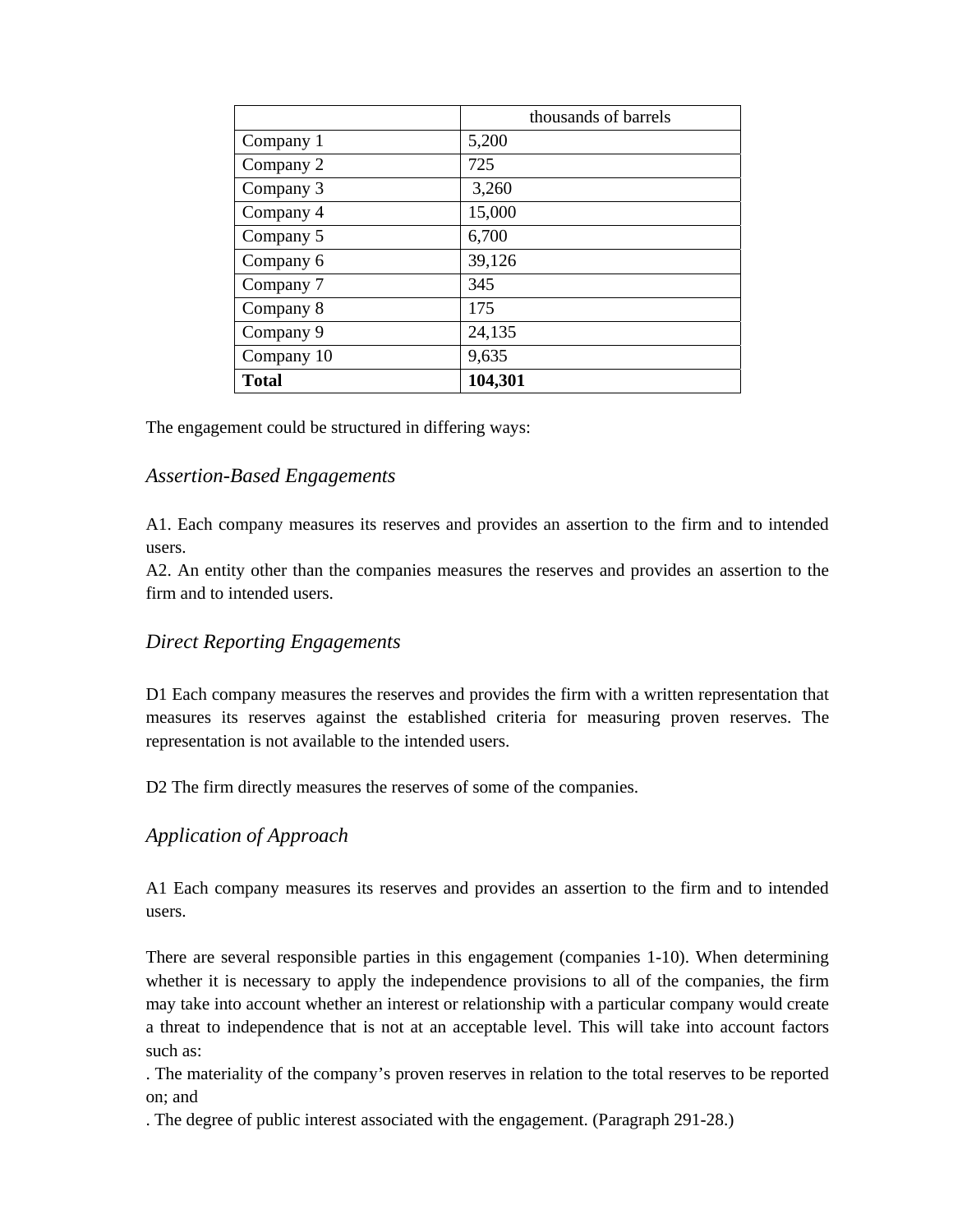|              | thousands of barrels |
|--------------|----------------------|
| Company 1    | 5,200                |
| Company 2    | 725                  |
| Company 3    | 3,260                |
| Company 4    | 15,000               |
| Company 5    | 6,700                |
| Company 6    | 39,126               |
| Company 7    | 345                  |
| Company 8    | 175                  |
| Company 9    | 24,135               |
| Company 10   | 9,635                |
| <b>Total</b> | 104,301              |

The engagement could be structured in differing ways:

#### *Assertion-Based Engagements*

A1. Each company measures its reserves and provides an assertion to the firm and to intended users.

A2. An entity other than the companies measures the reserves and provides an assertion to the firm and to intended users.

#### *Direct Reporting Engagements*

D1 Each company measures the reserves and provides the firm with a written representation that measures its reserves against the established criteria for measuring proven reserves. The representation is not available to the intended users.

D2 The firm directly measures the reserves of some of the companies.

#### *Application of Approach*

A1 Each company measures its reserves and provides an assertion to the firm and to intended users.

There are several responsible parties in this engagement (companies 1-10). When determining whether it is necessary to apply the independence provisions to all of the companies, the firm may take into account whether an interest or relationship with a particular company would create a threat to independence that is not at an acceptable level. This will take into account factors such as:

. The materiality of the company's proven reserves in relation to the total reserves to be reported on; and

. The degree of public interest associated with the engagement. (Paragraph 291-28.)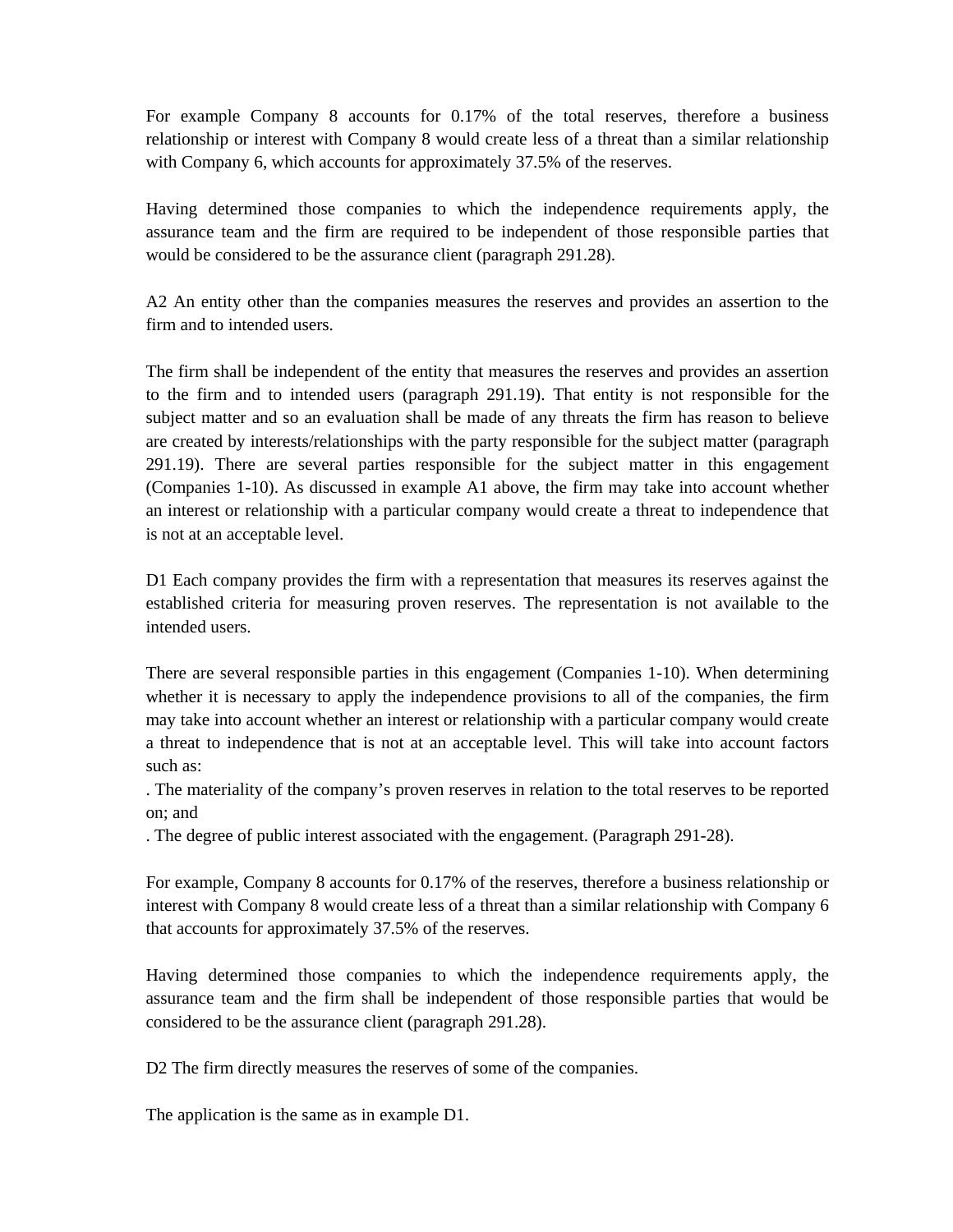For example Company 8 accounts for 0.17% of the total reserves, therefore a business relationship or interest with Company 8 would create less of a threat than a similar relationship with Company 6, which accounts for approximately 37.5% of the reserves.

Having determined those companies to which the independence requirements apply, the assurance team and the firm are required to be independent of those responsible parties that would be considered to be the assurance client (paragraph 291.28).

A2 An entity other than the companies measures the reserves and provides an assertion to the firm and to intended users.

The firm shall be independent of the entity that measures the reserves and provides an assertion to the firm and to intended users (paragraph 291.19). That entity is not responsible for the subject matter and so an evaluation shall be made of any threats the firm has reason to believe are created by interests/relationships with the party responsible for the subject matter (paragraph 291.19). There are several parties responsible for the subject matter in this engagement (Companies 1-10). As discussed in example A1 above, the firm may take into account whether an interest or relationship with a particular company would create a threat to independence that is not at an acceptable level.

D1 Each company provides the firm with a representation that measures its reserves against the established criteria for measuring proven reserves. The representation is not available to the intended users.

There are several responsible parties in this engagement (Companies 1-10). When determining whether it is necessary to apply the independence provisions to all of the companies, the firm may take into account whether an interest or relationship with a particular company would create a threat to independence that is not at an acceptable level. This will take into account factors such as:

. The materiality of the company's proven reserves in relation to the total reserves to be reported on; and

. The degree of public interest associated with the engagement. (Paragraph 291-28).

For example, Company 8 accounts for 0.17% of the reserves, therefore a business relationship or interest with Company 8 would create less of a threat than a similar relationship with Company 6 that accounts for approximately 37.5% of the reserves.

Having determined those companies to which the independence requirements apply, the assurance team and the firm shall be independent of those responsible parties that would be considered to be the assurance client (paragraph 291.28).

D2 The firm directly measures the reserves of some of the companies.

The application is the same as in example D1.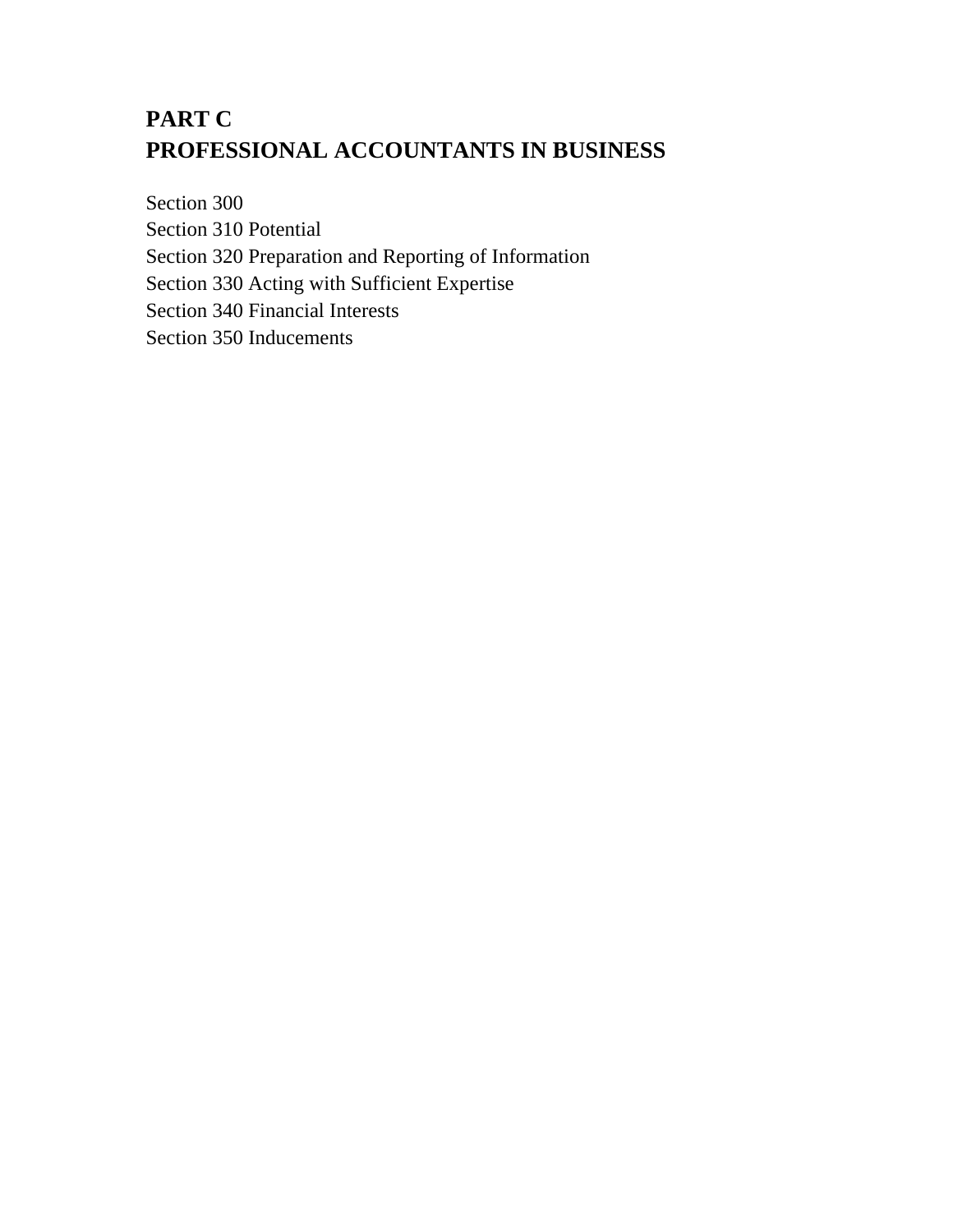# **PART C PROFESSIONAL ACCOUNTANTS IN BUSINESS**

Section 300 Section 310 Potential Section 320 Preparation and Reporting of Information Section 330 Acting with Sufficient Expertise Section 340 Financial Interests Section 350 Inducements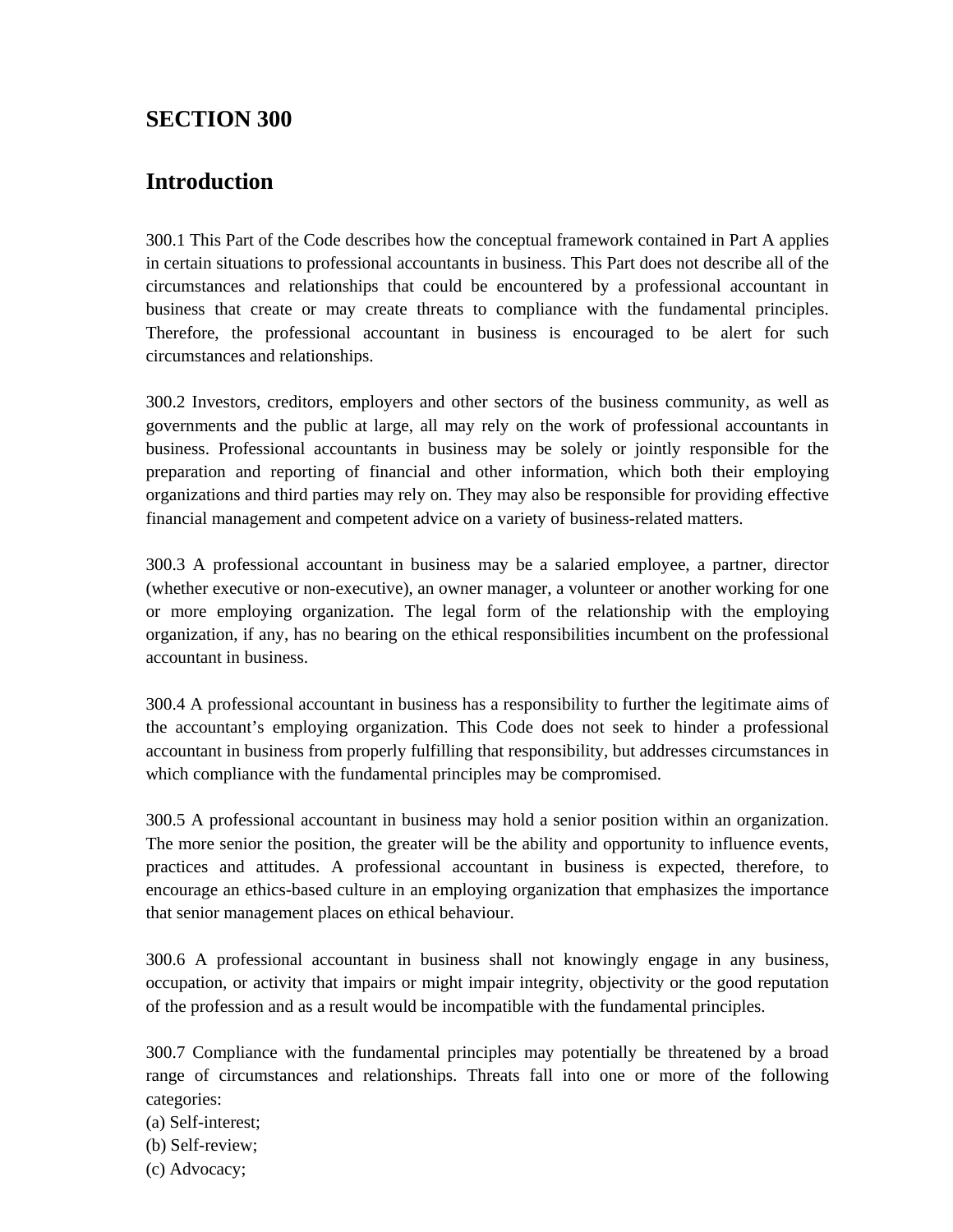# **SECTION 300**

# **Introduction**

300.1 This Part of the Code describes how the conceptual framework contained in Part A applies in certain situations to professional accountants in business. This Part does not describe all of the circumstances and relationships that could be encountered by a professional accountant in business that create or may create threats to compliance with the fundamental principles. Therefore, the professional accountant in business is encouraged to be alert for such circumstances and relationships.

300.2 Investors, creditors, employers and other sectors of the business community, as well as governments and the public at large, all may rely on the work of professional accountants in business. Professional accountants in business may be solely or jointly responsible for the preparation and reporting of financial and other information, which both their employing organizations and third parties may rely on. They may also be responsible for providing effective financial management and competent advice on a variety of business-related matters.

300.3 A professional accountant in business may be a salaried employee, a partner, director (whether executive or non-executive), an owner manager, a volunteer or another working for one or more employing organization. The legal form of the relationship with the employing organization, if any, has no bearing on the ethical responsibilities incumbent on the professional accountant in business.

300.4 A professional accountant in business has a responsibility to further the legitimate aims of the accountant's employing organization. This Code does not seek to hinder a professional accountant in business from properly fulfilling that responsibility, but addresses circumstances in which compliance with the fundamental principles may be compromised.

300.5 A professional accountant in business may hold a senior position within an organization. The more senior the position, the greater will be the ability and opportunity to influence events, practices and attitudes. A professional accountant in business is expected, therefore, to encourage an ethics-based culture in an employing organization that emphasizes the importance that senior management places on ethical behaviour.

300.6 A professional accountant in business shall not knowingly engage in any business, occupation, or activity that impairs or might impair integrity, objectivity or the good reputation of the profession and as a result would be incompatible with the fundamental principles.

300.7 Compliance with the fundamental principles may potentially be threatened by a broad range of circumstances and relationships. Threats fall into one or more of the following categories:

- (a) Self-interest;
- (b) Self-review;
- (c) Advocacy;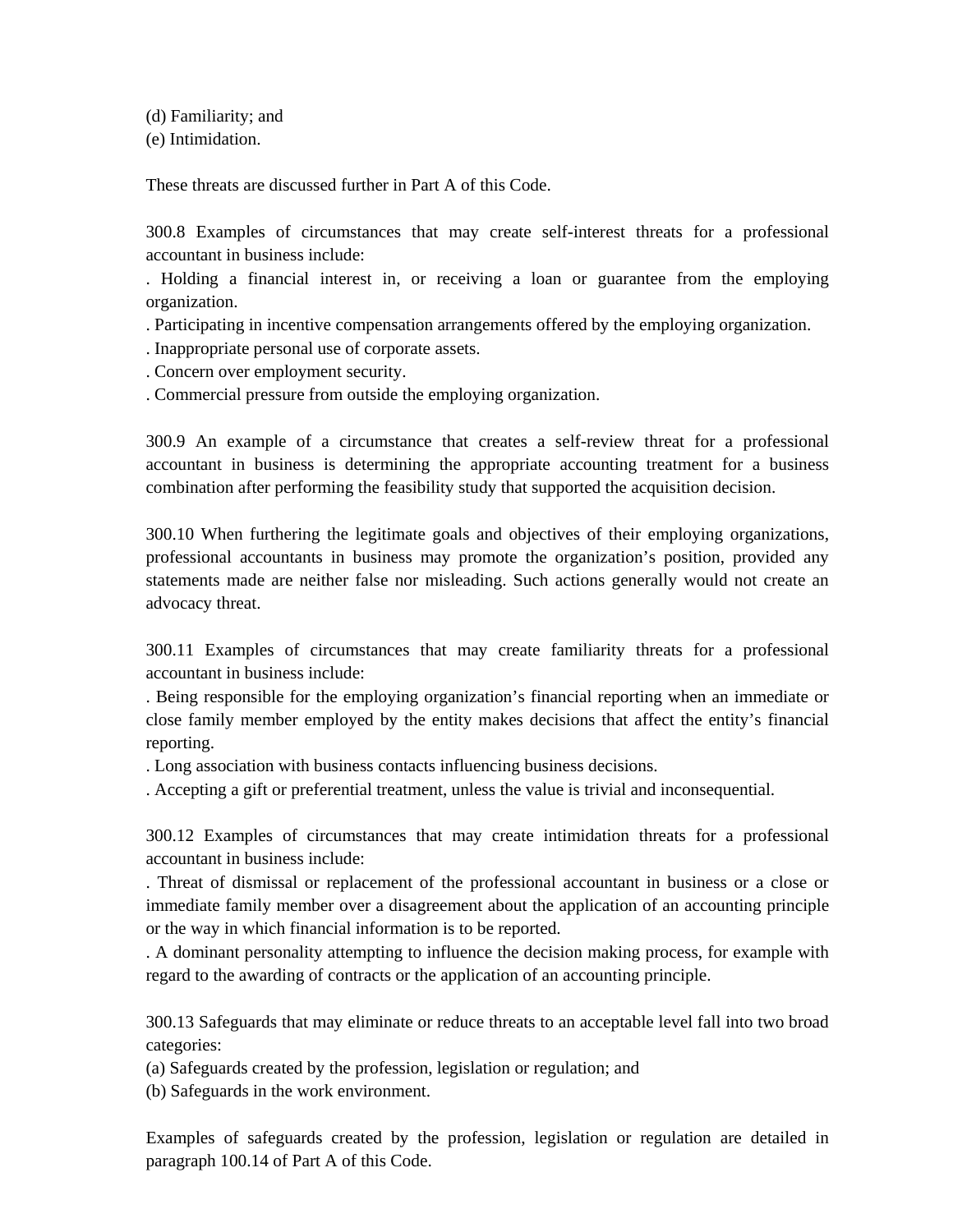(d) Familiarity; and

(e) Intimidation.

These threats are discussed further in Part A of this Code.

300.8 Examples of circumstances that may create self-interest threats for a professional accountant in business include:

. Holding a financial interest in, or receiving a loan or guarantee from the employing organization.

. Participating in incentive compensation arrangements offered by the employing organization.

. Inappropriate personal use of corporate assets.

. Concern over employment security.

. Commercial pressure from outside the employing organization.

300.9 An example of a circumstance that creates a self-review threat for a professional accountant in business is determining the appropriate accounting treatment for a business combination after performing the feasibility study that supported the acquisition decision.

300.10 When furthering the legitimate goals and objectives of their employing organizations, professional accountants in business may promote the organization's position, provided any statements made are neither false nor misleading. Such actions generally would not create an advocacy threat.

300.11 Examples of circumstances that may create familiarity threats for a professional accountant in business include:

. Being responsible for the employing organization's financial reporting when an immediate or close family member employed by the entity makes decisions that affect the entity's financial reporting.

. Long association with business contacts influencing business decisions.

. Accepting a gift or preferential treatment, unless the value is trivial and inconsequential.

300.12 Examples of circumstances that may create intimidation threats for a professional accountant in business include:

. Threat of dismissal or replacement of the professional accountant in business or a close or immediate family member over a disagreement about the application of an accounting principle or the way in which financial information is to be reported.

. A dominant personality attempting to influence the decision making process, for example with regard to the awarding of contracts or the application of an accounting principle.

300.13 Safeguards that may eliminate or reduce threats to an acceptable level fall into two broad categories:

(a) Safeguards created by the profession, legislation or regulation; and

(b) Safeguards in the work environment.

Examples of safeguards created by the profession, legislation or regulation are detailed in paragraph 100.14 of Part A of this Code.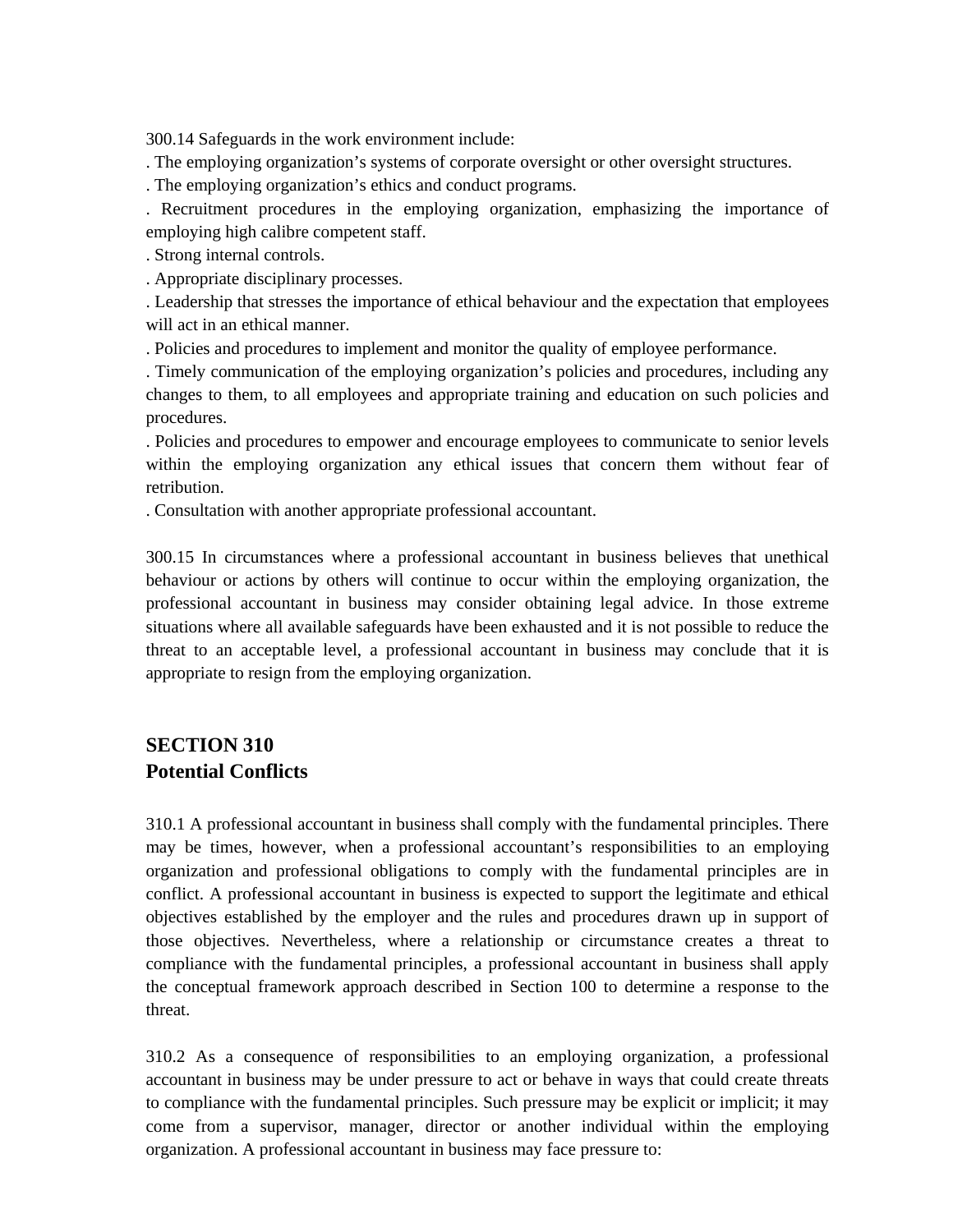300.14 Safeguards in the work environment include:

. The employing organization's systems of corporate oversight or other oversight structures.

. The employing organization's ethics and conduct programs.

. Recruitment procedures in the employing organization, emphasizing the importance of employing high calibre competent staff.

. Strong internal controls.

. Appropriate disciplinary processes.

. Leadership that stresses the importance of ethical behaviour and the expectation that employees will act in an ethical manner.

. Policies and procedures to implement and monitor the quality of employee performance.

. Timely communication of the employing organization's policies and procedures, including any changes to them, to all employees and appropriate training and education on such policies and procedures.

. Policies and procedures to empower and encourage employees to communicate to senior levels within the employing organization any ethical issues that concern them without fear of retribution.

. Consultation with another appropriate professional accountant.

300.15 In circumstances where a professional accountant in business believes that unethical behaviour or actions by others will continue to occur within the employing organization, the professional accountant in business may consider obtaining legal advice. In those extreme situations where all available safeguards have been exhausted and it is not possible to reduce the threat to an acceptable level, a professional accountant in business may conclude that it is appropriate to resign from the employing organization.

### **SECTION 310 Potential Conflicts**

310.1 A professional accountant in business shall comply with the fundamental principles. There may be times, however, when a professional accountant's responsibilities to an employing organization and professional obligations to comply with the fundamental principles are in conflict. A professional accountant in business is expected to support the legitimate and ethical objectives established by the employer and the rules and procedures drawn up in support of those objectives. Nevertheless, where a relationship or circumstance creates a threat to compliance with the fundamental principles, a professional accountant in business shall apply the conceptual framework approach described in Section 100 to determine a response to the threat.

310.2 As a consequence of responsibilities to an employing organization, a professional accountant in business may be under pressure to act or behave in ways that could create threats to compliance with the fundamental principles. Such pressure may be explicit or implicit; it may come from a supervisor, manager, director or another individual within the employing organization. A professional accountant in business may face pressure to: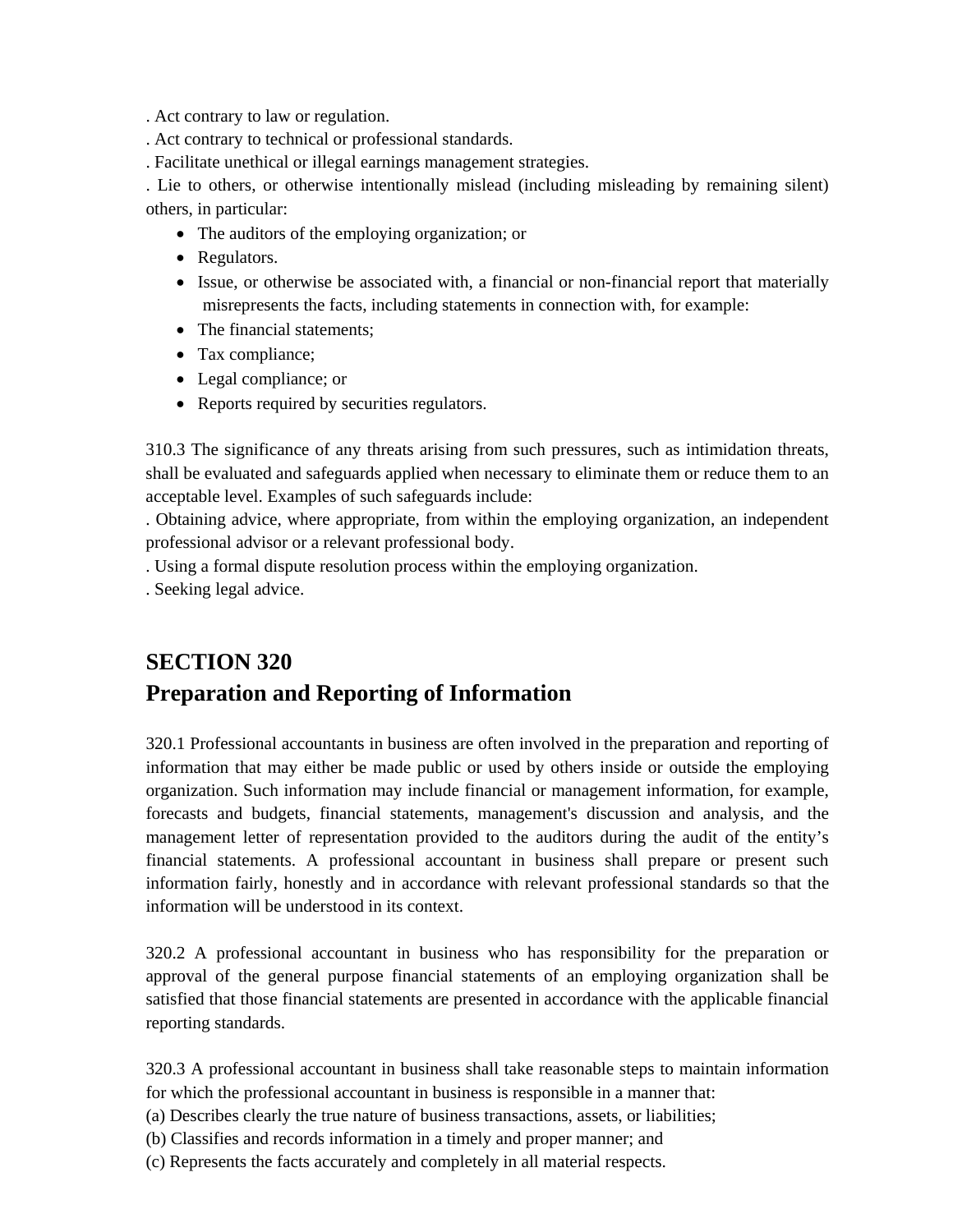. Act contrary to law or regulation.

. Act contrary to technical or professional standards.

. Facilitate unethical or illegal earnings management strategies.

. Lie to others, or otherwise intentionally mislead (including misleading by remaining silent) others, in particular:

- The auditors of the employing organization; or
- Regulators.
- Issue, or otherwise be associated with, a financial or non-financial report that materially misrepresents the facts, including statements in connection with, for example:
- The financial statements:
- Tax compliance;
- Legal compliance; or
- Reports required by securities regulators.

310.3 The significance of any threats arising from such pressures, such as intimidation threats, shall be evaluated and safeguards applied when necessary to eliminate them or reduce them to an acceptable level. Examples of such safeguards include:

. Obtaining advice, where appropriate, from within the employing organization, an independent professional advisor or a relevant professional body.

. Using a formal dispute resolution process within the employing organization.

. Seeking legal advice.

# **SECTION 320 Preparation and Reporting of Information**

320.1 Professional accountants in business are often involved in the preparation and reporting of information that may either be made public or used by others inside or outside the employing organization. Such information may include financial or management information, for example, forecasts and budgets, financial statements, management's discussion and analysis, and the management letter of representation provided to the auditors during the audit of the entity's financial statements. A professional accountant in business shall prepare or present such information fairly, honestly and in accordance with relevant professional standards so that the information will be understood in its context.

320.2 A professional accountant in business who has responsibility for the preparation or approval of the general purpose financial statements of an employing organization shall be satisfied that those financial statements are presented in accordance with the applicable financial reporting standards.

320.3 A professional accountant in business shall take reasonable steps to maintain information for which the professional accountant in business is responsible in a manner that:

- (a) Describes clearly the true nature of business transactions, assets, or liabilities;
- (b) Classifies and records information in a timely and proper manner; and
- (c) Represents the facts accurately and completely in all material respects.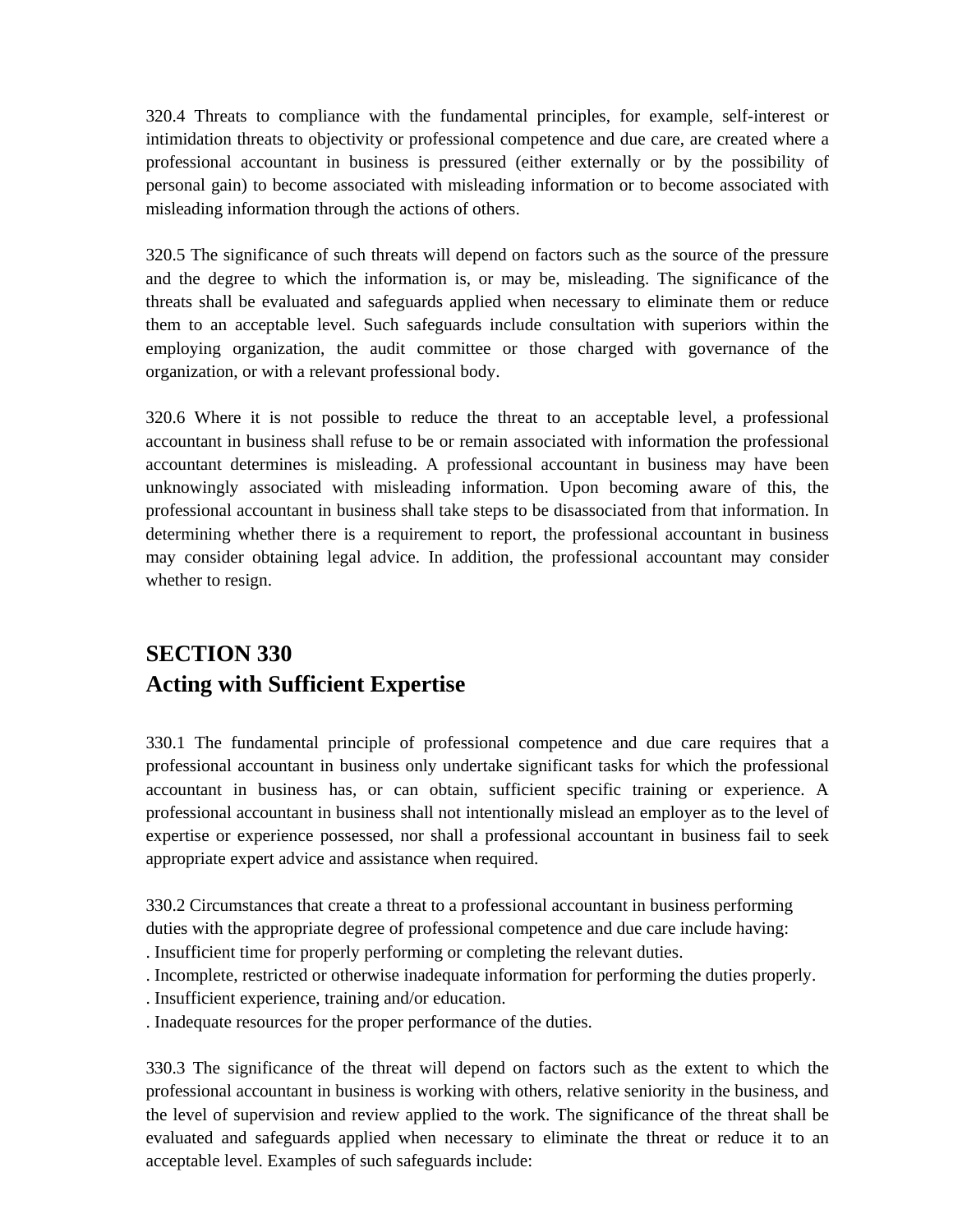320.4 Threats to compliance with the fundamental principles, for example, self-interest or intimidation threats to objectivity or professional competence and due care, are created where a professional accountant in business is pressured (either externally or by the possibility of personal gain) to become associated with misleading information or to become associated with misleading information through the actions of others.

320.5 The significance of such threats will depend on factors such as the source of the pressure and the degree to which the information is, or may be, misleading. The significance of the threats shall be evaluated and safeguards applied when necessary to eliminate them or reduce them to an acceptable level. Such safeguards include consultation with superiors within the employing organization, the audit committee or those charged with governance of the organization, or with a relevant professional body.

320.6 Where it is not possible to reduce the threat to an acceptable level, a professional accountant in business shall refuse to be or remain associated with information the professional accountant determines is misleading. A professional accountant in business may have been unknowingly associated with misleading information. Upon becoming aware of this, the professional accountant in business shall take steps to be disassociated from that information. In determining whether there is a requirement to report, the professional accountant in business may consider obtaining legal advice. In addition, the professional accountant may consider whether to resign.

# **SECTION 330 Acting with Sufficient Expertise**

330.1 The fundamental principle of professional competence and due care requires that a professional accountant in business only undertake significant tasks for which the professional accountant in business has, or can obtain, sufficient specific training or experience. A professional accountant in business shall not intentionally mislead an employer as to the level of expertise or experience possessed, nor shall a professional accountant in business fail to seek appropriate expert advice and assistance when required.

330.2 Circumstances that create a threat to a professional accountant in business performing duties with the appropriate degree of professional competence and due care include having:

- . Insufficient time for properly performing or completing the relevant duties.
- . Incomplete, restricted or otherwise inadequate information for performing the duties properly.
- . Insufficient experience, training and/or education.
- . Inadequate resources for the proper performance of the duties.

330.3 The significance of the threat will depend on factors such as the extent to which the professional accountant in business is working with others, relative seniority in the business, and the level of supervision and review applied to the work. The significance of the threat shall be evaluated and safeguards applied when necessary to eliminate the threat or reduce it to an acceptable level. Examples of such safeguards include: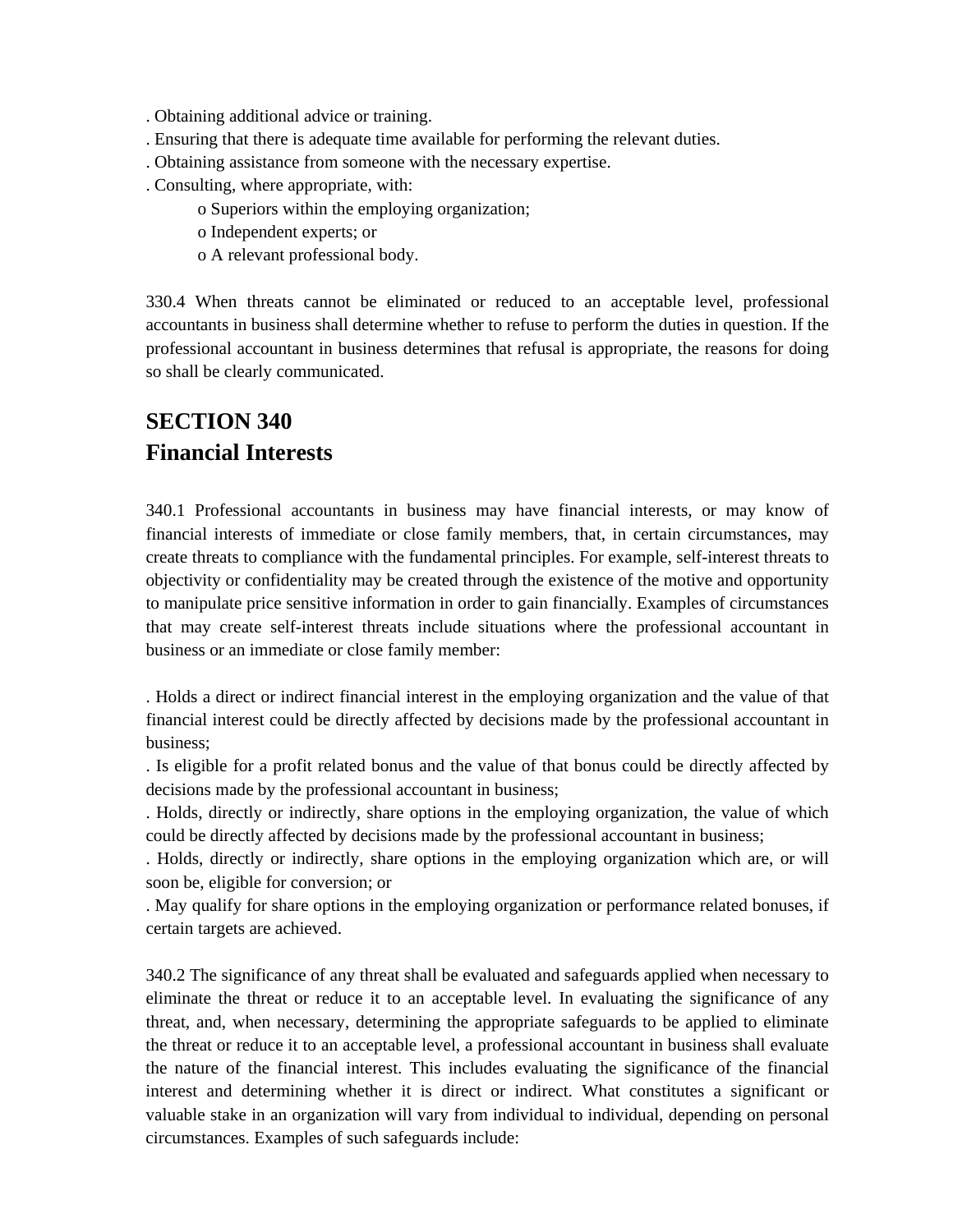- . Obtaining additional advice or training.
- . Ensuring that there is adequate time available for performing the relevant duties.
- . Obtaining assistance from someone with the necessary expertise.
- . Consulting, where appropriate, with:
	- o Superiors within the employing organization;
	- o Independent experts; or
	- o A relevant professional body.

330.4 When threats cannot be eliminated or reduced to an acceptable level, professional accountants in business shall determine whether to refuse to perform the duties in question. If the professional accountant in business determines that refusal is appropriate, the reasons for doing so shall be clearly communicated.

# **SECTION 340 Financial Interests**

340.1 Professional accountants in business may have financial interests, or may know of financial interests of immediate or close family members, that, in certain circumstances, may create threats to compliance with the fundamental principles. For example, self-interest threats to objectivity or confidentiality may be created through the existence of the motive and opportunity to manipulate price sensitive information in order to gain financially. Examples of circumstances that may create self-interest threats include situations where the professional accountant in business or an immediate or close family member:

. Holds a direct or indirect financial interest in the employing organization and the value of that financial interest could be directly affected by decisions made by the professional accountant in business;

. Is eligible for a profit related bonus and the value of that bonus could be directly affected by decisions made by the professional accountant in business;

. Holds, directly or indirectly, share options in the employing organization, the value of which could be directly affected by decisions made by the professional accountant in business;

. Holds, directly or indirectly, share options in the employing organization which are, or will soon be, eligible for conversion; or

. May qualify for share options in the employing organization or performance related bonuses, if certain targets are achieved.

340.2 The significance of any threat shall be evaluated and safeguards applied when necessary to eliminate the threat or reduce it to an acceptable level. In evaluating the significance of any threat, and, when necessary, determining the appropriate safeguards to be applied to eliminate the threat or reduce it to an acceptable level, a professional accountant in business shall evaluate the nature of the financial interest. This includes evaluating the significance of the financial interest and determining whether it is direct or indirect. What constitutes a significant or valuable stake in an organization will vary from individual to individual, depending on personal circumstances. Examples of such safeguards include: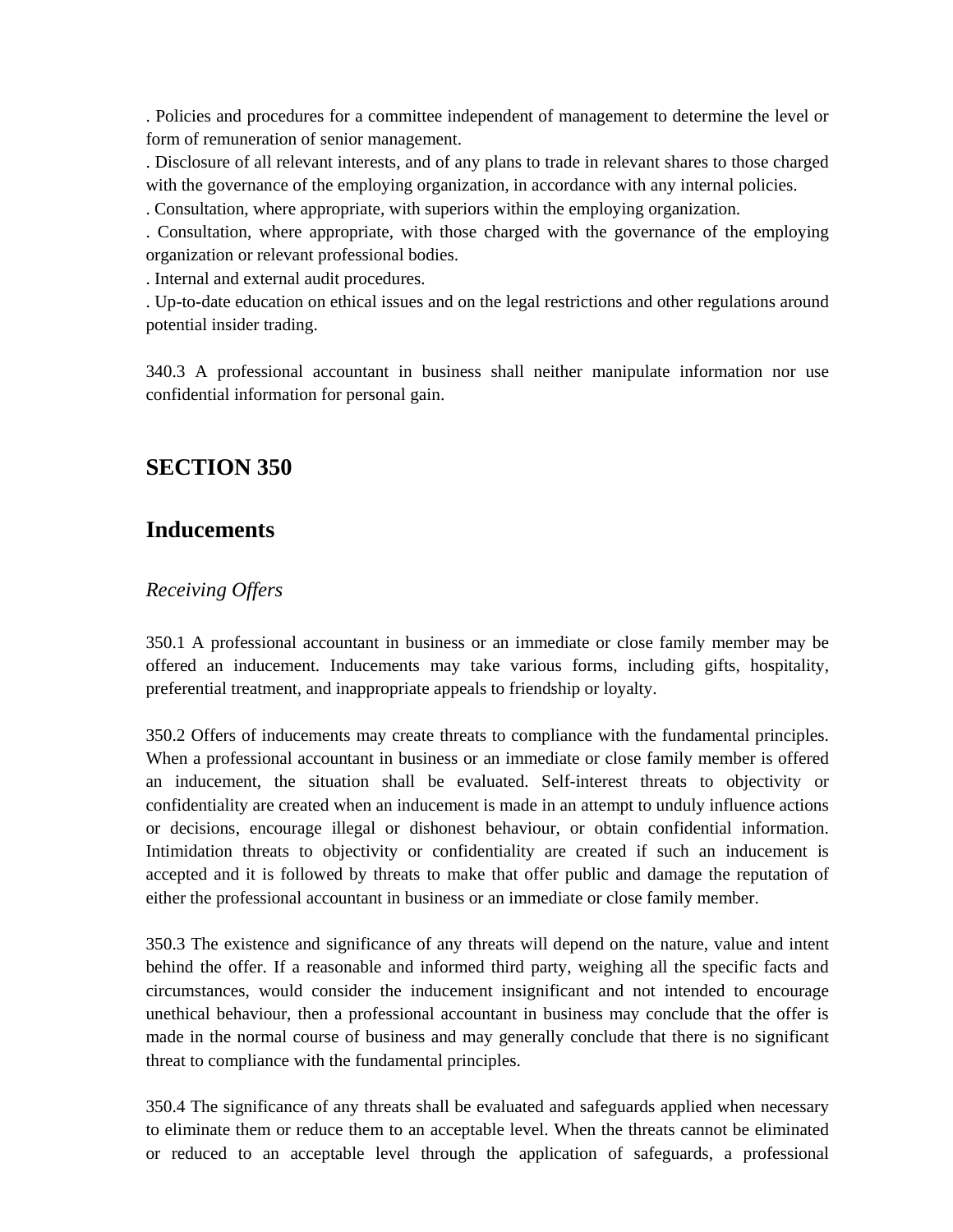. Policies and procedures for a committee independent of management to determine the level or form of remuneration of senior management.

. Disclosure of all relevant interests, and of any plans to trade in relevant shares to those charged with the governance of the employing organization, in accordance with any internal policies.

. Consultation, where appropriate, with superiors within the employing organization.

. Consultation, where appropriate, with those charged with the governance of the employing organization or relevant professional bodies.

. Internal and external audit procedures.

. Up-to-date education on ethical issues and on the legal restrictions and other regulations around potential insider trading.

340.3 A professional accountant in business shall neither manipulate information nor use confidential information for personal gain.

## **SECTION 350**

## **Inducements**

## *Receiving Offers*

350.1 A professional accountant in business or an immediate or close family member may be offered an inducement. Inducements may take various forms, including gifts, hospitality, preferential treatment, and inappropriate appeals to friendship or loyalty.

350.2 Offers of inducements may create threats to compliance with the fundamental principles. When a professional accountant in business or an immediate or close family member is offered an inducement, the situation shall be evaluated. Self-interest threats to objectivity or confidentiality are created when an inducement is made in an attempt to unduly influence actions or decisions, encourage illegal or dishonest behaviour, or obtain confidential information. Intimidation threats to objectivity or confidentiality are created if such an inducement is accepted and it is followed by threats to make that offer public and damage the reputation of either the professional accountant in business or an immediate or close family member.

350.3 The existence and significance of any threats will depend on the nature, value and intent behind the offer. If a reasonable and informed third party, weighing all the specific facts and circumstances, would consider the inducement insignificant and not intended to encourage unethical behaviour, then a professional accountant in business may conclude that the offer is made in the normal course of business and may generally conclude that there is no significant threat to compliance with the fundamental principles.

350.4 The significance of any threats shall be evaluated and safeguards applied when necessary to eliminate them or reduce them to an acceptable level. When the threats cannot be eliminated or reduced to an acceptable level through the application of safeguards, a professional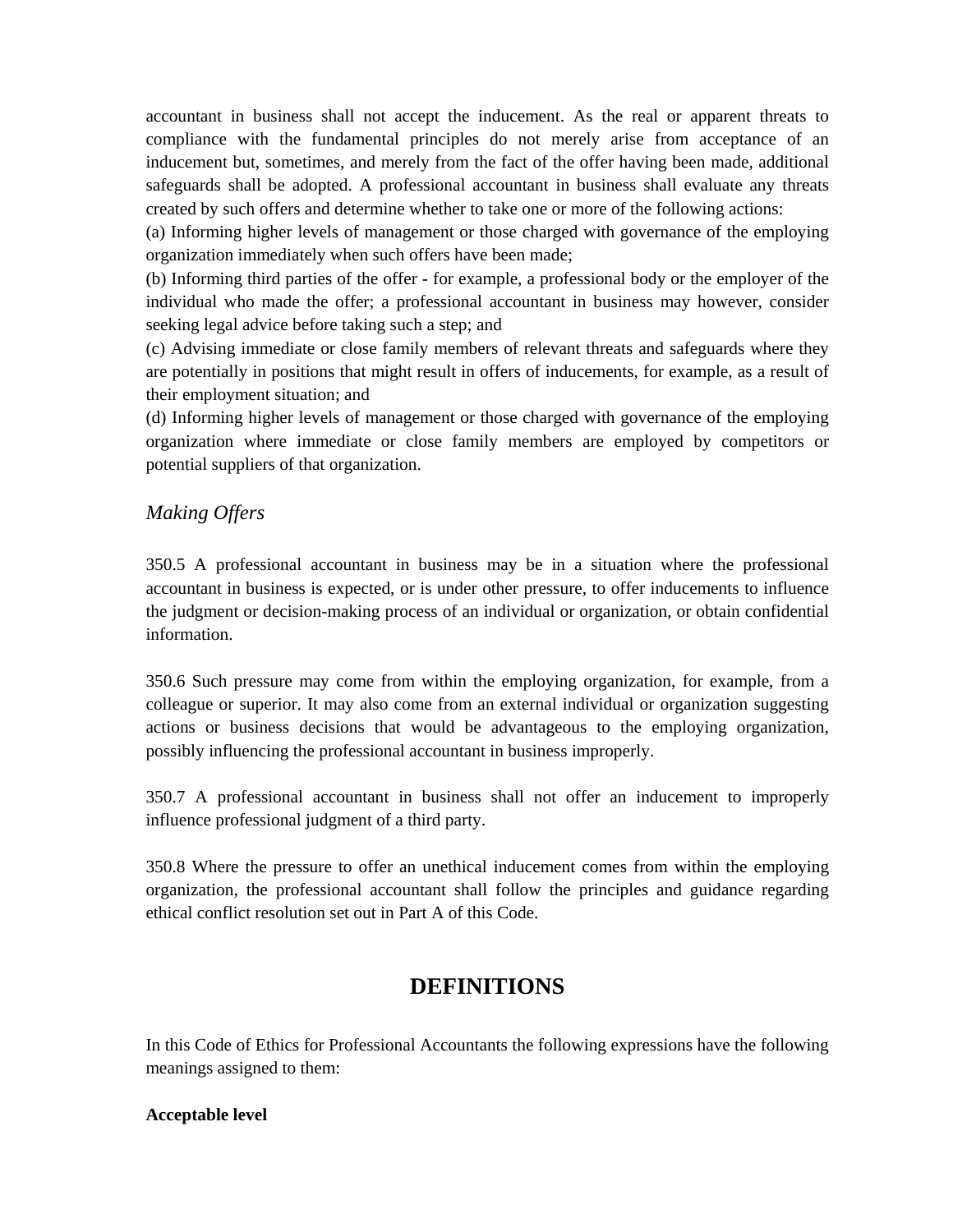accountant in business shall not accept the inducement. As the real or apparent threats to compliance with the fundamental principles do not merely arise from acceptance of an inducement but, sometimes, and merely from the fact of the offer having been made, additional safeguards shall be adopted. A professional accountant in business shall evaluate any threats created by such offers and determine whether to take one or more of the following actions:

(a) Informing higher levels of management or those charged with governance of the employing organization immediately when such offers have been made;

(b) Informing third parties of the offer - for example, a professional body or the employer of the individual who made the offer; a professional accountant in business may however, consider seeking legal advice before taking such a step; and

(c) Advising immediate or close family members of relevant threats and safeguards where they are potentially in positions that might result in offers of inducements, for example, as a result of their employment situation; and

(d) Informing higher levels of management or those charged with governance of the employing organization where immediate or close family members are employed by competitors or potential suppliers of that organization.

## *Making Offers*

350.5 A professional accountant in business may be in a situation where the professional accountant in business is expected, or is under other pressure, to offer inducements to influence the judgment or decision-making process of an individual or organization, or obtain confidential information.

350.6 Such pressure may come from within the employing organization, for example, from a colleague or superior. It may also come from an external individual or organization suggesting actions or business decisions that would be advantageous to the employing organization, possibly influencing the professional accountant in business improperly.

350.7 A professional accountant in business shall not offer an inducement to improperly influence professional judgment of a third party.

350.8 Where the pressure to offer an unethical inducement comes from within the employing organization, the professional accountant shall follow the principles and guidance regarding ethical conflict resolution set out in Part A of this Code.

## **DEFINITIONS**

In this Code of Ethics for Professional Accountants the following expressions have the following meanings assigned to them:

## **Acceptable level**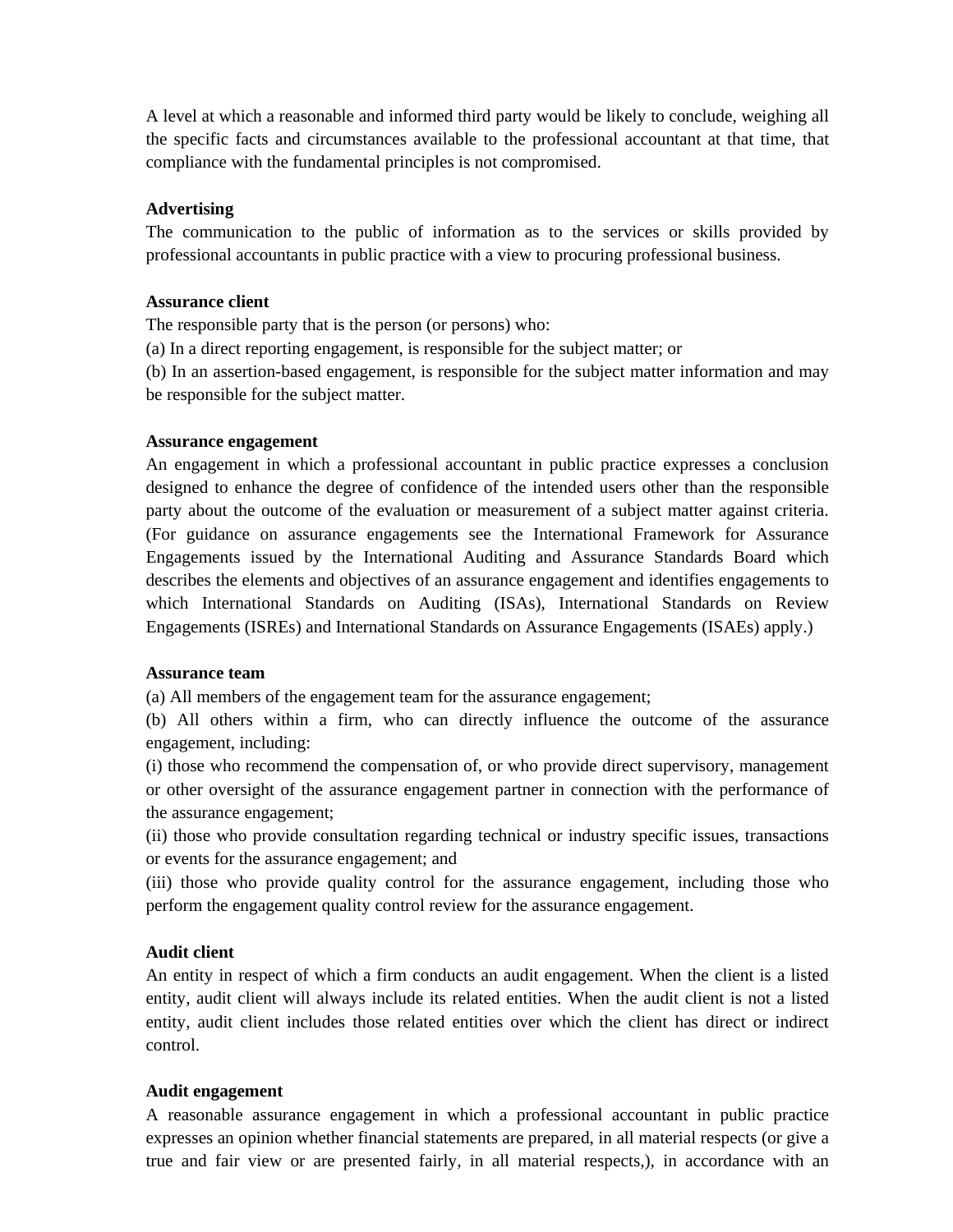A level at which a reasonable and informed third party would be likely to conclude, weighing all the specific facts and circumstances available to the professional accountant at that time, that compliance with the fundamental principles is not compromised.

#### **Advertising**

The communication to the public of information as to the services or skills provided by professional accountants in public practice with a view to procuring professional business.

#### **Assurance client**

The responsible party that is the person (or persons) who:

(a) In a direct reporting engagement, is responsible for the subject matter; or

(b) In an assertion-based engagement, is responsible for the subject matter information and may be responsible for the subject matter.

#### **Assurance engagement**

An engagement in which a professional accountant in public practice expresses a conclusion designed to enhance the degree of confidence of the intended users other than the responsible party about the outcome of the evaluation or measurement of a subject matter against criteria. (For guidance on assurance engagements see the International Framework for Assurance Engagements issued by the International Auditing and Assurance Standards Board which describes the elements and objectives of an assurance engagement and identifies engagements to which International Standards on Auditing (ISAs), International Standards on Review Engagements (ISREs) and International Standards on Assurance Engagements (ISAEs) apply.)

#### **Assurance team**

(a) All members of the engagement team for the assurance engagement;

(b) All others within a firm, who can directly influence the outcome of the assurance engagement, including:

(i) those who recommend the compensation of, or who provide direct supervisory, management or other oversight of the assurance engagement partner in connection with the performance of the assurance engagement;

(ii) those who provide consultation regarding technical or industry specific issues, transactions or events for the assurance engagement; and

(iii) those who provide quality control for the assurance engagement, including those who perform the engagement quality control review for the assurance engagement.

#### **Audit client**

An entity in respect of which a firm conducts an audit engagement. When the client is a listed entity, audit client will always include its related entities. When the audit client is not a listed entity, audit client includes those related entities over which the client has direct or indirect control.

#### **Audit engagement**

A reasonable assurance engagement in which a professional accountant in public practice expresses an opinion whether financial statements are prepared, in all material respects (or give a true and fair view or are presented fairly, in all material respects,), in accordance with an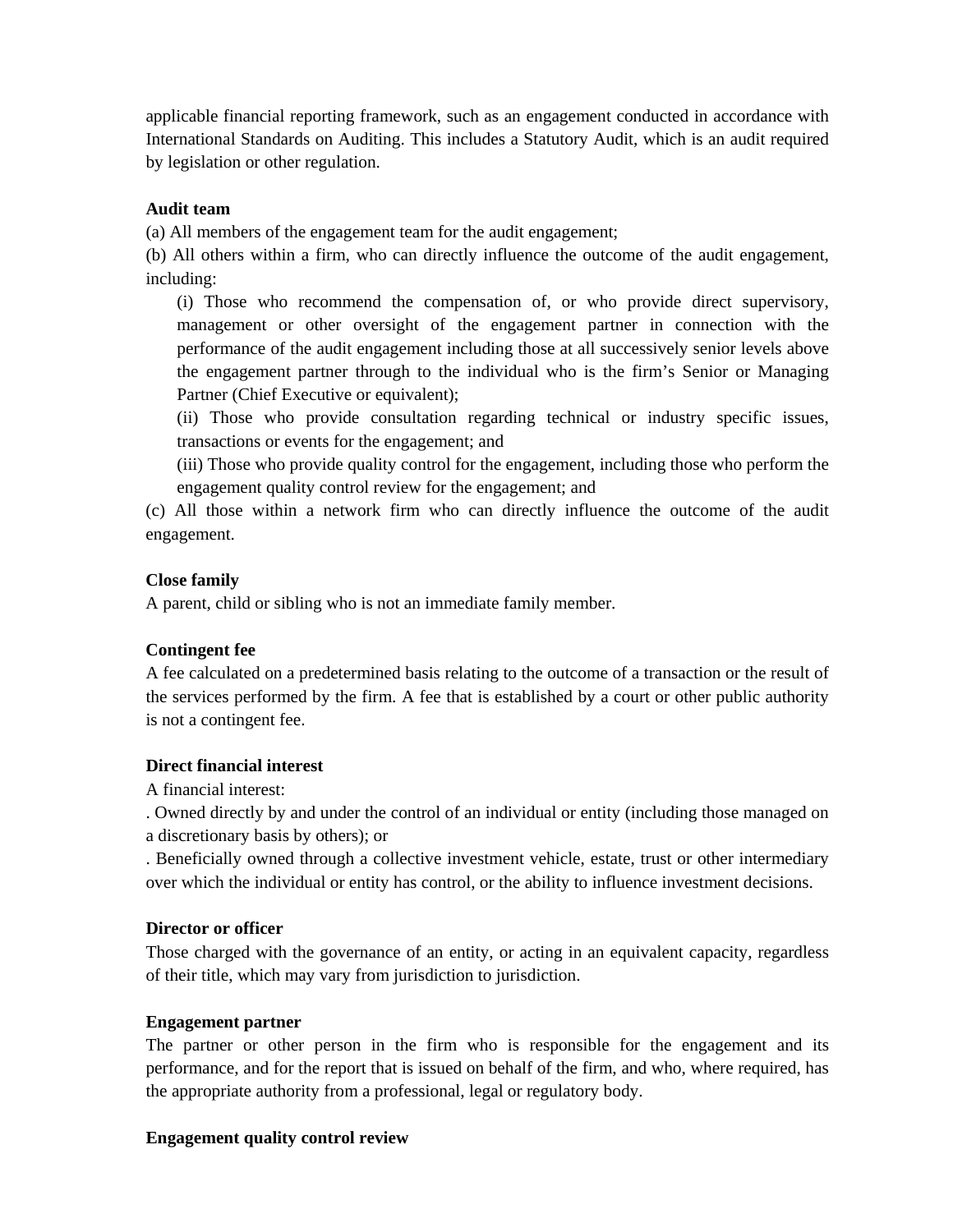applicable financial reporting framework, such as an engagement conducted in accordance with International Standards on Auditing. This includes a Statutory Audit, which is an audit required by legislation or other regulation.

## **Audit team**

(a) All members of the engagement team for the audit engagement;

(b) All others within a firm, who can directly influence the outcome of the audit engagement, including:

(i) Those who recommend the compensation of, or who provide direct supervisory, management or other oversight of the engagement partner in connection with the performance of the audit engagement including those at all successively senior levels above the engagement partner through to the individual who is the firm's Senior or Managing Partner (Chief Executive or equivalent);

(ii) Those who provide consultation regarding technical or industry specific issues, transactions or events for the engagement; and

(iii) Those who provide quality control for the engagement, including those who perform the engagement quality control review for the engagement; and

(c) All those within a network firm who can directly influence the outcome of the audit engagement.

## **Close family**

A parent, child or sibling who is not an immediate family member.

## **Contingent fee**

A fee calculated on a predetermined basis relating to the outcome of a transaction or the result of the services performed by the firm. A fee that is established by a court or other public authority is not a contingent fee.

#### **Direct financial interest**

A financial interest:

. Owned directly by and under the control of an individual or entity (including those managed on a discretionary basis by others); or

. Beneficially owned through a collective investment vehicle, estate, trust or other intermediary over which the individual or entity has control, or the ability to influence investment decisions.

#### **Director or officer**

Those charged with the governance of an entity, or acting in an equivalent capacity, regardless of their title, which may vary from jurisdiction to jurisdiction.

#### **Engagement partner**

The partner or other person in the firm who is responsible for the engagement and its performance, and for the report that is issued on behalf of the firm, and who, where required, has the appropriate authority from a professional, legal or regulatory body.

#### **Engagement quality control review**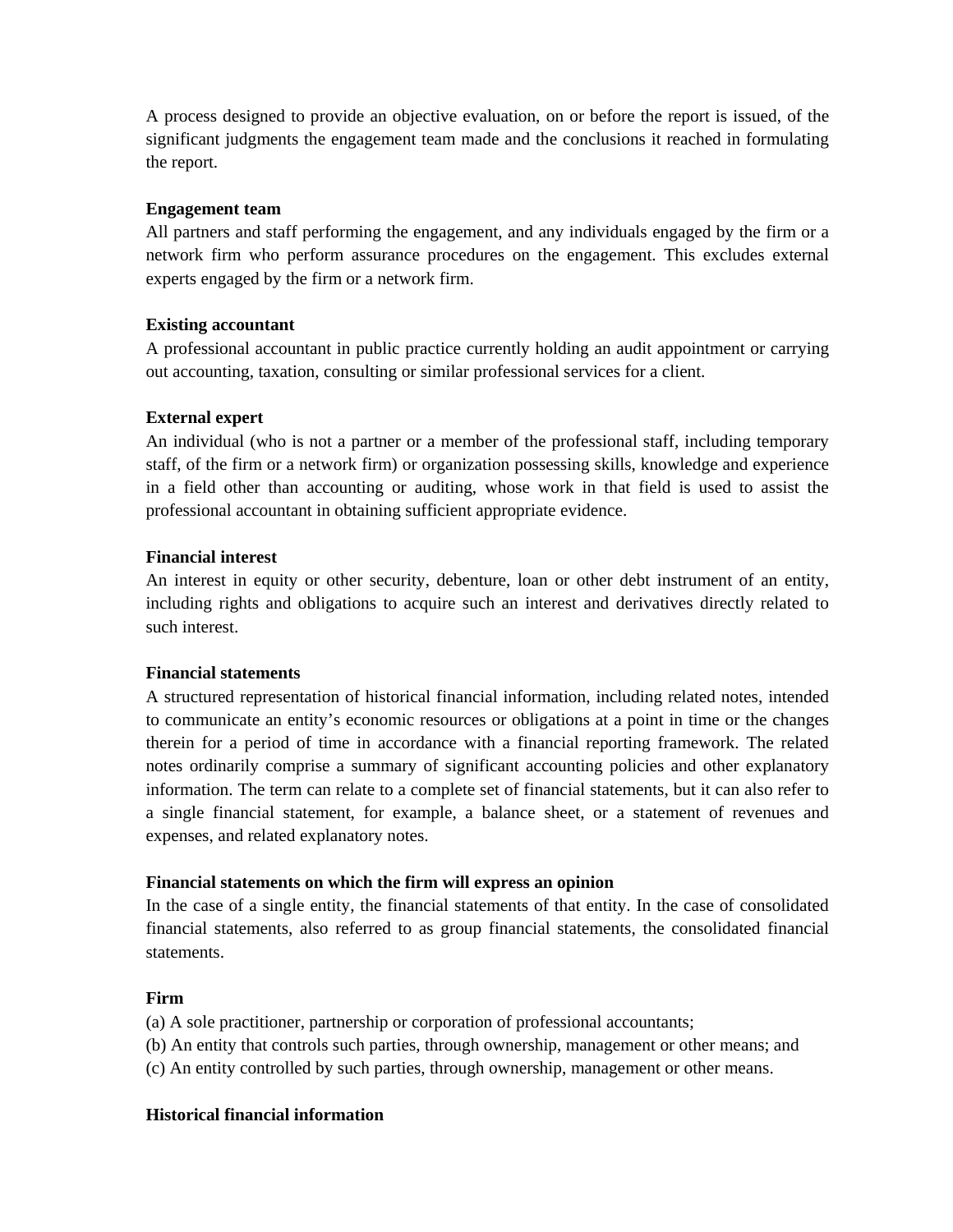A process designed to provide an objective evaluation, on or before the report is issued, of the significant judgments the engagement team made and the conclusions it reached in formulating the report.

#### **Engagement team**

All partners and staff performing the engagement, and any individuals engaged by the firm or a network firm who perform assurance procedures on the engagement. This excludes external experts engaged by the firm or a network firm.

## **Existing accountant**

A professional accountant in public practice currently holding an audit appointment or carrying out accounting, taxation, consulting or similar professional services for a client.

## **External expert**

An individual (who is not a partner or a member of the professional staff, including temporary staff, of the firm or a network firm) or organization possessing skills, knowledge and experience in a field other than accounting or auditing, whose work in that field is used to assist the professional accountant in obtaining sufficient appropriate evidence.

#### **Financial interest**

An interest in equity or other security, debenture, loan or other debt instrument of an entity, including rights and obligations to acquire such an interest and derivatives directly related to such interest.

#### **Financial statements**

A structured representation of historical financial information, including related notes, intended to communicate an entity's economic resources or obligations at a point in time or the changes therein for a period of time in accordance with a financial reporting framework. The related notes ordinarily comprise a summary of significant accounting policies and other explanatory information. The term can relate to a complete set of financial statements, but it can also refer to a single financial statement, for example, a balance sheet, or a statement of revenues and expenses, and related explanatory notes.

## **Financial statements on which the firm will express an opinion**

In the case of a single entity, the financial statements of that entity. In the case of consolidated financial statements, also referred to as group financial statements, the consolidated financial statements.

## **Firm**

- (a) A sole practitioner, partnership or corporation of professional accountants;
- (b) An entity that controls such parties, through ownership, management or other means; and
- (c) An entity controlled by such parties, through ownership, management or other means.

#### **Historical financial information**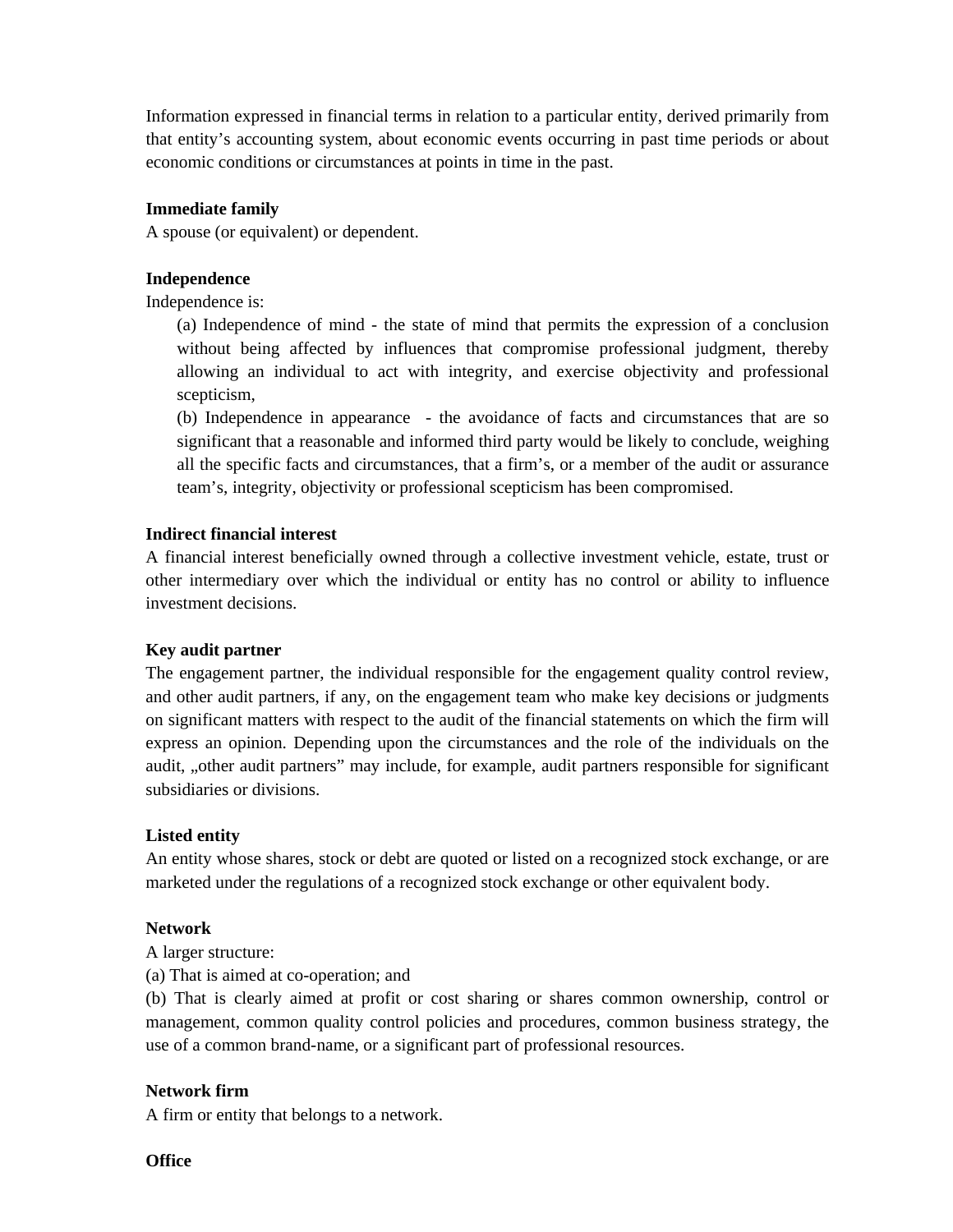Information expressed in financial terms in relation to a particular entity, derived primarily from that entity's accounting system, about economic events occurring in past time periods or about economic conditions or circumstances at points in time in the past.

## **Immediate family**

A spouse (or equivalent) or dependent.

## **Independence**

Independence is:

(a) Independence of mind - the state of mind that permits the expression of a conclusion without being affected by influences that compromise professional judgment, thereby allowing an individual to act with integrity, and exercise objectivity and professional scepticism,

(b) Independence in appearance - the avoidance of facts and circumstances that are so significant that a reasonable and informed third party would be likely to conclude, weighing all the specific facts and circumstances, that a firm's, or a member of the audit or assurance team's, integrity, objectivity or professional scepticism has been compromised.

## **Indirect financial interest**

A financial interest beneficially owned through a collective investment vehicle, estate, trust or other intermediary over which the individual or entity has no control or ability to influence investment decisions.

## **Key audit partner**

The engagement partner, the individual responsible for the engagement quality control review, and other audit partners, if any, on the engagement team who make key decisions or judgments on significant matters with respect to the audit of the financial statements on which the firm will express an opinion. Depending upon the circumstances and the role of the individuals on the audit, "other audit partners" may include, for example, audit partners responsible for significant subsidiaries or divisions.

#### **Listed entity**

An entity whose shares, stock or debt are quoted or listed on a recognized stock exchange, or are marketed under the regulations of a recognized stock exchange or other equivalent body.

#### **Network**

A larger structure:

(a) That is aimed at co-operation; and

(b) That is clearly aimed at profit or cost sharing or shares common ownership, control or management, common quality control policies and procedures, common business strategy, the use of a common brand-name, or a significant part of professional resources.

## **Network firm**

A firm or entity that belongs to a network.

**Office**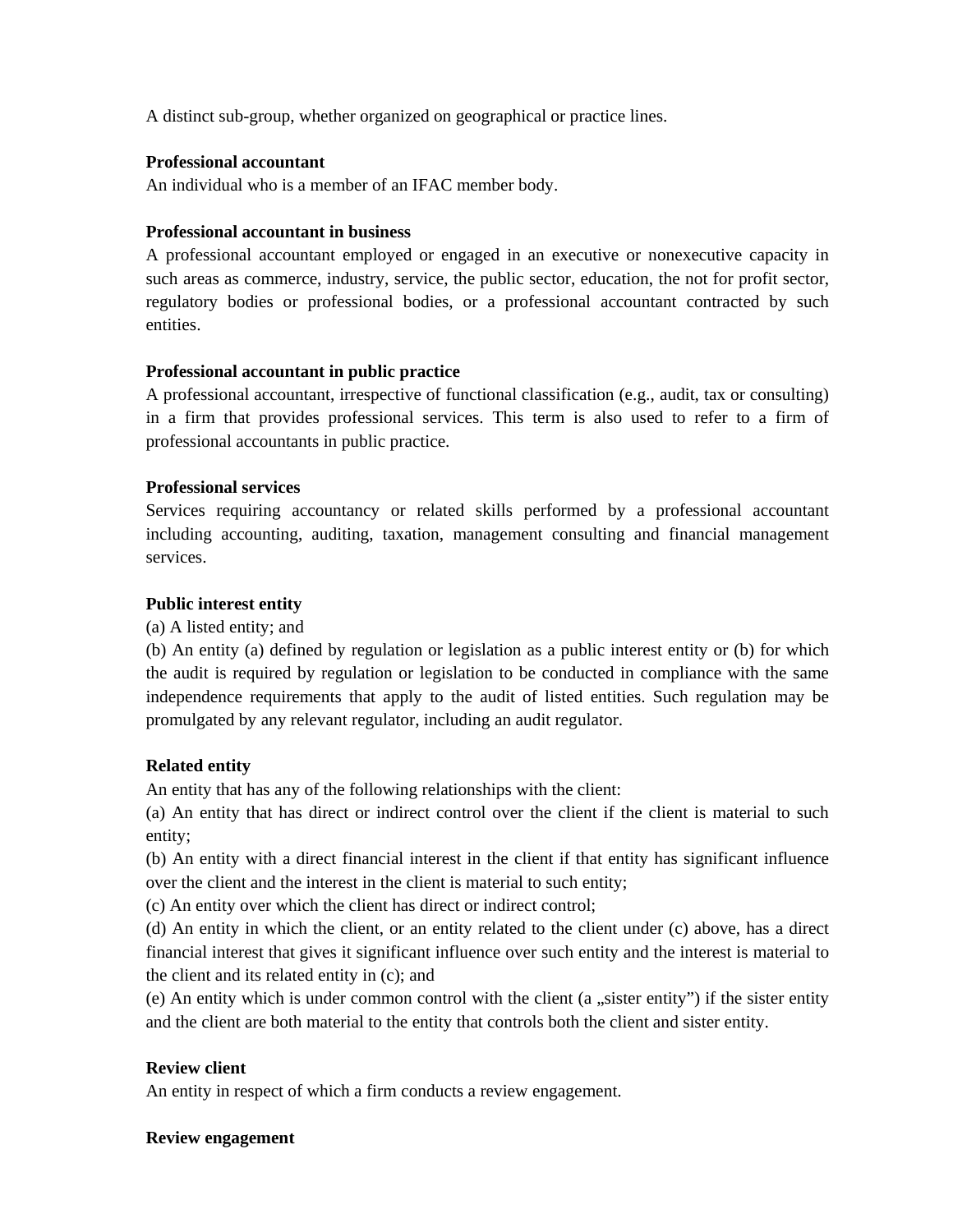A distinct sub-group, whether organized on geographical or practice lines.

## **Professional accountant**

An individual who is a member of an IFAC member body.

## **Professional accountant in business**

A professional accountant employed or engaged in an executive or nonexecutive capacity in such areas as commerce, industry, service, the public sector, education, the not for profit sector, regulatory bodies or professional bodies, or a professional accountant contracted by such entities.

## **Professional accountant in public practice**

A professional accountant, irrespective of functional classification (e.g., audit, tax or consulting) in a firm that provides professional services. This term is also used to refer to a firm of professional accountants in public practice.

## **Professional services**

Services requiring accountancy or related skills performed by a professional accountant including accounting, auditing, taxation, management consulting and financial management services.

## **Public interest entity**

(a) A listed entity; and

(b) An entity (a) defined by regulation or legislation as a public interest entity or (b) for which the audit is required by regulation or legislation to be conducted in compliance with the same independence requirements that apply to the audit of listed entities. Such regulation may be promulgated by any relevant regulator, including an audit regulator.

## **Related entity**

An entity that has any of the following relationships with the client:

(a) An entity that has direct or indirect control over the client if the client is material to such entity;

(b) An entity with a direct financial interest in the client if that entity has significant influence over the client and the interest in the client is material to such entity;

(c) An entity over which the client has direct or indirect control;

(d) An entity in which the client, or an entity related to the client under (c) above, has a direct financial interest that gives it significant influence over such entity and the interest is material to the client and its related entity in (c); and

(e) An entity which is under common control with the client  $(a, g)$ , sister entity") if the sister entity and the client are both material to the entity that controls both the client and sister entity.

## **Review client**

An entity in respect of which a firm conducts a review engagement.

#### **Review engagement**